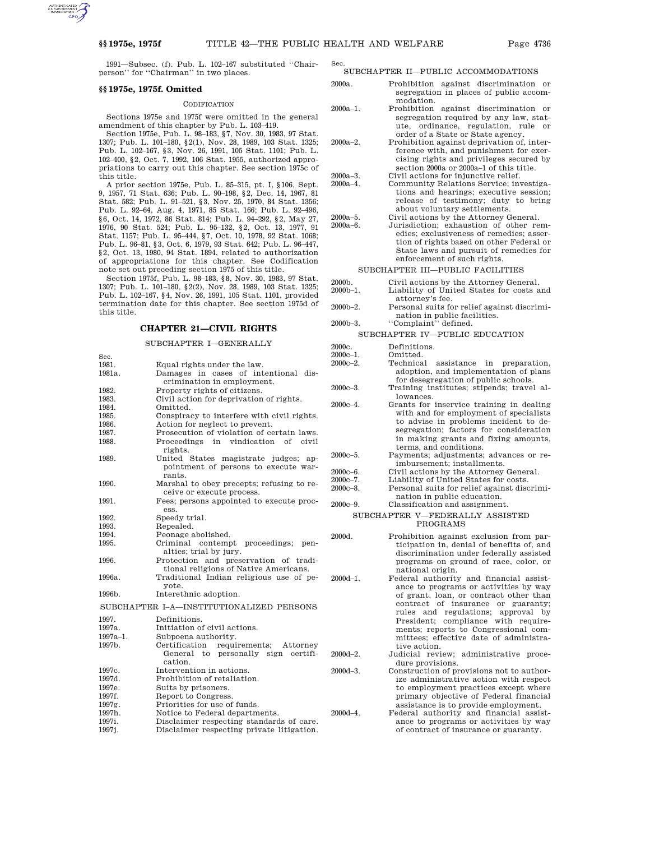$S_{\alpha}$ 

1991—Subsec. (f). Pub. L. 102–167 substituted ''Chairperson'' for ''Chairman'' in two places.

#### **§§ 1975e, 1975f. Omitted**

## CODIFICATION

Sections 1975e and 1975f were omitted in the general amendment of this chapter by Pub. L. 103–419.

Section 1975e, Pub. L. 98–183, §7, Nov. 30, 1983, 97 Stat. 1307; Pub. L. 101–180, §2(1), Nov. 28, 1989, 103 Stat. 1325; Pub. L. 102–167, §3, Nov. 26, 1991, 105 Stat. 1101; Pub. L. 102–400, §2, Oct. 7, 1992, 106 Stat. 1955, authorized appropriations to carry out this chapter. See section 1975c of this title.

A prior section 1975e, Pub. L. 85–315, pt. I, §106, Sept. 9, 1957, 71 Stat. 636; Pub. L. 90–198, §2, Dec. 14, 1967, 81 Stat. 582; Pub. L. 91–521, §3, Nov. 25, 1970, 84 Stat. 1356; Pub. L. 92–64, Aug. 4, 1971, 85 Stat. 166; Pub. L. 92–496, §6, Oct. 14, 1972, 86 Stat. 814; Pub. L. 94–292, §2, May 27, 1976, 90 Stat. 524; Pub. L. 95–132, §2, Oct. 13, 1977, 91 Stat. 1157; Pub. L. 95–444, §7, Oct. 10, 1978, 92 Stat. 1068; Pub. L. 96–81, §3, Oct. 6, 1979, 93 Stat. 642; Pub. L. 96–447, §2, Oct. 13, 1980, 94 Stat. 1894, related to authorization of appropriations for this chapter. See Codification note set out preceding section 1975 of this title.

Section 1975f, Pub. L. 98–183, §8, Nov. 30, 1983, 97 Stat. 1307; Pub. L. 101–180, §2(2), Nov. 28, 1989, 103 Stat. 1325; Pub. L. 102–167, §4, Nov. 26, 1991, 105 Stat. 1101, provided termination date for this chapter. See section 1975d of this title.

## **CHAPTER 21—CIVIL RIGHTS**

SUBCHAPTER I—GENERALLY

| NU.                 |                                                | ٤    |
|---------------------|------------------------------------------------|------|
| 1981.               | Equal rights under the law.                    |      |
| 1981a.              | Damages in cases of intentional dis-           |      |
|                     | crimination in employment.                     | ٤    |
| 1982.               | Property rights of citizens.                   |      |
| 1983.               | Civil action for deprivation of rights.        | ٤    |
| 1984.               | Omitted.                                       |      |
| 1985.               | Conspiracy to interfere with civil rights.     |      |
| 1986.               | Action for neglect to prevent.                 |      |
| 1987.               | Prosecution of violation of certain laws.      |      |
| 1988.               | Proceedings in vindication of civil<br>rights. |      |
| 1989.               | United States magistrate judges;<br>$a_{p}$    | ؟    |
|                     | pointment of persons to execute war-           |      |
|                     | rants.                                         |      |
| 1990.               | Marshal to obey precepts; refusing to re-      | いったつ |
|                     | ceive or execute process.                      |      |
| 1991.               | Fees; persons appointed to execute proc-       | ś    |
|                     | ess.                                           |      |
| 1992.               | Speedy trial.                                  |      |
| 1993.               | Repealed.                                      |      |
| 1994.               | Peonage abolished.                             | ٤    |
| 1995.               | Criminal contempt proceedings;<br>pen-         |      |
|                     | alties; trial by jury.                         |      |
| 1996.               | Protection and preservation of tradi-          |      |
|                     | tional religions of Native Americans.          |      |
| 1996a.              | Traditional Indian religious use of pe-        | ٢    |
|                     | yote.                                          |      |
| 1996b.              | Interethnic adoption.                          |      |
|                     |                                                |      |
|                     | SUBCHAPTER I-A-INSTITUTIONALIZED PERSONS       |      |
| 1997.               | Definitions.                                   |      |
| 1997а.              | Initiation of civil actions.                   |      |
| $1997a - 1.$        | Subpoena authority.                            |      |
| 1997b.              | Certification<br>requirements; Attorney        |      |
|                     | General to personally sign certifi-<br>cation. | ٤    |
| 1997c.              | Intervention in actions.                       | ٤    |
| 1997d.              | Prohibition of retaliation.                    |      |
| 1997e.              | Suits by prisoners.                            |      |
| 1997f.              | Report to Congress.                            |      |
| 1997g.              | Priorities for use of funds.                   |      |
| 1997h.              | Notice to Federal departments.                 | ٤    |
| 1997i.              | Disclaimer respecting standards of care.       |      |
| 1997 <sub>1</sub> . | Disclaimer respecting private litigation.      |      |
|                     |                                                |      |

## Sec. SUBCHAPTER II—PUBLIC ACCOMMODATIONS

- 2000a. Prohibition against discrimination or segregation in places of public accommodation.
- 2000a–1. Prohibition against discrimination or segregation required by any law, statute, ordinance, regulation, rule or order of a State or State agency.
- 2000a–2. Prohibition against deprivation of, interference with, and punishment for exercising rights and privileges secured by section 2000a or 2000a–1 of this title. 2000a–3. Civil actions for injunctive relief.
- 2000a–4. Community Relations Service; investigations and hearings; executive session; release of testimony; duty to bring about voluntary settlements.
- 2000a–5. Civil actions by the Attorney General. Jurisdiction; exhaustion of other remedies; exclusiveness of remedies; assertion of rights based on other Federal or State laws and pursuit of remedies for enforcement of such rights.

SUBCHAPTER III—PUBLIC FACILITIES

- 2000b. Civil actions by the Attorney General.<br>2000b–1. Liability of United States for costs a Liability of United States for costs and attorney's fee.
- 2000b–2. Personal suits for relief against discrimination in public facilities. 2000b–3. ''Complaint'' defined.
	-

## SUBCHAPTER IV—PUBLIC EDUCATION

| $2000c$ .     | Definitions.                                |
|---------------|---------------------------------------------|
| $2000c - 1$ . | Omitted.                                    |
| $2000c - 2$ . | Technical assistance in preparation,        |
|               | adoption, and implementation of plans       |
|               | for desegregation of public schools.        |
| $2000c - 3$ . | Training institutes; stipends; travel al-   |
|               | lowances.                                   |
| $2000c - 4$ . | Grants for inservice training in dealing    |
|               | with and for employment of specialists      |
|               | to advise in problems incident to de-       |
|               | segregation; factors for consideration      |
|               | in making grants and fixing amounts,        |
|               | terms. and conditions.                      |
| $2000c - 5$ . | Payments; adjustments; advances or re-      |
|               | imbursement: installments.                  |
| $2000c - 6$ . | Civil actions by the Attorney General.      |
| $2000c - 7.$  | Liability of United States for costs.       |
| $2000c - 8.$  | Personal suits for relief against discrimi- |
|               | nation in public education.                 |

2000c–9. Classification and assignment.

#### SUBCHAPTER V—FEDERALLY ASSISTED PROGRAMS

- 2000d. Prohibition against exclusion from participation in, denial of benefits of, and discrimination under federally assisted programs on ground of race, color, or national origin.
- 2000d–1. Federal authority and financial assistance to programs or activities by way of grant, loan, or contract other than contract of insurance or guaranty; rules and regulations; approval by President; compliance with requirements; reports to Congressional committees; effective date of administrative action.
- 2000d–2. Judicial review; administrative procedure provisions.
- 2000d–3. Construction of provisions not to authorize administrative action with respect to employment practices except where primary objective of Federal financial assistance is to provide employment.
- 2000d–4. Federal authority and financial assistance to programs or activities by way of contract of insurance or guaranty.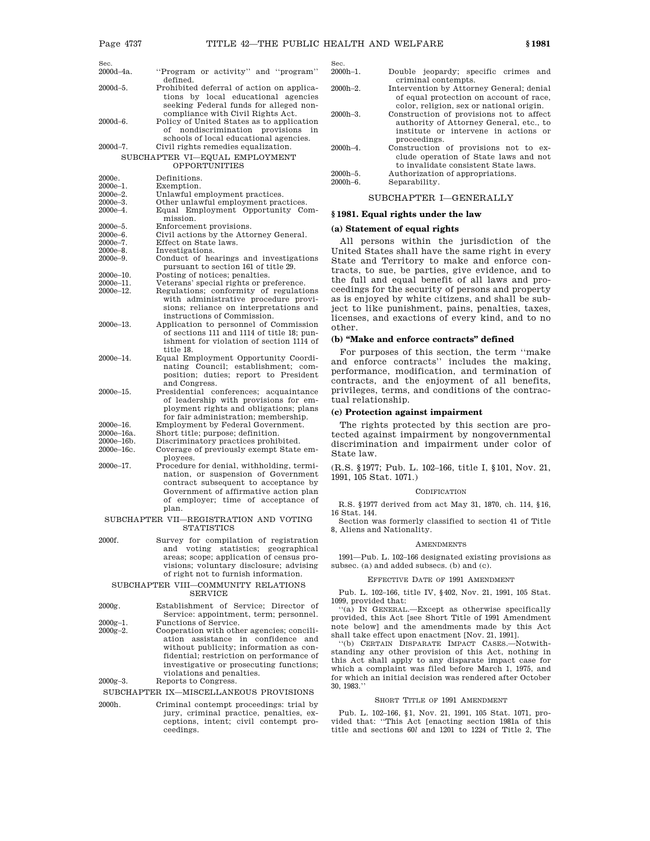| Page 4737                    | TITLE 42—THE PUBLIC HEA                                                                                                                                                                                               |                                |
|------------------------------|-----------------------------------------------------------------------------------------------------------------------------------------------------------------------------------------------------------------------|--------------------------------|
| $_{\mathrm{Sec.}}$           |                                                                                                                                                                                                                       | $_{\rm Sec}$                   |
| 2000d–4a.                    | "Program or activity" and "program"<br>defined.                                                                                                                                                                       | 200                            |
| 2000d–5.                     | Prohibited deferral of action on applica-<br>tions by local educational agencies<br>seeking Federal funds for alleged non-                                                                                            | 200                            |
| 2000d–6.                     | compliance with Civil Rights Act.<br>Policy of United States as to application<br>nondiscrimination<br>provisions<br>Οf<br>in<br>schools of local educational agencies.                                               | 200                            |
| 2000d–7.                     | Civil rights remedies equalization.                                                                                                                                                                                   | 200                            |
|                              | SUBCHAPTER VI-EQUAL EMPLOYMENT<br><b>OPPORTUNITIES</b>                                                                                                                                                                |                                |
| $2000\mathrm{e}$ .           | Definitions.                                                                                                                                                                                                          | 200                            |
| $_{2000\mathrm{e}-1.}$       | Exemption.                                                                                                                                                                                                            | 200                            |
| 2000e–2.                     | Unlawful employment practices.                                                                                                                                                                                        |                                |
| 2000e–3.                     | Other unlawful employment practices.                                                                                                                                                                                  |                                |
| 2000e–4.                     | Equal Employment Opportunity Com-                                                                                                                                                                                     | § 1                            |
| $2000e-5.$                   | mission.<br>Enforcement provisions.                                                                                                                                                                                   |                                |
| $2000e{-6}.$                 | Civil actions by the Attorney General.                                                                                                                                                                                | (a)                            |
| $2000e-7.$                   | Effect on State laws.                                                                                                                                                                                                 |                                |
| 2000e–8.                     | Investigations.                                                                                                                                                                                                       |                                |
| $2000e-9.$                   |                                                                                                                                                                                                                       | Ur                             |
|                              | Conduct of hearings and investigations                                                                                                                                                                                | $_{\rm St}$                    |
|                              | pursuant to section 161 of title 29.                                                                                                                                                                                  | tra                            |
| $2000\mathrm{e}\text{--}10.$ | Posting of notices; penalties.                                                                                                                                                                                        | th                             |
| $2000e-11.$                  | Veterans' special rights or preference.                                                                                                                                                                               |                                |
| $2000e-12.$                  | Regulations; conformity of regulations                                                                                                                                                                                | ce                             |
|                              | with administrative procedure provi-                                                                                                                                                                                  | as                             |
|                              | sions; reliance on interpretations and                                                                                                                                                                                | jeo                            |
|                              | instructions of Commission.                                                                                                                                                                                           | lic                            |
| $2000$ e $-13$ .             | Application to personnel of Commission                                                                                                                                                                                |                                |
|                              | of sections 111 and 1114 of title 18; pun-                                                                                                                                                                            | ot.                            |
|                              |                                                                                                                                                                                                                       | (b)                            |
|                              | ishment for violation of section 1114 of                                                                                                                                                                              |                                |
|                              | title 18.                                                                                                                                                                                                             |                                |
| $2000$ e $-14$ .             | Equal Employment Opportunity Coordi-                                                                                                                                                                                  | an                             |
|                              | nating Council; establishment; com-                                                                                                                                                                                   |                                |
|                              | position; duties; report to President                                                                                                                                                                                 | рe                             |
|                              | and Congress.                                                                                                                                                                                                         | CO.                            |
| $2000\mathrm{e}\text{--}15.$ | Presidential<br>conferences; acquaintance                                                                                                                                                                             | pr:                            |
|                              | of leadership with provisions for em-<br>ployment rights and obligations; plans<br>for fair administration; membership.                                                                                               | tu.<br>(c)                     |
| $2000e-16$ .                 | Employment by Federal Government.                                                                                                                                                                                     | r                              |
| 2000e–16a.                   |                                                                                                                                                                                                                       |                                |
|                              | Short title; purpose; definition.                                                                                                                                                                                     | te                             |
| 2000e–16b.                   | Discriminatory practices prohibited.                                                                                                                                                                                  | dis                            |
| 2000e–16c.                   | Coverage of previously exempt State em-<br>ployees.                                                                                                                                                                   | $^{\rm St}$                    |
| 2000e–17.                    | Procedure for denial, withholding, termi-                                                                                                                                                                             | (R                             |
|                              | nation, or suspension of Government                                                                                                                                                                                   | 199                            |
|                              | contract subsequent to acceptance by                                                                                                                                                                                  |                                |
|                              | Government of affirmative action plan                                                                                                                                                                                 |                                |
|                              | of employer; time of acceptance of                                                                                                                                                                                    |                                |
|                              |                                                                                                                                                                                                                       | Ι                              |
|                              | plan.                                                                                                                                                                                                                 | 16                             |
|                              | SUBCHAPTER VII-REGISTRATION AND VOTING<br><b>STATISTICS</b>                                                                                                                                                           | ξ<br>8, .                      |
| 2000f.                       | Survey for compilation of registration<br>statistics;<br>voting<br>geographical<br>and<br>areas; scope; application of census pro-<br>visions; voluntary disclosure; advising<br>of right not to furnish information. | 1<br>sul                       |
|                              | SUBCHAPTER VIII—COMMUNITY RELATIONS<br>${\scriptstyle\rm SERVICE}$                                                                                                                                                    | Ι                              |
| $2000$ g.                    | Establishment of Service; Director of                                                                                                                                                                                 | 109                            |
|                              | Service: appointment, term; personnel.                                                                                                                                                                                |                                |
| $2000g-1.$                   | Functions of Service.                                                                                                                                                                                                 | pro                            |
| $2000g - 2.$                 | Cooperation with other agencies; concili-                                                                                                                                                                             | no <sup>.</sup><br>$_{\rm sh}$ |
|                              |                                                                                                                                                                                                                       |                                |

ation assistance in confidence and without publicity; information as confidential; restriction on performance of investigative or prosecuting functions; violations and penalties. 2000g–3. Reports to Congress.

SUBCHAPTER IX—MISCELLANEOUS PROVISIONS

2000h. Criminal contempt proceedings: trial by jury, criminal practice, penalties, exceptions, intent; civil contempt proceedings.

|                          | Sec.          |                                                                                                                                             |
|--------------------------|---------------|---------------------------------------------------------------------------------------------------------------------------------------------|
| , ,                      | $2000h - 1.$  | Double <i>ieopardy</i> : specific crimes<br>and<br>criminal contempts.                                                                      |
| $\mathbf{L}$<br>١Š<br>ì- | $2000h - 2$ . | Intervention by Attorney General; denial<br>of equal protection on account of race.<br>color, religion, sex or national origin.             |
| n<br>n                   | $2000h - 3$ . | Construction of provisions not to affect<br>authority of Attorney General, etc., to<br>institute or intervene in actions or<br>proceedings. |
|                          | $2000h - 4$ . | Construction of provisions not to ex-<br>clude operation of State laws and not<br>to invalidate consistent State laws.                      |
|                          | $2000h - 5$ . | Authorization of appropriations.                                                                                                            |
|                          | $2000h - 6.$  | Separability.                                                                                                                               |

#### SUBCHAPTER I—GENERALLY

## **§ 1981. Equal rights under the law**

#### **Statement of equal rights**

All persons within the jurisdiction of the nited States shall have the same right in every ate and Territory to make and enforce conacts, to sue, be parties, give evidence, and to e full and equal benefit of all laws and proedings for the security of persons and property is enjoyed by white citizens, and shall be subject to like punishment, pains, penalties, taxes, enses, and exactions of every kind, and to no her.

## **(b) ''Make and enforce contracts'' defined**

For purposes of this section, the term ''make and enforce contracts'' includes the making, rformance, modification, and termination of ntracts, and the enjoyment of all benefits, ivileges, terms, and conditions of the contracal relationship.

## **(c) Protection against impairment**

The rights protected by this section are protected against impairment by nongovernmental scrimination and impairment under color of ate law.

(R.S. §1977; Pub. L. 102–166, title I, §101, Nov. 21, 91, 105 Stat. 1071.)

#### **CODIFICATION**

R.S. §1977 derived from act May 31, 1870, ch. 114, §16, Stat. 144.

Section was formerly classified to section 41 of Title Aliens and Nationality.

#### **AMENDMENTS**

1991—Pub. L. 102–166 designated existing provisions as bsec. (a) and added subsecs. (b) and (c).

#### EFFECTIVE DATE OF 1991 AMENDMENT

Pub. L. 102–166, title IV, §402, Nov. 21, 1991, 105 Stat. 1099, provided that:

'(a) IN GENERAL.—Except as otherwise specifically provided, this Act [see Short Title of 1991 Amendment te below] and the amendments made by this Act all take effect upon enactment [Nov. 21, 1991].

''(b) CERTAIN DISPARATE IMPACT CASES.—Notwithstanding any other provision of this Act, nothing in this Act shall apply to any disparate impact case for which a complaint was filed before March 1, 1975, and for which an initial decision was rendered after October 30, 1983.''

## SHORT TITLE OF 1991 AMENDMENT

Pub. L. 102–166, §1, Nov. 21, 1991, 105 Stat. 1071, provided that: ''This Act [enacting section 1981a of this title and sections 60*l* and 1201 to 1224 of Title 2, The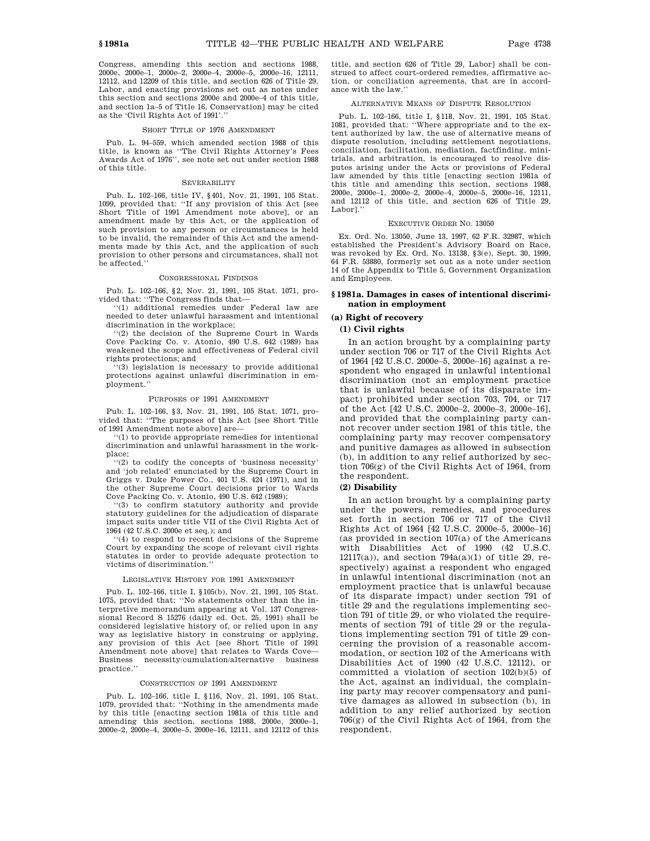Congress, amending this section and sections 1988, 2000e, 2000e–1, 2000e–2, 2000e–4, 2000e–5, 2000e–16, 12111, 12112, and 12209 of this title, and section 626 of Title 29, Labor, and enacting provisions set out as notes under this section and sections 2000e and 2000e–4 of this title, and section 1a–5 of Title 16, Conservation] may be cited as the 'Civil Rights Act of 1991'.''

#### SHORT TITLE OF 1976 AMENDMENT

Pub. L. 94–559, which amended section 1988 of this title, is known as ''The Civil Rights Attorney's Fees Awards Act of 1976'', see note set out under section 1988 of this title.

#### **SEVERABILITY**

Pub. L. 102–166, title IV, §401, Nov. 21, 1991, 105 Stat. 1099, provided that: ''If any provision of this Act [see Short Title of 1991 Amendment note above], or an amendment made by this Act, or the application of such provision to any person or circumstances is held to be invalid, the remainder of this Act and the amendments made by this Act, and the application of such provision to other persons and circumstances, shall not be affected.''

## CONGRESSIONAL FINDINGS

Pub. L. 102–166, §2, Nov. 21, 1991, 105 Stat. 1071, provided that: ''The Congress finds that—

''(1) additional remedies under Federal law are needed to deter unlawful harassment and intentional discrimination in the workplace;

''(2) the decision of the Supreme Court in Wards Cove Packing Co. v. Atonio, 490 U.S. 642 (1989) has weakened the scope and effectiveness of Federal civil rights protections; and

''(3) legislation is necessary to provide additional protections against unlawful discrimination in employment.''

## PURPOSES OF 1991 AMENDMENT

Pub. L. 102–166, §3, Nov. 21, 1991, 105 Stat. 1071, provided that: ''The purposes of this Act [see Short Title of 1991 Amendment note above] are—

''(1) to provide appropriate remedies for intentional discrimination and unlawful harassment in the workplace;

''(2) to codify the concepts of 'business necessity' and 'job related' enunciated by the Supreme Court in Griggs v. Duke Power Co., 401 U.S. 424 (1971), and in the other Supreme Court decisions prior to Wards Cove Packing Co. v. Atonio, 490 U.S. 642 (1989);

''(3) to confirm statutory authority and provide statutory guidelines for the adjudication of disparate impact suits under title VII of the Civil Rights Act of 1964 (42 U.S.C. 2000e et seq.); and

''(4) to respond to recent decisions of the Supreme Court by expanding the scope of relevant civil rights statutes in order to provide adequate protection to victims of discrimination.''

#### LEGISLATIVE HISTORY FOR 1991 AMENDMENT

Pub. L. 102–166, title I, §105(b), Nov. 21, 1991, 105 Stat. 1075, provided that: ''No statements other than the interpretive memorandum appearing at Vol. 137 Congressional Record S 15276 (daily ed. Oct. 25, 1991) shall be considered legislative history of, or relied upon in any way as legislative history in construing or applying, any provision of this Act [see Short Title of 1991 Amendment note above] that relates to Wards Cove— Business necessity/cumulation/alternative business practice.''

#### CONSTRUCTION OF 1991 AMENDMENT

Pub. L. 102–166, title I, §116, Nov. 21, 1991, 105 Stat. 1079, provided that: ''Nothing in the amendments made by this title [enacting section 1981a of this title and amending this section, sections 1988, 2000e, 2000e–1, 2000e–2, 2000e–4, 2000e–5, 2000e–16, 12111, and 12112 of this title, and section 626 of Title 29, Labor] shall be construed to affect court-ordered remedies, affirmative action, or conciliation agreements, that are in accordance with the law.''

## ALTERNATIVE MEANS OF DISPUTE RESOLUTION

Pub. L. 102–166, title I, §118, Nov. 21, 1991, 105 Stat. 1081, provided that: ''Where appropriate and to the extent authorized by law, the use of alternative means of dispute resolution, including settlement negotiations, conciliation, facilitation, mediation, factfinding, minitrials, and arbitration, is encouraged to resolve disputes arising under the Acts or provisions of Federal law amended by this title [enacting section 1981a of this title and amending this section, sections 1988, 2000e, 2000e–1, 2000e–2, 2000e–4, 2000e–5, 2000e–16, 12111, and 12112 of this title, and section 626 of Title 29, Labor].''

#### EXECUTIVE ORDER NO. 13050

Ex. Ord. No. 13050, June 13, 1997, 62 F.R. 32987, which established the President's Advisory Board on Race, was revoked by Ex. Ord. No. 13138, §3(e), Sept. 30, 1999, 64 F.R. 53880, formerly set out as a note under section 14 of the Appendix to Title 5, Government Organization and Employees.

## **§ 1981a. Damages in cases of intentional discrimination in employment**

## **(a) Right of recovery**

**(1) Civil rights**

In an action brought by a complaining party under section 706 or 717 of the Civil Rights Act of 1964 [42 U.S.C. 2000e–5, 2000e–16] against a respondent who engaged in unlawful intentional discrimination (not an employment practice that is unlawful because of its disparate impact) prohibited under section 703, 704, or 717 of the Act [42 U.S.C. 2000e–2, 2000e–3, 2000e–16], and provided that the complaining party cannot recover under section 1981 of this title, the complaining party may recover compensatory and punitive damages as allowed in subsection (b), in addition to any relief authorized by section 706(g) of the Civil Rights Act of 1964, from the respondent.

#### **(2) Disability**

In an action brought by a complaining party under the powers, remedies, and procedures set forth in section 706 or 717 of the Civil Rights Act of 1964 [42 U.S.C. 2000e–5, 2000e–16] (as provided in section 107(a) of the Americans with Disabilities Act of 1990 (42 U.S.C.  $12117(a)$ , and section 794a $(a)(1)$  of title 29, respectively) against a respondent who engaged in unlawful intentional discrimination (not an employment practice that is unlawful because of its disparate impact) under section 791 of title 29 and the regulations implementing section 791 of title 29, or who violated the requirements of section 791 of title 29 or the regulations implementing section 791 of title 29 concerning the provision of a reasonable accommodation, or section 102 of the Americans with Disabilities Act of 1990 (42 U.S.C. 12112), or committed a violation of section 102(b)(5) of the Act, against an individual, the complaining party may recover compensatory and punitive damages as allowed in subsection (b), in addition to any relief authorized by section 706(g) of the Civil Rights Act of 1964, from the respondent.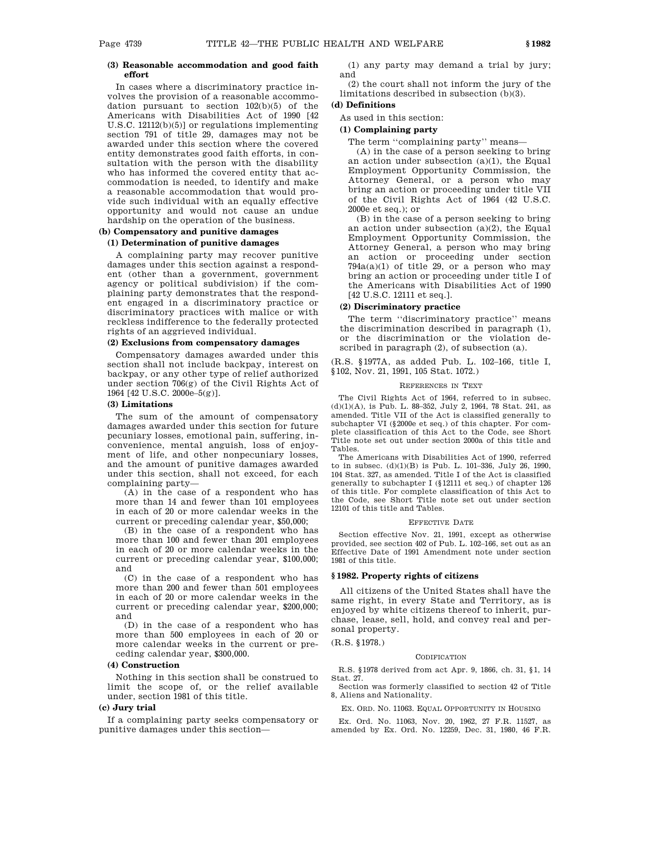## **(3) Reasonable accommodation and good faith effort**

In cases where a discriminatory practice involves the provision of a reasonable accommodation pursuant to section 102(b)(5) of the Americans with Disabilities Act of 1990 [42 U.S.C. 12112(b)(5)] or regulations implementing section 791 of title 29, damages may not be awarded under this section where the covered entity demonstrates good faith efforts, in consultation with the person with the disability who has informed the covered entity that accommodation is needed, to identify and make a reasonable accommodation that would provide such individual with an equally effective opportunity and would not cause an undue hardship on the operation of the business.

## **(b) Compensatory and punitive damages**

## **(1) Determination of punitive damages**

A complaining party may recover punitive damages under this section against a respondent (other than a government, government agency or political subdivision) if the complaining party demonstrates that the respondent engaged in a discriminatory practice or discriminatory practices with malice or with reckless indifference to the federally protected rights of an aggrieved individual.

## **(2) Exclusions from compensatory damages**

Compensatory damages awarded under this section shall not include backpay, interest on backpay, or any other type of relief authorized under section 706(g) of the Civil Rights Act of 1964 [42 U.S.C. 2000e–5(g)].

## **(3) Limitations**

The sum of the amount of compensatory damages awarded under this section for future pecuniary losses, emotional pain, suffering, inconvenience, mental anguish, loss of enjoyment of life, and other nonpecuniary losses, and the amount of punitive damages awarded under this section, shall not exceed, for each complaining party—

(A) in the case of a respondent who has more than 14 and fewer than 101 employees in each of 20 or more calendar weeks in the current or preceding calendar year, \$50,000;

(B) in the case of a respondent who has more than 100 and fewer than 201 employees in each of 20 or more calendar weeks in the current or preceding calendar year, \$100,000; and

(C) in the case of a respondent who has more than 200 and fewer than 501 employees in each of 20 or more calendar weeks in the current or preceding calendar year, \$200,000; and

(D) in the case of a respondent who has more than 500 employees in each of 20 or more calendar weeks in the current or preceding calendar year, \$300,000.

## **(4) Construction**

Nothing in this section shall be construed to limit the scope of, or the relief available under, section 1981 of this title.

## **(c) Jury trial**

If a complaining party seeks compensatory or punitive damages under this section—

(1) any party may demand a trial by jury; and

(2) the court shall not inform the jury of the limitations described in subsection (b)(3).

## **(d) Definitions**

As used in this section:

**(1) Complaining party**

The term ''complaining party'' means—

(A) in the case of a person seeking to bring an action under subsection  $(a)(1)$ , the Equal Employment Opportunity Commission, the Attorney General, or a person who may bring an action or proceeding under title VII of the Civil Rights Act of 1964 (42 U.S.C. 2000e et seq.); or

(B) in the case of a person seeking to bring an action under subsection  $(a)(2)$ , the Equal Employment Opportunity Commission, the Attorney General, a person who may bring an action or proceeding under section  $794a(a)(1)$  of title 29, or a person who may bring an action or proceeding under title I of the Americans with Disabilities Act of 1990 [42 U.S.C. 12111 et seq.].

#### **(2) Discriminatory practice**

The term ''discriminatory practice'' means the discrimination described in paragraph (1), or the discrimination or the violation described in paragraph (2), of subsection (a).

(R.S. §1977A, as added Pub. L. 102–166, title I, §102, Nov. 21, 1991, 105 Stat. 1072.)

#### REFERENCES IN TEXT

The Civil Rights Act of 1964, referred to in subsec.  $(d)(1)(A)$ , is Pub. L. 88-352, July 2, 1964, 78 Stat. 241, as amended. Title VII of the Act is classified generally to subchapter VI (§2000e et seq.) of this chapter. For complete classification of this Act to the Code, see Short Title note set out under section 2000a of this title and Tables.

The Americans with Disabilities Act of 1990, referred to in subsec. (d)(1)(B) is Pub. L. 101–336, July 26, 1990, 104 Stat. 327, as amended. Title I of the Act is classified generally to subchapter I (§12111 et seq.) of chapter 126 of this title. For complete classification of this Act to the Code, see Short Title note set out under section 12101 of this title and Tables.

#### EFFECTIVE DATE

Section effective Nov. 21, 1991, except as otherwise provided, see section 402 of Pub. L. 102–166, set out as an Effective Date of 1991 Amendment note under section 1981 of this title.

#### **§ 1982. Property rights of citizens**

All citizens of the United States shall have the same right, in every State and Territory, as is enjoyed by white citizens thereof to inherit, purchase, lease, sell, hold, and convey real and personal property.

(R.S. §1978.)

#### CODIFICATION

R.S. §1978 derived from act Apr. 9, 1866, ch. 31, §1, 14 Stat. 27.

Section was formerly classified to section 42 of Title 8, Aliens and Nationality.

EX. ORD. NO. 11063. EQUAL OPPORTUNITY IN HOUSING

Ex. Ord. No. 11063, Nov. 20, 1962, 27 F.R. 11527, as amended by Ex. Ord. No. 12259, Dec. 31, 1980, 46 F.R.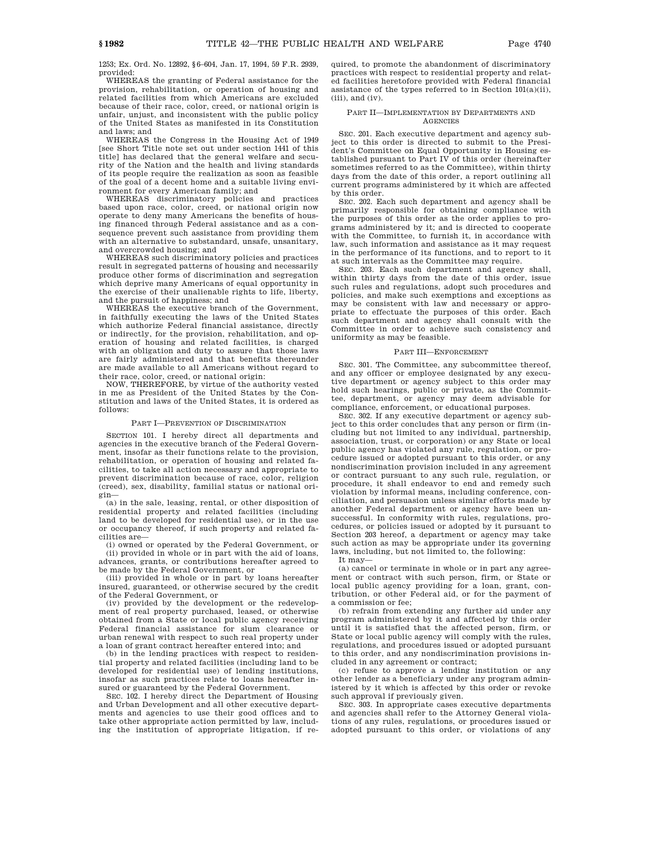1253; Ex. Ord. No. 12892, §6–604, Jan. 17, 1994, 59 F.R. 2939, provided:

WHEREAS the granting of Federal assistance for the provision, rehabilitation, or operation of housing and related facilities from which Americans are excluded because of their race, color, creed, or national origin is unfair, unjust, and inconsistent with the public policy of the United States as manifested in its Constitution and laws; and

WHEREAS the Congress in the Housing Act of 1949 [see Short Title note set out under section 1441 of this title] has declared that the general welfare and security of the Nation and the health and living standards of its people require the realization as soon as feasible of the goal of a decent home and a suitable living environment for every American family; and

WHEREAS discriminatory policies and practices based upon race, color, creed, or national origin now operate to deny many Americans the benefits of housing financed through Federal assistance and as a consequence prevent such assistance from providing them with an alternative to substandard, unsafe, unsanitary, and overcrowded housing; and

WHEREAS such discriminatory policies and practices result in segregated patterns of housing and necessarily produce other forms of discrimination and segregation which deprive many Americans of equal opportunity in the exercise of their unalienable rights to life, liberty, and the pursuit of happiness; and

WHEREAS the executive branch of the Government, in faithfully executing the laws of the United States which authorize Federal financial assistance, directly or indirectly, for the provision, rehabilitation, and operation of housing and related facilities, is charged with an obligation and duty to assure that those laws are fairly administered and that benefits thereunder are made available to all Americans without regard to their race, color, creed, or national origin:

NOW, THEREFORE, by virtue of the authority vested in me as President of the United States by the Constitution and laws of the United States, it is ordered as follows:

#### PART I—PREVENTION OF DISCRIMINATION

SECTION 101. I hereby direct all departments and agencies in the executive branch of the Federal Government, insofar as their functions relate to the provision, rehabilitation, or operation of housing and related facilities, to take all action necessary and appropriate to prevent discrimination because of race, color, religion (creed), sex, disability, familial status or national origin—

(a) in the sale, leasing, rental, or other disposition of residential property and related facilities (including land to be developed for residential use), or in the use or occupancy thereof, if such property and related facilities are—

(i) owned or operated by the Federal Government, or (ii) provided in whole or in part with the aid of loans, advances, grants, or contributions hereafter agreed to be made by the Federal Government, or

(iii) provided in whole or in part by loans hereafter insured, guaranteed, or otherwise secured by the credit of the Federal Government, or

(iv) provided by the development or the redevelopment of real property purchased, leased, or otherwise obtained from a State or local public agency receiving Federal financial assistance for slum clearance or urban renewal with respect to such real property under a loan of grant contract hereafter entered into; and

(b) in the lending practices with respect to residential property and related facilities (including land to be developed for residential use) of lending institutions, insofar as such practices relate to loans hereafter insured or guaranteed by the Federal Government.

SEC. 102. I hereby direct the Department of Housing and Urban Development and all other executive departments and agencies to use their good offices and to take other appropriate action permitted by law, including the institution of appropriate litigation, if required, to promote the abandonment of discriminatory practices with respect to residential property and related facilities heretofore provided with Federal financial assistance of the types referred to in Section  $101(a)(ii)$ ,  $(iii)$ , and  $(iv)$ .

#### PART II—IMPLEMENTATION BY DEPARTMENTS AND **AGENCIES**

SEC. 201. Each executive department and agency subject to this order is directed to submit to the President's Committee on Equal Opportunity in Housing established pursuant to Part IV of this order (hereinafter sometimes referred to as the Committee), within thirty days from the date of this order, a report outlining all current programs administered by it which are affected by this order.

SEC. 202. Each such department and agency shall be primarily responsible for obtaining compliance with the purposes of this order as the order applies to programs administered by it; and is directed to cooperate with the Committee, to furnish it, in accordance with law, such information and assistance as it may request in the performance of its functions, and to report to it at such intervals as the Committee may require.

SEC. 203. Each such department and agency shall, within thirty days from the date of this order, issue such rules and regulations, adopt such procedures and policies, and make such exemptions and exceptions as may be consistent with law and necessary or appropriate to effectuate the purposes of this order. Each such department and agency shall consult with the Committee in order to achieve such consistency and uniformity as may be feasible.

#### PART III—ENFORCEMENT

SEC. 301. The Committee, any subcommittee thereof, and any officer or employee designated by any executive department or agency subject to this order may hold such hearings, public or private, as the Committee, department, or agency may deem advisable for compliance, enforcement, or educational purposes.

SEC. 302. If any executive department or agency subject to this order concludes that any person or firm (including but not limited to any individual, partnership, association, trust, or corporation) or any State or local public agency has violated any rule, regulation, or procedure issued or adopted pursuant to this order, or any nondiscrimination provision included in any agreement or contract pursuant to any such rule, regulation, or procedure, it shall endeavor to end and remedy such violation by informal means, including conference, conciliation, and persuasion unless similar efforts made by another Federal department or agency have been unsuccessful. In conformity with rules, regulations, procedures, or policies issued or adopted by it pursuant to Section 203 hereof, a department or agency may take such action as may be appropriate under its governing laws, including, but not limited to, the following:

It may—

(a) cancel or terminate in whole or in part any agreement or contract with such person, firm, or State or local public agency providing for a loan, grant, contribution, or other Federal aid, or for the payment of a commission or fee;

(b) refrain from extending any further aid under any program administered by it and affected by this order until it is satisfied that the affected person, firm, or State or local public agency will comply with the rules, regulations, and procedures issued or adopted pursuant to this order, and any nondiscrimination provisions included in any agreement or contract;

(c) refuse to approve a lending institution or any other lender as a beneficiary under any program administered by it which is affected by this order or revoke such approval if previously given.

SEC. 303. In appropriate cases executive departments and agencies shall refer to the Attorney General violations of any rules, regulations, or procedures issued or adopted pursuant to this order, or violations of any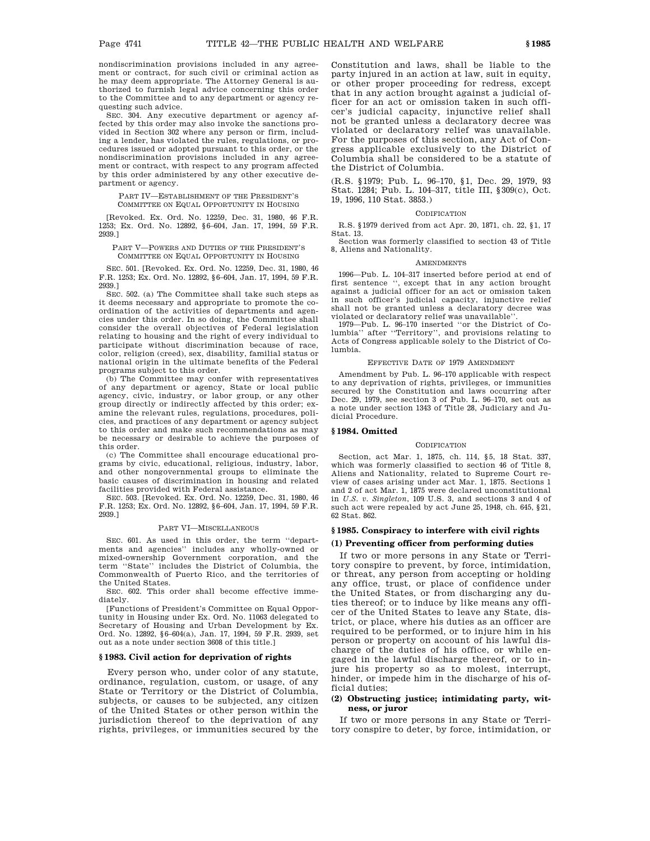nondiscrimination provisions included in any agreement or contract, for such civil or criminal action as he may deem appropriate. The Attorney General is authorized to furnish legal advice concerning this order to the Committee and to any department or agency requesting such advice.

SEC. 304. Any executive department or agency affected by this order may also invoke the sanctions provided in Section 302 where any person or firm, including a lender, has violated the rules, regulations, or procedures issued or adopted pursuant to this order, or the nondiscrimination provisions included in any agreement or contract, with respect to any program affected by this order administered by any other executive department or agency.

PART IV—ESTABLISHMENT OF THE PRESIDENT'S COMMITTEE ON EQUAL OPPORTUNITY IN HOUSING

[Revoked. Ex. Ord. No. 12259, Dec. 31, 1980, 46 F.R. 1253; Ex. Ord. No. 12892, §6–604, Jan. 17, 1994, 59 F.R. 2939.]

PART V—POWERS AND DUTIES OF THE PRESIDENT'S COMMITTEE ON EQUAL OPPORTUNITY IN HOUSING

SEC. 501. [Revoked. Ex. Ord. No. 12259, Dec. 31, 1980, 46 F.R. 1253; Ex. Ord. No. 12892, §6–604, Jan. 17, 1994, 59 F.R. 2939.]

SEC. 502. (a) The Committee shall take such steps as it deems necessary and appropriate to promote the coordination of the activities of departments and agencies under this order. In so doing, the Committee shall consider the overall objectives of Federal legislation relating to housing and the right of every individual to participate without discrimination because of race, color, religion (creed), sex, disability, familial status or national origin in the ultimate benefits of the Federal programs subject to this order.

(b) The Committee may confer with representatives of any department or agency, State or local public agency, civic, industry, or labor group, or any other group directly or indirectly affected by this order; examine the relevant rules, regulations, procedures, policies, and practices of any department or agency subject to this order and make such recommendations as may be necessary or desirable to achieve the purposes of this order.

(c) The Committee shall encourage educational programs by civic, educational, religious, industry, labor, and other nongovernmental groups to eliminate the basic causes of discrimination in housing and related facilities provided with Federal assistance.

SEC. 503. [Revoked. Ex. Ord. No. 12259, Dec. 31, 1980, 46 F.R. 1253; Ex. Ord. No. 12892, §6–604, Jan. 17, 1994, 59 F.R. 2939.]

#### PART VI—MISCELLANEOUS

SEC. 601. As used in this order, the term ''departments and agencies'' includes any wholly-owned or mixed-ownership Government corporation, and the term ''State'' includes the District of Columbia, the Commonwealth of Puerto Rico, and the territories of the United States.

SEC. 602. This order shall become effective immediately.

[Functions of President's Committee on Equal Opportunity in Housing under Ex. Ord. No. 11063 delegated to Secretary of Housing and Urban Development by Ex. Ord. No. 12892, §6–604(a), Jan. 17, 1994, 59 F.R. 2939, set out as a note under section 3608 of this title.]

### **§ 1983. Civil action for deprivation of rights**

Every person who, under color of any statute, ordinance, regulation, custom, or usage, of any State or Territory or the District of Columbia, subjects, or causes to be subjected, any citizen of the United States or other person within the jurisdiction thereof to the deprivation of any rights, privileges, or immunities secured by the Constitution and laws, shall be liable to the party injured in an action at law, suit in equity, or other proper proceeding for redress, except that in any action brought against a judicial officer for an act or omission taken in such officer's judicial capacity, injunctive relief shall not be granted unless a declaratory decree was violated or declaratory relief was unavailable. For the purposes of this section, any Act of Congress applicable exclusively to the District of Columbia shall be considered to be a statute of the District of Columbia.

(R.S. §1979; Pub. L. 96–170, §1, Dec. 29, 1979, 93 Stat. 1284; Pub. L. 104–317, title III, §309(c), Oct. 19, 1996, 110 Stat. 3853.)

#### CODIFICATION

R.S. §1979 derived from act Apr. 20, 1871, ch. 22, §1, 17 Stat. 13.

Section was formerly classified to section 43 of Title 8, Aliens and Nationality.

#### **AMENDMENTS**

1996—Pub. L. 104–317 inserted before period at end of first sentence '', except that in any action brought against a judicial officer for an act or omission taken in such officer's judicial capacity, injunctive relief shall not be granted unless a declaratory decree was violated or declaratory relief was unavailable''.

1979—Pub. L. 96–170 inserted ''or the District of Co-lumbia'' after ''Territory'', and provisions relating to Acts of Congress applicable solely to the District of Columbia.

#### EFFECTIVE DATE OF 1979 AMENDMENT

Amendment by Pub. L. 96–170 applicable with respect to any deprivation of rights, privileges, or immunities secured by the Constitution and laws occurring after Dec. 29, 1979, see section 3 of Pub. L. 96–170, set out as a note under section 1343 of Title 28, Judiciary and Judicial Procedure.

## **§ 1984. Omitted**

#### CODIFICATION

Section, act Mar. 1, 1875, ch. 114, §5, 18 Stat. 337, which was formerly classified to section 46 of Title 8, Aliens and Nationality, related to Supreme Court review of cases arising under act Mar. 1, 1875. Sections 1 and 2 of act Mar. 1, 1875 were declared unconstitutional in *U.S. v. Singleton*, 109 U.S. 3, and sections 3 and 4 of such act were repealed by act June 25, 1948, ch. 645, §21, 62 Stat. 862.

## **§ 1985. Conspiracy to interfere with civil rights**

## **(1) Preventing officer from performing duties**

If two or more persons in any State or Territory conspire to prevent, by force, intimidation, or threat, any person from accepting or holding any office, trust, or place of confidence under the United States, or from discharging any duties thereof; or to induce by like means any officer of the United States to leave any State, district, or place, where his duties as an officer are required to be performed, or to injure him in his person or property on account of his lawful discharge of the duties of his office, or while engaged in the lawful discharge thereof, or to injure his property so as to molest, interrupt, hinder, or impede him in the discharge of his official duties;

## **(2) Obstructing justice; intimidating party, witness, or juror**

If two or more persons in any State or Territory conspire to deter, by force, intimidation, or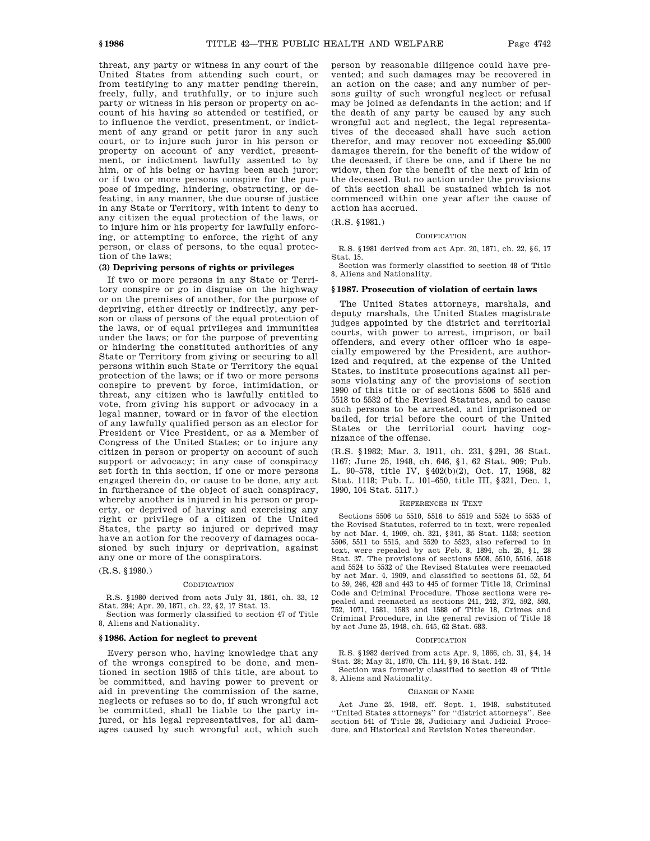threat, any party or witness in any court of the United States from attending such court, or from testifying to any matter pending therein, freely, fully, and truthfully, or to injure such party or witness in his person or property on account of his having so attended or testified, or to influence the verdict, presentment, or indictment of any grand or petit juror in any such court, or to injure such juror in his person or property on account of any verdict, presentment, or indictment lawfully assented to by him, or of his being or having been such juror; or if two or more persons conspire for the purpose of impeding, hindering, obstructing, or defeating, in any manner, the due course of justice in any State or Territory, with intent to deny to any citizen the equal protection of the laws, or to injure him or his property for lawfully enforcing, or attempting to enforce, the right of any person, or class of persons, to the equal protection of the laws;

## **(3) Depriving persons of rights or privileges**

If two or more persons in any State or Territory conspire or go in disguise on the highway or on the premises of another, for the purpose of depriving, either directly or indirectly, any person or class of persons of the equal protection of the laws, or of equal privileges and immunities under the laws; or for the purpose of preventing or hindering the constituted authorities of any State or Territory from giving or securing to all persons within such State or Territory the equal protection of the laws; or if two or more persons conspire to prevent by force, intimidation, or threat, any citizen who is lawfully entitled to vote, from giving his support or advocacy in a legal manner, toward or in favor of the election of any lawfully qualified person as an elector for President or Vice President, or as a Member of Congress of the United States; or to injure any citizen in person or property on account of such support or advocacy; in any case of conspiracy set forth in this section, if one or more persons engaged therein do, or cause to be done, any act in furtherance of the object of such conspiracy, whereby another is injured in his person or property, or deprived of having and exercising any right or privilege of a citizen of the United States, the party so injured or deprived may have an action for the recovery of damages occasioned by such injury or deprivation, against any one or more of the conspirators.

## (R.S. §1980.)

#### CODIFICATION

R.S. §1980 derived from acts July 31, 1861, ch. 33, 12 Stat. 284; Apr. 20, 1871, ch. 22, §2, 17 Stat. 13.

Section was formerly classified to section 47 of Title 8, Aliens and Nationality.

#### **§ 1986. Action for neglect to prevent**

Every person who, having knowledge that any of the wrongs conspired to be done, and mentioned in section 1985 of this title, are about to be committed, and having power to prevent or aid in preventing the commission of the same, neglects or refuses so to do, if such wrongful act be committed, shall be liable to the party injured, or his legal representatives, for all damages caused by such wrongful act, which such person by reasonable diligence could have prevented; and such damages may be recovered in an action on the case; and any number of persons guilty of such wrongful neglect or refusal may be joined as defendants in the action; and if the death of any party be caused by any such wrongful act and neglect, the legal representatives of the deceased shall have such action therefor, and may recover not exceeding \$5,000 damages therein, for the benefit of the widow of the deceased, if there be one, and if there be no widow, then for the benefit of the next of kin of the deceased. But no action under the provisions of this section shall be sustained which is not commenced within one year after the cause of action has accrued.

(R.S. §1981.)

#### **CODIFICATION**

R.S. §1981 derived from act Apr. 20, 1871, ch. 22, §6, 17 Stat. 15.

Section was formerly classified to section 48 of Title 8, Aliens and Nationality.

#### **§ 1987. Prosecution of violation of certain laws**

The United States attorneys, marshals, and deputy marshals, the United States magistrate judges appointed by the district and territorial courts, with power to arrest, imprison, or bail offenders, and every other officer who is especially empowered by the President, are authorized and required, at the expense of the United States, to institute prosecutions against all persons violating any of the provisions of section 1990 of this title or of sections 5506 to 5516 and 5518 to 5532 of the Revised Statutes, and to cause such persons to be arrested, and imprisoned or bailed, for trial before the court of the United States or the territorial court having cognizance of the offense.

(R.S. §1982; Mar. 3, 1911, ch. 231, §291, 36 Stat. 1167; June 25, 1948, ch. 646, §1, 62 Stat. 909; Pub. L. 90–578, title IV, §402(b)(2), Oct. 17, 1968, 82 Stat. 1118; Pub. L. 101–650, title III, §321, Dec. 1, 1990, 104 Stat. 5117.)

#### REFERENCES IN TEXT

Sections 5506 to 5510, 5516 to 5519 and 5524 to 5535 of the Revised Statutes, referred to in text, were repealed by act Mar. 4, 1909, ch. 321, §341, 35 Stat. 1153; section 5506, 5511 to 5515, and 5520 to 5523, also referred to in text, were repealed by act Feb. 8, 1894, ch. 25, §1, 28 Stat. 37. The provisions of sections 5508, 5510, 5516, 5518 and 5524 to 5532 of the Revised Statutes were reenacted by act Mar. 4, 1909, and classified to sections 51, 52, 54 to 59, 246, 428 and 443 to 445 of former Title 18, Criminal Code and Criminal Procedure. Those sections were repealed and reenacted as sections 241, 242, 372, 592, 593, 752, 1071, 1581, 1583 and 1588 of Title 18, Crimes and Criminal Procedure, in the general revision of Title 18 by act June 25, 1948, ch. 645, 62 Stat. 683.

#### **CODIFICATION**

R.S. §1982 derived from acts Apr. 9, 1866, ch. 31, §4, 14 Stat. 28; May 31, 1870, Ch. 114, §9, 16 Stat. 142.

Section was formerly classified to section 49 of Title 8, Aliens and Nationality.

#### CHANGE OF NAME

Act June 25, 1948, eff. Sept. 1, 1948, substituted ''United States attorneys'' for ''district attorneys''. See section 541 of Title 28, Judiciary and Judicial Procedure, and Historical and Revision Notes thereunder.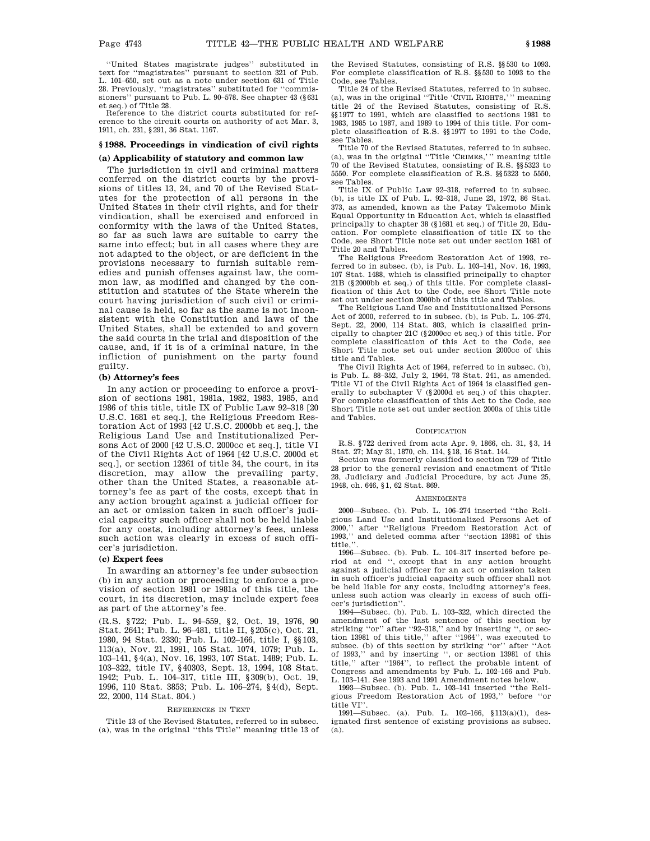''United States magistrate judges'' substituted in text for ''magistrates'' pursuant to section 321 of Pub. L. 101–650, set out as a note under section 631 of Title 28. Previously, ''magistrates'' substituted for ''commissioners'' pursuant to Pub. L. 90–578. See chapter 43 (§631 et seq.) of Title 28.

Reference to the district courts substituted for reference to the circuit courts on authority of act Mar. 3, 1911, ch. 231, §291, 36 Stat. 1167.

## **§ 1988. Proceedings in vindication of civil rights (a) Applicability of statutory and common law**

The jurisdiction in civil and criminal matters conferred on the district courts by the provisions of titles 13, 24, and 70 of the Revised Statutes for the protection of all persons in the United States in their civil rights, and for their vindication, shall be exercised and enforced in conformity with the laws of the United States, so far as such laws are suitable to carry the same into effect; but in all cases where they are not adapted to the object, or are deficient in the provisions necessary to furnish suitable remedies and punish offenses against law, the common law, as modified and changed by the constitution and statutes of the State wherein the court having jurisdiction of such civil or criminal cause is held, so far as the same is not inconsistent with the Constitution and laws of the United States, shall be extended to and govern the said courts in the trial and disposition of the cause, and, if it is of a criminal nature, in the infliction of punishment on the party found guilty.

## **(b) Attorney's fees**

In any action or proceeding to enforce a provision of sections 1981, 1981a, 1982, 1983, 1985, and 1986 of this title, title IX of Public Law 92–318 [20 U.S.C. 1681 et seq.], the Religious Freedom Restoration Act of 1993 [42 U.S.C. 2000bb et seq.], the Religious Land Use and Institutionalized Persons Act of 2000 [42 U.S.C. 2000cc et seq.], title VI of the Civil Rights Act of 1964 [42 U.S.C. 2000d et seq.], or section 12361 of title 34, the court, in its discretion, may allow the prevailing party, other than the United States, a reasonable attorney's fee as part of the costs, except that in any action brought against a judicial officer for an act or omission taken in such officer's judicial capacity such officer shall not be held liable for any costs, including attorney's fees, unless such action was clearly in excess of such officer's jurisdiction.

#### **(c) Expert fees**

In awarding an attorney's fee under subsection (b) in any action or proceeding to enforce a provision of section 1981 or 1981a of this title, the court, in its discretion, may include expert fees as part of the attorney's fee.

(R.S. §722; Pub. L. 94–559, §2, Oct. 19, 1976, 90 Stat. 2641; Pub. L. 96–481, title II, §205(c), Oct. 21, 1980, 94 Stat. 2330; Pub. L. 102–166, title I, §§103, 113(a), Nov. 21, 1991, 105 Stat. 1074, 1079; Pub. L. 103–141, §4(a), Nov. 16, 1993, 107 Stat. 1489; Pub. L. 103–322, title IV, §40303, Sept. 13, 1994, 108 Stat. 1942; Pub. L. 104–317, title III, §309(b), Oct. 19, 1996, 110 Stat. 3853; Pub. L. 106–274, §4(d), Sept. 22, 2000, 114 Stat. 804.)

#### REFERENCES IN TEXT

Title 13 of the Revised Statutes, referred to in subsec. (a), was in the original ''this Title'' meaning title 13 of the Revised Statutes, consisting of R.S. §§530 to 1093. For complete classification of R.S. §§530 to 1093 to the Code, see Tables.

Title 24 of the Revised Statutes, referred to in subsec. (a), was in the original ''Title 'CIVIL RIGHTS,''' meaning title 24 of the Revised Statutes, consisting of R.S. §§1977 to 1991, which are classified to sections 1981 to 1983, 1985 to 1987, and 1989 to 1994 of this title. For complete classification of R.S. §§1977 to 1991 to the Code, see Tables.

Title 70 of the Revised Statutes, referred to in subsec. (a), was in the original ''Title 'CRIMES,''' meaning title 70 of the Revised Statutes, consisting of R.S. §§5323 to 5550. For complete classification of R.S. §§5323 to 5550, see Tables.

Title IX of Public Law 92–318, referred to in subsec. (b), is title IX of Pub. L. 92–318, June 23, 1972, 86 Stat. 373, as amended, known as the Patsy Takemoto Mink Equal Opportunity in Education Act, which is classified principally to chapter 38 (§1681 et seq.) of Title 20, Education. For complete classification of title IX to the Code, see Short Title note set out under section 1681 of Title 20 and Tables.

The Religious Freedom Restoration Act of 1993, referred to in subsec. (b), is Pub. L. 103–141, Nov. 16, 1993, 107 Stat. 1488, which is classified principally to chapter 21B (§2000bb et seq.) of this title. For complete classification of this Act to the Code, see Short Title note set out under section 2000bb of this title and Tables.

The Religious Land Use and Institutionalized Persons Act of 2000, referred to in subsec. (b), is Pub. L. 106–274, Sept. 22, 2000, 114 Stat. 803, which is classified principally to chapter 21C (§2000cc et seq.) of this title. For complete classification of this Act to the Code, see Short Title note set out under section 2000cc of this title and Tables.

The Civil Rights Act of 1964, referred to in subsec. (b), is Pub. L. 88–352, July 2, 1964, 78 Stat. 241, as amended. Title VI of the Civil Rights Act of 1964 is classified generally to subchapter V (§2000d et seq.) of this chapter. For complete classification of this Act to the Code, see Short Title note set out under section 2000a of this title and Tables.

#### CODIFICATION

R.S. §722 derived from acts Apr. 9, 1866, ch. 31, §3, 14 Stat. 27; May 31, 1870, ch. 114, §18, 16 Stat. 144.

Section was formerly classified to section 729 of Title 28 prior to the general revision and enactment of Title 28, Judiciary and Judicial Procedure, by act June 25, 1948, ch. 646, §1, 62 Stat. 869.

#### **AMENDMENTS**

2000—Subsec. (b). Pub. L. 106–274 inserted ''the Religious Land Use and Institutionalized Persons Act of after "Religious Freedom Restoration Act of 1993,'' and deleted comma after ''section 13981 of this title."

1996—Subsec. (b). Pub. L. 104–317 inserted before period at end '', except that in any action brought against a judicial officer for an act or omission taken in such officer's judicial capacity such officer shall not be held liable for any costs, including attorney's fees, unless such action was clearly in excess of such officer's jurisdiction''.

1994—Subsec. (b). Pub. L. 103–322, which directed the amendment of the last sentence of this section by striking "or" after "92–318," and by inserting ", or section 13981 of this title,'' after ''1964'', was executed to subsec. (b) of this section by striking ''or'' after ''Act of 1993,'' and by inserting '', or section 13981 of this title,'' after ''1964'', to reflect the probable intent of Congress and amendments by Pub. L. 102–166 and Pub. L. 103–141. See 1993 and 1991 Amendment notes below. 1993—Subsec. (b). Pub. L. 103–141 inserted ''the Reli-

gious Freedom Restoration Act of 1993,'' before ''or title VI''.

1991—Subsec. (a). Pub. L. 102–166, §113(a)(1), designated first sentence of existing provisions as subsec. (a).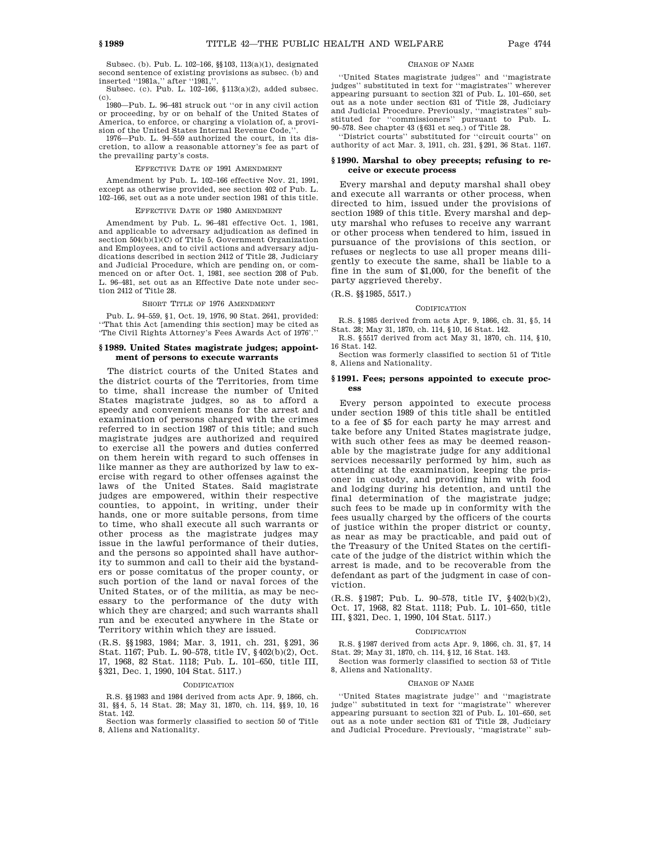Subsec. (b). Pub. L. 102–166, §§103, 113(a)(1), designated second sentence of existing provisions as subsec. (b) and inserted "1981a," after "1981," Subsec. (c). Pub. L. 102–166, §113(a)(2), added subsec.

(c). 1980—Pub. L. 96–481 struck out ''or in any civil action

or proceeding, by or on behalf of the United States of America, to enforce, or charging a violation of, a provision of the United States Internal Revenue Code,

1976—Pub. L. 94–559 authorized the court, in its discretion, to allow a reasonable attorney's fee as part of the prevailing party's costs.

## EFFECTIVE DATE OF 1991 AMENDMENT

Amendment by Pub. L. 102–166 effective Nov. 21, 1991, except as otherwise provided, see section 402 of Pub. L. 102–166, set out as a note under section 1981 of this title.

#### EFFECTIVE DATE OF 1980 AMENDMENT

Amendment by Pub. L. 96–481 effective Oct. 1, 1981, and applicable to adversary adjudication as defined in section  $504(b)(1)(C)$  of Title 5, Government Organization and Employees, and to civil actions and adversary adjudications described in section 2412 of Title 28, Judiciary and Judicial Procedure, which are pending on, or commenced on or after Oct. 1, 1981, see section 208 of Pub. L. 96–481, set out as an Effective Date note under section 2412 of Title 28.

#### SHORT TITLE OF 1976 AMENDMENT

Pub. L. 94–559, §1, Oct. 19, 1976, 90 Stat. 2641, provided: ''That this Act [amending this section] may be cited as 'The Civil Rights Attorney's Fees Awards Act of 1976'.''

## **§ 1989. United States magistrate judges; appointment of persons to execute warrants**

The district courts of the United States and the district courts of the Territories, from time to time, shall increase the number of United States magistrate judges, so as to afford a speedy and convenient means for the arrest and examination of persons charged with the crimes referred to in section 1987 of this title; and such magistrate judges are authorized and required to exercise all the powers and duties conferred on them herein with regard to such offenses in like manner as they are authorized by law to exercise with regard to other offenses against the laws of the United States. Said magistrate judges are empowered, within their respective counties, to appoint, in writing, under their hands, one or more suitable persons, from time to time, who shall execute all such warrants or other process as the magistrate judges may issue in the lawful performance of their duties, and the persons so appointed shall have authority to summon and call to their aid the bystanders or posse comitatus of the proper county, or such portion of the land or naval forces of the United States, or of the militia, as may be necessary to the performance of the duty with which they are charged; and such warrants shall run and be executed anywhere in the State or Territory within which they are issued.

(R.S. §§1983, 1984; Mar. 3, 1911, ch. 231, §291, 36 Stat. 1167; Pub. L. 90–578, title IV, §402(b)(2), Oct. 17, 1968, 82 Stat. 1118; Pub. L. 101–650, title III, §321, Dec. 1, 1990, 104 Stat. 5117.)

#### CODIFICATION

R.S. §§1983 and 1984 derived from acts Apr. 9, 1866, ch. 31, §§4, 5, 14 Stat. 28; May 31, 1870, ch. 114, §§9, 10, 16 Stat. 142.

Section was formerly classified to section 50 of Title 8, Aliens and Nationality.

#### CHANGE OF NAME

''United States magistrate judges'' and ''magistrate judges'' substituted in text for ''magistrates'' wherever appearing pursuant to section 321 of Pub. L. 101–650, set out as a note under section 631 of Title 28, Judiciary and Judicial Procedure. Previously, ''magistrates'' substituted for ''commissioners'' pursuant to Pub. L. 90–578. See chapter 43 (§631 et seq.) of Title 28.

''District courts'' substituted for ''circuit courts'' on authority of act Mar. 3, 1911, ch. 231, §291, 36 Stat. 1167.

## **§ 1990. Marshal to obey precepts; refusing to receive or execute process**

Every marshal and deputy marshal shall obey and execute all warrants or other process, when directed to him, issued under the provisions of section 1989 of this title. Every marshal and deputy marshal who refuses to receive any warrant or other process when tendered to him, issued in pursuance of the provisions of this section, or refuses or neglects to use all proper means diligently to execute the same, shall be liable to a fine in the sum of \$1,000, for the benefit of the party aggrieved thereby.

(R.S. §§1985, 5517.)

#### **CODIFICATION**

R.S. §1985 derived from acts Apr. 9, 1866, ch. 31, §5, 14 Stat. 28; May 31, 1870, ch. 114, §10, 16 Stat. 142.

R.S. §5517 derived from act May 31, 1870, ch. 114, §10, 16 Stat. 142.

Section was formerly classified to section 51 of Title 8, Aliens and Nationality.

## **§ 1991. Fees; persons appointed to execute process**

Every person appointed to execute process under section 1989 of this title shall be entitled to a fee of \$5 for each party he may arrest and take before any United States magistrate judge, with such other fees as may be deemed reasonable by the magistrate judge for any additional services necessarily performed by him, such as attending at the examination, keeping the prisoner in custody, and providing him with food and lodging during his detention, and until the final determination of the magistrate judge; such fees to be made up in conformity with the fees usually charged by the officers of the courts of justice within the proper district or county, as near as may be practicable, and paid out of the Treasury of the United States on the certificate of the judge of the district within which the arrest is made, and to be recoverable from the defendant as part of the judgment in case of conviction.

(R.S. §1987; Pub. L. 90–578, title IV, §402(b)(2), Oct. 17, 1968, 82 Stat. 1118; Pub. L. 101–650, title III, §321, Dec. 1, 1990, 104 Stat. 5117.)

### CODIFICATION

R.S. §1987 derived from acts Apr. 9, 1866, ch. 31, §7, 14 Stat. 29; May 31, 1870, ch. 114, §12, 16 Stat. 143.

Section was formerly classified to section 53 of Title 8, Aliens and Nationality.

#### CHANGE OF NAME

''United States magistrate judge'' and ''magistrate judge'' substituted in text for ''magistrate'' wherever appearing pursuant to section 321 of Pub. L. 101–650, set out as a note under section 631 of Title 28, Judiciary and Judicial Procedure. Previously, ''magistrate'' sub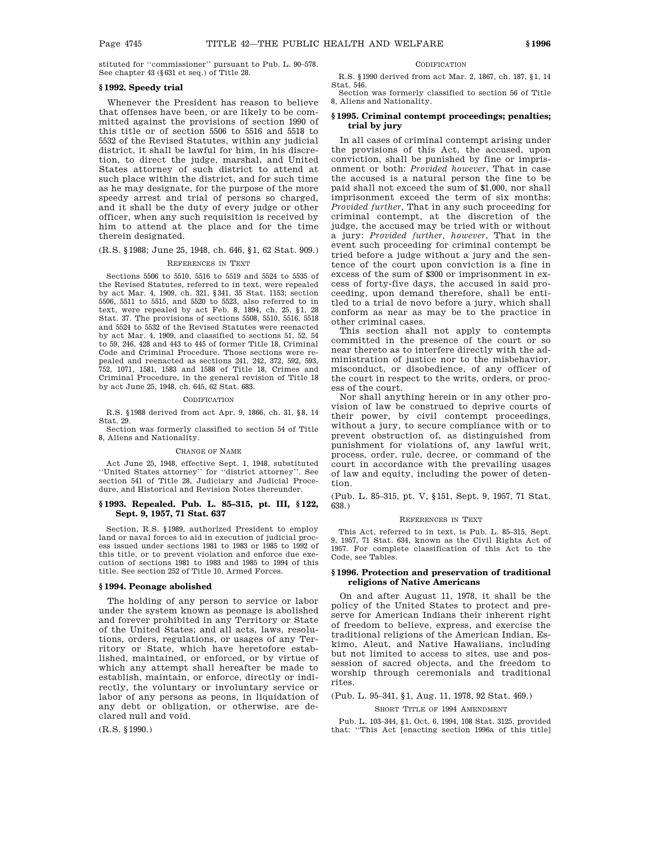stituted for ''commissioner'' pursuant to Pub. L. 90–578. See chapter 43 (§631 et seq.) of Title 28.

## **§ 1992. Speedy trial**

Whenever the President has reason to believe that offenses have been, or are likely to be committed against the provisions of section 1990 of this title or of section 5506 to 5516 and 5518 to 5532 of the Revised Statutes, within any judicial district, it shall be lawful for him, in his discretion, to direct the judge, marshal, and United States attorney of such district to attend at such place within the district, and for such time as he may designate, for the purpose of the more speedy arrest and trial of persons so charged, and it shall be the duty of every judge or other officer, when any such requisition is received by him to attend at the place and for the time therein designated.

## (R.S. §1988; June 25, 1948, ch. 646, §1, 62 Stat. 909.)

## REFERENCES IN TEXT

Sections 5506 to 5510, 5516 to 5519 and 5524 to 5535 of the Revised Statutes, referred to in text, were repealed by act Mar. 4, 1909, ch. 321, §341, 35 Stat. 1153; section 5506, 5511 to 5515, and 5520 to 5523, also referred to in text, were repealed by act Feb. 8, 1894, ch. 25, §1, 28 Stat. 37. The provisions of sections 5508, 5510, 5516, 5518 and 5524 to 5532 of the Revised Statutes were reenacted by act Mar. 4, 1909, and classified to sections 51, 52, 54 to 59, 246, 428 and 443 to 445 of former Title 18, Criminal Code and Criminal Procedure. Those sections were repealed and reenacted as sections 241, 242, 372, 592, 593, 752, 1071, 1581, 1583 and 1588 of Title 18, Crimes and Criminal Procedure, in the general revision of Title 18 by act June 25, 1948, ch. 645, 62 Stat. 683.

#### CODIFICATION

R.S. §1988 derived from act Apr. 9, 1866, ch. 31, §8, 14 Stat. 29.

Section was formerly classified to section 54 of Title 8, Aliens and Nationality.

#### CHANGE OF NAME

Act June 25, 1948, effective Sept. 1, 1948, substituted ''United States attorney'' for ''district attorney''. See section 541 of Title 28, Judiciary and Judicial Procedure, and Historical and Revision Notes thereunder.

## **§ 1993. Repealed. Pub. L. 85–315, pt. III, § 122, Sept. 9, 1957, 71 Stat. 637**

Section, R.S. §1989, authorized President to employ land or naval forces to aid in execution of judicial process issued under sections 1981 to 1983 or 1985 to 1992 of this title, or to prevent violation and enforce due execution of sections 1981 to 1983 and 1985 to 1994 of this title. See section 252 of Title 10, Armed Forces.

#### **§ 1994. Peonage abolished**

The holding of any person to service or labor under the system known as peonage is abolished and forever prohibited in any Territory or State of the United States; and all acts, laws, resolutions, orders, regulations, or usages of any Territory or State, which have heretofore established, maintained, or enforced, or by virtue of which any attempt shall hereafter be made to establish, maintain, or enforce, directly or indirectly, the voluntary or involuntary service or labor of any persons as peons, in liquidation of any debt or obligation, or otherwise, are declared null and void.

(R.S. §1990.)

#### CODIFICATION

R.S. §1990 derived from act Mar. 2, 1867, ch. 187, §1, 14 Stat. 546.

Section was formerly classified to section 56 of Title 8, Aliens and Nationality.

## **§ 1995. Criminal contempt proceedings; penalties; trial by jury**

In all cases of criminal contempt arising under the provisions of this Act, the accused, upon conviction, shall be punished by fine or imprisonment or both: *Provided however*, That in case the accused is a natural person the fine to be paid shall not exceed the sum of \$1,000, nor shall imprisonment exceed the term of six months: *Provided further*, That in any such proceeding for criminal contempt, at the discretion of the judge, the accused may be tried with or without a jury: *Provided further, however*, That in the event such proceeding for criminal contempt be tried before a judge without a jury and the sentence of the court upon conviction is a fine in excess of the sum of \$300 or imprisonment in excess of forty-five days, the accused in said proceeding, upon demand therefore, shall be entitled to a trial de novo before a jury, which shall conform as near as may be to the practice in other criminal cases.

This section shall not apply to contempts committed in the presence of the court or so near thereto as to interfere directly with the administration of justice nor to the misbehavior, misconduct, or disobedience, of any officer of the court in respect to the writs, orders, or process of the court.

Nor shall anything herein or in any other provision of law be construed to deprive courts of their power, by civil contempt proceedings, without a jury, to secure compliance with or to prevent obstruction of, as distinguished from punishment for violations of, any lawful writ, process, order, rule, decree, or command of the court in accordance with the prevailing usages of law and equity, including the power of detention.

(Pub. L. 85–315, pt. V, §151, Sept. 9, 1957, 71 Stat. 638.)

#### REFERENCES IN TEXT

This Act, referred to in text, is Pub. L. 85–315, Sept. 9, 1957, 71 Stat. 634, known as the Civil Rights Act of 1957. For complete classification of this Act to the Code, see Tables.

## **§ 1996. Protection and preservation of traditional religions of Native Americans**

On and after August 11, 1978, it shall be the policy of the United States to protect and preserve for American Indians their inherent right of freedom to believe, express, and exercise the traditional religions of the American Indian, Eskimo, Aleut, and Native Hawaiians, including but not limited to access to sites, use and possession of sacred objects, and the freedom to worship through ceremonials and traditional rites.

(Pub. L. 95–341, §1, Aug. 11, 1978, 92 Stat. 469.)

#### SHORT TITLE OF 1994 AMENDMENT

Pub. L. 103–344, §1, Oct. 6, 1994, 108 Stat. 3125, provided that: ''This Act [enacting section 1996a of this title]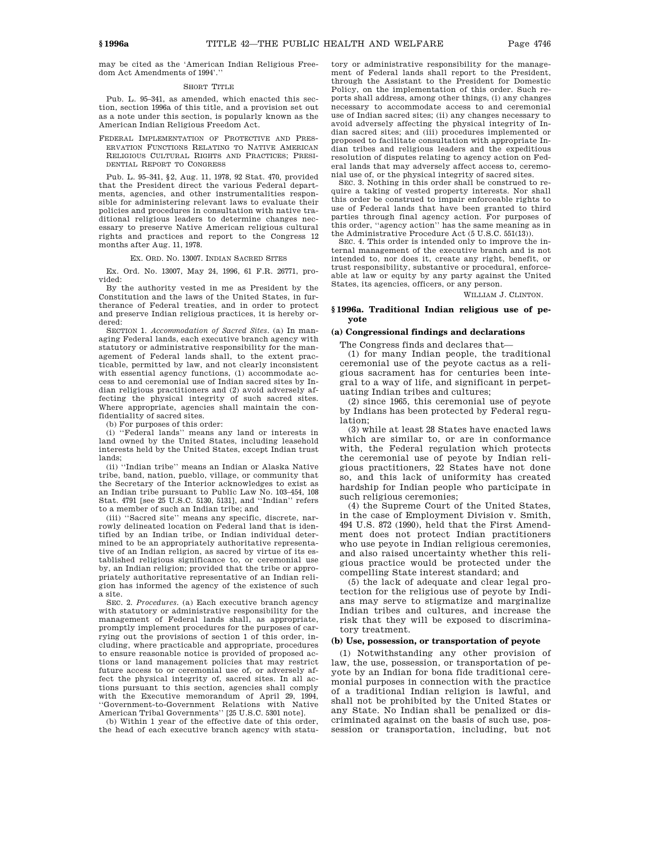may be cited as the 'American Indian Religious Freedom Act Amendments of 1994'.''

#### SHORT TITLE

Pub. L. 95–341, as amended, which enacted this section, section 1996a of this title, and a provision set out as a note under this section, is popularly known as the American Indian Religious Freedom Act.

FEDERAL IMPLEMENTATION OF PROTECTIVE AND PRES-ERVATION FUNCTIONS RELATING TO NATIVE AMERICAN RELIGIOUS CULTURAL RIGHTS AND PRACTICES; PRESI-DENTIAL REPORT TO CONGRESS

Pub. L. 95–341, §2, Aug. 11, 1978, 92 Stat. 470, provided that the President direct the various Federal departments, agencies, and other instrumentalities responsible for administering relevant laws to evaluate their policies and procedures in consultation with native traditional religious leaders to determine changes necessary to preserve Native American religious cultural rights and practices and report to the Congress 12 months after Aug. 11, 1978.

## EX. ORD. NO. 13007. INDIAN SACRED SITES

Ex. Ord. No. 13007, May 24, 1996, 61 F.R. 26771, provided:

By the authority vested in me as President by the Constitution and the laws of the United States, in furtherance of Federal treaties, and in order to protect and preserve Indian religious practices, it is hereby ordered:

SECTION 1. *Accommodation of Sacred Sites*. (a) In managing Federal lands, each executive branch agency with statutory or administrative responsibility for the management of Federal lands shall, to the extent practicable, permitted by law, and not clearly inconsistent with essential agency functions, (1) accommodate access to and ceremonial use of Indian sacred sites by Indian religious practitioners and (2) avoid adversely affecting the physical integrity of such sacred sites. Where appropriate, agencies shall maintain the confidentiality of sacred sites.

(b) For purposes of this order:

(i) ''Federal lands'' means any land or interests in land owned by the United States, including leasehold interests held by the United States, except Indian trust lands;

(ii) ''Indian tribe'' means an Indian or Alaska Native tribe, band, nation, pueblo, village, or community that the Secretary of the Interior acknowledges to exist as an Indian tribe pursuant to Public Law No. 103–454, 108 Stat. 4791 [see 25 U.S.C. 5130, 5131], and ''Indian'' refers to a member of such an Indian tribe; and

(iii) ''Sacred site'' means any specific, discrete, narrowly delineated location on Federal land that is identified by an Indian tribe, or Indian individual determined to be an appropriately authoritative representative of an Indian religion, as sacred by virtue of its established religious significance to, or ceremonial use by, an Indian religion; provided that the tribe or appropriately authoritative representative of an Indian religion has informed the agency of the existence of such a site.

SEC. 2. *Procedures*. (a) Each executive branch agency with statutory or administrative responsibility for the management of Federal lands shall, as appropriate, promptly implement procedures for the purposes of carrying out the provisions of section 1 of this order, including, where practicable and appropriate, procedures to ensure reasonable notice is provided of proposed actions or land management policies that may restrict future access to or ceremonial use of, or adversely affect the physical integrity of, sacred sites. In all actions pursuant to this section, agencies shall comply with the Executive memorandum of April 29, 1994, ''Government-to-Government Relations with Native American Tribal Governments'' [25 U.S.C. 5301 note].

(b) Within 1 year of the effective date of this order, the head of each executive branch agency with statutory or administrative responsibility for the management of Federal lands shall report to the President, through the Assistant to the President for Domestic Policy, on the implementation of this order. Such reports shall address, among other things, (i) any changes necessary to accommodate access to and ceremonial use of Indian sacred sites; (ii) any changes necessary to avoid adversely affecting the physical integrity of Indian sacred sites; and (iii) procedures implemented or proposed to facilitate consultation with appropriate Indian tribes and religious leaders and the expeditious resolution of disputes relating to agency action on Federal lands that may adversely affect access to, ceremonial use of, or the physical integrity of sacred sites.

SEC. 3. Nothing in this order shall be construed to require a taking of vested property interests. Nor shall this order be construed to impair enforceable rights to use of Federal lands that have been granted to third parties through final agency action. For purposes of this order, ''agency action'' has the same meaning as in the Administrative Procedure Act (5 U.S.C. 551(13)).

SEC. 4. This order is intended only to improve the internal management of the executive branch and is not intended to, nor does it, create any right, benefit, or trust responsibility, substantive or procedural, enforceable at law or equity by any party against the United States, its agencies, officers, or any person.

#### WILLIAM J. CLINTON.

## **§ 1996a. Traditional Indian religious use of peyote**

#### **(a) Congressional findings and declarations**

The Congress finds and declares that— (1) for many Indian people, the traditional ceremonial use of the peyote cactus as a religious sacrament has for centuries been inte-

gral to a way of life, and significant in perpetuating Indian tribes and cultures; (2) since 1965, this ceremonial use of peyote

by Indians has been protected by Federal regulation;

(3) while at least 28 States have enacted laws which are similar to, or are in conformance with, the Federal regulation which protects the ceremonial use of peyote by Indian religious practitioners, 22 States have not done so, and this lack of uniformity has created hardship for Indian people who participate in such religious ceremonies;

(4) the Supreme Court of the United States, in the case of Employment Division v. Smith, 494 U.S. 872 (1990), held that the First Amendment does not protect Indian practitioners who use peyote in Indian religious ceremonies, and also raised uncertainty whether this religious practice would be protected under the compelling State interest standard; and

(5) the lack of adequate and clear legal protection for the religious use of peyote by Indians may serve to stigmatize and marginalize Indian tribes and cultures, and increase the risk that they will be exposed to discriminatory treatment.

#### **(b) Use, possession, or transportation of peyote**

(1) Notwithstanding any other provision of law, the use, possession, or transportation of peyote by an Indian for bona fide traditional ceremonial purposes in connection with the practice of a traditional Indian religion is lawful, and shall not be prohibited by the United States or any State. No Indian shall be penalized or discriminated against on the basis of such use, possession or transportation, including, but not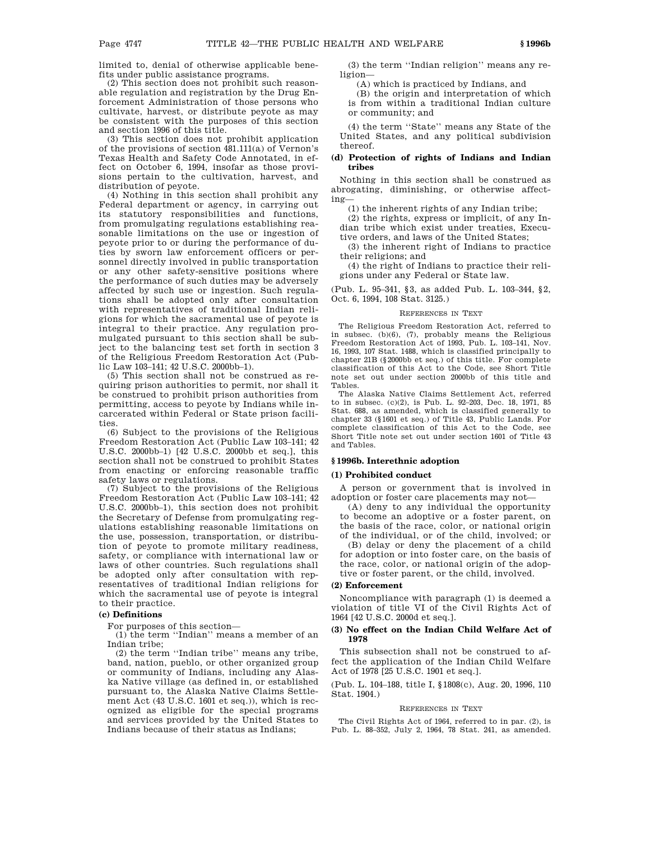limited to, denial of otherwise applicable benefits under public assistance programs.

(2) This section does not prohibit such reasonable regulation and registration by the Drug Enforcement Administration of those persons who cultivate, harvest, or distribute peyote as may be consistent with the purposes of this section and section 1996 of this title.

(3) This section does not prohibit application of the provisions of section 481.111(a) of Vernon's Texas Health and Safety Code Annotated, in effect on October 6, 1994, insofar as those provisions pertain to the cultivation, harvest, and distribution of peyote.

(4) Nothing in this section shall prohibit any Federal department or agency, in carrying out its statutory responsibilities and functions, from promulgating regulations establishing reasonable limitations on the use or ingestion of peyote prior to or during the performance of duties by sworn law enforcement officers or personnel directly involved in public transportation or any other safety-sensitive positions where the performance of such duties may be adversely affected by such use or ingestion. Such regulations shall be adopted only after consultation with representatives of traditional Indian religions for which the sacramental use of peyote is integral to their practice. Any regulation promulgated pursuant to this section shall be subject to the balancing test set forth in section 3 of the Religious Freedom Restoration Act (Public Law 103–141; 42 U.S.C. 2000bb–1).

(5) This section shall not be construed as requiring prison authorities to permit, nor shall it be construed to prohibit prison authorities from permitting, access to peyote by Indians while incarcerated within Federal or State prison facilities.

(6) Subject to the provisions of the Religious Freedom Restoration Act (Public Law 103–141; 42 U.S.C. 2000bb–1) [42 U.S.C. 2000bb et seq.], this section shall not be construed to prohibit States from enacting or enforcing reasonable traffic safety laws or regulations.

(7) Subject to the provisions of the Religious Freedom Restoration Act (Public Law 103–141; 42 U.S.C. 2000bb–1), this section does not prohibit the Secretary of Defense from promulgating regulations establishing reasonable limitations on the use, possession, transportation, or distribution of peyote to promote military readiness, safety, or compliance with international law or laws of other countries. Such regulations shall be adopted only after consultation with representatives of traditional Indian religions for which the sacramental use of peyote is integral to their practice.

#### **(c) Definitions**

For purposes of this section—

(1) the term ''Indian'' means a member of an Indian tribe;

(2) the term ''Indian tribe'' means any tribe, band, nation, pueblo, or other organized group or community of Indians, including any Alaska Native village (as defined in, or established pursuant to, the Alaska Native Claims Settlement Act (43 U.S.C. 1601 et seq.)), which is recognized as eligible for the special programs and services provided by the United States to Indians because of their status as Indians;

(3) the term ''Indian religion'' means any religion—

(A) which is practiced by Indians, and

(B) the origin and interpretation of which is from within a traditional Indian culture or community; and

(4) the term ''State'' means any State of the United States, and any political subdivision thereof.

## **(d) Protection of rights of Indians and Indian tribes**

Nothing in this section shall be construed as abrogating, diminishing, or otherwise affecting—

(1) the inherent rights of any Indian tribe;

(2) the rights, express or implicit, of any Indian tribe which exist under treaties, Executive orders, and laws of the United States;

(3) the inherent right of Indians to practice their religions; and

(4) the right of Indians to practice their religions under any Federal or State law.

(Pub. L. 95–341, §3, as added Pub. L. 103–344, §2, Oct. 6, 1994, 108 Stat. 3125.)

#### REFERENCES IN TEXT

The Religious Freedom Restoration Act, referred to in subsec. (b)(6), (7), probably means the Religious Freedom Restoration Act of 1993, Pub. L. 103–141, Nov. 16, 1993, 107 Stat. 1488, which is classified principally to chapter 21B (§2000bb et seq.) of this title. For complete classification of this Act to the Code, see Short Title note set out under section 2000bb of this title and Tables.

The Alaska Native Claims Settlement Act, referred to in subsec. (c)(2), is Pub. L. 92–203, Dec. 18, 1971, 85 Stat. 688, as amended, which is classified generally to chapter 33 (§1601 et seq.) of Title 43, Public Lands. For complete classification of this Act to the Code, see Short Title note set out under section 1601 of Title 43 and Tables.

## **§ 1996b. Interethnic adoption**

#### **(1) Prohibited conduct**

A person or government that is involved in adoption or foster care placements may not—

(A) deny to any individual the opportunity to become an adoptive or a foster parent, on the basis of the race, color, or national origin of the individual, or of the child, involved; or

(B) delay or deny the placement of a child for adoption or into foster care, on the basis of the race, color, or national origin of the adoptive or foster parent, or the child, involved.

#### **(2) Enforcement**

Noncompliance with paragraph (1) is deemed a violation of title VI of the Civil Rights Act of 1964 [42 U.S.C. 2000d et seq.].

## **(3) No effect on the Indian Child Welfare Act of 1978**

This subsection shall not be construed to affect the application of the Indian Child Welfare Act of 1978 [25 U.S.C. 1901 et seq.].

(Pub. L. 104–188, title I, §1808(c), Aug. 20, 1996, 110 Stat. 1904.)

#### REFERENCES IN TEXT

The Civil Rights Act of 1964, referred to in par. (2), is Pub. L. 88–352, July 2, 1964, 78 Stat. 241, as amended.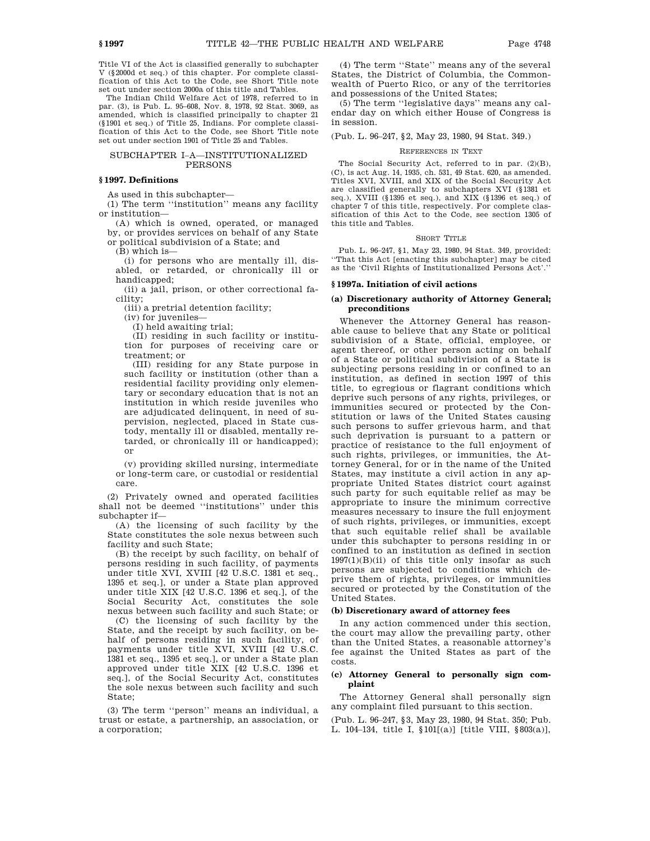Title VI of the Act is classified generally to subchapter V (§2000d et seq.) of this chapter. For complete classification of this Act to the Code, see Short Title note set out under section 2000a of this title and Tables.

The Indian Child Welfare Act of 1978, referred to in par. (3), is Pub. L. 95–608, Nov. 8, 1978, 92 Stat. 3069, as amended, which is classified principally to chapter 21 (§1901 et seq.) of Title 25, Indians. For complete classification of this Act to the Code, see Short Title note set out under section 1901 of Title 25 and Tables.

## SUBCHAPTER I–A—INSTITUTIONALIZED PERSONS

## **§ 1997. Definitions**

As used in this subchapter—

(1) The term ''institution'' means any facility or institution—

(A) which is owned, operated, or managed by, or provides services on behalf of any State or political subdivision of a State; and

(B) which is—

(i) for persons who are mentally ill, disabled, or retarded, or chronically ill or handicapped;

(ii) a jail, prison, or other correctional facility;

(iii) a pretrial detention facility;

(iv) for juveniles—

(I) held awaiting trial;

(II) residing in such facility or institution for purposes of receiving care or treatment; or

(III) residing for any State purpose in such facility or institution (other than a residential facility providing only elementary or secondary education that is not an institution in which reside juveniles who are adjudicated delinquent, in need of supervision, neglected, placed in State custody, mentally ill or disabled, mentally retarded, or chronically ill or handicapped); or

(v) providing skilled nursing, intermediate or long-term care, or custodial or residential care.

(2) Privately owned and operated facilities shall not be deemed ''institutions'' under this subchapter if—

(A) the licensing of such facility by the State constitutes the sole nexus between such facility and such State;

(B) the receipt by such facility, on behalf of persons residing in such facility, of payments under title XVI, XVIII [42 U.S.C. 1381 et seq., 1395 et seq.], or under a State plan approved under title XIX [42 U.S.C. 1396 et seq.], of the Social Security Act, constitutes the sole nexus between such facility and such State; or

(C) the licensing of such facility by the State, and the receipt by such facility, on behalf of persons residing in such facility, of payments under title XVI, XVIII [42 U.S.C. 1381 et seq., 1395 et seq.], or under a State plan approved under title XIX [42 U.S.C. 1396 et seq.], of the Social Security Act, constitutes the sole nexus between such facility and such State;

(3) The term ''person'' means an individual, a trust or estate, a partnership, an association, or a corporation;

(4) The term ''State'' means any of the several States, the District of Columbia, the Commonwealth of Puerto Rico, or any of the territories and possessions of the United States;

(5) The term ''legislative days'' means any calendar day on which either House of Congress is in session.

(Pub. L. 96–247, §2, May 23, 1980, 94 Stat. 349.)

#### REFERENCES IN TEXT

The Social Security Act, referred to in par. (2)(B), (C), is act Aug. 14, 1935, ch. 531, 49 Stat. 620, as amended. Titles XVI, XVIII, and XIX of the Social Security Act are classified generally to subchapters XVI (§1381 et seq.), XVIII (§1395 et seq.), and XIX (§1396 et seq.) of chapter 7 of this title, respectively. For complete classification of this Act to the Code, see section 1305 of this title and Tables.

## SHORT TITLE

Pub. L. 96–247, §1, May 23, 1980, 94 Stat. 349, provided: ''That this Act [enacting this subchapter] may be cited as the 'Civil Rights of Institutionalized Persons Act'.

#### **§ 1997a. Initiation of civil actions**

## **(a) Discretionary authority of Attorney General; preconditions**

Whenever the Attorney General has reasonable cause to believe that any State or political subdivision of a State, official, employee, or agent thereof, or other person acting on behalf of a State or political subdivision of a State is subjecting persons residing in or confined to an institution, as defined in section 1997 of this title, to egregious or flagrant conditions which deprive such persons of any rights, privileges, or immunities secured or protected by the Constitution or laws of the United States causing such persons to suffer grievous harm, and that such deprivation is pursuant to a pattern or practice of resistance to the full enjoyment of such rights, privileges, or immunities, the Attorney General, for or in the name of the United States, may institute a civil action in any appropriate United States district court against such party for such equitable relief as may be appropriate to insure the minimum corrective measures necessary to insure the full enjoyment of such rights, privileges, or immunities, except that such equitable relief shall be available under this subchapter to persons residing in or confined to an institution as defined in section 1997(1)(B)(ii) of this title only insofar as such persons are subjected to conditions which deprive them of rights, privileges, or immunities secured or protected by the Constitution of the United States.

## **(b) Discretionary award of attorney fees**

In any action commenced under this section, the court may allow the prevailing party, other than the United States, a reasonable attorney's fee against the United States as part of the costs.

## **(c) Attorney General to personally sign complaint**

The Attorney General shall personally sign any complaint filed pursuant to this section.

(Pub. L. 96–247, §3, May 23, 1980, 94 Stat. 350; Pub. L. 104–134, title I, §101[(a)] [title VIII, §803(a)],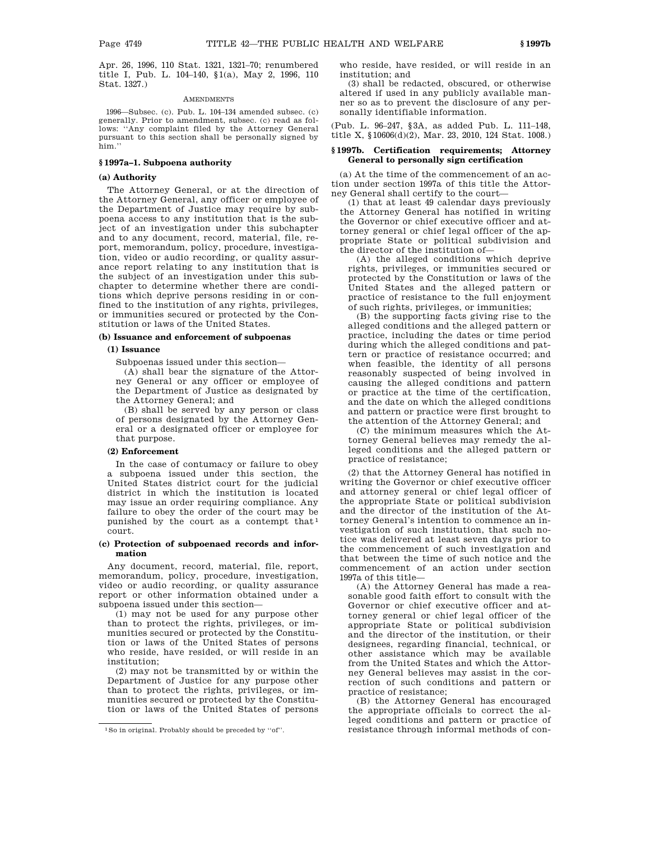Apr. 26, 1996, 110 Stat. 1321, 1321–70; renumbered title I, Pub. L. 104–140, §1(a), May 2, 1996, 110 Stat. 1327.)

#### AMENDMENTS

1996—Subsec. (c). Pub. L. 104–134 amended subsec. (c) generally. Prior to amendment, subsec. (c) read as follows: ''Any complaint filed by the Attorney General pursuant to this section shall be personally signed by him.'

## **§ 1997a–1. Subpoena authority**

#### **(a) Authority**

The Attorney General, or at the direction of the Attorney General, any officer or employee of the Department of Justice may require by subpoena access to any institution that is the subject of an investigation under this subchapter and to any document, record, material, file, report, memorandum, policy, procedure, investigation, video or audio recording, or quality assurance report relating to any institution that is the subject of an investigation under this subchapter to determine whether there are conditions which deprive persons residing in or confined to the institution of any rights, privileges, or immunities secured or protected by the Constitution or laws of the United States.

## **(b) Issuance and enforcement of subpoenas**

## **(1) Issuance**

Subpoenas issued under this section—

(A) shall bear the signature of the Attorney General or any officer or employee of the Department of Justice as designated by the Attorney General; and

(B) shall be served by any person or class of persons designated by the Attorney General or a designated officer or employee for that purpose.

## **(2) Enforcement**

In the case of contumacy or failure to obey a subpoena issued under this section, the United States district court for the judicial district in which the institution is located may issue an order requiring compliance. Any failure to obey the order of the court may be punished by the court as a contempt that<sup>1</sup> court.

## **(c) Protection of subpoenaed records and information**

Any document, record, material, file, report, memorandum, policy, procedure, investigation, video or audio recording, or quality assurance report or other information obtained under a subpoena issued under this section—

(1) may not be used for any purpose other than to protect the rights, privileges, or immunities secured or protected by the Constitution or laws of the United States of persons who reside, have resided, or will reside in an institution;

(2) may not be transmitted by or within the Department of Justice for any purpose other than to protect the rights, privileges, or immunities secured or protected by the Constitution or laws of the United States of persons

who reside, have resided, or will reside in an institution; and

(3) shall be redacted, obscured, or otherwise altered if used in any publicly available manner so as to prevent the disclosure of any personally identifiable information.

(Pub. L. 96–247, §3A, as added Pub. L. 111–148, title X, §10606(d)(2), Mar. 23, 2010, 124 Stat. 1008.)

## **§ 1997b. Certification requirements; Attorney General to personally sign certification**

(a) At the time of the commencement of an action under section 1997a of this title the Attorney General shall certify to the court—

(1) that at least 49 calendar days previously the Attorney General has notified in writing the Governor or chief executive officer and attorney general or chief legal officer of the appropriate State or political subdivision and the director of the institution of—

(A) the alleged conditions which deprive rights, privileges, or immunities secured or protected by the Constitution or laws of the United States and the alleged pattern or practice of resistance to the full enjoyment of such rights, privileges, or immunities;

(B) the supporting facts giving rise to the alleged conditions and the alleged pattern or practice, including the dates or time period during which the alleged conditions and pattern or practice of resistance occurred; and when feasible, the identity of all persons reasonably suspected of being involved in causing the alleged conditions and pattern or practice at the time of the certification, and the date on which the alleged conditions and pattern or practice were first brought to the attention of the Attorney General; and

(C) the minimum measures which the Attorney General believes may remedy the alleged conditions and the alleged pattern or practice of resistance;

(2) that the Attorney General has notified in writing the Governor or chief executive officer and attorney general or chief legal officer of the appropriate State or political subdivision and the director of the institution of the Attorney General's intention to commence an investigation of such institution, that such notice was delivered at least seven days prior to the commencement of such investigation and that between the time of such notice and the commencement of an action under section 1997a of this title—

(A) the Attorney General has made a reasonable good faith effort to consult with the Governor or chief executive officer and attorney general or chief legal officer of the appropriate State or political subdivision and the director of the institution, or their designees, regarding financial, technical, or other assistance which may be available from the United States and which the Attorney General believes may assist in the correction of such conditions and pattern or practice of resistance;

(B) the Attorney General has encouraged the appropriate officials to correct the alleged conditions and pattern or practice of resistance through informal methods of con-

<sup>1</sup>So in original. Probably should be preceded by ''of''.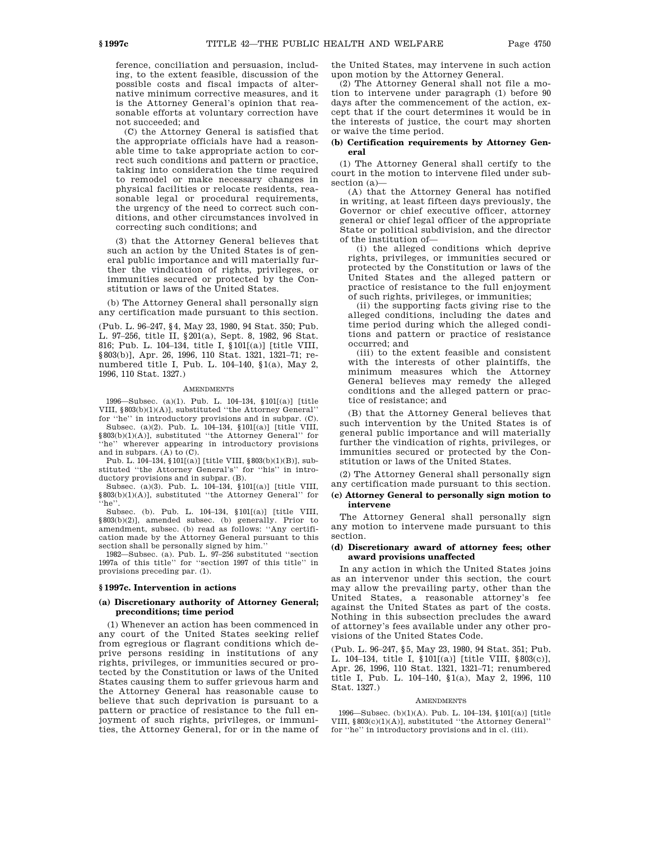ference, conciliation and persuasion, including, to the extent feasible, discussion of the possible costs and fiscal impacts of alternative minimum corrective measures, and it is the Attorney General's opinion that reasonable efforts at voluntary correction have not succeeded; and

(C) the Attorney General is satisfied that the appropriate officials have had a reasonable time to take appropriate action to correct such conditions and pattern or practice, taking into consideration the time required to remodel or make necessary changes in physical facilities or relocate residents, reasonable legal or procedural requirements, the urgency of the need to correct such conditions, and other circumstances involved in correcting such conditions; and

(3) that the Attorney General believes that such an action by the United States is of general public importance and will materially further the vindication of rights, privileges, or immunities secured or protected by the Constitution or laws of the United States.

(b) The Attorney General shall personally sign any certification made pursuant to this section.

(Pub. L. 96–247, §4, May 23, 1980, 94 Stat. 350; Pub. L. 97–256, title II, §201(a), Sept. 8, 1982, 96 Stat. 816; Pub. L. 104–134, title I, §101[(a)] [title VIII, §803(b)], Apr. 26, 1996, 110 Stat. 1321, 1321-71; renumbered title I, Pub. L. 104–140, §1(a), May 2, 1996, 110 Stat. 1327.)

#### **AMENDMENTS**

1996—Subsec. (a)(1). Pub. L. 104–134, §101[(a)] [title VIII, §803(b)(1)(A)], substituted ''the Attorney General'' for ''he'' in introductory provisions and in subpar. (C).

Subsec. (a)(2). Pub. L. 104–134, §101[(a)] [title VIII,  $§803(b)(1)(A)$ , substituted "the Attorney General" for ''he'' wherever appearing in introductory provisions and in subpars. (A) to (C).

Pub. L. 104–134, §101[(a)] [title VIII, §803(b)(1)(B)], substituted ''the Attorney General's'' for ''his'' in introductory provisions and in subpar. (B).

Subsec. (a)(3). Pub. L. 104–134, §101[(a)] [title VIII, §803(b)(1)(A)], substituted ''the Attorney General'' for ''he''.

Subsec. (b). Pub. L. 104–134, §101[(a)] [title VIII, §803(b)(2)], amended subsec. (b) generally. Prior to amendment, subsec. (b) read as follows: ''Any certification made by the Attorney General pursuant to this section shall be personally signed by him.''

1982—Subsec. (a). Pub. L. 97–256 substituted ''section 1997a of this title'' for ''section 1997 of this title'' in provisions preceding par. (1).

## **§ 1997c. Intervention in actions**

## **(a) Discretionary authority of Attorney General; preconditions; time period**

(1) Whenever an action has been commenced in any court of the United States seeking relief from egregious or flagrant conditions which deprive persons residing in institutions of any rights, privileges, or immunities secured or protected by the Constitution or laws of the United States causing them to suffer grievous harm and the Attorney General has reasonable cause to believe that such deprivation is pursuant to a pattern or practice of resistance to the full enjoyment of such rights, privileges, or immunities, the Attorney General, for or in the name of the United States, may intervene in such action upon motion by the Attorney General.

(2) The Attorney General shall not file a motion to intervene under paragraph (1) before 90 days after the commencement of the action, except that if the court determines it would be in the interests of justice, the court may shorten or waive the time period.

## **(b) Certification requirements by Attorney General**

(1) The Attorney General shall certify to the court in the motion to intervene filed under subsection (a)—

(A) that the Attorney General has notified in writing, at least fifteen days previously, the Governor or chief executive officer, attorney general or chief legal officer of the appropriate State or political subdivision, and the director of the institution of—

(i) the alleged conditions which deprive rights, privileges, or immunities secured or protected by the Constitution or laws of the United States and the alleged pattern or practice of resistance to the full enjoyment of such rights, privileges, or immunities;

(ii) the supporting facts giving rise to the alleged conditions, including the dates and time period during which the alleged conditions and pattern or practice of resistance occurred; and

(iii) to the extent feasible and consistent with the interests of other plaintiffs, the minimum measures which the Attorney General believes may remedy the alleged conditions and the alleged pattern or practice of resistance; and

(B) that the Attorney General believes that such intervention by the United States is of general public importance and will materially further the vindication of rights, privileges, or immunities secured or protected by the Constitution or laws of the United States.

(2) The Attorney General shall personally sign any certification made pursuant to this section. **(c) Attorney General to personally sign motion to**

# **intervene**

The Attorney General shall personally sign any motion to intervene made pursuant to this section.

## **(d) Discretionary award of attorney fees; other award provisions unaffected**

In any action in which the United States joins as an intervenor under this section, the court may allow the prevailing party, other than the United States, a reasonable attorney's fee against the United States as part of the costs. Nothing in this subsection precludes the award of attorney's fees available under any other provisions of the United States Code.

(Pub. L. 96–247, §5, May 23, 1980, 94 Stat. 351; Pub. L. 104–134, title I, §101[(a)] [title VIII, §803(c)], Apr. 26, 1996, 110 Stat. 1321, 1321–71; renumbered title I, Pub. L. 104–140, §1(a), May 2, 1996, 110 Stat. 1327.)

#### **AMENDMENTS**

1996—Subsec. (b)(1)(A). Pub. L. 104–134, §101[(a)] [title VIII, §803(c)(1)(A)], substituted ''the Attorney General'' for ''he'' in introductory provisions and in cl. (iii).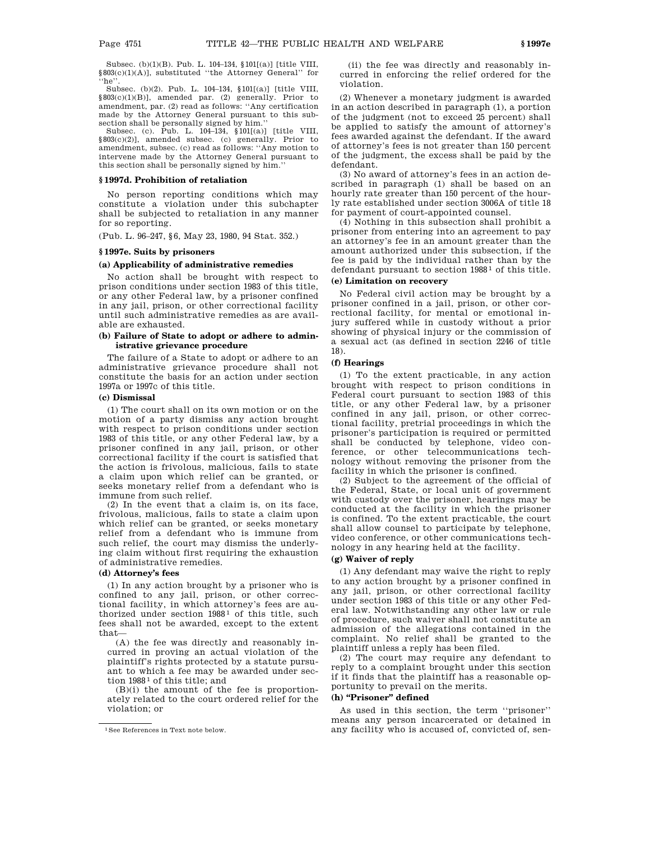Subsec. (b)(1)(B). Pub. L. 104–134, §101[(a)] [title VIII, §803(c)(1)(A)], substituted ''the Attorney General'' for ''he''.

Subsec. (b)(2). Pub. L. 104–134, §101[(a)] [title VIII, §803(c)(1)(B)], amended par. (2) generally. Prior to amendment, par. (2) read as follows: ''Any certification made by the Attorney General pursuant to this subsection shall be personally signed by him.''

Subsec. (c). Pub. L. 104–134, §101[(a)] [title VIII, §803(c)(2)], amended subsec. (c) generally. Prior to amendment, subsec. (c) read as follows: ''Any motion to intervene made by the Attorney General pursuant to this section shall be personally signed by him.''

## **§ 1997d. Prohibition of retaliation**

No person reporting conditions which may constitute a violation under this subchapter shall be subjected to retaliation in any manner for so reporting.

(Pub. L. 96–247, §6, May 23, 1980, 94 Stat. 352.)

## **§ 1997e. Suits by prisoners**

## **(a) Applicability of administrative remedies**

No action shall be brought with respect to prison conditions under section 1983 of this title, or any other Federal law, by a prisoner confined in any jail, prison, or other correctional facility until such administrative remedies as are available are exhausted.

## **(b) Failure of State to adopt or adhere to administrative grievance procedure**

The failure of a State to adopt or adhere to an administrative grievance procedure shall not constitute the basis for an action under section 1997a or 1997c of this title.

## **(c) Dismissal**

(1) The court shall on its own motion or on the motion of a party dismiss any action brought with respect to prison conditions under section 1983 of this title, or any other Federal law, by a prisoner confined in any jail, prison, or other correctional facility if the court is satisfied that the action is frivolous, malicious, fails to state a claim upon which relief can be granted, or seeks monetary relief from a defendant who is immune from such relief.

(2) In the event that a claim is, on its face, frivolous, malicious, fails to state a claim upon which relief can be granted, or seeks monetary relief from a defendant who is immune from such relief, the court may dismiss the underlying claim without first requiring the exhaustion of administrative remedies.

## **(d) Attorney's fees**

(1) In any action brought by a prisoner who is confined to any jail, prison, or other correctional facility, in which attorney's fees are authorized under section  $1988<sup>1</sup>$  of this title, such fees shall not be awarded, except to the extent that—

(A) the fee was directly and reasonably incurred in proving an actual violation of the plaintiff's rights protected by a statute pursuant to which a fee may be awarded under section  $1988\,^1$  of this title; and

(B)(i) the amount of the fee is proportionately related to the court ordered relief for the violation; or

(ii) the fee was directly and reasonably incurred in enforcing the relief ordered for the violation.

(2) Whenever a monetary judgment is awarded in an action described in paragraph (1), a portion of the judgment (not to exceed 25 percent) shall be applied to satisfy the amount of attorney's fees awarded against the defendant. If the award of attorney's fees is not greater than 150 percent of the judgment, the excess shall be paid by the defendant.

(3) No award of attorney's fees in an action described in paragraph (1) shall be based on an hourly rate greater than 150 percent of the hourly rate established under section 3006A of title 18 for payment of court-appointed counsel.

(4) Nothing in this subsection shall prohibit a prisoner from entering into an agreement to pay an attorney's fee in an amount greater than the amount authorized under this subsection, if the fee is paid by the individual rather than by the defendant pursuant to section  $1988^{\, \mathrm{1}}$  of this title.

## **(e) Limitation on recovery**

No Federal civil action may be brought by a prisoner confined in a jail, prison, or other correctional facility, for mental or emotional injury suffered while in custody without a prior showing of physical injury or the commission of a sexual act (as defined in section 2246 of title 18).

## **(f) Hearings**

(1) To the extent practicable, in any action brought with respect to prison conditions in Federal court pursuant to section 1983 of this title, or any other Federal law, by a prisoner confined in any jail, prison, or other correctional facility, pretrial proceedings in which the prisoner's participation is required or permitted shall be conducted by telephone, video conference, or other telecommunications technology without removing the prisoner from the facility in which the prisoner is confined.

(2) Subject to the agreement of the official of the Federal, State, or local unit of government with custody over the prisoner, hearings may be conducted at the facility in which the prisoner is confined. To the extent practicable, the court shall allow counsel to participate by telephone, video conference, or other communications technology in any hearing held at the facility.

#### **(g) Waiver of reply**

(1) Any defendant may waive the right to reply to any action brought by a prisoner confined in any jail, prison, or other correctional facility under section 1983 of this title or any other Federal law. Notwithstanding any other law or rule of procedure, such waiver shall not constitute an admission of the allegations contained in the complaint. No relief shall be granted to the plaintiff unless a reply has been filed.

(2) The court may require any defendant to reply to a complaint brought under this section if it finds that the plaintiff has a reasonable opportunity to prevail on the merits.

## **(h) ''Prisoner'' defined**

As used in this section, the term ''prisoner'' means any person incarcerated or detained in any facility who is accused of, convicted of, sen-

<sup>1</sup>See References in Text note below.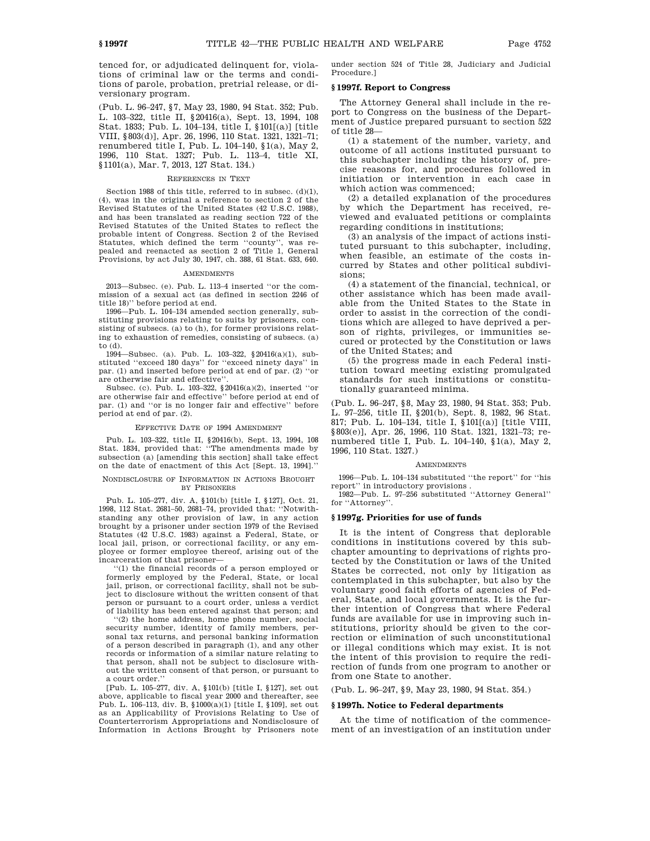tenced for, or adjudicated delinquent for, violations of criminal law or the terms and conditions of parole, probation, pretrial release, or diversionary program.

(Pub. L. 96–247, §7, May 23, 1980, 94 Stat. 352; Pub. L. 103–322, title II, §20416(a), Sept. 13, 1994, 108 Stat. 1833; Pub. L. 104–134, title I, §101[(a)] [title VIII, §803(d)], Apr. 26, 1996, 110 Stat. 1321, 1321–71; renumbered title I, Pub. L. 104–140, §1(a), May 2, 1996, 110 Stat. 1327; Pub. L. 113–4, title XI, §1101(a), Mar. 7, 2013, 127 Stat. 134.)

#### REFERENCES IN TEXT

Section 1988 of this title, referred to in subsec. (d)(1), (4), was in the original a reference to section 2 of the Revised Statutes of the United States (42 U.S.C. 1988), and has been translated as reading section 722 of the Revised Statutes of the United States to reflect the probable intent of Congress. Section 2 of the Revised Statutes, which defined the term ''county'', was repealed and reenacted as section 2 of Title 1, General Provisions, by act July 30, 1947, ch. 388, 61 Stat. 633, 640.

#### **AMENDMENTS**

2013—Subsec. (e). Pub. L. 113–4 inserted ''or the commission of a sexual act (as defined in section 2246 of title 18)'' before period at end.

1996—Pub. L. 104–134 amended section generally, substituting provisions relating to suits by prisoners, consisting of subsecs. (a) to (h), for former provisions relating to exhaustion of remedies, consisting of subsecs. (a) to (d).

1994—Subsec. (a). Pub. L. 103–322, §20416(a)(1), substituted ''exceed 180 days'' for ''exceed ninety days'' in par. (1) and inserted before period at end of par. (2) ''or are otherwise fair and effective''.

Subsec. (c). Pub. L. 103–322, §20416(a)(2), inserted ''or are otherwise fair and effective'' before period at end of par. (1) and ''or is no longer fair and effective'' before period at end of par. (2).

#### EFFECTIVE DATE OF 1994 AMENDMENT

Pub. L. 103–322, title II, §20416(b), Sept. 13, 1994, 108 Stat. 1834, provided that: ''The amendments made by subsection (a) [amending this section] shall take effect on the date of enactment of this Act [Sept. 13, 1994].''

#### NONDISCLOSURE OF INFORMATION IN ACTIONS BROUGHT BY PRISONERS

Pub. L. 105–277, div. A, §101(b) [title I, §127], Oct. 21, 1998, 112 Stat. 2681–50, 2681–74, provided that: ''Notwithstanding any other provision of law, in any action brought by a prisoner under section 1979 of the Revised Statutes (42 U.S.C. 1983) against a Federal, State, or local jail, prison, or correctional facility, or any employee or former employee thereof, arising out of the incarceration of that prisoner—

''(1) the financial records of a person employed or formerly employed by the Federal, State, or local jail, prison, or correctional facility, shall not be subject to disclosure without the written consent of that person or pursuant to a court order, unless a verdict of liability has been entered against that person; and

'(2) the home address, home phone number, social security number, identity of family members, personal tax returns, and personal banking information of a person described in paragraph (1), and any other records or information of a similar nature relating to that person, shall not be subject to disclosure without the written consent of that person, or pursuant to a court order.''

[Pub. L. 105–277, div. A, §101(b) [title I, §127], set out above, applicable to fiscal year 2000 and thereafter, see Pub. L. 106–113, div. B, §1000(a)(1) [title I, §109], set out as an Applicability of Provisions Relating to Use of Counterterrorism Appropriations and Nondisclosure of Information in Actions Brought by Prisoners note under section 524 of Title 28, Judiciary and Judicial Procedure.]

## **§ 1997f. Report to Congress**

The Attorney General shall include in the report to Congress on the business of the Department of Justice prepared pursuant to section 522 of title 28—

(1) a statement of the number, variety, and outcome of all actions instituted pursuant to this subchapter including the history of, precise reasons for, and procedures followed in initiation or intervention in each case in which action was commenced;

(2) a detailed explanation of the procedures by which the Department has received, reviewed and evaluated petitions or complaints regarding conditions in institutions;

(3) an analysis of the impact of actions instituted pursuant to this subchapter, including, when feasible, an estimate of the costs incurred by States and other political subdivisions;

(4) a statement of the financial, technical, or other assistance which has been made available from the United States to the State in order to assist in the correction of the conditions which are alleged to have deprived a person of rights, privileges, or immunities secured or protected by the Constitution or laws of the United States; and

(5) the progress made in each Federal institution toward meeting existing promulgated standards for such institutions or constitutionally guaranteed minima.

(Pub. L. 96–247, §8, May 23, 1980, 94 Stat. 353; Pub. L. 97–256, title II, §201(b), Sept. 8, 1982, 96 Stat. 817; Pub. L. 104–134, title I, §101[(a)] [title VIII, §803(e)], Apr. 26, 1996, 110 Stat. 1321, 1321–73; renumbered title I, Pub. L. 104–140, §1(a), May 2, 1996, 110 Stat. 1327.)

#### **AMENDMENTS**

1996—Pub. L. 104–134 substituted ''the report'' for ''his report'' in introductory provisions .

1982—Pub. L. 97–256 substituted ''Attorney General'' for ''Attorney''.

## **§ 1997g. Priorities for use of funds**

It is the intent of Congress that deplorable conditions in institutions covered by this subchapter amounting to deprivations of rights protected by the Constitution or laws of the United States be corrected, not only by litigation as contemplated in this subchapter, but also by the voluntary good faith efforts of agencies of Federal, State, and local governments. It is the further intention of Congress that where Federal funds are available for use in improving such institutions, priority should be given to the correction or elimination of such unconstitutional or illegal conditions which may exist. It is not the intent of this provision to require the redirection of funds from one program to another or from one State to another.

(Pub. L. 96–247, §9, May 23, 1980, 94 Stat. 354.)

#### **§ 1997h. Notice to Federal departments**

At the time of notification of the commencement of an investigation of an institution under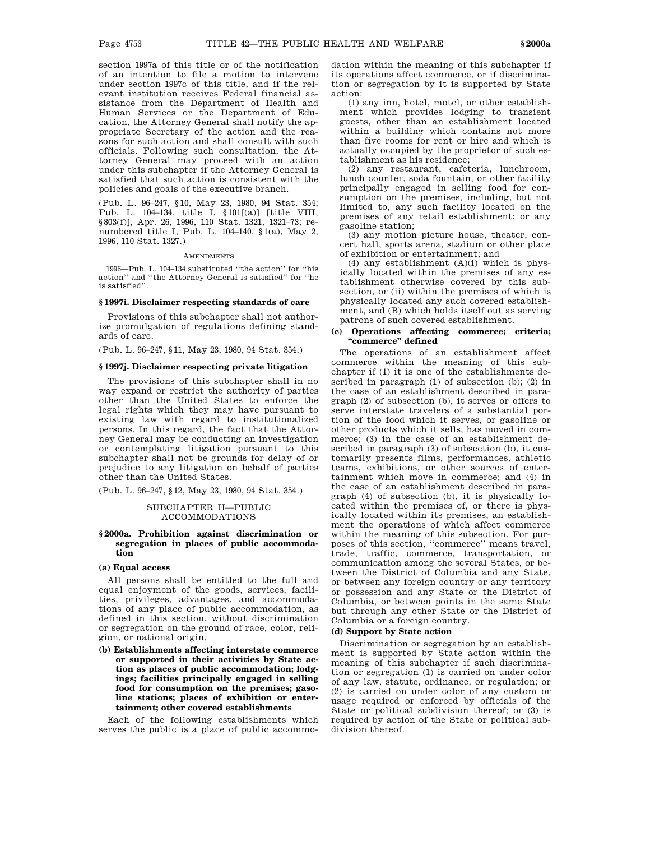section 1997a of this title or of the notification of an intention to file a motion to intervene under section 1997c of this title, and if the relevant institution receives Federal financial assistance from the Department of Health and Human Services or the Department of Education, the Attorney General shall notify the appropriate Secretary of the action and the reasons for such action and shall consult with such officials. Following such consultation, the Attorney General may proceed with an action under this subchapter if the Attorney General is satisfied that such action is consistent with the policies and goals of the executive branch.

(Pub. L. 96–247, §10, May 23, 1980, 94 Stat. 354; Pub. L. 104–134, title I, §101[(a)] [title VIII, §803(f)], Apr. 26, 1996, 110 Stat. 1321, 1321–73; renumbered title I, Pub. L. 104–140, §1(a), May 2, 1996, 110 Stat. 1327.)

#### AMENDMENTS

1996—Pub. L. 104–134 substituted ''the action'' for ''his action'' and ''the Attorney General is satisfied'' for ''he is satisfied''.

## **§ 1997i. Disclaimer respecting standards of care**

Provisions of this subchapter shall not authorize promulgation of regulations defining standards of care.

(Pub. L. 96–247, §11, May 23, 1980, 94 Stat. 354.)

## **§ 1997j. Disclaimer respecting private litigation**

The provisions of this subchapter shall in no way expand or restrict the authority of parties other than the United States to enforce the legal rights which they may have pursuant to existing law with regard to institutionalized persons. In this regard, the fact that the Attorney General may be conducting an investigation or contemplating litigation pursuant to this subchapter shall not be grounds for delay of or prejudice to any litigation on behalf of parties other than the United States.

(Pub. L. 96–247, §12, May 23, 1980, 94 Stat. 354.)

## SUBCHAPTER II—PUBLIC ACCOMMODATIONS

## **§ 2000a. Prohibition against discrimination or segregation in places of public accommodation**

## **(a) Equal access**

All persons shall be entitled to the full and equal enjoyment of the goods, services, facilities, privileges, advantages, and accommodations of any place of public accommodation, as defined in this section, without discrimination or segregation on the ground of race, color, religion, or national origin.

**(b) Establishments affecting interstate commerce or supported in their activities by State action as places of public accommodation; lodgings; facilities principally engaged in selling food for consumption on the premises; gasoline stations; places of exhibition or entertainment; other covered establishments**

Each of the following establishments which serves the public is a place of public accommodation within the meaning of this subchapter if its operations affect commerce, or if discrimination or segregation by it is supported by State action:

(1) any inn, hotel, motel, or other establishment which provides lodging to transient guests, other than an establishment located within a building which contains not more than five rooms for rent or hire and which is actually occupied by the proprietor of such establishment as his residence;

(2) any restaurant, cafeteria, lunchroom, lunch counter, soda fountain, or other facility principally engaged in selling food for consumption on the premises, including, but not limited to, any such facility located on the premises of any retail establishment; or any gasoline station;

(3) any motion picture house, theater, concert hall, sports arena, stadium or other place of exhibition or entertainment; and

 $(4)$  any establishment  $(A)(i)$  which is physically located within the premises of any establishment otherwise covered by this subsection, or (ii) within the premises of which is physically located any such covered establishment, and (B) which holds itself out as serving patrons of such covered establishment.

## **(c) Operations affecting commerce; criteria; ''commerce'' defined**

The operations of an establishment affect commerce within the meaning of this subchapter if (1) it is one of the establishments described in paragraph (1) of subsection (b); (2) in the case of an establishment described in paragraph (2) of subsection (b), it serves or offers to serve interstate travelers of a substantial portion of the food which it serves, or gasoline or other products which it sells, has moved in commerce; (3) in the case of an establishment described in paragraph (3) of subsection (b), it customarily presents films, performances, athletic teams, exhibitions, or other sources of entertainment which move in commerce; and (4) in the case of an establishment described in paragraph (4) of subsection (b), it is physically located within the premises of, or there is physically located within its premises, an establishment the operations of which affect commerce within the meaning of this subsection. For purposes of this section, ''commerce'' means travel, trade, traffic, commerce, transportation, or communication among the several States, or between the District of Columbia and any State, or between any foreign country or any territory or possession and any State or the District of Columbia, or between points in the same State but through any other State or the District of Columbia or a foreign country.

## **(d) Support by State action**

Discrimination or segregation by an establishment is supported by State action within the meaning of this subchapter if such discrimination or segregation (1) is carried on under color of any law, statute, ordinance, or regulation; or (2) is carried on under color of any custom or usage required or enforced by officials of the State or political subdivision thereof; or (3) is required by action of the State or political subdivision thereof.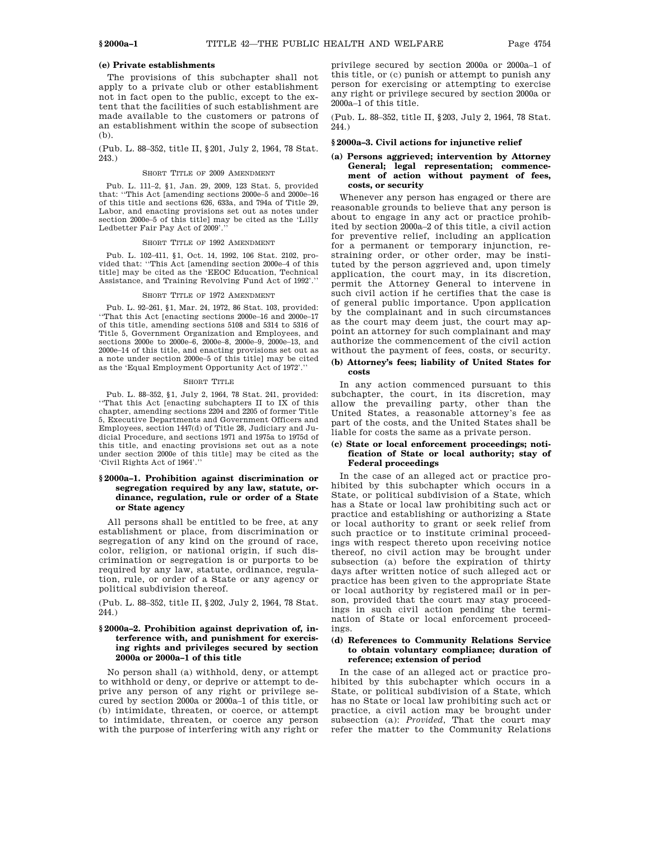#### **(e) Private establishments**

The provisions of this subchapter shall not apply to a private club or other establishment not in fact open to the public, except to the extent that the facilities of such establishment are made available to the customers or patrons of an establishment within the scope of subsection (b).

(Pub. L. 88–352, title II, §201, July 2, 1964, 78 Stat. 243.)

## SHORT TITLE OF 2009 AMENDMENT

Pub. L. 111–2, §1, Jan. 29, 2009, 123 Stat. 5, provided that: ''This Act [amending sections 2000e–5 and 2000e–16 of this title and sections 626, 633a, and 794a of Title 29, Labor, and enacting provisions set out as notes under section 2000e–5 of this title] may be cited as the 'Lilly Ledbetter Fair Pay Act of 2009'.''

## SHORT TITLE OF 1992 AMENDMENT

Pub. L. 102–411, §1, Oct. 14, 1992, 106 Stat. 2102, provided that: ''This Act [amending section 2000e–4 of this title] may be cited as the 'EEOC Education, Technical Assistance, and Training Revolving Fund Act of 1992'.''

#### SHORT TITLE OF 1972 AMENDMENT

Pub. L. 92–261, §1, Mar. 24, 1972, 86 Stat. 103, provided: ''That this Act [enacting sections 2000e–16 and 2000e–17 of this title, amending sections 5108 and 5314 to 5316 of Title 5, Government Organization and Employees, and sections 2000e to 2000e–6, 2000e–8, 2000e–9, 2000e–13, and 2000e–14 of this title, and enacting provisions set out as a note under section 2000e–5 of this title] may be cited as the 'Equal Employment Opportunity Act of 1972'.''

#### SHORT TITLE

Pub. L. 88–352, §1, July 2, 1964, 78 Stat. 241, provided: ''That this Act [enacting subchapters II to IX of this chapter, amending sections 2204 and 2205 of former Title 5, Executive Departments and Government Officers and Employees, section 1447(d) of Title 28, Judiciary and Judicial Procedure, and sections 1971 and 1975a to 1975d of this title, and enacting provisions set out as a note under section 2000e of this title] may be cited as the 'Civil Rights Act of 1964'.''

## **§ 2000a–1. Prohibition against discrimination or segregation required by any law, statute, ordinance, regulation, rule or order of a State or State agency**

All persons shall be entitled to be free, at any establishment or place, from discrimination or segregation of any kind on the ground of race, color, religion, or national origin, if such discrimination or segregation is or purports to be required by any law, statute, ordinance, regulation, rule, or order of a State or any agency or political subdivision thereof.

(Pub. L. 88–352, title II, §202, July 2, 1964, 78 Stat. 244.)

## **§ 2000a–2. Prohibition against deprivation of, interference with, and punishment for exercising rights and privileges secured by section 2000a or 2000a–1 of this title**

No person shall (a) withhold, deny, or attempt to withhold or deny, or deprive or attempt to deprive any person of any right or privilege secured by section 2000a or 2000a–1 of this title, or (b) intimidate, threaten, or coerce, or attempt to intimidate, threaten, or coerce any person with the purpose of interfering with any right or

privilege secured by section 2000a or 2000a–1 of this title, or (c) punish or attempt to punish any person for exercising or attempting to exercise any right or privilege secured by section 2000a or 2000a–1 of this title.

(Pub. L. 88–352, title II, §203, July 2, 1964, 78 Stat. 244.)

#### **§ 2000a–3. Civil actions for injunctive relief**

## **(a) Persons aggrieved; intervention by Attorney General; legal representation; commencement of action without payment of fees, costs, or security**

Whenever any person has engaged or there are reasonable grounds to believe that any person is about to engage in any act or practice prohibited by section 2000a–2 of this title, a civil action for preventive relief, including an application for a permanent or temporary injunction, restraining order, or other order, may be instituted by the person aggrieved and, upon timely application, the court may, in its discretion, permit the Attorney General to intervene in such civil action if he certifies that the case is of general public importance. Upon application by the complainant and in such circumstances as the court may deem just, the court may appoint an attorney for such complainant and may authorize the commencement of the civil action without the payment of fees, costs, or security.

## **(b) Attorney's fees; liability of United States for costs**

In any action commenced pursuant to this subchapter, the court, in its discretion, may allow the prevailing party, other than the United States, a reasonable attorney's fee as part of the costs, and the United States shall be liable for costs the same as a private person.

## **(c) State or local enforcement proceedings; notification of State or local authority; stay of Federal proceedings**

In the case of an alleged act or practice prohibited by this subchapter which occurs in a State, or political subdivision of a State, which has a State or local law prohibiting such act or practice and establishing or authorizing a State or local authority to grant or seek relief from such practice or to institute criminal proceedings with respect thereto upon receiving notice thereof, no civil action may be brought under subsection (a) before the expiration of thirty days after written notice of such alleged act or practice has been given to the appropriate State or local authority by registered mail or in person, provided that the court may stay proceedings in such civil action pending the termination of State or local enforcement proceedings.

## **(d) References to Community Relations Service to obtain voluntary compliance; duration of reference; extension of period**

In the case of an alleged act or practice prohibited by this subchapter which occurs in a State, or political subdivision of a State, which has no State or local law prohibiting such act or practice, a civil action may be brought under subsection (a): *Provided*, That the court may refer the matter to the Community Relations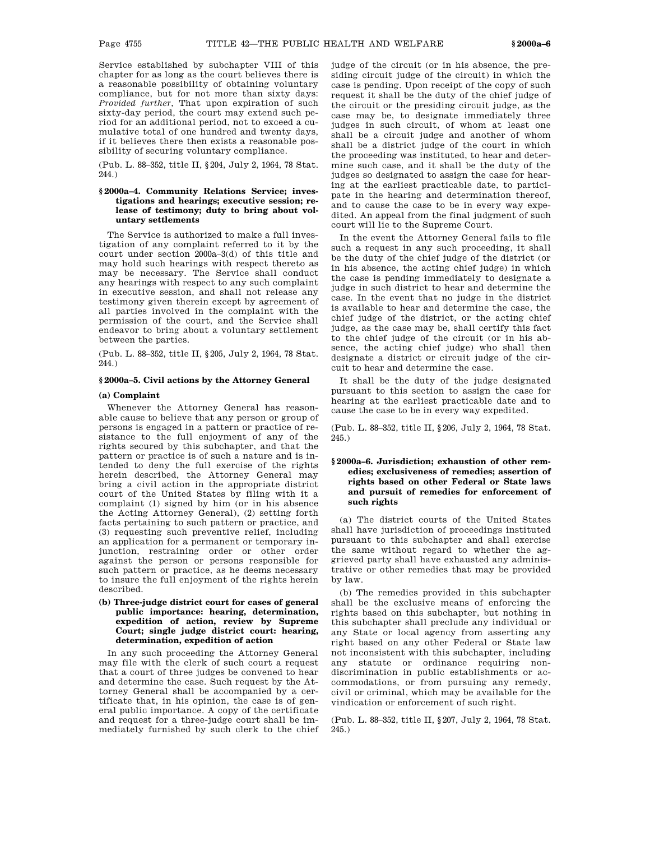Service established by subchapter VIII of this chapter for as long as the court believes there is a reasonable possibility of obtaining voluntary compliance, but for not more than sixty days: *Provided further*, That upon expiration of such sixty-day period, the court may extend such period for an additional period, not to exceed a cumulative total of one hundred and twenty days, if it believes there then exists a reasonable possibility of securing voluntary compliance.

(Pub. L. 88–352, title II, §204, July 2, 1964, 78 Stat. 244.)

## **§ 2000a–4. Community Relations Service; investigations and hearings; executive session; release of testimony; duty to bring about voluntary settlements**

The Service is authorized to make a full investigation of any complaint referred to it by the court under section 2000a–3(d) of this title and may hold such hearings with respect thereto as may be necessary. The Service shall conduct any hearings with respect to any such complaint in executive session, and shall not release any testimony given therein except by agreement of all parties involved in the complaint with the permission of the court, and the Service shall endeavor to bring about a voluntary settlement between the parties.

(Pub. L. 88–352, title II, §205, July 2, 1964, 78 Stat. 244.)

## **§ 2000a–5. Civil actions by the Attorney General**

## **(a) Complaint**

Whenever the Attorney General has reasonable cause to believe that any person or group of persons is engaged in a pattern or practice of resistance to the full enjoyment of any of the rights secured by this subchapter, and that the pattern or practice is of such a nature and is intended to deny the full exercise of the rights herein described, the Attorney General may bring a civil action in the appropriate district court of the United States by filing with it a complaint (1) signed by him (or in his absence the Acting Attorney General), (2) setting forth facts pertaining to such pattern or practice, and (3) requesting such preventive relief, including an application for a permanent or temporary injunction, restraining order or other order against the person or persons responsible for such pattern or practice, as he deems necessary to insure the full enjoyment of the rights herein described.

## **(b) Three-judge district court for cases of general public importance: hearing, determination, expedition of action, review by Supreme Court; single judge district court: hearing, determination, expedition of action**

In any such proceeding the Attorney General may file with the clerk of such court a request that a court of three judges be convened to hear and determine the case. Such request by the Attorney General shall be accompanied by a certificate that, in his opinion, the case is of general public importance. A copy of the certificate and request for a three-judge court shall be immediately furnished by such clerk to the chief judge of the circuit (or in his absence, the presiding circuit judge of the circuit) in which the case is pending. Upon receipt of the copy of such request it shall be the duty of the chief judge of the circuit or the presiding circuit judge, as the case may be, to designate immediately three judges in such circuit, of whom at least one shall be a circuit judge and another of whom shall be a district judge of the court in which the proceeding was instituted, to hear and determine such case, and it shall be the duty of the judges so designated to assign the case for hearing at the earliest practicable date, to participate in the hearing and determination thereof, and to cause the case to be in every way expedited. An appeal from the final judgment of such court will lie to the Supreme Court.

In the event the Attorney General fails to file such a request in any such proceeding, it shall be the duty of the chief judge of the district (or in his absence, the acting chief judge) in which the case is pending immediately to designate a judge in such district to hear and determine the case. In the event that no judge in the district is available to hear and determine the case, the chief judge of the district, or the acting chief judge, as the case may be, shall certify this fact to the chief judge of the circuit (or in his absence, the acting chief judge) who shall then designate a district or circuit judge of the circuit to hear and determine the case.

It shall be the duty of the judge designated pursuant to this section to assign the case for hearing at the earliest practicable date and to cause the case to be in every way expedited.

(Pub. L. 88–352, title II, §206, July 2, 1964, 78 Stat. 245.)

## **§ 2000a–6. Jurisdiction; exhaustion of other remedies; exclusiveness of remedies; assertion of rights based on other Federal or State laws and pursuit of remedies for enforcement of such rights**

(a) The district courts of the United States shall have jurisdiction of proceedings instituted pursuant to this subchapter and shall exercise the same without regard to whether the aggrieved party shall have exhausted any administrative or other remedies that may be provided by law.

(b) The remedies provided in this subchapter shall be the exclusive means of enforcing the rights based on this subchapter, but nothing in this subchapter shall preclude any individual or any State or local agency from asserting any right based on any other Federal or State law not inconsistent with this subchapter, including any statute or ordinance requiring nondiscrimination in public establishments or accommodations, or from pursuing any remedy, civil or criminal, which may be available for the vindication or enforcement of such right.

(Pub. L. 88–352, title II, §207, July 2, 1964, 78 Stat. 245.)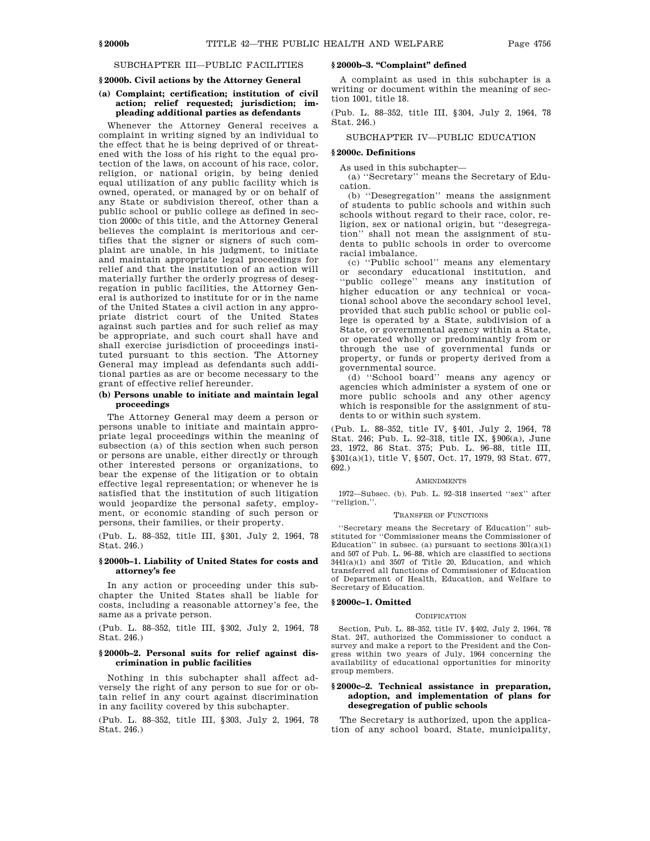## SUBCHAPTER III—PUBLIC FACILITIES

## **§ 2000b. Civil actions by the Attorney General**

## **(a) Complaint; certification; institution of civil action; relief requested; jurisdiction; impleading additional parties as defendants**

Whenever the Attorney General receives a complaint in writing signed by an individual to the effect that he is being deprived of or threatened with the loss of his right to the equal protection of the laws, on account of his race, color, religion, or national origin, by being denied equal utilization of any public facility which is owned, operated, or managed by or on behalf of any State or subdivision thereof, other than a public school or public college as defined in section 2000c of this title, and the Attorney General believes the complaint is meritorious and certifies that the signer or signers of such complaint are unable, in his judgment, to initiate and maintain appropriate legal proceedings for relief and that the institution of an action will materially further the orderly progress of desegregation in public facilities, the Attorney General is authorized to institute for or in the name of the United States a civil action in any appropriate district court of the United States against such parties and for such relief as may be appropriate, and such court shall have and shall exercise jurisdiction of proceedings instituted pursuant to this section. The Attorney General may implead as defendants such additional parties as are or become necessary to the grant of effective relief hereunder.

## **(b) Persons unable to initiate and maintain legal proceedings**

The Attorney General may deem a person or persons unable to initiate and maintain appropriate legal proceedings within the meaning of subsection (a) of this section when such person or persons are unable, either directly or through other interested persons or organizations, to bear the expense of the litigation or to obtain effective legal representation; or whenever he is satisfied that the institution of such litigation would jeopardize the personal safety, employment, or economic standing of such person or persons, their families, or their property.

(Pub. L. 88–352, title III, §301, July 2, 1964, 78 Stat. 246.)

## **§ 2000b–1. Liability of United States for costs and attorney's fee**

In any action or proceeding under this subchapter the United States shall be liable for costs, including a reasonable attorney's fee, the same as a private person.

(Pub. L. 88–352, title III, §302, July 2, 1964, 78 Stat. 246.)

## **§ 2000b–2. Personal suits for relief against discrimination in public facilities**

Nothing in this subchapter shall affect adversely the right of any person to sue for or obtain relief in any court against discrimination in any facility covered by this subchapter.

(Pub. L. 88–352, title III, §303, July 2, 1964, 78 Stat. 246.)

## **§ 2000b–3. ''Complaint'' defined**

A complaint as used in this subchapter is a writing or document within the meaning of section 1001, title 18.

(Pub. L. 88–352, title III, §304, July 2, 1964, 78 Stat. 246.)

## SUBCHAPTER IV—PUBLIC EDUCATION

#### **§ 2000c. Definitions**

As used in this subchapter—

(a) ''Secretary'' means the Secretary of Education.

(b) ''Desegregation'' means the assignment of students to public schools and within such schools without regard to their race, color, religion, sex or national origin, but ''desegregation'' shall not mean the assignment of students to public schools in order to overcome racial imbalance.

(c) ''Public school'' means any elementary or secondary educational institution, and ''public college'' means any institution of higher education or any technical or vocational school above the secondary school level, provided that such public school or public college is operated by a State, subdivision of a State, or governmental agency within a State, or operated wholly or predominantly from or through the use of governmental funds or property, or funds or property derived from a governmental source.

(d) ''School board'' means any agency or agencies which administer a system of one or more public schools and any other agency which is responsible for the assignment of students to or within such system.

(Pub. L. 88–352, title IV, §401, July 2, 1964, 78 Stat. 246; Pub. L. 92–318, title IX, §906(a), June 23, 1972, 86 Stat. 375; Pub. L. 96–88, title III, §301(a)(1), title V, §507, Oct. 17, 1979, 93 Stat. 677, 692.)

#### AMENDMENTS

1972—Subsec. (b). Pub. L. 92–318 inserted ''sex'' after ''religion,''.

#### TRANSFER OF FUNCTIONS

''Secretary means the Secretary of Education'' substituted for ''Commissioner means the Commissioner of Education'' in subsec. (a) pursuant to sections  $301(a)(1)$ and 507 of Pub. L. 96–88, which are classified to sections 3441(a)(1) and 3507 of Title 20, Education, and which transferred all functions of Commissioner of Education of Department of Health, Education, and Welfare to Secretary of Education.

## **§ 2000c–1. Omitted**

#### CODIFICATION

Section, Pub. L. 88–352, title IV, §402, July 2, 1964, 78 Stat. 247, authorized the Commissioner to conduct a survey and make a report to the President and the Congress within two years of July, 1964 concerning the availability of educational opportunities for minority group members.

## **§ 2000c–2. Technical assistance in preparation, adoption, and implementation of plans for desegregation of public schools**

The Secretary is authorized, upon the application of any school board, State, municipality,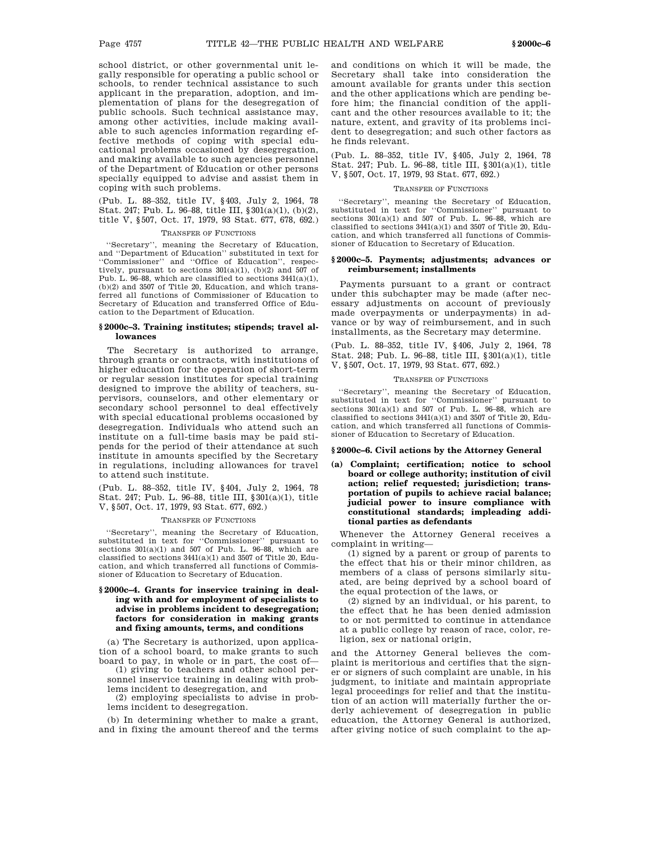school district, or other governmental unit legally responsible for operating a public school or schools, to render technical assistance to such applicant in the preparation, adoption, and implementation of plans for the desegregation of public schools. Such technical assistance may, among other activities, include making available to such agencies information regarding effective methods of coping with special educational problems occasioned by desegregation, and making available to such agencies personnel of the Department of Education or other persons specially equipped to advise and assist them in coping with such problems.

(Pub. L. 88–352, title IV, §403, July 2, 1964, 78 Stat. 247; Pub. L. 96–88, title III, §301(a)(1), (b)(2), title V, §507, Oct. 17, 1979, 93 Stat. 677, 678, 692.)

## TRANSFER OF FUNCTIONS

''Secretary'', meaning the Secretary of Education, and ''Department of Education'' substituted in text for ''Commissioner'' and ''Office of Education'', respectively, pursuant to sections 301(a)(1), (b)(2) and 507 of Pub. L. 96–88, which are classified to sections 3441(a)(1), (b)(2) and 3507 of Title 20, Education, and which transferred all functions of Commissioner of Education to Secretary of Education and transferred Office of Education to the Department of Education.

## **§ 2000c–3. Training institutes; stipends; travel allowances**

The Secretary is authorized to arrange, through grants or contracts, with institutions of higher education for the operation of short-term or regular session institutes for special training designed to improve the ability of teachers, supervisors, counselors, and other elementary or secondary school personnel to deal effectively with special educational problems occasioned by desegregation. Individuals who attend such an institute on a full-time basis may be paid stipends for the period of their attendance at such institute in amounts specified by the Secretary in regulations, including allowances for travel to attend such institute.

(Pub. L. 88–352, title IV, §404, July 2, 1964, 78 Stat. 247; Pub. L. 96–88, title III, §301(a)(1), title V, §507, Oct. 17, 1979, 93 Stat. 677, 692.)

#### TRANSFER OF FUNCTIONS

''Secretary'', meaning the Secretary of Education, substituted in text for ''Commissioner'' pursuant to sections  $301(a)(1)$  and  $507$  of Pub. L.  $96-88$ , which are classified to sections 3441(a)(1) and 3507 of Title 20, Education, and which transferred all functions of Commissioner of Education to Secretary of Education.

## **§ 2000c–4. Grants for inservice training in dealing with and for employment of specialists to advise in problems incident to desegregation; factors for consideration in making grants and fixing amounts, terms, and conditions**

(a) The Secretary is authorized, upon application of a school board, to make grants to such board to pay, in whole or in part, the cost of—

(1) giving to teachers and other school personnel inservice training in dealing with problems incident to desegregation, and

(2) employing specialists to advise in problems incident to desegregation.

(b) In determining whether to make a grant, and in fixing the amount thereof and the terms and conditions on which it will be made, the Secretary shall take into consideration the amount available for grants under this section and the other applications which are pending before him; the financial condition of the applicant and the other resources available to it; the nature, extent, and gravity of its problems incident to desegregation; and such other factors as he finds relevant.

(Pub. L. 88–352, title IV, §405, July 2, 1964, 78 Stat. 247; Pub. L. 96–88, title III, §301(a)(1), title V, §507, Oct. 17, 1979, 93 Stat. 677, 692.)

#### TRANSFER OF FUNCTIONS

''Secretary'', meaning the Secretary of Education, substituted in text for ''Commissioner'' pursuant to sections  $301(a)(1)$  and  $507$  of Pub. L.  $96-88$ , which are classified to sections 3441(a)(1) and 3507 of Title 20, Education, and which transferred all functions of Commissioner of Education to Secretary of Education.

### **§ 2000c–5. Payments; adjustments; advances or reimbursement; installments**

Payments pursuant to a grant or contract under this subchapter may be made (after necessary adjustments on account of previously made overpayments or underpayments) in advance or by way of reimbursement, and in such installments, as the Secretary may determine.

(Pub. L. 88–352, title IV, §406, July 2, 1964, 78 Stat. 248; Pub. L. 96–88, title III, §301(a)(1), title V, §507, Oct. 17, 1979, 93 Stat. 677, 692.)

## TRANSFER OF FUNCTIONS

''Secretary'', meaning the Secretary of Education, substituted in text for ''Commissioner'' pursuant to sections  $301(a)(1)$  and  $507$  of Pub. L.  $96-88$ , which are classified to sections 3441(a)(1) and 3507 of Title 20, Education, and which transferred all functions of Commissioner of Education to Secretary of Education.

#### **§ 2000c–6. Civil actions by the Attorney General**

**(a) Complaint; certification; notice to school board or college authority; institution of civil action; relief requested; jurisdiction; transportation of pupils to achieve racial balance; judicial power to insure compliance with constitutional standards; impleading additional parties as defendants**

Whenever the Attorney General receives a complaint in writing—

(1) signed by a parent or group of parents to the effect that his or their minor children, as members of a class of persons similarly situated, are being deprived by a school board of the equal protection of the laws, or

(2) signed by an individual, or his parent, to the effect that he has been denied admission to or not permitted to continue in attendance at a public college by reason of race, color, religion, sex or national origin,

and the Attorney General believes the complaint is meritorious and certifies that the signer or signers of such complaint are unable, in his judgment, to initiate and maintain appropriate legal proceedings for relief and that the institution of an action will materially further the orderly achievement of desegregation in public education, the Attorney General is authorized, after giving notice of such complaint to the ap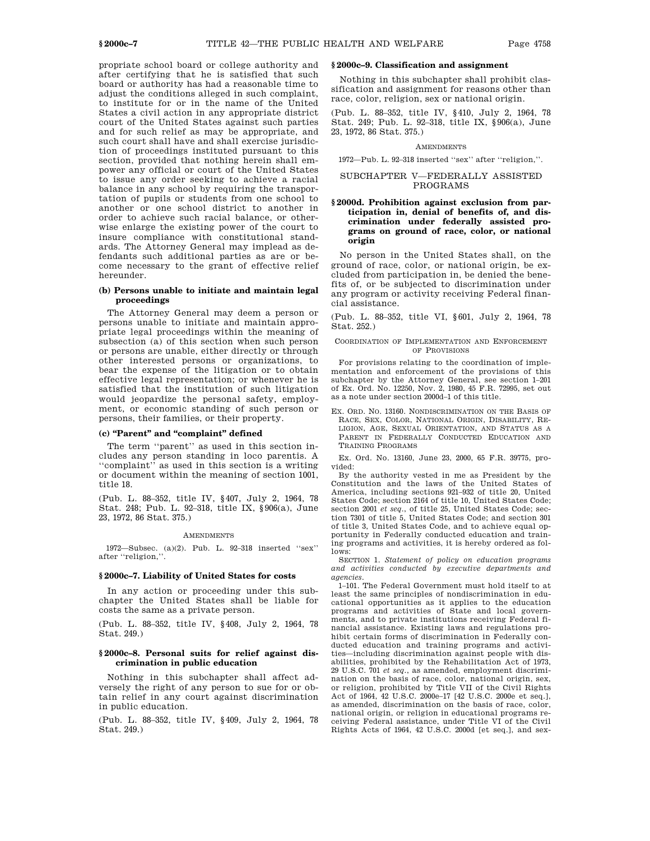propriate school board or college authority and after certifying that he is satisfied that such board or authority has had a reasonable time to adjust the conditions alleged in such complaint, to institute for or in the name of the United States a civil action in any appropriate district court of the United States against such parties and for such relief as may be appropriate, and such court shall have and shall exercise jurisdiction of proceedings instituted pursuant to this section, provided that nothing herein shall empower any official or court of the United States to issue any order seeking to achieve a racial balance in any school by requiring the transportation of pupils or students from one school to another or one school district to another in order to achieve such racial balance, or otherwise enlarge the existing power of the court to insure compliance with constitutional standards. The Attorney General may implead as defendants such additional parties as are or become necessary to the grant of effective relief hereunder.

## **(b) Persons unable to initiate and maintain legal proceedings**

The Attorney General may deem a person or persons unable to initiate and maintain appropriate legal proceedings within the meaning of subsection (a) of this section when such person or persons are unable, either directly or through other interested persons or organizations, to bear the expense of the litigation or to obtain effective legal representation; or whenever he is satisfied that the institution of such litigation would jeopardize the personal safety, employment, or economic standing of such person or persons, their families, or their property.

#### **(c) ''Parent'' and ''complaint'' defined**

The term ''parent'' as used in this section includes any person standing in loco parentis. A ''complaint'' as used in this section is a writing or document within the meaning of section 1001, title 18.

(Pub. L. 88–352, title IV, §407, July 2, 1964, 78 Stat. 248; Pub. L. 92–318, title IX, §906(a), June 23, 1972, 86 Stat. 375.)

## **AMENDMENTS**

1972—Subsec. (a)(2). Pub. L. 92–318 inserted ''sex'' after ''religion,''.

#### **§ 2000c–7. Liability of United States for costs**

In any action or proceeding under this subchapter the United States shall be liable for costs the same as a private person.

(Pub. L. 88–352, title IV, §408, July 2, 1964, 78 Stat. 249.)

## **§ 2000c–8. Personal suits for relief against discrimination in public education**

Nothing in this subchapter shall affect adversely the right of any person to sue for or obtain relief in any court against discrimination in public education.

(Pub. L. 88–352, title IV, §409, July 2, 1964, 78 Stat. 249.)

## **§ 2000c–9. Classification and assignment**

Nothing in this subchapter shall prohibit classification and assignment for reasons other than race, color, religion, sex or national origin.

(Pub. L. 88–352, title IV, §410, July 2, 1964, 78 Stat. 249; Pub. L. 92–318, title IX, §906(a), June 23, 1972, 86 Stat. 375.)

## **AMENDMENTS**

1972—Pub. L. 92–318 inserted ''sex'' after ''religion,''.

## SUBCHAPTER V—FEDERALLY ASSISTED PROGRAMS

## **§ 2000d. Prohibition against exclusion from participation in, denial of benefits of, and discrimination under federally assisted programs on ground of race, color, or national origin**

No person in the United States shall, on the ground of race, color, or national origin, be excluded from participation in, be denied the benefits of, or be subjected to discrimination under any program or activity receiving Federal financial assistance.

(Pub. L. 88–352, title VI, §601, July 2, 1964, 78 Stat. 252.)

#### COORDINATION OF IMPLEMENTATION AND ENFORCEMENT OF PROVISIONS

For provisions relating to the coordination of implementation and enforcement of the provisions of this subchapter by the Attorney General, see section 1–201 of Ex. Ord. No. 12250, Nov. 2, 1980, 45 F.R. 72995, set out as a note under section 2000d–1 of this title.

EX. ORD. NO. 13160. NONDISCRIMINATION ON THE BASIS OF RACE, SEX, COLOR, NATIONAL ORIGIN, DISABILITY, RE-LIGION, AGE, SEXUAL ORIENTATION, AND STATUS AS A PARENT IN FEDERALLY CONDUCTED EDUCATION AND TRAINING PROGRAMS

Ex. Ord. No. 13160, June 23, 2000, 65 F.R. 39775, provided:

By the authority vested in me as President by the Constitution and the laws of the United States of America, including sections 921–932 of title 20, United States Code; section 2164 of title 10, United States Code; section 2001 *et seq*., of title 25, United States Code; section 7301 of title 5, United States Code; and section 301 of title 3, United States Code, and to achieve equal opportunity in Federally conducted education and training programs and activities, it is hereby ordered as follows:

SECTION 1. *Statement of policy on education programs and activities conducted by executive departments and agencies.*

1–101. The Federal Government must hold itself to at least the same principles of nondiscrimination in educational opportunities as it applies to the education programs and activities of State and local governments, and to private institutions receiving Federal financial assistance. Existing laws and regulations prohibit certain forms of discrimination in Federally conducted education and training programs and activities—including discrimination against people with disabilities, prohibited by the Rehabilitation Act of 1973, 29 U.S.C. 701 *et seq*., as amended, employment discrimination on the basis of race, color, national origin, sex, or religion, prohibited by Title VII of the Civil Rights Act of 1964, 42 U.S.C. 2000e–17 [42 U.S.C. 2000e et seq.], as amended, discrimination on the basis of race, color, national origin, or religion in educational programs receiving Federal assistance, under Title VI of the Civil Rights Acts of 1964, 42 U.S.C. 2000d [et seq.], and sex-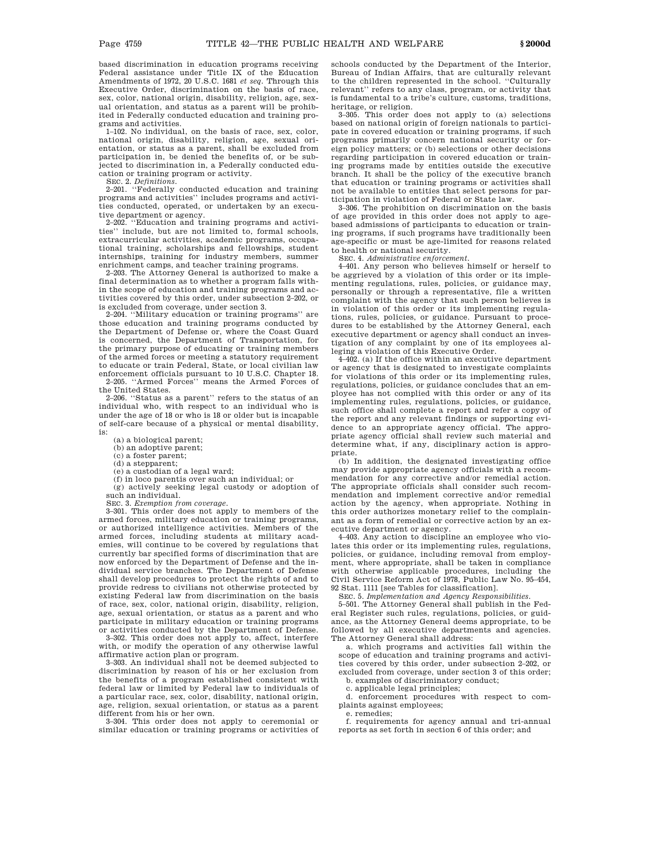based discrimination in education programs receiving Federal assistance under Title IX of the Education Amendments of 1972, 20 U.S.C. 1681 *et seq*. Through this Executive Order, discrimination on the basis of race, sex, color, national origin, disability, religion, age, sexual orientation, and status as a parent will be prohibited in Federally conducted education and training programs and activities.

1–102. No individual, on the basis of race, sex, color, national origin, disability, religion, age, sexual orientation, or status as a parent, shall be excluded from participation in, be denied the benefits of, or be subjected to discrimination in, a Federally conducted education or training program or activity.

SEC. 2. *Definitions.* 2–201. ''Federally conducted education and training programs and activities'' includes programs and activities conducted, operated, or undertaken by an execu-

tive department or agency. 2–202. ''Education and training programs and activities'' include, but are not limited to, formal schools, extracurricular activities, academic programs, occupational training, scholarships and fellowships, student internships, training for industry members, summer enrichment camps, and teacher training programs.

2–203. The Attorney General is authorized to make a final determination as to whether a program falls within the scope of education and training programs and activities covered by this order, under subsection 2–202, or

is excluded from coverage, under section 3. 2–204. ''Military education or training programs'' are those education and training programs conducted by the Department of Defense or, where the Coast Guard is concerned, the Department of Transportation, for the primary purpose of educating or training members of the armed forces or meeting a statutory requirement to educate or train Federal, State, or local civilian law enforcement officials pursuant to 10 U.S.C. Chapter 18.

2–205. ''Armed Forces'' means the Armed Forces of the United States.

2–206. ''Status as a parent'' refers to the status of an individual who, with respect to an individual who is under the age of 18 or who is 18 or older but is incapable of self-care because of a physical or mental disability, is:

(a) a biological parent;

(b) an adoptive parent;

(c) a foster parent;

(d) a stepparent;

(e) a custodian of a legal ward;

(f) in loco parentis over such an individual; or (g) actively seeking legal custody or adoption of

such an individual.

SEC. 3. *Exemption from coverage.*

3–301. This order does not apply to members of the armed forces, military education or training programs, or authorized intelligence activities. Members of the armed forces, including students at military academies, will continue to be covered by regulations that currently bar specified forms of discrimination that are now enforced by the Department of Defense and the individual service branches. The Department of Defense shall develop procedures to protect the rights of and to provide redress to civilians not otherwise protected by existing Federal law from discrimination on the basis of race, sex, color, national origin, disability, religion, age, sexual orientation, or status as a parent and who participate in military education or training programs or activities conducted by the Department of Defense.

3–302. This order does not apply to, affect, interfere with, or modify the operation of any otherwise lawful affirmative action plan or program. 3–303. An individual shall not be deemed subjected to

discrimination by reason of his or her exclusion from the benefits of a program established consistent with federal law or limited by Federal law to individuals of a particular race, sex, color, disability, national origin, age, religion, sexual orientation, or status as a parent different from his or her own.

3–304. This order does not apply to ceremonial or similar education or training programs or activities of schools conducted by the Department of the Interior, Bureau of Indian Affairs, that are culturally relevant to the children represented in the school. ''Culturally relevant'' refers to any class, program, or activity that is fundamental to a tribe's culture, customs, traditions, heritage, or religion.

3–305. This order does not apply to (a) selections based on national origin of foreign nationals to participate in covered education or training programs, if such programs primarily concern national security or foreign policy matters; or (b) selections or other decisions regarding participation in covered education or training programs made by entities outside the executive branch. It shall be the policy of the executive branch that education or training programs or activities shall not be available to entities that select persons for participation in violation of Federal or State law.

3–306. The prohibition on discrimination on the basis of age provided in this order does not apply to agebased admissions of participants to education or training programs, if such programs have traditionally been age-specific or must be age-limited for reasons related to health or national security.

SEC. 4. *Administrative enforcement.*

4–401. Any person who believes himself or herself to be aggrieved by a violation of this order or its implementing regulations, rules, policies, or guidance may, personally or through a representative, file a written complaint with the agency that such person believes is in violation of this order or its implementing regulations, rules, policies, or guidance. Pursuant to procedures to be established by the Attorney General, each executive department or agency shall conduct an investigation of any complaint by one of its employees alleging a violation of this Executive Order.

4–402. (a) If the office within an executive department or agency that is designated to investigate complaints for violations of this order or its implementing rules, regulations, policies, or guidance concludes that an employee has not complied with this order or any of its implementing rules, regulations, policies, or guidance, such office shall complete a report and refer a copy of the report and any relevant findings or supporting evidence to an appropriate agency official. The appropriate agency official shall review such material and determine what, if any, disciplinary action is appropriate.

(b) In addition, the designated investigating office may provide appropriate agency officials with a recommendation for any corrective and/or remedial action. The appropriate officials shall consider such recommendation and implement corrective and/or remedial action by the agency, when appropriate. Nothing in this order authorizes monetary relief to the complainant as a form of remedial or corrective action by an executive department or agency.

4–403. Any action to discipline an employee who violates this order or its implementing rules, regulations, policies, or guidance, including removal from employment, where appropriate, shall be taken in compliance with otherwise applicable procedures, including the Civil Service Reform Act of 1978, Public Law No. 95–454, 92 Stat. 1111 [see Tables for classification].

SEC. 5. *Implementation and Agency Responsibilities.*

5–501. The Attorney General shall publish in the Federal Register such rules, regulations, policies, or guidance, as the Attorney General deems appropriate, to be followed by all executive departments and agencies. The Attorney General shall address:

a. which programs and activities fall within the scope of education and training programs and activities covered by this order, under subsection 2–202, or excluded from coverage, under section 3 of this order;

b. examples of discriminatory conduct; c. applicable legal principles;

d. enforcement procedures with respect to com-

plaints against employees; e. remedies;

f. requirements for agency annual and tri-annual reports as set forth in section 6 of this order; and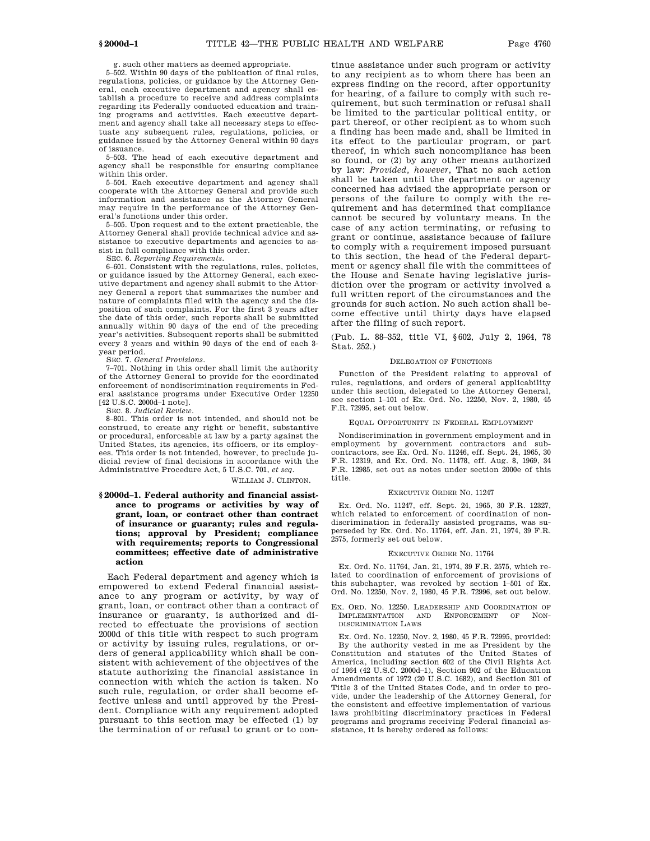g. such other matters as deemed appropriate.

5–502. Within 90 days of the publication of final rules, regulations, policies, or guidance by the Attorney General, each executive department and agency shall establish a procedure to receive and address complaints regarding its Federally conducted education and training programs and activities. Each executive department and agency shall take all necessary steps to effectuate any subsequent rules, regulations, policies, or guidance issued by the Attorney General within 90 days of issuance.

5–503. The head of each executive department and agency shall be responsible for ensuring compliance within this order.

5–504. Each executive department and agency shall cooperate with the Attorney General and provide such information and assistance as the Attorney General may require in the performance of the Attorney General's functions under this order.

5–505. Upon request and to the extent practicable, the Attorney General shall provide technical advice and assistance to executive departments and agencies to assist in full compliance with this order.

SEC. 6. *Reporting Requirements.*

6–601. Consistent with the regulations, rules, policies, or guidance issued by the Attorney General, each executive department and agency shall submit to the Attorney General a report that summarizes the number and nature of complaints filed with the agency and the disposition of such complaints. For the first 3 years after the date of this order, such reports shall be submitted annually within 90 days of the end of the preceding year's activities. Subsequent reports shall be submitted every 3 years and within 90 days of the end of each 3 year period.

SEC. 7. *General Provisions.*

7–701. Nothing in this order shall limit the authority of the Attorney General to provide for the coordinated enforcement of nondiscrimination requirements in Federal assistance programs under Executive Order 12250 [42 U.S.C. 2000d–1 note].

SEC. 8. *Judicial Review.*

8–801. This order is not intended, and should not be construed, to create any right or benefit, substantive or procedural, enforceable at law by a party against the United States, its agencies, its officers, or its employees. This order is not intended, however, to preclude judicial review of final decisions in accordance with the Administrative Procedure Act, 5 U.S.C. 701, *et seq.*

#### WILLIAM J. CLINTON.

## **§ 2000d–1. Federal authority and financial assistance to programs or activities by way of grant, loan, or contract other than contract of insurance or guaranty; rules and regulations; approval by President; compliance with requirements; reports to Congressional committees; effective date of administrative action**

Each Federal department and agency which is empowered to extend Federal financial assistance to any program or activity, by way of grant, loan, or contract other than a contract of insurance or guaranty, is authorized and directed to effectuate the provisions of section 2000d of this title with respect to such program or activity by issuing rules, regulations, or orders of general applicability which shall be consistent with achievement of the objectives of the statute authorizing the financial assistance in connection with which the action is taken. No such rule, regulation, or order shall become effective unless and until approved by the President. Compliance with any requirement adopted pursuant to this section may be effected (1) by the termination of or refusal to grant or to con-

tinue assistance under such program or activity to any recipient as to whom there has been an express finding on the record, after opportunity for hearing, of a failure to comply with such requirement, but such termination or refusal shall be limited to the particular political entity, or part thereof, or other recipient as to whom such a finding has been made and, shall be limited in its effect to the particular program, or part thereof, in which such noncompliance has been so found, or (2) by any other means authorized by law: *Provided, however*, That no such action shall be taken until the department or agency concerned has advised the appropriate person or persons of the failure to comply with the requirement and has determined that compliance cannot be secured by voluntary means. In the case of any action terminating, or refusing to grant or continue, assistance because of failure to comply with a requirement imposed pursuant to this section, the head of the Federal department or agency shall file with the committees of the House and Senate having legislative jurisdiction over the program or activity involved a full written report of the circumstances and the grounds for such action. No such action shall become effective until thirty days have elapsed after the filing of such report.

(Pub. L. 88–352, title VI, §602, July 2, 1964, 78 Stat. 252.)

#### DELEGATION OF FUNCTIONS

Function of the President relating to approval of rules, regulations, and orders of general applicability under this section, delegated to the Attorney General, see section 1–101 of Ex. Ord. No. 12250, Nov. 2, 1980, 45 F.R. 72995, set out below.

#### EQUAL OPPORTUNITY IN FEDERAL EMPLOYMENT

Nondiscrimination in government employment and in employment by government contractors and subcontractors, see Ex. Ord. No. 11246, eff. Sept. 24, 1965, 30 F.R. 12319, and Ex. Ord. No. 11478, eff. Aug. 8, 1969, 34 F.R. 12985, set out as notes under section 2000e of this title.

#### EXECUTIVE ORDER NO. 11247

Ex. Ord. No. 11247, eff. Sept. 24, 1965, 30 F.R. 12327, which related to enforcement of coordination of nondiscrimination in federally assisted programs, was superseded by Ex. Ord. No. 11764, eff. Jan. 21, 1974, 39 F.R. 2575, formerly set out below.

#### EXECUTIVE ORDER NO. 11764

Ex. Ord. No. 11764, Jan. 21, 1974, 39 F.R. 2575, which related to coordination of enforcement of provisions of this subchapter, was revoked by section 1–501 of Ex. Ord. No. 12250, Nov. 2, 1980, 45 F.R. 72996, set out below.

EX. ORD. NO. 12250. LEADERSHIP AND COORDINATION OF IMPLEMENTATION AND ENFORCEMENT OF NON-DISCRIMINATION LAWS

Ex. Ord. No. 12250, Nov. 2, 1980, 45 F.R. 72995, provided: By the authority vested in me as President by the Constitution and statutes of the United States of America, including section 602 of the Civil Rights Act of 1964 (42 U.S.C. 2000d–1), Section 902 of the Education Amendments of 1972 (20 U.S.C. 1682), and Section 301 of Title 3 of the United States Code, and in order to provide, under the leadership of the Attorney General, for the consistent and effective implementation of various laws prohibiting discriminatory practices in Federal programs and programs receiving Federal financial assistance, it is hereby ordered as follows: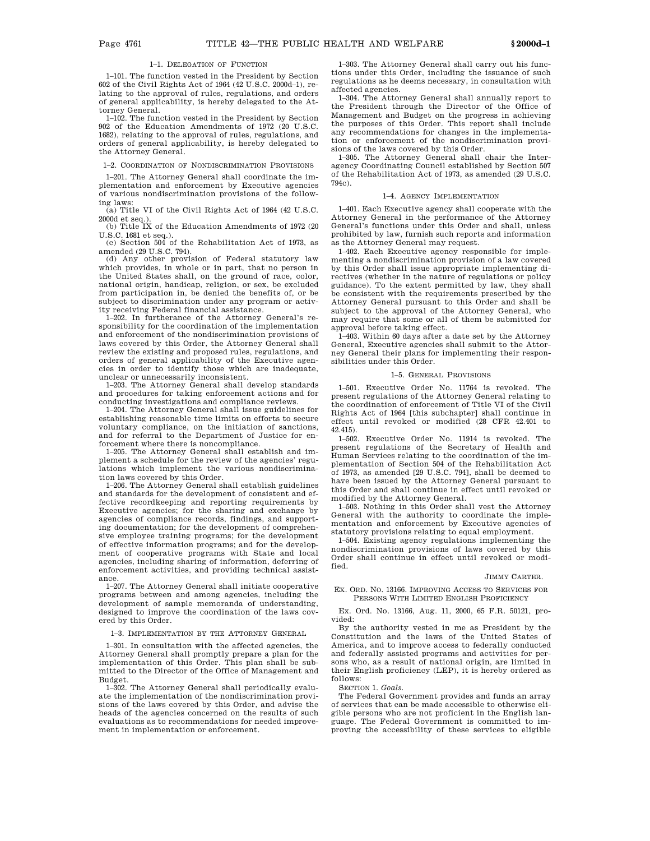## 1–1. DELEGATION OF FUNCTION

1–101. The function vested in the President by Section 602 of the Civil Rights Act of 1964 (42 U.S.C. 2000d–1), relating to the approval of rules, regulations, and orders of general applicability, is hereby delegated to the Attorney General.

1–102. The function vested in the President by Section 902 of the Education Amendments of 1972 (20 U.S.C. 1682), relating to the approval of rules, regulations, and orders of general applicability, is hereby delegated to the Attorney General.

1–2. COORDINATION OF NONDISCRIMINATION PROVISIONS

1–201. The Attorney General shall coordinate the implementation and enforcement by Executive agencies of various nondiscrimination provisions of the following laws:

(a) Title VI of the Civil Rights Act of 1964 (42 U.S.C. 2000d et seq.).

(b) Title IX of the Education Amendments of 1972 (20

U.S.C. 1681 et seq.). (c) Section 504 of the Rehabilitation Act of 1973, as amended (29 U.S.C. 794).

(d) Any other provision of Federal statutory law which provides, in whole or in part, that no person in the United States shall, on the ground of race, color, national origin, handicap, religion, or sex, be excluded from participation in, be denied the benefits of, or be subject to discrimination under any program or activity receiving Federal financial assistance. 1–202. In furtherance of the Attorney General's re-

sponsibility for the coordination of the implementation and enforcement of the nondiscrimination provisions of laws covered by this Order, the Attorney General shall review the existing and proposed rules, regulations, and orders of general applicability of the Executive agencies in order to identify those which are inadequate, unclear or unnecessarily inconsistent.

1–203. The Attorney General shall develop standards and procedures for taking enforcement actions and for conducting investigations and compliance reviews.

1–204. The Attorney General shall issue guidelines for establishing reasonable time limits on efforts to secure voluntary compliance, on the initiation of sanctions, and for referral to the Department of Justice for enforcement where there is noncompliance.

1–205. The Attorney General shall establish and implement a schedule for the review of the agencies' regulations which implement the various nondiscrimination laws covered by this Order.

1–206. The Attorney General shall establish guidelines and standards for the development of consistent and effective recordkeeping and reporting requirements by Executive agencies; for the sharing and exchange by agencies of compliance records, findings, and supporting documentation; for the development of comprehensive employee training programs; for the development of effective information programs; and for the development of cooperative programs with State and local agencies, including sharing of information, deferring of enforcement activities, and providing technical assistance.

1–207. The Attorney General shall initiate cooperative programs between and among agencies, including the development of sample memoranda of understanding, designed to improve the coordination of the laws covered by this Order.

1–3. IMPLEMENTATION BY THE ATTORNEY GENERAL

1–301. In consultation with the affected agencies, the Attorney General shall promptly prepare a plan for the implementation of this Order. This plan shall be submitted to the Director of the Office of Management and Budget.

1–302. The Attorney General shall periodically evaluate the implementation of the nondiscrimination provisions of the laws covered by this Order, and advise the heads of the agencies concerned on the results of such evaluations as to recommendations for needed improvement in implementation or enforcement.

1–303. The Attorney General shall carry out his functions under this Order, including the issuance of such regulations as he deems necessary, in consultation with affected agencies.

1–304. The Attorney General shall annually report to the President through the Director of the Office of Management and Budget on the progress in achieving the purposes of this Order. This report shall include any recommendations for changes in the implementation or enforcement of the nondiscrimination provisions of the laws covered by this Order.

1–305. The Attorney General shall chair the Interagency Coordinating Council established by Section 507 of the Rehabilitation Act of 1973, as amended (29 U.S.C. 794c).

#### 1–4. AGENCY IMPLEMENTATION

1–401. Each Executive agency shall cooperate with the Attorney General in the performance of the Attorney General's functions under this Order and shall, unless prohibited by law, furnish such reports and information as the Attorney General may request.

1–402. Each Executive agency responsible for implementing a nondiscrimination provision of a law covered by this Order shall issue appropriate implementing directives (whether in the nature of regulations or policy guidance). To the extent permitted by law, they shall be consistent with the requirements prescribed by the Attorney General pursuant to this Order and shall be subject to the approval of the Attorney General, who may require that some or all of them be submitted for approval before taking effect.

1–403. Within 60 days after a date set by the Attorney General, Executive agencies shall submit to the Attorney General their plans for implementing their responsibilities under this Order.

#### 1–5. GENERAL PROVISIONS

1–501. Executive Order No. 11764 is revoked. The present regulations of the Attorney General relating to the coordination of enforcement of Title VI of the Civil Rights Act of 1964 [this subchapter] shall continue in effect until revoked or modified (28 CFR 42.401 to 42.415).

1–502. Executive Order No. 11914 is revoked. The present regulations of the Secretary of Health and Human Services relating to the coordination of the implementation of Section 504 of the Rehabilitation Act of 1973, as amended [29 U.S.C. 794], shall be deemed to have been issued by the Attorney General pursuant to this Order and shall continue in effect until revoked or modified by the Attorney General.

1–503. Nothing in this Order shall vest the Attorney General with the authority to coordinate the implementation and enforcement by Executive agencies of statutory provisions relating to equal employment.

1–504. Existing agency regulations implementing the nondiscrimination provisions of laws covered by this Order shall continue in effect until revoked or modified.

#### JIMMY CARTER.

EX. ORD. NO. 13166. IMPROVING ACCESS TO SERVICES FOR PERSONS WITH LIMITED ENGLISH PROFICIENCY

Ex. Ord. No. 13166, Aug. 11, 2000, 65 F.R. 50121, provided:

By the authority vested in me as President by the Constitution and the laws of the United States of America, and to improve access to federally conducted and federally assisted programs and activities for persons who, as a result of national origin, are limited in their English proficiency (LEP), it is hereby ordered as follows:

#### SECTION 1. *Goals.*

The Federal Government provides and funds an array of services that can be made accessible to otherwise eligible persons who are not proficient in the English language. The Federal Government is committed to improving the accessibility of these services to eligible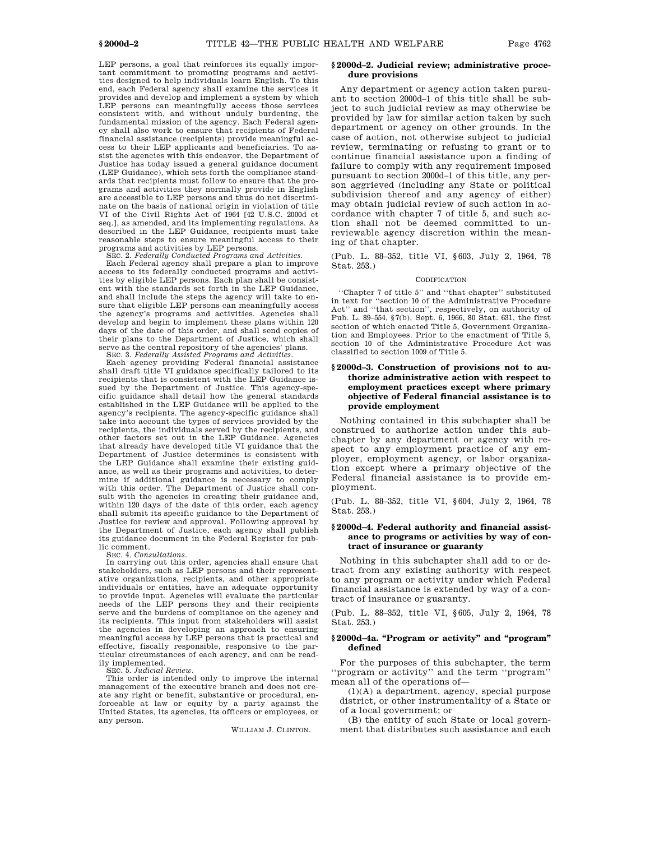LEP persons, a goal that reinforces its equally important commitment to promoting programs and activities designed to help individuals learn English. To this end, each Federal agency shall examine the services it provides and develop and implement a system by which LEP persons can meaningfully access those services consistent with, and without unduly burdening, the fundamental mission of the agency. Each Federal agency shall also work to ensure that recipients of Federal financial assistance (recipients) provide meaningful access to their LEP applicants and beneficiaries. To assist the agencies with this endeavor, the Department of Justice has today issued a general guidance document (LEP Guidance), which sets forth the compliance standards that recipients must follow to ensure that the programs and activities they normally provide in English are accessible to LEP persons and thus do not discriminate on the basis of national origin in violation of title VI of the Civil Rights Act of 1964 [42 U.S.C. 2000d et seq.], as amended, and its implementing regulations. As described in the LEP Guidance, recipients must take reasonable steps to ensure meaningful access to their programs and activities by LEP persons. SEC. 2. *Federally Conducted Programs and Activities.*

Each Federal agency shall prepare a plan to improve access to its federally conducted programs and activities by eligible LEP persons. Each plan shall be consistent with the standards set forth in the LEP Guidance, and shall include the steps the agency will take to ensure that eligible LEP persons can meaningfully access the agency's programs and activities. Agencies shall develop and begin to implement these plans within 120 days of the date of this order, and shall send copies of their plans to the Department of Justice, which shall serve as the central repository of the agencies' plans. SEC. 3. *Federally Assisted Programs and Activities.*

Each agency providing Federal financial assistance shall draft title VI guidance specifically tailored to its recipients that is consistent with the LEP Guidance issued by the Department of Justice. This agency-specific guidance shall detail how the general standards established in the LEP Guidance will be applied to the agency's recipients. The agency-specific guidance shall take into account the types of services provided by the recipients, the individuals served by the recipients, and other factors set out in the LEP Guidance. Agencies that already have developed title VI guidance that the Department of Justice determines is consistent with the LEP Guidance shall examine their existing guidance, as well as their programs and activities, to determine if additional guidance is necessary to comply with this order. The Department of Justice shall consult with the agencies in creating their guidance and, within 120 days of the date of this order, each agency shall submit its specific guidance to the Department of Justice for review and approval. Following approval by the Department of Justice, each agency shall publish its guidance document in the Federal Register for public comment.

SEC. 4. *Consultations.*

In carrying out this order, agencies shall ensure that stakeholders, such as LEP persons and their representative organizations, recipients, and other appropriate individuals or entities, have an adequate opportunity to provide input. Agencies will evaluate the particular needs of the LEP persons they and their recipients serve and the burdens of compliance on the agency and its recipients. This input from stakeholders will assist the agencies in developing an approach to ensuring meaningful access by LEP persons that is practical and effective, fiscally responsible, responsive to the particular circumstances of each agency, and can be readily implemented.

SEC. 5. *Judicial Review.*

This order is intended only to improve the internal management of the executive branch and does not create any right or benefit, substantive or procedural, enforceable at law or equity by a party against the United States, its agencies, its officers or employees, or any person.

WILLIAM J. CLINTON.

## **§ 2000d–2. Judicial review; administrative procedure provisions**

Any department or agency action taken pursuant to section 2000d–1 of this title shall be subject to such judicial review as may otherwise be provided by law for similar action taken by such department or agency on other grounds. In the case of action, not otherwise subject to judicial review, terminating or refusing to grant or to continue financial assistance upon a finding of failure to comply with any requirement imposed pursuant to section 2000d–1 of this title, any person aggrieved (including any State or political subdivision thereof and any agency of either) may obtain judicial review of such action in accordance with chapter 7 of title 5, and such action shall not be deemed committed to unreviewable agency discretion within the meaning of that chapter.

(Pub. L. 88–352, title VI, §603, July 2, 1964, 78 Stat. 253.)

#### CODIFICATION

''Chapter 7 of title 5'' and ''that chapter'' substituted in text for ''section 10 of the Administrative Procedure Act'' and ''that section'', respectively, on authority of Pub. L. 89–554, §7(b), Sept. 6, 1966, 80 Stat. 631, the first section of which enacted Title 5, Government Organization and Employees. Prior to the enactment of Title 5, section 10 of the Administrative Procedure Act was classified to section 1009 of Title 5.

## **§ 2000d–3. Construction of provisions not to authorize administrative action with respect to employment practices except where primary objective of Federal financial assistance is to provide employment**

Nothing contained in this subchapter shall be construed to authorize action under this subchapter by any department or agency with respect to any employment practice of any employer, employment agency, or labor organization except where a primary objective of the Federal financial assistance is to provide employment.

(Pub. L. 88–352, title VI, §604, July 2, 1964, 78 Stat. 253.)

## **§ 2000d–4. Federal authority and financial assistance to programs or activities by way of contract of insurance or guaranty**

Nothing in this subchapter shall add to or detract from any existing authority with respect to any program or activity under which Federal financial assistance is extended by way of a contract of insurance or guaranty.

(Pub. L. 88–352, title VI, §605, July 2, 1964, 78 Stat. 253.)

## **§ 2000d–4a. ''Program or activity'' and ''program'' defined**

For the purposes of this subchapter, the term ''program or activity'' and the term ''program'' mean all of the operations of—

(1)(A) a department, agency, special purpose district, or other instrumentality of a State or of a local government; or

(B) the entity of such State or local government that distributes such assistance and each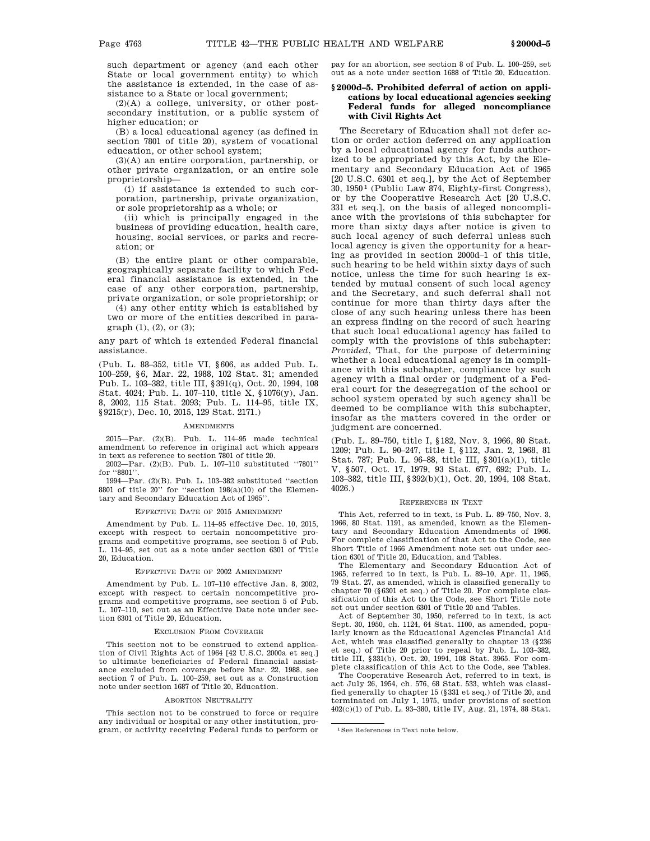such department or agency (and each other State or local government entity) to which the assistance is extended, in the case of assistance to a State or local government;

(2)(A) a college, university, or other postsecondary institution, or a public system of higher education; or

(B) a local educational agency (as defined in section 7801 of title 20), system of vocational education, or other school system;

(3)(A) an entire corporation, partnership, or other private organization, or an entire sole proprietorship—

(i) if assistance is extended to such corporation, partnership, private organization, or sole proprietorship as a whole; or

(ii) which is principally engaged in the business of providing education, health care, housing, social services, or parks and recreation; or

(B) the entire plant or other comparable, geographically separate facility to which Federal financial assistance is extended, in the case of any other corporation, partnership, private organization, or sole proprietorship; or

(4) any other entity which is established by two or more of the entities described in paragraph (1), (2), or (3);

any part of which is extended Federal financial assistance.

(Pub. L. 88–352, title VI, §606, as added Pub. L. 100–259, §6, Mar. 22, 1988, 102 Stat. 31; amended Pub. L. 103–382, title III, §391(q), Oct. 20, 1994, 108 Stat. 4024; Pub. L. 107–110, title X, §1076(y), Jan. 8, 2002, 115 Stat. 2093; Pub. L. 114–95, title IX, §9215(r), Dec. 10, 2015, 129 Stat. 2171.)

#### **AMENDMENTS**

2015—Par. (2)(B). Pub. L. 114–95 made technical amendment to reference in original act which appears in text as reference to section 7801 of title 20.

2002—Par. (2)(B). Pub. L. 107–110 substituted ''7801'' for ''8801''.

1994—Par. (2)(B). Pub. L. 103–382 substituted ''section 8801 of title 20'' for ''section 198(a)(10) of the Elementary and Secondary Education Act of 1965''.

#### EFFECTIVE DATE OF 2015 AMENDMENT

Amendment by Pub. L. 114–95 effective Dec. 10, 2015, except with respect to certain noncompetitive programs and competitive programs, see section 5 of Pub. L. 114–95, set out as a note under section 6301 of Title 20, Education.

#### EFFECTIVE DATE OF 2002 AMENDMENT

Amendment by Pub. L. 107–110 effective Jan. 8, 2002, except with respect to certain noncompetitive programs and competitive programs, see section 5 of Pub. L. 107–110, set out as an Effective Date note under section 6301 of Title 20, Education.

#### EXCLUSION FROM COVERAGE

This section not to be construed to extend application of Civil Rights Act of 1964 [42 U.S.C. 2000a et seq.] to ultimate beneficiaries of Federal financial assistance excluded from coverage before Mar. 22, 1988, see section 7 of Pub. L. 100–259, set out as a Construction note under section 1687 of Title 20, Education.

#### ABORTION NEUTRALITY

This section not to be construed to force or require any individual or hospital or any other institution, program, or activity receiving Federal funds to perform or pay for an abortion, see section 8 of Pub. L. 100–259, set out as a note under section 1688 of Title 20, Education.

## **§ 2000d–5. Prohibited deferral of action on applications by local educational agencies seeking Federal funds for alleged noncompliance with Civil Rights Act**

The Secretary of Education shall not defer action or order action deferred on any application by a local educational agency for funds authorized to be appropriated by this Act, by the Elementary and Secondary Education Act of 1965 [20 U.S.C. 6301 et seq.], by the Act of September 30, 1950 1 (Public Law 874, Eighty-first Congress), or by the Cooperative Research Act [20 U.S.C. 331 et seq.], on the basis of alleged noncompliance with the provisions of this subchapter for more than sixty days after notice is given to such local agency of such deferral unless such local agency is given the opportunity for a hearing as provided in section 2000d–1 of this title, such hearing to be held within sixty days of such notice, unless the time for such hearing is extended by mutual consent of such local agency and the Secretary, and such deferral shall not continue for more than thirty days after the close of any such hearing unless there has been an express finding on the record of such hearing that such local educational agency has failed to comply with the provisions of this subchapter: *Provided*, That, for the purpose of determining whether a local educational agency is in compliance with this subchapter, compliance by such agency with a final order or judgment of a Federal court for the desegregation of the school or school system operated by such agency shall be deemed to be compliance with this subchapter, insofar as the matters covered in the order or judgment are concerned.

(Pub. L. 89–750, title I, §182, Nov. 3, 1966, 80 Stat. 1209; Pub. L. 90–247, title I, §112, Jan. 2, 1968, 81 Stat. 787; Pub. L. 96–88, title III, §301(a)(1), title V, §507, Oct. 17, 1979, 93 Stat. 677, 692; Pub. L. 103–382, title III, §392(b)(1), Oct. 20, 1994, 108 Stat. 4026.)

## REFERENCES IN TEXT

This Act, referred to in text, is Pub. L. 89–750, Nov. 3, 1966, 80 Stat. 1191, as amended, known as the Elementary and Secondary Education Amendments of 1966. For complete classification of that Act to the Code, see Short Title of 1966 Amendment note set out under section 6301 of Title 20, Education, and Tables.

The Elementary and Secondary Education Act of 1965, referred to in text, is Pub. L. 89–10, Apr. 11, 1965, 79 Stat. 27, as amended, which is classified generally to chapter 70 (§6301 et seq.) of Title 20. For complete classification of this Act to the Code, see Short Title note set out under section 6301 of Title 20 and Tables.

Act of September 30, 1950, referred to in text, is act Sept. 30, 1950, ch. 1124, 64 Stat. 1100, as amended, popularly known as the Educational Agencies Financial Aid Act, which was classified generally to chapter 13 (§236 et seq.) of Title 20 prior to repeal by Pub. L. 103–382, title III, §331(b), Oct. 20, 1994, 108 Stat. 3965. For complete classification of this Act to the Code, see Tables.

The Cooperative Research Act, referred to in text, is act July 26, 1954, ch. 576, 68 Stat. 533, which was classified generally to chapter 15 (§331 et seq.) of Title 20, and terminated on July 1, 1975, under provisions of section 402(c)(1) of Pub. L. 93–380, title IV, Aug. 21, 1974, 88 Stat.

<sup>1</sup>See References in Text note below.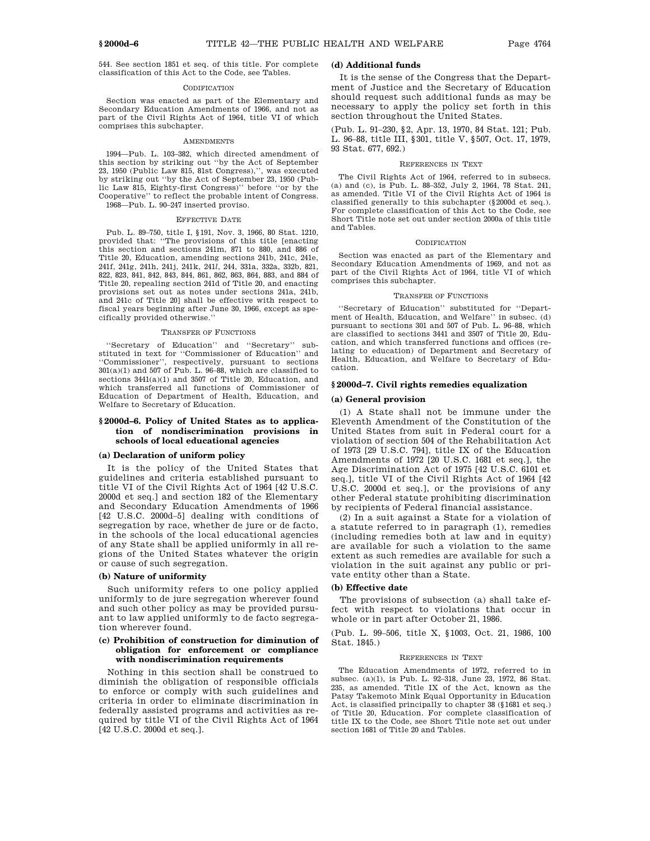544. See section 1851 et seq. of this title. For complete classification of this Act to the Code, see Tables.

#### **CODIFICATION**

Section was enacted as part of the Elementary and Secondary Education Amendments of 1966, and not as part of the Civil Rights Act of 1964, title VI of which comprises this subchapter.

#### AMENDMENTS

1994—Pub. L. 103–382, which directed amendment of this section by striking out ''by the Act of September 23, 1950 (Public Law 815, 81st Congress),'', was executed by striking out ''by the Act of September 23, 1950 (Public Law 815, Eighty-first Congress)'' before ''or by the Cooperative'' to reflect the probable intent of Congress.

1968—Pub. L. 90–247 inserted proviso.

#### EFFECTIVE DATE

Pub. L. 89–750, title I, §191, Nov. 3, 1966, 80 Stat. 1210, provided that: ''The provisions of this title [enacting this section and sections 241m, 871 to 880, and 886 of Title 20, Education, amending sections 241b, 241c, 241e, 241f, 241g, 241h, 241j, 241k, 241*l*, 244, 331a, 332a, 332b, 821, 822, 823, 841, 842, 843, 844, 861, 862, 863, 864, 883, and 884 of Title 20, repealing section 241d of Title 20, and enacting provisions set out as notes under sections 241a, 241b, and 241c of Title 20] shall be effective with respect to fiscal years beginning after June 30, 1966, except as specifically provided otherwise.''

#### TRANSFER OF FUNCTIONS

''Secretary of Education'' and ''Secretary'' substituted in text for ''Commissioner of Education'' and ''Commissioner'', respectively, pursuant to sections  $301(a)(1)$  and  $507$  of Pub. L.  $96-88$ , which are classified to sections  $3441(a)(1)$  and  $3507$  of Title 20, Education, and which transferred all functions of Commissioner of Education of Department of Health, Education, and Welfare to Secretary of Education.

## **§ 2000d–6. Policy of United States as to application of nondiscrimination provisions in schools of local educational agencies**

#### **(a) Declaration of uniform policy**

It is the policy of the United States that guidelines and criteria established pursuant to title VI of the Civil Rights Act of 1964 [42 U.S.C. 2000d et seq.] and section 182 of the Elementary and Secondary Education Amendments of 1966 [42 U.S.C. 2000d–5] dealing with conditions of segregation by race, whether de jure or de facto, in the schools of the local educational agencies of any State shall be applied uniformly in all regions of the United States whatever the origin or cause of such segregation.

#### **(b) Nature of uniformity**

Such uniformity refers to one policy applied uniformly to de jure segregation wherever found and such other policy as may be provided pursuant to law applied uniformly to de facto segregation wherever found.

## **(c) Prohibition of construction for diminution of obligation for enforcement or compliance with nondiscrimination requirements**

Nothing in this section shall be construed to diminish the obligation of responsible officials to enforce or comply with such guidelines and criteria in order to eliminate discrimination in federally assisted programs and activities as required by title VI of the Civil Rights Act of 1964 [42 U.S.C. 2000d et seq.].

## **(d) Additional funds**

It is the sense of the Congress that the Department of Justice and the Secretary of Education should request such additional funds as may be necessary to apply the policy set forth in this section throughout the United States.

(Pub. L. 91–230, §2, Apr. 13, 1970, 84 Stat. 121; Pub. L. 96–88, title III, §301, title V, §507, Oct. 17, 1979, 93 Stat. 677, 692.)

#### REFERENCES IN TEXT

The Civil Rights Act of 1964, referred to in subsecs. (a) and (c), is Pub. L. 88–352, July 2, 1964, 78 Stat. 241, as amended. Title VI of the Civil Rights Act of 1964 is classified generally to this subchapter (§2000d et seq.). For complete classification of this Act to the Code, see Short Title note set out under section 2000a of this title and Tables.

#### **CODIFICATION**

Section was enacted as part of the Elementary and Secondary Education Amendments of 1969, and not as part of the Civil Rights Act of 1964, title VI of which comprises this subchapter.

#### TRANSFER OF FUNCTIONS

''Secretary of Education'' substituted for ''Department of Health, Education, and Welfare'' in subsec. (d) pursuant to sections 301 and 507 of Pub. L. 96–88, which are classified to sections 3441 and 3507 of Title 20, Education, and which transferred functions and offices (relating to education) of Department and Secretary of Health, Education, and Welfare to Secretary of Education.

## **§ 2000d–7. Civil rights remedies equalization**

#### **(a) General provision**

(1) A State shall not be immune under the Eleventh Amendment of the Constitution of the United States from suit in Federal court for a violation of section 504 of the Rehabilitation Act of 1973 [29 U.S.C. 794], title IX of the Education Amendments of 1972 [20 U.S.C. 1681 et seq.], the Age Discrimination Act of 1975 [42 U.S.C. 6101 et seq.], title VI of the Civil Rights Act of 1964 [42 U.S.C. 2000d et seq.], or the provisions of any other Federal statute prohibiting discrimination by recipients of Federal financial assistance.

(2) In a suit against a State for a violation of a statute referred to in paragraph (1), remedies (including remedies both at law and in equity) are available for such a violation to the same extent as such remedies are available for such a violation in the suit against any public or private entity other than a State.

#### **(b) Effective date**

The provisions of subsection (a) shall take effect with respect to violations that occur in whole or in part after October 21, 1986.

(Pub. L. 99–506, title X, §1003, Oct. 21, 1986, 100 Stat. 1845.)

#### REFERENCES IN TEXT

The Education Amendments of 1972, referred to in subsec. (a)(1), is Pub. L. 92–318, June 23, 1972, 86 Stat. 235, as amended. Title IX of the Act, known as the Patsy Takemoto Mink Equal Opportunity in Education Act, is classified principally to chapter 38 (§1681 et seq.) of Title 20, Education. For complete classification of title IX to the Code, see Short Title note set out under section 1681 of Title 20 and Tables.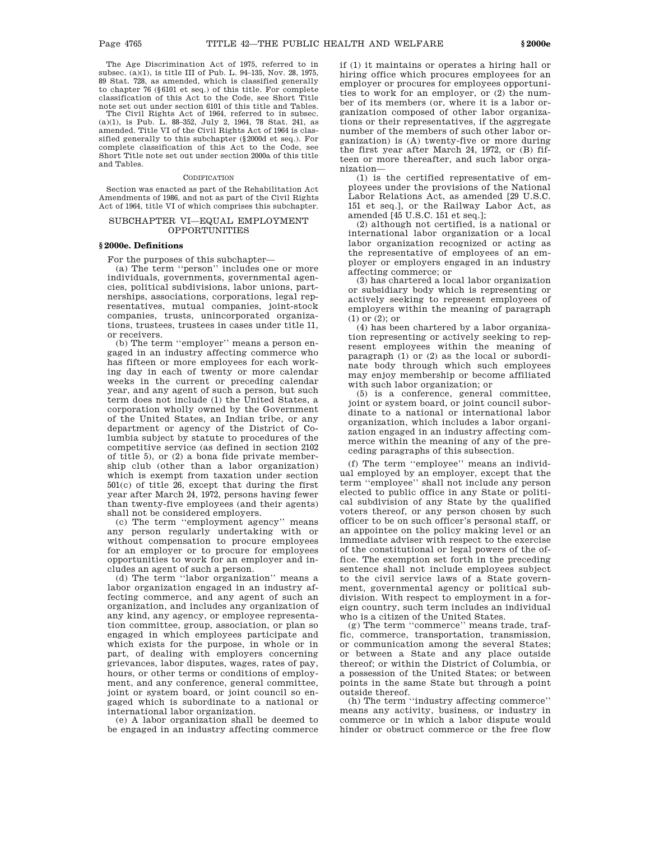The Age Discrimination Act of 1975, referred to in subsec. (a)(1), is title III of Pub. L. 94–135, Nov. 28, 1975, 89 Stat. 728, as amended, which is classified generally to chapter 76 (§6101 et seq.) of this title. For complete classification of this Act to the Code, see Short Title note set out under section 6101 of this title and Tables.

The Civil Rights Act of 1964, referred to in subsec. (a)(1), is Pub. L. 88–352, July 2, 1964, 78 Stat. 241, as amended. Title VI of the Civil Rights Act of 1964 is classified generally to this subchapter (§2000d et seq.). For complete classification of this Act to the Code, see Short Title note set out under section 2000a of this title and Tables.

#### CODIFICATION

Section was enacted as part of the Rehabilitation Act Amendments of 1986, and not as part of the Civil Rights Act of 1964, title VI of which comprises this subchapter.

## SUBCHAPTER VI—EQUAL EMPLOYMENT OPPORTUNITIES

#### **§ 2000e. Definitions**

For the purposes of this subchapter—

(a) The term ''person'' includes one or more individuals, governments, governmental agencies, political subdivisions, labor unions, partnerships, associations, corporations, legal representatives, mutual companies, joint-stock companies, trusts, unincorporated organizations, trustees, trustees in cases under title 11, or receivers.

(b) The term ''employer'' means a person engaged in an industry affecting commerce who has fifteen or more employees for each working day in each of twenty or more calendar weeks in the current or preceding calendar year, and any agent of such a person, but such term does not include (1) the United States, a corporation wholly owned by the Government of the United States, an Indian tribe, or any department or agency of the District of Columbia subject by statute to procedures of the competitive service (as defined in section 2102 of title 5), or (2) a bona fide private membership club (other than a labor organization) which is exempt from taxation under section 501(c) of title 26, except that during the first year after March 24, 1972, persons having fewer than twenty-five employees (and their agents) shall not be considered employers.

(c) The term ''employment agency'' means any person regularly undertaking with or without compensation to procure employees for an employer or to procure for employees opportunities to work for an employer and includes an agent of such a person.

(d) The term ''labor organization'' means a labor organization engaged in an industry affecting commerce, and any agent of such an organization, and includes any organization of any kind, any agency, or employee representation committee, group, association, or plan so engaged in which employees participate and which exists for the purpose, in whole or in part, of dealing with employers concerning grievances, labor disputes, wages, rates of pay, hours, or other terms or conditions of employment, and any conference, general committee, joint or system board, or joint council so engaged which is subordinate to a national or international labor organization.

(e) A labor organization shall be deemed to be engaged in an industry affecting commerce

if (1) it maintains or operates a hiring hall or hiring office which procures employees for an employer or procures for employees opportunities to work for an employer, or (2) the number of its members (or, where it is a labor organization composed of other labor organizations or their representatives, if the aggregate number of the members of such other labor organization) is (A) twenty-five or more during the first year after March 24, 1972, or (B) fifteen or more thereafter, and such labor organization—

(1) is the certified representative of employees under the provisions of the National Labor Relations Act, as amended [29 U.S.C. 151 et seq.], or the Railway Labor Act, as amended [45 U.S.C. 151 et seq.];

(2) although not certified, is a national or international labor organization or a local labor organization recognized or acting as the representative of employees of an employer or employers engaged in an industry affecting commerce; or

(3) has chartered a local labor organization or subsidiary body which is representing or actively seeking to represent employees of employers within the meaning of paragraph (1) or (2); or

(4) has been chartered by a labor organization representing or actively seeking to represent employees within the meaning of paragraph (1) or (2) as the local or subordinate body through which such employees may enjoy membership or become affiliated with such labor organization; or

(5) is a conference, general committee, joint or system board, or joint council subordinate to a national or international labor organization, which includes a labor organization engaged in an industry affecting commerce within the meaning of any of the preceding paragraphs of this subsection.

(f) The term ''employee'' means an individual employed by an employer, except that the term ''employee'' shall not include any person elected to public office in any State or political subdivision of any State by the qualified voters thereof, or any person chosen by such officer to be on such officer's personal staff, or an appointee on the policy making level or an immediate adviser with respect to the exercise of the constitutional or legal powers of the office. The exemption set forth in the preceding sentence shall not include employees subject to the civil service laws of a State government, governmental agency or political subdivision. With respect to employment in a foreign country, such term includes an individual who is a citizen of the United States.

(g) The term ''commerce'' means trade, traffic, commerce, transportation, transmission, or communication among the several States; or between a State and any place outside thereof; or within the District of Columbia, or a possession of the United States; or between points in the same State but through a point outside thereof.

(h) The term ''industry affecting commerce'' means any activity, business, or industry in commerce or in which a labor dispute would hinder or obstruct commerce or the free flow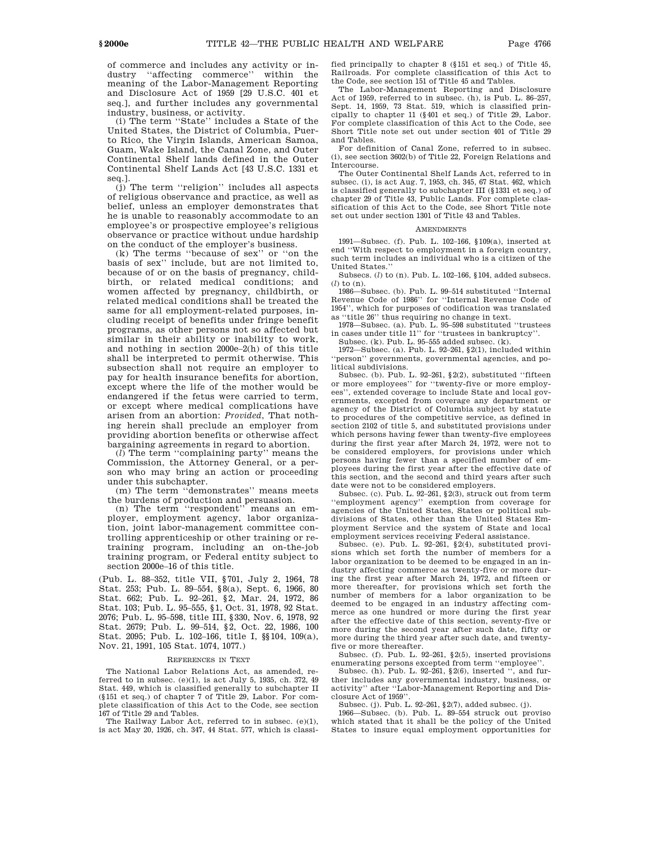of commerce and includes any activity or industry ''affecting commerce'' within the meaning of the Labor-Management Reporting and Disclosure Act of 1959 [29 U.S.C. 401 et seq.], and further includes any governmental industry, business, or activity.

(i) The term ''State'' includes a State of the United States, the District of Columbia, Puerto Rico, the Virgin Islands, American Samoa, Guam, Wake Island, the Canal Zone, and Outer Continental Shelf lands defined in the Outer Continental Shelf Lands Act [43 U.S.C. 1331 et seq.].

(j) The term ''religion'' includes all aspects of religious observance and practice, as well as belief, unless an employer demonstrates that he is unable to reasonably accommodate to an employee's or prospective employee's religious observance or practice without undue hardship on the conduct of the employer's business.

(k) The terms ''because of sex'' or ''on the basis of sex'' include, but are not limited to, because of or on the basis of pregnancy, childbirth, or related medical conditions; and women affected by pregnancy, childbirth, or related medical conditions shall be treated the same for all employment-related purposes, including receipt of benefits under fringe benefit programs, as other persons not so affected but similar in their ability or inability to work, and nothing in section 2000e–2(h) of this title shall be interpreted to permit otherwise. This subsection shall not require an employer to pay for health insurance benefits for abortion, except where the life of the mother would be endangered if the fetus were carried to term, or except where medical complications have arisen from an abortion: *Provided*, That nothing herein shall preclude an employer from providing abortion benefits or otherwise affect bargaining agreements in regard to abortion.

(*l*) The term ''complaining party'' means the Commission, the Attorney General, or a person who may bring an action or proceeding under this subchapter.

(m) The term ''demonstrates'' means meets the burdens of production and persuasion.

(n) The term ''respondent'' means an employer, employment agency, labor organization, joint labor-management committee controlling apprenticeship or other training or retraining program, including an on-the-job training program, or Federal entity subject to section 2000e–16 of this title.

(Pub. L. 88–352, title VII, §701, July 2, 1964, 78 Stat. 253; Pub. L. 89–554, §8(a), Sept. 6, 1966, 80 Stat. 662; Pub. L. 92–261, §2, Mar. 24, 1972, 86 Stat. 103; Pub. L. 95–555, §1, Oct. 31, 1978, 92 Stat. 2076; Pub. L. 95–598, title III, §330, Nov. 6, 1978, 92 Stat. 2679; Pub. L. 99–514, §2, Oct. 22, 1986, 100 Stat. 2095; Pub. L. 102–166, title I, §§104, 109(a), Nov. 21, 1991, 105 Stat. 1074, 1077.)

#### REFERENCES IN TEXT

The National Labor Relations Act, as amended, referred to in subsec. (e)(1), is act July 5, 1935, ch. 372, 49 Stat. 449, which is classified generally to subchapter II (§151 et seq.) of chapter 7 of Title 29, Labor. For complete classification of this Act to the Code, see section 167 of Title 29 and Tables.

The Railway Labor Act, referred to in subsec. (e)(1), is act May 20, 1926, ch. 347, 44 Stat. 577, which is classified principally to chapter 8 (§151 et seq.) of Title 45, Railroads. For complete classification of this Act to the Code, see section 151 of Title 45 and Tables.

The Labor-Management Reporting and Disclosure Act of 1959, referred to in subsec. (h), is Pub. L. 86–257, Sept. 14, 1959, 73 Stat. 519, which is classified principally to chapter 11 (§401 et seq.) of Title 29, Labor. For complete classification of this Act to the Code, see Short Title note set out under section 401 of Title 29 and Tables.

For definition of Canal Zone, referred to in subsec. (i), see section 3602(b) of Title 22, Foreign Relations and Intercourse.

The Outer Continental Shelf Lands Act, referred to in subsec. (i), is act Aug. 7, 1953, ch. 345, 67 Stat. 462, which is classified generally to subchapter III (§1331 et seq.) of chapter 29 of Title 43, Public Lands. For complete classification of this Act to the Code, see Short Title note set out under section 1301 of Title 43 and Tables.

#### AMENDMENTS

1991—Subsec. (f). Pub. L. 102–166, §109(a), inserted at end ''With respect to employment in a foreign country, such term includes an individual who is a citizen of the United States.''

Subsecs. (*l*) to (n). Pub. L. 102–166, §104, added subsecs. (*l*) to (n).

1986—Subsec. (b). Pub. L. 99–514 substituted ''Internal Revenue Code of 1986'' for ''Internal Revenue Code of 1954'', which for purposes of codification was translated as ''title 26'' thus requiring no change in text.

1978—Subsec. (a). Pub. L. 95–598 substituted ''trustees in cases under title 11'' for ''trustees in bankruptcy''.

Subsec. (k). Pub. L. 95–555 added subsec. (k).

1972—Subsec. (a). Pub. L. 92–261, §2(1), included within 'person'' governments, governmental agencies, and political subdivisions.

Subsec. (b). Pub. L. 92–261, §2(2), substituted ''fifteen or more employees'' for ''twenty-five or more employees'', extended coverage to include State and local governments, excepted from coverage any department or agency of the District of Columbia subject by statute to procedures of the competitive service, as defined in section 2102 of title 5, and substituted provisions under which persons having fewer than twenty-five employees during the first year after March 24, 1972, were not to be considered employers, for provisions under which persons having fewer than a specified number of employees during the first year after the effective date of this section, and the second and third years after such date were not to be considered employers.

Subsec. (c). Pub. L. 92–261, §2(3), struck out from term ''employment agency'' exemption from coverage for agencies of the United States, States or political subdivisions of States, other than the United States Employment Service and the system of State and local employment services receiving Federal assistance.

Subsec. (e). Pub. L. 92–261, §2(4), substituted provisions which set forth the number of members for a labor organization to be deemed to be engaged in an industry affecting commerce as twenty-five or more during the first year after March 24, 1972, and fifteen or more thereafter, for provisions which set forth the number of members for a labor organization to be deemed to be engaged in an industry affecting commerce as one hundred or more during the first year after the effective date of this section, seventy-five or more during the second year after such date, fifty or more during the third year after such date, and twentyfive or more thereafter.

Subsec. (f). Pub. L. 92–261, §2(5), inserted provisions enumerating persons excepted from term "employee".<br>Subsec. (h). Pub. L. 92–261, §2(6), inserted ", and fur-

ther includes any governmental industry, business, or activity'' after ''Labor-Management Reporting and Disclosure Act of 1959''.

Subsec. (j). Pub. L. 92–261, §2(7), added subsec. (j).

1966—Subsec. (b). Pub. L. 89–554 struck out proviso which stated that it shall be the policy of the United States to insure equal employment opportunities for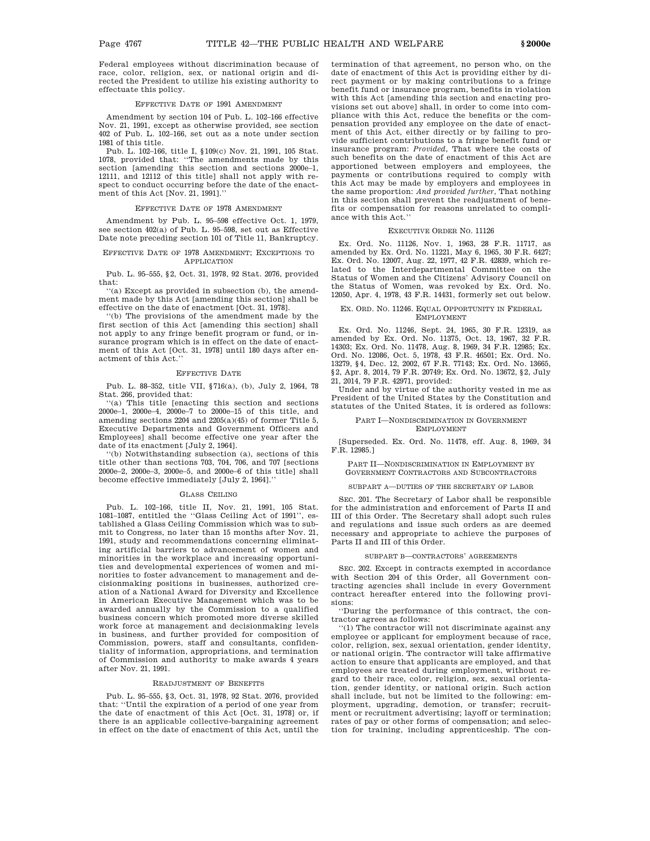Federal employees without discrimination because of race, color, religion, sex, or national origin and directed the President to utilize his existing authority to effectuate this policy.

## EFFECTIVE DATE OF 1991 AMENDMENT

Amendment by section 104 of Pub. L. 102–166 effective Nov. 21, 1991, except as otherwise provided, see section 402 of Pub. L. 102–166, set out as a note under section 1981 of this title.

Pub. L. 102–166, title I, §109(c) Nov. 21, 1991, 105 Stat. 1078, provided that: ''The amendments made by this section [amending this section and sections 2000e-1, 12111, and 12112 of this title] shall not apply with respect to conduct occurring before the date of the enactment of this Act [Nov. 21, 1991].''

#### EFFECTIVE DATE OF 1978 AMENDMENT

Amendment by Pub. L. 95–598 effective Oct. 1, 1979, see section 402(a) of Pub. L. 95–598, set out as Effective Date note preceding section 101 of Title 11, Bankruptcy.

#### EFFECTIVE DATE OF 1978 AMENDMENT; EXCEPTIONS TO APPLICATION

Pub. L. 95–555, §2, Oct. 31, 1978, 92 Stat. 2076, provided that:

''(a) Except as provided in subsection (b), the amendment made by this Act [amending this section] shall be effective on the date of enactment [Oct. 31, 1978].

''(b) The provisions of the amendment made by the first section of this Act [amending this section] shall not apply to any fringe benefit program or fund, or insurance program which is in effect on the date of enactment of this Act [Oct. 31, 1978] until 180 days after enactment of this Act.''

#### EFFECTIVE DATE

Pub. L. 88–352, title VII, §716(a), (b), July 2, 1964, 78 Stat. 266, provided that:

''(a) This title [enacting this section and sections 2000e–1, 2000e–4, 2000e–7 to 2000e–15 of this title, and amending sections 2204 and 2205(a)(45) of former Title 5, Executive Departments and Government Officers and Employees] shall become effective one year after the date of its enactment [July 2, 1964].

''(b) Notwithstanding subsection (a), sections of this title other than sections 703, 704, 706, and 707 [sections 2000e–2, 2000e–3, 2000e–5, and 2000e–6 of this title] shall become effective immediately [July 2, 1964].''

#### GLASS CEILING

Pub. L. 102–166, title II, Nov. 21, 1991, 105 Stat. 1081–1087, entitled the ''Glass Ceiling Act of 1991'', established a Glass Ceiling Commission which was to submit to Congress, no later than 15 months after Nov. 21, 1991, study and recommendations concerning eliminating artificial barriers to advancement of women and minorities in the workplace and increasing opportunities and developmental experiences of women and minorities to foster advancement to management and decisionmaking positions in businesses, authorized creation of a National Award for Diversity and Excellence in American Executive Management which was to be awarded annually by the Commission to a qualified business concern which promoted more diverse skilled work force at management and decisionmaking levels in business, and further provided for composition of Commission, powers, staff and consultants, confidentiality of information, appropriations, and termination of Commission and authority to make awards 4 years after Nov. 21, 1991.

#### READJUSTMENT OF BENEFITS

Pub. L. 95–555, §3, Oct. 31, 1978, 92 Stat. 2076, provided that: ''Until the expiration of a period of one year from the date of enactment of this Act [Oct. 31, 1978] or, if there is an applicable collective-bargaining agreement in effect on the date of enactment of this Act, until the termination of that agreement, no person who, on the date of enactment of this Act is providing either by direct payment or by making contributions to a fringe benefit fund or insurance program, benefits in violation with this Act [amending this section and enacting provisions set out above] shall, in order to come into compliance with this Act, reduce the benefits or the compensation provided any employee on the date of enactment of this Act, either directly or by failing to provide sufficient contributions to a fringe benefit fund or insurance program: *Provided*, That where the costs of such benefits on the date of enactment of this Act are apportioned between employers and employees, the payments or contributions required to comply with this Act may be made by employers and employees in the same proportion: *And provided further*, That nothing in this section shall prevent the readjustment of benefits or compensation for reasons unrelated to compliance with this Act.''

#### EXECUTIVE ORDER NO. 11126

Ex. Ord. No. 11126, Nov. 1, 1963, 28 F.R. 11717, as amended by Ex. Ord. No. 11221, May 6, 1965, 30 F.R. 6427; Ex. Ord. No. 12007, Aug. 22, 1977, 42 F.R. 42839, which related to the Interdepartmental Committee on the Status of Women and the Citizens' Advisory Council on the Status of Women, was revoked by Ex. Ord. No. 12050, Apr. 4, 1978, 43 F.R. 14431, formerly set out below.

#### EX. ORD. NO. 11246. EQUAL OPPORTUNITY IN FEDERAL EMPLOYMENT

Ex. Ord. No. 11246, Sept. 24, 1965, 30 F.R. 12319, as amended by Ex. Ord. No. 11375, Oct. 13, 1967, 32 F.R. 14303; Ex. Ord. No. 11478, Aug. 8, 1969, 34 F.R. 12985; Ex. Ord. No. 12086, Oct. 5, 1978, 43 F.R. 46501; Ex. Ord. No. 13279, §4, Dec. 12, 2002, 67 F.R. 77143; Ex. Ord. No. 13665, §2, Apr. 8, 2014, 79 F.R. 20749; Ex. Ord. No. 13672, §2, July 21, 2014, 79 F.R. 42971, provided:

Under and by virtue of the authority vested in me as President of the United States by the Constitution and statutes of the United States, it is ordered as follows:

## PART I—NONDISCRIMINATION IN GOVERNMENT

## EMPLOYMENT

[Superseded. Ex. Ord. No. 11478, eff. Aug. 8, 1969, 34 F.R. 12985.]

PART II—NONDISCRIMINATION IN EMPLOYMENT BY GOVERNMENT CONTRACTORS AND SUBCONTRACTORS

#### SUBPART A—DUTIES OF THE SECRETARY OF LABOR

SEC. 201. The Secretary of Labor shall be responsible for the administration and enforcement of Parts II and III of this Order. The Secretary shall adopt such rules and regulations and issue such orders as are deemed necessary and appropriate to achieve the purposes of Parts II and III of this Order.

#### SUBPART B—CONTRACTORS' AGREEMENTS

SEC. 202. Except in contracts exempted in accordance with Section 204 of this Order, all Government contracting agencies shall include in every Government contract hereafter entered into the following provisions:

''During the performance of this contract, the contractor agrees as follows:

''(1) The contractor will not discriminate against any employee or applicant for employment because of race, color, religion, sex, sexual orientation, gender identity, or national origin. The contractor will take affirmative action to ensure that applicants are employed, and that employees are treated during employment, without regard to their race, color, religion, sex, sexual orientation, gender identity, or national origin. Such action shall include, but not be limited to the following: employment, upgrading, demotion, or transfer; recruitment or recruitment advertising; layoff or termination; rates of pay or other forms of compensation; and selection for training, including apprenticeship. The con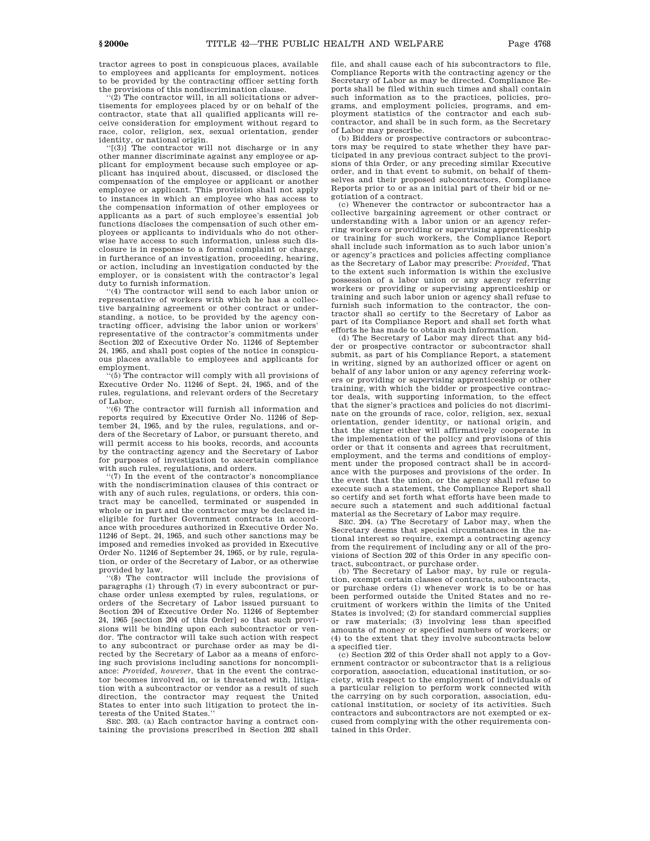tractor agrees to post in conspicuous places, available to employees and applicants for employment, notices to be provided by the contracting officer setting forth the provisions of this nondiscrimination clause.

''(2) The contractor will, in all solicitations or advertisements for employees placed by or on behalf of the contractor, state that all qualified applicants will receive consideration for employment without regard to race, color, religion, sex, sexual orientation, gender identity, or national origin.

''[(3)] The contractor will not discharge or in any other manner discriminate against any employee or applicant for employment because such employee or applicant has inquired about, discussed, or disclosed the compensation of the employee or applicant or another employee or applicant. This provision shall not apply to instances in which an employee who has access to the compensation information of other employees or applicants as a part of such employee's essential job functions discloses the compensation of such other employees or applicants to individuals who do not otherwise have access to such information, unless such disclosure is in response to a formal complaint or charge, in furtherance of an investigation, proceeding, hearing, or action, including an investigation conducted by the employer, or is consistent with the contractor's legal duty to furnish information.

''(4) The contractor will send to each labor union or representative of workers with which he has a collective bargaining agreement or other contract or understanding, a notice, to be provided by the agency contracting officer, advising the labor union or workers' representative of the contractor's commitments under Section 202 of Executive Order No. 11246 of September 24, 1965, and shall post copies of the notice in conspicuous places available to employees and applicants for employment.

 $(5)$  The contractor will comply with all provisions of Executive Order No. 11246 of Sept. 24, 1965, and of the rules, regulations, and relevant orders of the Secretary of Labor.

''(6) The contractor will furnish all information and reports required by Executive Order No. 11246 of September 24, 1965, and by the rules, regulations, and orders of the Secretary of Labor, or pursuant thereto, and will permit access to his books, records, and accounts by the contracting agency and the Secretary of Labor for purposes of investigation to ascertain compliance with such rules, regulations, and orders.

'(7) In the event of the contractor's noncompliance with the nondiscrimination clauses of this contract or with any of such rules, regulations, or orders, this contract may be cancelled, terminated or suspended in whole or in part and the contractor may be declared ineligible for further Government contracts in accordance with procedures authorized in Executive Order No. 11246 of Sept. 24, 1965, and such other sanctions may be imposed and remedies invoked as provided in Executive Order No. 11246 of September 24, 1965, or by rule, regulation, or order of the Secretary of Labor, or as otherwise provided by law.

'(8) The contractor will include the provisions of paragraphs (1) through (7) in every subcontract or purchase order unless exempted by rules, regulations, or orders of the Secretary of Labor issued pursuant to Section 204 of Executive Order No. 11246 of September 24, 1965 [section 204 of this Order] so that such provisions will be binding upon each subcontractor or vendor. The contractor will take such action with respect to any subcontract or purchase order as may be directed by the Secretary of Labor as a means of enforcing such provisions including sanctions for noncompliance: *Provided, however*, that in the event the contractor becomes involved in, or is threatened with, litigation with a subcontractor or vendor as a result of such direction, the contractor may request the United States to enter into such litigation to protect the interests of the United States.''

SEC. 203. (a) Each contractor having a contract containing the provisions prescribed in Section 202 shall file, and shall cause each of his subcontractors to file, Compliance Reports with the contracting agency or the Secretary of Labor as may be directed. Compliance Reports shall be filed within such times and shall contain such information as to the practices, policies, pro-grams, and employment policies, programs, and employment statistics of the contractor and each subcontractor, and shall be in such form, as the Secretary of Labor may prescribe.

(b) Bidders or prospective contractors or subcontractors may be required to state whether they have participated in any previous contract subject to the provisions of this Order, or any preceding similar Executive order, and in that event to submit, on behalf of themselves and their proposed subcontractors, Compliance Reports prior to or as an initial part of their bid or negotiation of a contract.

(c) Whenever the contractor or subcontractor has a collective bargaining agreement or other contract or understanding with a labor union or an agency referring workers or providing or supervising apprenticeship or training for such workers, the Compliance Report shall include such information as to such labor union's or agency's practices and policies affecting compliance as the Secretary of Labor may prescribe: *Provided*, That to the extent such information is within the exclusive possession of a labor union or any agency referring workers or providing or supervising apprenticeship or training and such labor union or agency shall refuse to furnish such information to the contractor, the contractor shall so certify to the Secretary of Labor as part of its Compliance Report and shall set forth what efforts he has made to obtain such information.

(d) The Secretary of Labor may direct that any bidder or prospective contractor or subcontractor shall submit, as part of his Compliance Report, a statement in writing, signed by an authorized officer or agent on behalf of any labor union or any agency referring workers or providing or supervising apprenticeship or other training, with which the bidder or prospective contractor deals, with supporting information, to the effect that the signer's practices and policies do not discriminate on the grounds of race, color, religion, sex, sexual orientation, gender identity, or national origin, and that the signer either will affirmatively cooperate in the implementation of the policy and provisions of this order or that it consents and agrees that recruitment, employment, and the terms and conditions of employment under the proposed contract shall be in accordance with the purposes and provisions of the order. In the event that the union, or the agency shall refuse to execute such a statement, the Compliance Report shall so certify and set forth what efforts have been made to secure such a statement and such additional factual material as the Secretary of Labor may require.

SEC. 204. (a) The Secretary of Labor may, when the Secretary deems that special circumstances in the national interest so require, exempt a contracting agency from the requirement of including any or all of the provisions of Section 202 of this Order in any specific contract, subcontract, or purchase order.

(b) The Secretary of Labor may, by rule or regulation, exempt certain classes of contracts, subcontracts, or purchase orders (1) whenever work is to be or has been performed outside the United States and no recruitment of workers within the limits of the United States is involved; (2) for standard commercial supplies or raw materials; (3) involving less than specified amounts of money or specified numbers of workers; or (4) to the extent that they involve subcontracts below a specified tier

(c) Section 202 of this Order shall not apply to a Government contractor or subcontractor that is a religious corporation, association, educational institution, or society, with respect to the employment of individuals of a particular religion to perform work connected with the carrying on by such corporation, association, educational institution, or society of its activities. Such contractors and subcontractors are not exempted or excused from complying with the other requirements contained in this Order.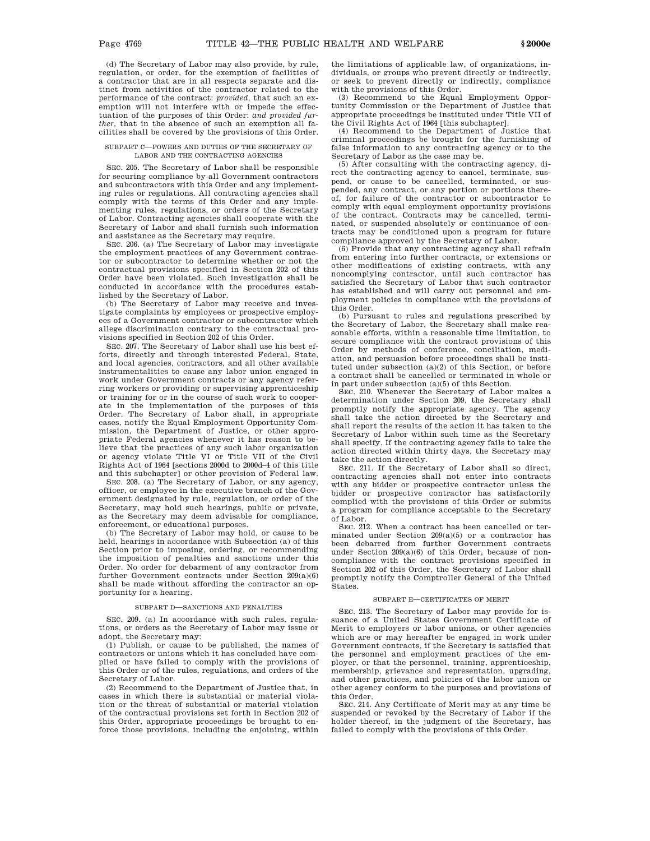(d) The Secretary of Labor may also provide, by rule, regulation, or order, for the exemption of facilities of a contractor that are in all respects separate and distinct from activities of the contractor related to the performance of the contract: *provided*, that such an exemption will not interfere with or impede the effectuation of the purposes of this Order: *and provided further*, that in the absence of such an exemption all facilities shall be covered by the provisions of this Order.

#### SUBPART C—POWERS AND DUTIES OF THE SECRETARY OF LABOR AND THE CONTRACTING AGENCIES

SEC. 205. The Secretary of Labor shall be responsible for securing compliance by all Government contractors and subcontractors with this Order and any implementing rules or regulations. All contracting agencies shall comply with the terms of this Order and any implementing rules, regulations, or orders of the Secretary of Labor. Contracting agencies shall cooperate with the Secretary of Labor and shall furnish such information and assistance as the Secretary may require.

SEC. 206. (a) The Secretary of Labor may investigate the employment practices of any Government contractor or subcontractor to determine whether or not the contractual provisions specified in Section 202 of this Order have been violated. Such investigation shall be conducted in accordance with the procedures established by the Secretary of Labor.

(b) The Secretary of Labor may receive and investigate complaints by employees or prospective employees of a Government contractor or subcontractor which allege discrimination contrary to the contractual provisions specified in Section 202 of this Order.

SEC. 207. The Secretary of Labor shall use his best efforts, directly and through interested Federal, State, and local agencies, contractors, and all other available instrumentalities to cause any labor union engaged in work under Government contracts or any agency referring workers or providing or supervising apprenticeship or training for or in the course of such work to cooperate in the implementation of the purposes of this Order. The Secretary of Labor shall, in appropriate cases, notify the Equal Employment Opportunity Commission, the Department of Justice, or other appropriate Federal agencies whenever it has reason to believe that the practices of any such labor organization or agency violate Title VI or Title VII of the Civil Rights Act of 1964 [sections 2000d to 2000d–4 of this title and this subchapter] or other provision of Federal law.

SEC. 208. (a) The Secretary of Labor, or any agency, officer, or employee in the executive branch of the Government designated by rule, regulation, or order of the Secretary, may hold such hearings, public or private, as the Secretary may deem advisable for compliance, enforcement, or educational purposes.

(b) The Secretary of Labor may hold, or cause to be held, hearings in accordance with Subsection (a) of this Section prior to imposing, ordering, or recommending the imposition of penalties and sanctions under this Order. No order for debarment of any contractor from further Government contracts under Section 209(a)(6) shall be made without affording the contractor an opportunity for a hearing.

## SUBPART D-SANCTIONS AND PENALTIES

SEC. 209. (a) In accordance with such rules, regulations, or orders as the Secretary of Labor may issue or adopt, the Secretary may:

(1) Publish, or cause to be published, the names of contractors or unions which it has concluded have complied or have failed to comply with the provisions of this Order or of the rules, regulations, and orders of the Secretary of Labor.

(2) Recommend to the Department of Justice that, in cases in which there is substantial or material violation or the threat of substantial or material violation of the contractual provisions set forth in Section 202 of this Order, appropriate proceedings be brought to enforce those provisions, including the enjoining, within

the limitations of applicable law, of organizations, individuals, or groups who prevent directly or indirectly, or seek to prevent directly or indirectly, compliance with the provisions of this Order.

(3) Recommend to the Equal Employment Opportunity Commission or the Department of Justice that appropriate proceedings be instituted under Title VII of the Civil Rights Act of 1964 [this subchapter].

(4) Recommend to the Department of Justice that criminal proceedings be brought for the furnishing of false information to any contracting agency or to the Secretary of Labor as the case may be.

(5) After consulting with the contracting agency, direct the contracting agency to cancel, terminate, suspend, or cause to be cancelled, terminated, or suspended, any contract, or any portion or portions thereof, for failure of the contractor or subcontractor to comply with equal employment opportunity provisions of the contract. Contracts may be cancelled, terminated, or suspended absolutely or continuance of contracts may be conditioned upon a program for future compliance approved by the Secretary of Labor.

(6) Provide that any contracting agency shall refrain from entering into further contracts, or extensions or other modifications of existing contracts, with any noncomplying contractor, until such contractor has satisfied the Secretary of Labor that such contractor has established and will carry out personnel and employment policies in compliance with the provisions of this Order.

(b) Pursuant to rules and regulations prescribed by the Secretary of Labor, the Secretary shall make reasonable efforts, within a reasonable time limitation, to secure compliance with the contract provisions of this Order by methods of conference, conciliation, mediation, and persuasion before proceedings shall be instituted under subsection (a)(2) of this Section, or before a contract shall be cancelled or terminated in whole or in part under subsection (a)(5) of this Section.

SEC. 210. Whenever the Secretary of Labor makes a determination under Section 209, the Secretary shall promptly notify the appropriate agency. The agency shall take the action directed by the Secretary and shall report the results of the action it has taken to the Secretary of Labor within such time as the Secretary shall specify. If the contracting agency fails to take the action directed within thirty days, the Secretary may take the action directly.

SEC. 211. If the Secretary of Labor shall so direct, contracting agencies shall not enter into contracts with any bidder or prospective contractor unless the bidder or prospective contractor has satisfactorily complied with the provisions of this Order or submits a program for compliance acceptable to the Secretary of Labor.

SEC. 212. When a contract has been cancelled or terminated under Section 209(a)(5) or a contractor has been debarred from further Government contracts under Section 209(a)(6) of this Order, because of noncompliance with the contract provisions specified in Section 202 of this Order, the Secretary of Labor shall promptly notify the Comptroller General of the United States.

#### SUBPART E—CERTIFICATES OF MERIT

SEC. 213. The Secretary of Labor may provide for issuance of a United States Government Certificate of Merit to employers or labor unions, or other agencies which are or may hereafter be engaged in work under Government contracts, if the Secretary is satisfied that the personnel and employment practices of the employer, or that the personnel, training, apprenticeship, membership, grievance and representation, upgrading, and other practices, and policies of the labor union or other agency conform to the purposes and provisions of this Order.

SEC. 214. Any Certificate of Merit may at any time be suspended or revoked by the Secretary of Labor if the holder thereof, in the judgment of the Secretary, has failed to comply with the provisions of this Order.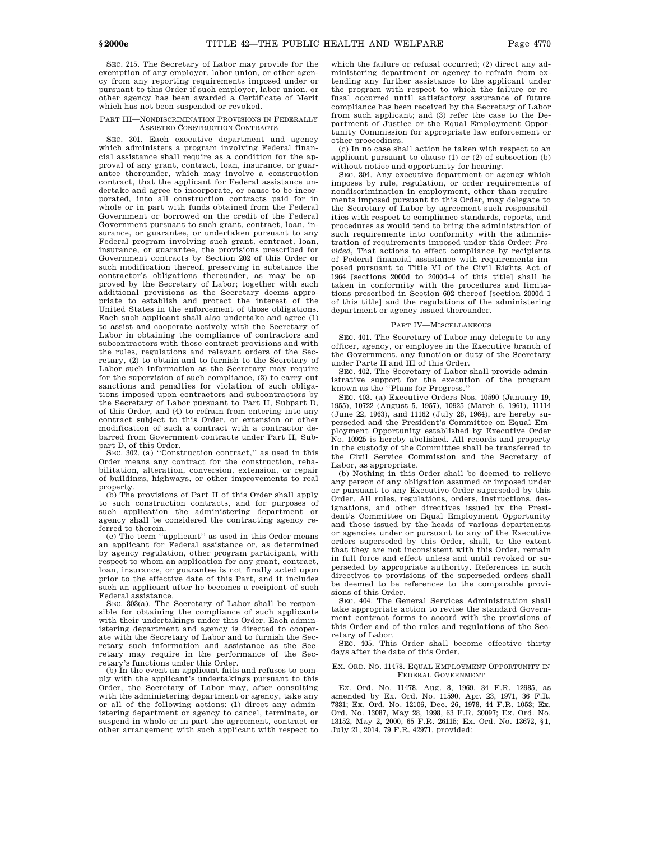SEC. 215. The Secretary of Labor may provide for the exemption of any employer, labor union, or other agency from any reporting requirements imposed under or pursuant to this Order if such employer, labor union, or other agency has been awarded a Certificate of Merit which has not been suspended or revoked.

#### PART III—NONDISCRIMINATION PROVISIONS IN FEDERALLY ASSISTED CONSTRUCTION CONTRACTS

SEC. 301. Each executive department and agency which administers a program involving Federal financial assistance shall require as a condition for the approval of any grant, contract, loan, insurance, or guarantee thereunder, which may involve a construction contract, that the applicant for Federal assistance undertake and agree to incorporate, or cause to be incorporated, into all construction contracts paid for in whole or in part with funds obtained from the Federal Government or borrowed on the credit of the Federal Government pursuant to such grant, contract, loan, insurance, or guarantee, or undertaken pursuant to any Federal program involving such grant, contract, loan, insurance, or guarantee, the provisions prescribed for Government contracts by Section 202 of this Order or such modification thereof, preserving in substance the contractor's obligations thereunder, as may be approved by the Secretary of Labor; together with such additional provisions as the Secretary deems appropriate to establish and protect the interest of the United States in the enforcement of those obligations. Each such applicant shall also undertake and agree (1) to assist and cooperate actively with the Secretary of Labor in obtaining the compliance of contractors and subcontractors with those contract provisions and with the rules, regulations and relevant orders of the Secretary, (2) to obtain and to furnish to the Secretary of Labor such information as the Secretary may require for the supervision of such compliance, (3) to carry out sanctions and penalties for violation of such obligations imposed upon contractors and subcontractors by the Secretary of Labor pursuant to Part II, Subpart D, of this Order, and (4) to refrain from entering into any contract subject to this Order, or extension or other modification of such a contract with a contractor debarred from Government contracts under Part II, Subpart D, of this Order. SEC. 302. (a) ''Construction contract,'' as used in this

Order means any contract for the construction, rehabilitation, alteration, conversion, extension, or repair of buildings, highways, or other improvements to real property.

(b) The provisions of Part II of this Order shall apply to such construction contracts, and for purposes of such application the administering department or agency shall be considered the contracting agency referred to therein.

(c) The term ''applicant'' as used in this Order means an applicant for Federal assistance or, as determined by agency regulation, other program participant, with respect to whom an application for any grant, contract, loan, insurance, or guarantee is not finally acted upon prior to the effective date of this Part, and it includes such an applicant after he becomes a recipient of such Federal assistance.

SEC. 303(a). The Secretary of Labor shall be responsible for obtaining the compliance of such applicants with their undertakings under this Order. Each administering department and agency is directed to cooperate with the Secretary of Labor and to furnish the Secretary such information and assistance as the Secretary may require in the performance of the Sec-

retary's functions under this Order. (b) In the event an applicant fails and refuses to comply with the applicant's undertakings pursuant to this Order, the Secretary of Labor may, after consulting with the administering department or agency, take any or all of the following actions: (1) direct any administering department or agency to cancel, terminate, or suspend in whole or in part the agreement, contract or other arrangement with such applicant with respect to

which the failure or refusal occurred; (2) direct any administering department or agency to refrain from extending any further assistance to the applicant under the program with respect to which the failure or refusal occurred until satisfactory assurance of future compliance has been received by the Secretary of Labor from such applicant; and (3) refer the case to the Department of Justice or the Equal Employment Opportunity Commission for appropriate law enforcement or other proceedings.

(c) In no case shall action be taken with respect to an applicant pursuant to clause (1) or (2) of subsection (b) without notice and opportunity for hearing.

SEC. 304. Any executive department or agency which imposes by rule, regulation, or order requirements of nondiscrimination in employment, other than requirements imposed pursuant to this Order, may delegate to the Secretary of Labor by agreement such responsibilities with respect to compliance standards, reports, and procedures as would tend to bring the administration of such requirements into conformity with the administration of requirements imposed under this Order: *Provided*, That actions to effect compliance by recipients of Federal financial assistance with requirements imposed pursuant to Title VI of the Civil Rights Act of 1964 [sections 2000d to 2000d–4 of this title] shall be taken in conformity with the procedures and limitations prescribed in Section 602 thereof [section 2000d–1 of this title] and the regulations of the administering department or agency issued thereunder.

#### PART IV—MISCELLANEOUS

SEC. 401. The Secretary of Labor may delegate to any officer, agency, or employee in the Executive branch of the Government, any function or duty of the Secretary under Parts II and III of this Order.

SEC. 402. The Secretary of Labor shall provide administrative support for the execution of the program known as the ''Plans for Progress.''

SEC. 403. (a) Executive Orders Nos. 10590 (January 19, 1955), 10722 (August 5, 1957), 10925 (March 6, 1961), 11114 (June 22, 1963), and 11162 (July 28, 1964), are hereby superseded and the President's Committee on Equal Employment Opportunity established by Executive Order No. 10925 is hereby abolished. All records and property in the custody of the Committee shall be transferred to the Civil Service Commission and the Secretary of Labor, as appropriate.

(b) Nothing in this Order shall be deemed to relieve any person of any obligation assumed or imposed under or pursuant to any Executive Order superseded by this Order. All rules, regulations, orders, instructions, designations, and other directives issued by the President's Committee on Equal Employment Opportunity and those issued by the heads of various departments or agencies under or pursuant to any of the Executive orders superseded by this Order, shall, to the extent that they are not inconsistent with this Order, remain in full force and effect unless and until revoked or superseded by appropriate authority. References in such directives to provisions of the superseded orders shall be deemed to be references to the comparable provisions of this Order.

SEC. 404. The General Services Administration shall take appropriate action to revise the standard Government contract forms to accord with the provisions of this Order and of the rules and regulations of the Secretary of Labor.

SEC. 405. This Order shall become effective thirty days after the date of this Order.

#### EX. ORD. NO. 11478. EQUAL EMPLOYMENT OPPORTUNITY IN FEDERAL GOVERNMENT

Ex. Ord. No. 11478, Aug. 8, 1969, 34 F.R. 12985, as amended by Ex. Ord. No. 11590, Apr. 23, 1971, 36 F.R. 7831; Ex. Ord. No. 12106, Dec. 26, 1978, 44 F.R. 1053; Ex. Ord. No. 13087, May 28, 1998, 63 F.R. 30097; Ex. Ord. No. 13152, May 2, 2000, 65 F.R. 26115; Ex. Ord. No. 13672, §1, July 21, 2014, 79 F.R. 42971, provided: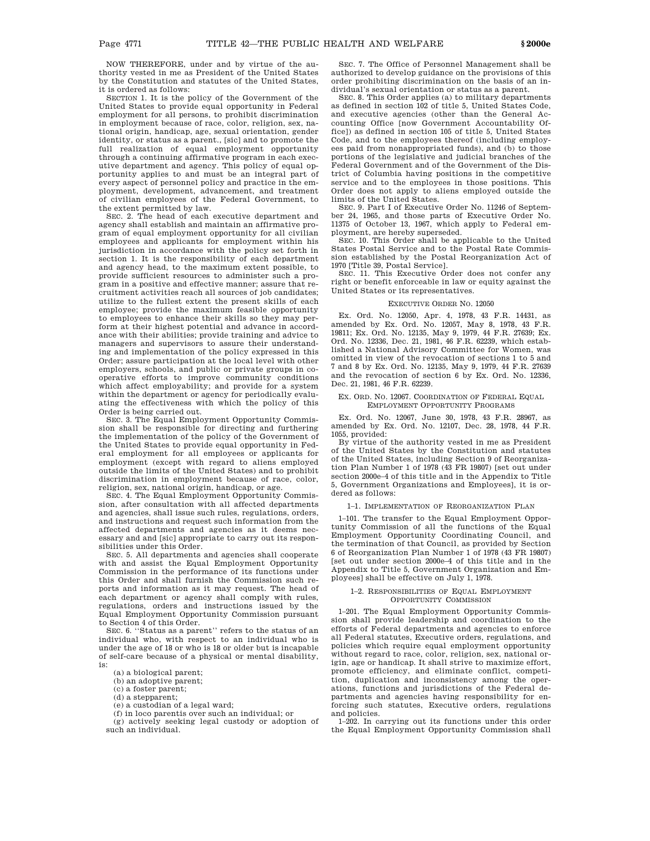NOW THEREFORE, under and by virtue of the authority vested in me as President of the United States by the Constitution and statutes of the United States, it is ordered as follows:

SECTION 1. It is the policy of the Government of the United States to provide equal opportunity in Federal employment for all persons, to prohibit discrimination in employment because of race, color, religion, sex, national origin, handicap, age, sexual orientation, gender identity, or status as a parent., [sic] and to promote the full realization of equal employment opportunity through a continuing affirmative program in each executive department and agency. This policy of equal opportunity applies to and must be an integral part of every aspect of personnel policy and practice in the employment, development, advancement, and treatment of civilian employees of the Federal Government, to the extent permitted by law.

SEC. 2. The head of each executive department and agency shall establish and maintain an affirmative program of equal employment opportunity for all civilian employees and applicants for employment within his jurisdiction in accordance with the policy set forth in section 1. It is the responsibility of each department and agency head, to the maximum extent possible, to provide sufficient resources to administer such a program in a positive and effective manner; assure that recruitment activities reach all sources of job candidates; utilize to the fullest extent the present skills of each employee; provide the maximum feasible opportunity to employees to enhance their skills so they may perform at their highest potential and advance in accordance with their abilities; provide training and advice to managers and supervisors to assure their understanding and implementation of the policy expressed in this Order; assure participation at the local level with other employers, schools, and public or private groups in cooperative efforts to improve community conditions which affect employability; and provide for a system within the department or agency for periodically evaluating the effectiveness with which the policy of this Order is being carried out.

SEC. 3. The Equal Employment Opportunity Commission shall be responsible for directing and furthering the implementation of the policy of the Government of the United States to provide equal opportunity in Federal employment for all employees or applicants for employment (except with regard to aliens employed outside the limits of the United States) and to prohibit discrimination in employment because of race, color, religion, sex, national origin, handicap, or age.

SEC. 4. The Equal Employment Opportunity Commission, after consultation with all affected departments and agencies, shall issue such rules, regulations, orders, and instructions and request such information from the affected departments and agencies as it deems necessary and and [sic] appropriate to carry out its responsibilities under this Order.

SEC. 5. All departments and agencies shall cooperate with and assist the Equal Employment Opportunity Commission in the performance of its functions under this Order and shall furnish the Commission such reports and information as it may request. The head of each department or agency shall comply with rules, regulations, orders and instructions issued by the Equal Employment Opportunity Commission pursuant to Section 4 of this Order.

SEC. 6. ''Status as a parent'' refers to the status of an individual who, with respect to an individual who is under the age of 18 or who is 18 or older but is incapable of self-care because of a physical or mental disability, is:

(a) a biological parent;

(b) an adoptive parent;

(c) a foster parent;

(d) a stepparent;

(e) a custodian of a legal ward;

(f) in loco parentis over such an individual; or

(g) actively seeking legal custody or adoption of such an individual.

SEC. 7. The Office of Personnel Management shall be authorized to develop guidance on the provisions of this order prohibiting discrimination on the basis of an individual's sexual orientation or status as a parent.

SEC. 8. This Order applies (a) to military departments as defined in section 102 of title 5, United States Code, and executive agencies (other than the General Accounting Office [now Government Accountability Office]) as defined in section 105 of title 5, United States Code, and to the employees thereof (including employees paid from nonappropriated funds), and (b) to those portions of the legislative and judicial branches of the Federal Government and of the Government of the District of Columbia having positions in the competitive service and to the employees in those positions. This Order does not apply to aliens employed outside the limits of the United States.

SEC. 9. Part I of Executive Order No. 11246 of September 24, 1965, and those parts of Executive Order No. 11375 of October 13, 1967, which apply to Federal employment, are hereby superseded.

SEC. 10. This Order shall be applicable to the United States Postal Service and to the Postal Rate Commission established by the Postal Reorganization Act of 1970 [Title 39, Postal Service].

SEC. 11. This Executive Order does not confer any right or benefit enforceable in law or equity against the United States or its representatives.

#### EXECUTIVE ORDER NO. 12050

Ex. Ord. No. 12050, Apr. 4, 1978, 43 F.R. 14431, as amended by Ex. Ord. No. 12057, May 8, 1978, 43 F.R. 19811; Ex. Ord. No. 12135, May 9, 1979, 44 F.R. 27639; Ex. Ord. No. 12336, Dec. 21, 1981, 46 F.R. 62239, which established a National Advisory Committee for Women, was omitted in view of the revocation of sections 1 to 5 and 7 and 8 by Ex. Ord. No. 12135, May 9, 1979, 44 F.R. 27639 and the revocation of section 6 by Ex. Ord. No. 12336, Dec. 21, 1981, 46 F.R. 62239.

EX. ORD. NO. 12067. COORDINATION OF FEDERAL EQUAL EMPLOYMENT OPPORTUNITY PROGRAMS

Ex. Ord. No. 12067, June 30, 1978, 43 F.R. 28967, as amended by Ex. Ord. No. 12107, Dec. 28, 1978, 44 F.R. 1055, provided:

By virtue of the authority vested in me as President of the United States by the Constitution and statutes of the United States, including Section 9 of Reorganization Plan Number 1 of 1978 (43 FR 19807) [set out under section 2000e–4 of this title and in the Appendix to Title 5, Government Organizations and Employees], it is ordered as follows:

1–1. IMPLEMENTATION OF REORGANIZATION PLAN

1–101. The transfer to the Equal Employment Opportunity Commission of all the functions of the Equal Employment Opportunity Coordinating Council, and the termination of that Council, as provided by Section 6 of Reorganization Plan Number 1 of 1978 (43 FR 19807) [set out under section 2000e–4 of this title and in the Appendix to Title 5, Government Organization and Employees] shall be effective on July 1, 1978.

#### 1–2. RESPONSIBILITIES OF EQUAL EMPLOYMENT OPPORTUNITY COMMISSION

1–201. The Equal Employment Opportunity Commission shall provide leadership and coordination to the efforts of Federal departments and agencies to enforce all Federal statutes, Executive orders, regulations, and policies which require equal employment opportunity without regard to race, color, religion, sex, national origin, age or handicap. It shall strive to maximize effort, promote efficiency, and eliminate conflict, competition, duplication and inconsistency among the oper-ations, functions and jurisdictions of the Federal departments and agencies having responsibility for enforcing such statutes, Executive orders, regulations and policies.

1–202. In carrying out its functions under this order the Equal Employment Opportunity Commission shall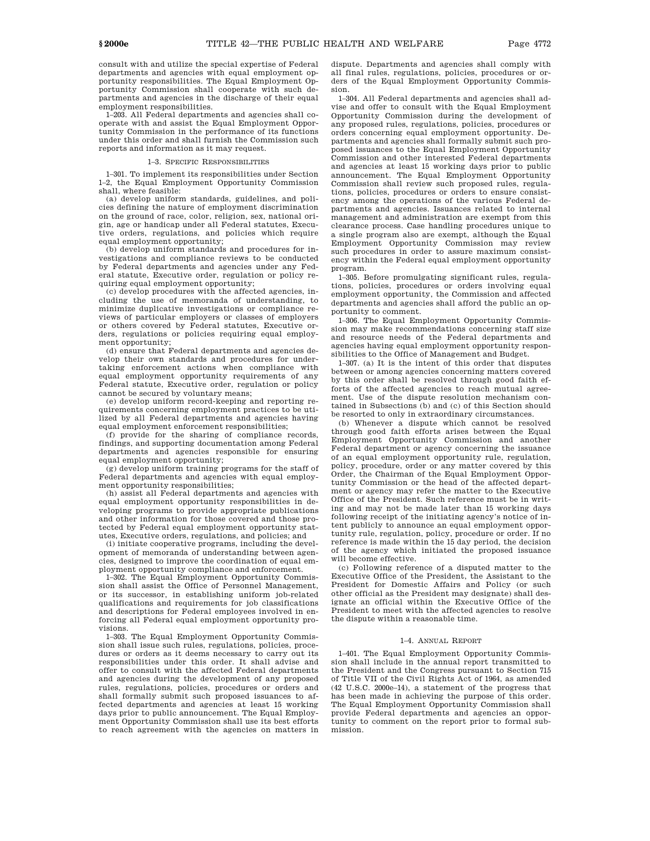consult with and utilize the special expertise of Federal departments and agencies with equal employment opportunity responsibilities. The Equal Employment Opportunity Commission shall cooperate with such departments and agencies in the discharge of their equal employment responsibilities.

1–203. All Federal departments and agencies shall cooperate with and assist the Equal Employment Opportunity Commission in the performance of its functions under this order and shall furnish the Commission such reports and information as it may request.

### 1–3. SPECIFIC RESPONSIBILITIES

1–301. To implement its responsibilities under Section 1–2, the Equal Employment Opportunity Commission shall, where feasible:

(a) develop uniform standards, guidelines, and policies defining the nature of employment discrimination on the ground of race, color, religion, sex, national origin, age or handicap under all Federal statutes, Executive orders, regulations, and policies which require equal employment opportunity;

(b) develop uniform standards and procedures for investigations and compliance reviews to be conducted by Federal departments and agencies under any Federal statute, Executive order, regulation or policy requiring equal employment opportunity;

(c) develop procedures with the affected agencies, including the use of memoranda of understanding, to minimize duplicative investigations or compliance reviews of particular employers or classes of employers or others covered by Federal statutes, Executive orders, regulations or policies requiring equal employment opportunity;

(d) ensure that Federal departments and agencies develop their own standards and procedures for undertaking enforcement actions when compliance with equal employment opportunity requirements of any Federal statute, Executive order, regulation or policy cannot be secured by voluntary means;

(e) develop uniform record-keeping and reporting requirements concerning employment practices to be utilized by all Federal departments and agencies having equal employment enforcement responsibilities;

(f) provide for the sharing of compliance records, findings, and supporting documentation among Federal departments and agencies responsible for ensuring equal employment opportunity;

(g) develop uniform training programs for the staff of Federal departments and agencies with equal employment opportunity responsibilities;

(h) assist all Federal departments and agencies with equal employment opportunity responsibilities in developing programs to provide appropriate publications and other information for those covered and those protected by Federal equal employment opportunity statutes, Executive orders, regulations, and policies; and

(i) initiate cooperative programs, including the development of memoranda of understanding between agencies, designed to improve the coordination of equal employment opportunity compliance and enforcement.

1–302. The Equal Employment Opportunity Commission shall assist the Office of Personnel Management, or its successor, in establishing uniform job-related qualifications and requirements for job classifications and descriptions for Federal employees involved in enforcing all Federal equal employment opportunity provisions.

1–303. The Equal Employment Opportunity Commission shall issue such rules, regulations, policies, procedures or orders as it deems necessary to carry out its responsibilities under this order. It shall advise and offer to consult with the affected Federal departments and agencies during the development of any proposed rules, regulations, policies, procedures or orders and shall formally submit such proposed issuances to affected departments and agencies at least 15 working days prior to public announcement. The Equal Employment Opportunity Commission shall use its best efforts to reach agreement with the agencies on matters in

dispute. Departments and agencies shall comply with all final rules, regulations, policies, procedures or orders of the Equal Employment Opportunity Commission.

1–304. All Federal departments and agencies shall advise and offer to consult with the Equal Employment Opportunity Commission during the development of any proposed rules, regulations, policies, procedures or orders concerning equal employment opportunity. Departments and agencies shall formally submit such proposed issuances to the Equal Employment Opportunity Commission and other interested Federal departments and agencies at least 15 working days prior to public announcement. The Equal Employment Opportunity Commission shall review such proposed rules, regulations, policies, procedures or orders to ensure consistency among the operations of the various Federal departments and agencies. Issuances related to internal management and administration are exempt from this clearance process. Case handling procedures unique to a single program also are exempt, although the Equal Employment Opportunity Commission may review such procedures in order to assure maximum consistency within the Federal equal employment opportunity program.

1–305. Before promulgating significant rules, regulations, policies, procedures or orders involving equal employment opportunity, the Commission and affected departments and agencies shall afford the public an opportunity to comment.

1–306. The Equal Employment Opportunity Commission may make recommendations concerning staff size and resource needs of the Federal departments and agencies having equal employment opportunity responsibilities to the Office of Management and Budget.

1–307. (a) It is the intent of this order that disputes between or among agencies concerning matters covered by this order shall be resolved through good faith efforts of the affected agencies to reach mutual agreement. Use of the dispute resolution mechanism contained in Subsections (b) and (c) of this Section should be resorted to only in extraordinary circumstances.

(b) Whenever a dispute which cannot be resolved through good faith efforts arises between the Equal Employment Opportunity Commission and another Federal department or agency concerning the issuance of an equal employment opportunity rule, regulation, policy, procedure, order or any matter covered by this Order, the Chairman of the Equal Employment Opportunity Commission or the head of the affected department or agency may refer the matter to the Executive Office of the President. Such reference must be in writing and may not be made later than 15 working days following receipt of the initiating agency's notice of intent publicly to announce an equal employment opportunity rule, regulation, policy, procedure or order. If no reference is made within the 15 day period, the decision of the agency which initiated the proposed issuance will become effective.

(c) Following reference of a disputed matter to the Executive Office of the President, the Assistant to the President for Domestic Affairs and Policy (or such other official as the President may designate) shall designate an official within the Executive Office of the President to meet with the affected agencies to resolve the dispute within a reasonable time.

#### 1–4. ANNUAL REPORT

1–401. The Equal Employment Opportunity Commission shall include in the annual report transmitted to the President and the Congress pursuant to Section 715 of Title VII of the Civil Rights Act of 1964, as amended (42 U.S.C. 2000e–14), a statement of the progress that has been made in achieving the purpose of this order. The Equal Employment Opportunity Commission shall provide Federal departments and agencies an opportunity to comment on the report prior to formal submission.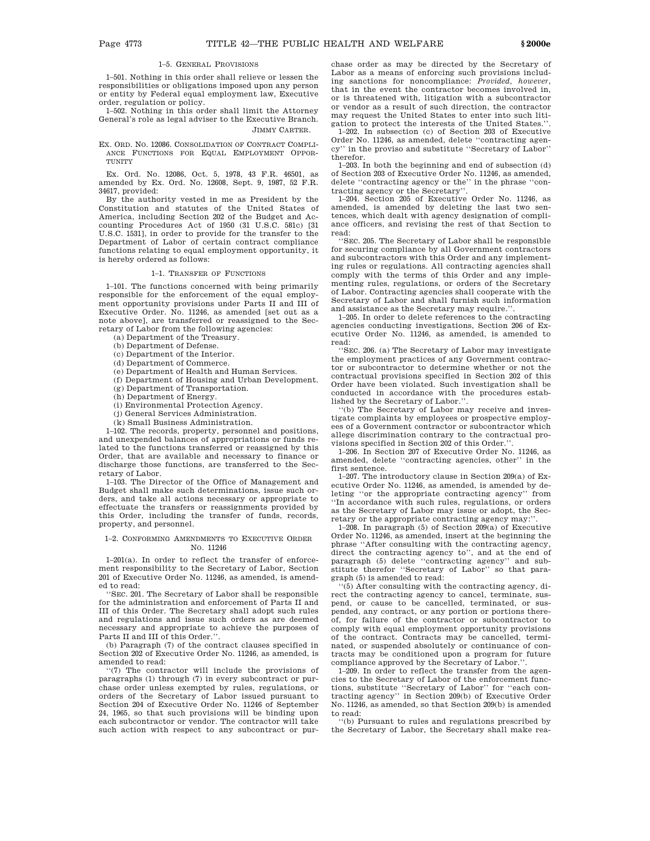#### 1–5. GENERAL PROVISIONS

1–501. Nothing in this order shall relieve or lessen the responsibilities or obligations imposed upon any person or entity by Federal equal employment law, Executive order, regulation or policy.

1–502. Nothing in this order shall limit the Attorney General's role as legal adviser to the Executive Branch.

#### JIMMY CARTER.

EX. ORD. NO. 12086. CONSOLIDATION OF CONTRACT COMPLI-ANCE FUNCTIONS FOR EQUAL EMPLOYMENT OPPOR-TUNITY

Ex. Ord. No. 12086, Oct. 5, 1978, 43 F.R. 46501, as amended by Ex. Ord. No. 12608, Sept. 9, 1987, 52 F.R. 34617, provided:

By the authority vested in me as President by the Constitution and statutes of the United States of America, including Section 202 of the Budget and Accounting Procedures Act of 1950 (31 U.S.C. 581c) [31 U.S.C. 1531], in order to provide for the transfer to the Department of Labor of certain contract compliance functions relating to equal employment opportunity, it is hereby ordered as follows:

#### 1–1. TRANSFER OF FUNCTIONS

1–101. The functions concerned with being primarily responsible for the enforcement of the equal employment opportunity provisions under Parts II and III of Executive Order. No. 11246, as amended [set out as a note above], are transferred or reassigned to the Secretary of Labor from the following agencies:

(a) Department of the Treasury.

(b) Department of Defense.

(c) Department of the Interior.

(d) Department of Commerce.

(e) Department of Health and Human Services.

(f) Department of Housing and Urban Development.

(g) Department of Transportation.

(h) Department of Energy.

(i) Environmental Protection Agency.

(j) General Services Administration.

(k) Small Business Administration.

1–102. The records, property, personnel and positions, and unexpended balances of appropriations or funds related to the functions transferred or reassigned by this Order, that are available and necessary to finance or discharge those functions, are transferred to the Secretary of Labor.

1–103. The Director of the Office of Management and Budget shall make such determinations, issue such orders, and take all actions necessary or appropriate to effectuate the transfers or reassignments provided by this Order, including the transfer of funds, records, property, and personnel.

### 1–2. CONFORMING AMENDMENTS TO EXECUTIVE ORDER NO. 11246

1–201(a). In order to reflect the transfer of enforcement responsibility to the Secretary of Labor, Section 201 of Executive Order No. 11246, as amended, is amended to read:

''SEC. 201. The Secretary of Labor shall be responsible for the administration and enforcement of Parts II and III of this Order. The Secretary shall adopt such rules and regulations and issue such orders as are deemed necessary and appropriate to achieve the purposes of Parts II and III of this Order."

(b) Paragraph (7) of the contract clauses specified in Section 202 of Executive Order No. 11246, as amended, is amended to read:

''(7) The contractor will include the provisions of paragraphs (1) through (7) in every subcontract or purchase order unless exempted by rules, regulations, or orders of the Secretary of Labor issued pursuant to Section 204 of Executive Order No. 11246 of September 24, 1965, so that such provisions will be binding upon each subcontractor or vendor. The contractor will take such action with respect to any subcontract or pur-

chase order as may be directed by the Secretary of Labor as a means of enforcing such provisions including sanctions for noncompliance: *Provided, however*, that in the event the contractor becomes involved in, or is threatened with, litigation with a subcontractor or vendor as a result of such direction, the contractor may request the United States to enter into such litigation to protect the interests of the United States.''.

1–202. In subsection (c) of Section 203 of Executive Order No. 11246, as amended, delete ''contracting agency'' in the proviso and substitute ''Secretary of Labor'' therefor.

1–203. In both the beginning and end of subsection (d) of Section 203 of Executive Order No. 11246, as amended, delete ''contracting agency or the'' in the phrase ''contracting agency or the Secretary''.

1–204. Section 205 of Executive Order No. 11246, as amended, is amended by deleting the last two sentences, which dealt with agency designation of compliance officers, and revising the rest of that Section to read:

''SEC. 205. The Secretary of Labor shall be responsible for securing compliance by all Government contractors and subcontractors with this Order and any implementing rules or regulations. All contracting agencies shall comply with the terms of this Order and any implementing rules, regulations, or orders of the Secretary of Labor. Contracting agencies shall cooperate with the Secretary of Labor and shall furnish such information and assistance as the Secretary may require.''.

1–205. In order to delete references to the contracting agencies conducting investigations, Section 206 of Executive Order No. 11246, as amended, is amended to read:

''SEC. 206. (a) The Secretary of Labor may investigate the employment practices of any Government contractor or subcontractor to determine whether or not the contractual provisions specified in Section 202 of this Order have been violated. Such investigation shall be conducted in accordance with the procedures established by the Secretary of Labor.''.

''(b) The Secretary of Labor may receive and investigate complaints by employees or prospective employees of a Government contractor or subcontractor which allege discrimination contrary to the contractual provisions specified in Section 202 of this Order.

1–206. In Section 207 of Executive Order No. 11246, as amended, delete ''contracting agencies, other'' in the first sentence.

1–207. The introductory clause in Section 209(a) of Executive Order No. 11246, as amended, is amended by deleting ''or the appropriate contracting agency'' from ''In accordance with such rules, regulations, or orders as the Secretary of Labor may issue or adopt, the Secretary or the appropriate contracting agency may:

1–208. In paragraph (5) of Section 209(a) of Executive Order No. 11246, as amended, insert at the beginning the phrase ''After consulting with the contracting agency, direct the contracting agency to'', and at the end of paragraph (5) delete ''contracting agency'' and substitute therefor ''Secretary of Labor'' so that paragraph (5) is amended to read:

''(5) After consulting with the contracting agency, direct the contracting agency to cancel, terminate, suspend, or cause to be cancelled, terminated, or suspended, any contract, or any portion or portions thereof, for failure of the contractor or subcontractor to comply with equal employment opportunity provisions of the contract. Contracts may be cancelled, terminated, or suspended absolutely or continuance of contracts may be conditioned upon a program for future compliance approved by the Secretary of Labor.'

1–209. In order to reflect the transfer from the agencies to the Secretary of Labor of the enforcement functions, substitute ''Secretary of Labor'' for ''each contracting agency'' in Section 209(b) of Executive Order No. 11246, as amended, so that Section 209(b) is amended

to read: ''(b) Pursuant to rules and regulations prescribed by the Secretary of Labor, the Secretary shall make rea-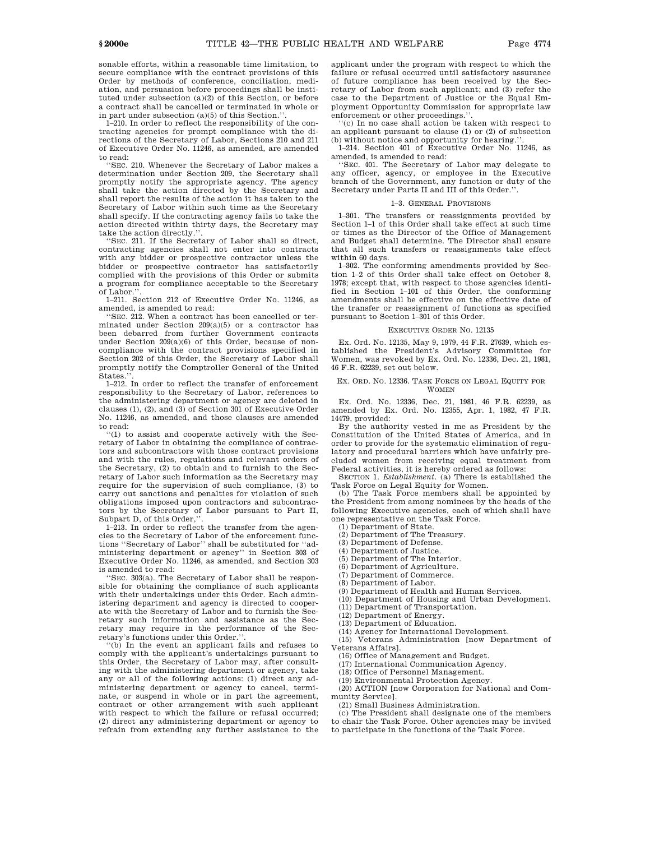sonable efforts, within a reasonable time limitation, to secure compliance with the contract provisions of this Order by methods of conference, conciliation, mediation, and persuasion before proceedings shall be instituted under subsection (a)(2) of this Section, or before a contract shall be cancelled or terminated in whole or in part under subsection  $(a)(5)$  of this Section.'

1–210. In order to reflect the responsibility of the contracting agencies for prompt compliance with the directions of the Secretary of Labor, Sections 210 and 211 of Executive Order No. 11246, as amended, are amended to read:

''SEC. 210. Whenever the Secretary of Labor makes a determination under Section 209, the Secretary shall promptly notify the appropriate agency. The agency shall take the action directed by the Secretary and shall report the results of the action it has taken to the Secretary of Labor within such time as the Secretary shall specify. If the contracting agency fails to take the action directed within thirty days, the Secretary may take the action directly."

''SEC. 211. If the Secretary of Labor shall so direct, contracting agencies shall not enter into contracts with any bidder or prospective contractor unless the bidder or prospective contractor has satisfactorily complied with the provisions of this Order or submits a program for compliance acceptable to the Secretary of Labor."

1–211. Section 212 of Executive Order No. 11246, as amended, is amended to read:

''SEC. 212. When a contract has been cancelled or terminated under Section  $209(a)(5)$  or a contractor has been debarred from further Government contracts under Section 209(a)(6) of this Order, because of noncompliance with the contract provisions specified in Section 202 of this Order, the Secretary of Labor shall promptly notify the Comptroller General of the United States.

1–212. In order to reflect the transfer of enforcement responsibility to the Secretary of Labor, references to the administering department or agency are deleted in clauses (1), (2), and (3) of Section 301 of Executive Order No. 11246, as amended, and those clauses are amended to read:

''(1) to assist and cooperate actively with the Secretary of Labor in obtaining the compliance of contractors and subcontractors with those contract provisions and with the rules, regulations and relevant orders of the Secretary, (2) to obtain and to furnish to the Secretary of Labor such information as the Secretary may require for the supervision of such compliance, (3) to carry out sanctions and penalties for violation of such obligations imposed upon contractors and subcontractors by the Secretary of Labor pursuant to Part II, Subpart D, of this Order,'

1–213. In order to reflect the transfer from the agencies to the Secretary of Labor of the enforcement functions ''Secretary of Labor'' shall be substituted for ''administering department or agency'' in Section 303 of Executive Order No. 11246, as amended, and Section 303 is amended to read:

'SEC. 303(a). The Secretary of Labor shall be responsible for obtaining the compliance of such applicants with their undertakings under this Order. Each administering department and agency is directed to cooperate with the Secretary of Labor and to furnish the Secretary such information and assistance as the Secretary may require in the performance of the Sec-retary's functions under this Order.''.

''(b) In the event an applicant fails and refuses to comply with the applicant's undertakings pursuant to this Order, the Secretary of Labor may, after consulting with the administering department or agency, take any or all of the following actions: (1) direct any administering department or agency to cancel, terminate, or suspend in whole or in part the agreement, contract or other arrangement with such applicant with respect to which the failure or refusal occurred; (2) direct any administering department or agency to refrain from extending any further assistance to the applicant under the program with respect to which the failure or refusal occurred until satisfactory assurance of future compliance has been received by the Secretary of Labor from such applicant; and (3) refer the case to the Department of Justice or the Equal Employment Opportunity Commission for appropriate law enforcement or other proceedings."

'(c) In no case shall action be taken with respect to an applicant pursuant to clause (1) or (2) of subsection  $(b)$  without notice and opportunity for hearing.

1–214. Section 401 of Executive Order No. 11246, as amended, is amended to read:

''SEC. 401. The Secretary of Labor may delegate to any officer, agency, or employee in the Executive branch of the Government, any function or duty of the Secretary under Parts II and III of this Order.''.

### 1–3. GENERAL PROVISIONS

1–301. The transfers or reassignments provided by Section 1–1 of this Order shall take effect at such time or times as the Director of the Office of Management and Budget shall determine. The Director shall ensure that all such transfers or reassignments take effect within 60 days.

1–302. The conforming amendments provided by Section 1–2 of this Order shall take effect on October 8, 1978; except that, with respect to those agencies identified in Section 1–101 of this Order, the conforming amendments shall be effective on the effective date of the transfer or reassignment of functions as specified pursuant to Section 1–301 of this Order.

#### EXECUTIVE ORDER NO. 12135

Ex. Ord. No. 12135, May 9, 1979, 44 F.R. 27639, which established the President's Advisory Committee for Women, was revoked by Ex. Ord. No. 12336, Dec. 21, 1981, 46 F.R. 62239, set out below.

#### EX. ORD. NO. 12336. TASK FORCE ON LEGAL EQUITY FOR WOMEN

Ex. Ord. No. 12336, Dec. 21, 1981, 46 F.R. 62239, as amended by Ex. Ord. No. 12355, Apr. 1, 1982, 47 F.R. 14479, provided:

By the authority vested in me as President by the Constitution of the United States of America, and in order to provide for the systematic elimination of regulatory and procedural barriers which have unfairly precluded women from receiving equal treatment from Federal activities, it is hereby ordered as follows:

SECTION 1. *Establishment*. (a) There is established the Task Force on Legal Equity for Women.

(b) The Task Force members shall be appointed by the President from among nominees by the heads of the following Executive agencies, each of which shall have one representative on the Task Force.

(1) Department of State.

(2) Department of The Treasury.

(3) Department of Defense.

(4) Department of Justice.

(5) Department of The Interior.

(6) Department of Agriculture. (7) Department of Commerce.

(8) Department of Labor.

(9) Department of Health and Human Services.

(10) Department of Housing and Urban Development.

(11) Department of Transportation.

(12) Department of Energy. (13) Department of Education.

(14) Agency for International Development.

(15) Veterans Administration [now Department of Veterans Affairs].

(16) Office of Management and Budget.

(17) International Communication Agency.

(18) Office of Personnel Management.

(19) Environmental Protection Agency.

(20) ACTION [now Corporation for National and Community Service].

(21) Small Business Administration.

(c) The President shall designate one of the members to chair the Task Force. Other agencies may be invited to participate in the functions of the Task Force.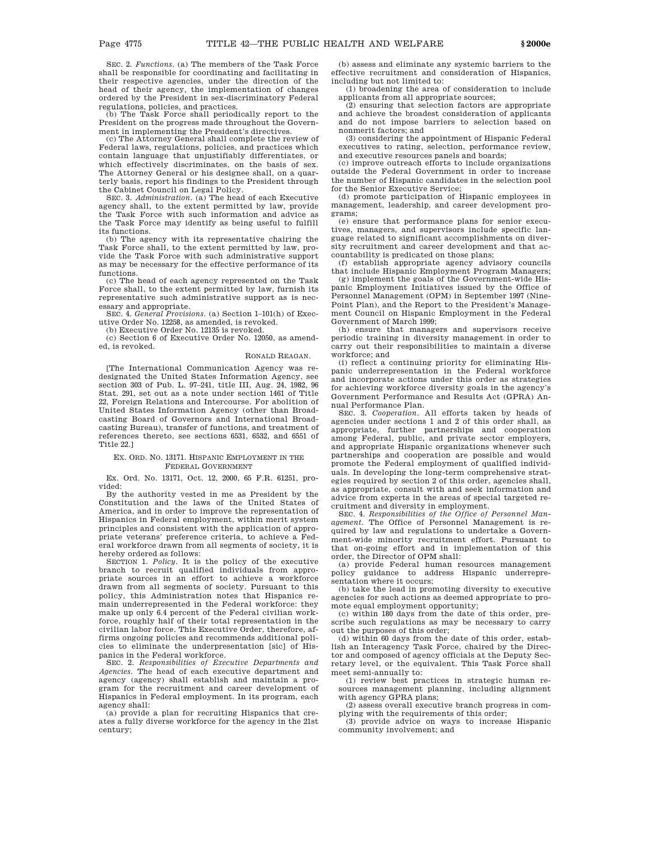SEC. 2. *Functions*. (a) The members of the Task Force shall be responsible for coordinating and facilitating in their respective agencies, under the direction of the head of their agency, the implementation of changes ordered by the President in sex-discriminatory Federal regulations, policies, and practices.

(b) The Task Force shall periodically report to the President on the progress made throughout the Government in implementing the President's directives.

(c) The Attorney General shall complete the review of Federal laws, regulations, policies, and practices which contain language that unjustifiably differentiates, or which effectively discriminates, on the basis of sex. The Attorney General or his designee shall, on a quarterly basis, report his findings to the President through the Cabinet Council on Legal Policy.

SEC. 3. *Administration*. (a) The head of each Executive agency shall, to the extent permitted by law, provide the Task Force with such information and advice as the Task Force may identify as being useful to fulfill its functions.

(b) The agency with its representative chairing the Task Force shall, to the extent permitted by law, provide the Task Force with such administrative support as may be necessary for the effective performance of its functions.

(c) The head of each agency represented on the Task Force shall, to the extent permitted by law, furnish its representative such administrative support as is necessary and appropriate.

SEC. 4. *General Provisions*. (a) Section 1–101(h) of Executive Order No. 12258, as amended, is revoked.

(b) Executive Order No. 12135 is revoked.

(c) Section 6 of Executive Order No. 12050, as amended, is revoked.

### RONALD REAGAN.

[The International Communication Agency was redesignated the United States Information Agency, see section 303 of Pub. L. 97–241, title III, Aug. 24, 1982, 96 Stat. 291, set out as a note under section 1461 of Title 22, Foreign Relations and Intercourse. For abolition of United States Information Agency (other than Broadcasting Board of Governors and International Broadcasting Bureau), transfer of functions, and treatment of references thereto, see sections 6531, 6532, and 6551 of Title 22.]

#### EX. ORD. NO. 13171. HISPANIC EMPLOYMENT IN THE FEDERAL GOVERNMENT

Ex. Ord. No. 13171, Oct. 12, 2000, 65 F.R. 61251, provided:

By the authority vested in me as President by the Constitution and the laws of the United States of America, and in order to improve the representation of Hispanics in Federal employment, within merit system principles and consistent with the application of appropriate veterans' preference criteria, to achieve a Federal workforce drawn from all segments of society, it is hereby ordered as follows:

SECTION 1. *Policy*. It is the policy of the executive branch to recruit qualified individuals from appropriate sources in an effort to achieve a workforce drawn from all segments of society. Pursuant to this policy, this Administration notes that Hispanics remain underrepresented in the Federal workforce: they make up only 6.4 percent of the Federal civilian workforce, roughly half of their total representation in the civilian labor force. This Executive Order, therefore, affirms ongoing policies and recommends additional policies to eliminate the underpresentation [sic] of Hispanics in the Federal workforce.

SEC. 2. *Responsibilities of Executive Departments and Agencies*. The head of each executive department and agency (agency) shall establish and maintain a program for the recruitment and career development of Hispanics in Federal employment. In its program, each agency shall:

(a) provide a plan for recruiting Hispanics that creates a fully diverse workforce for the agency in the 21st century;

(b) assess and eliminate any systemic barriers to the effective recruitment and consideration of Hispanics, including but not limited to:

(1) broadening the area of consideration to include applicants from all appropriate sources;

(2) ensuring that selection factors are appropriate and achieve the broadest consideration of applicants and do not impose barriers to selection based on nonmerit factors; and

(3) considering the appointment of Hispanic Federal executives to rating, selection, performance review,

and executive resources panels and boards; (c) improve outreach efforts to include organizations outside the Federal Government in order to increase the number of Hispanic candidates in the selection pool for the Senior Executive Service;

(d) promote participation of Hispanic employees in management, leadership, and career development programs;

(e) ensure that performance plans for senior executives, managers, and supervisors include specific language related to significant accomplishments on diversity recruitment and career development and that accountability is predicated on those plans; (f) establish appropriate agency advisory councils

that include Hispanic Employment Program Managers;

(g) implement the goals of the Government-wide Hispanic Employment Initiatives issued by the Office of Personnel Management (OPM) in September 1997 (Nine-Point Plan), and the Report to the President's Management Council on Hispanic Employment in the Federal Government of March 1999;

(h) ensure that managers and supervisors receive periodic training in diversity management in order to carry out their responsibilities to maintain a diverse workforce; and

(i) reflect a continuing priority for eliminating Hispanic underrepresentation in the Federal workforce and incorporate actions under this order as strategies for achieving workforce diversity goals in the agency's Government Performance and Results Act (GPRA) Annual Performance Plan.

SEC. 3. *Cooperation*. All efforts taken by heads of agencies under sections 1 and 2 of this order shall, as appropriate, further partnerships and cooperation among Federal, public, and private sector employers, and appropriate Hispanic organizations whenever such partnerships and cooperation are possible and would promote the Federal employment of qualified individuals. In developing the long-term comprehensive strategies required by section 2 of this order, agencies shall, as appropriate, consult with and seek information and advice from experts in the areas of special targeted recruitment and diversity in employment.

SEC. 4. *Responsibilities of the Office of Personnel Management*. The Office of Personnel Management is required by law and regulations to undertake a Government-wide minority recruitment effort. Pursuant to that on-going effort and in implementation of this order, the Director of OPM shall:

(a) provide Federal human resources management policy guidance to address Hispanic underrepresentation where it occurs;

(b) take the lead in promoting diversity to executive agencies for such actions as deemed appropriate to promote equal employment opportunity;

(c) within 180 days from the date of this order, prescribe such regulations as may be necessary to carry out the purposes of this order;

(d) within 60 days from the date of this order, establish an Interagency Task Force, chaired by the Director and composed of agency officials at the Deputy Secretary level, or the equivalent. This Task Force shall meet semi-annually to:

(1) review best practices in strategic human resources management planning, including alignment with agency GPRA plans;

(2) assess overall executive branch progress in complying with the requirements of this order;

(3) provide advice on ways to increase Hispanic community involvement; and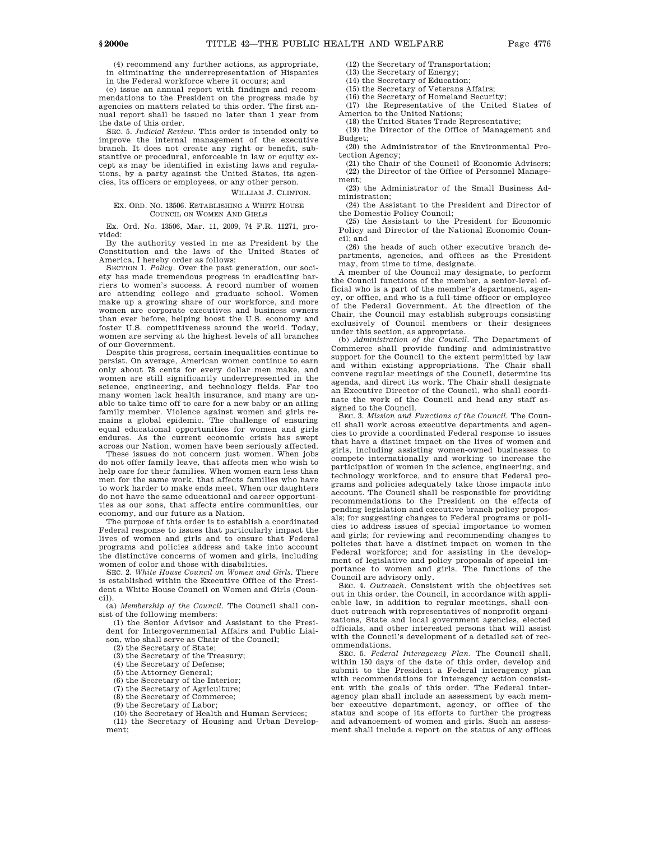(4) recommend any further actions, as appropriate, in eliminating the underrepresentation of Hispanics in the Federal workforce where it occurs; and

(e) issue an annual report with findings and recommendations to the President on the progress made by agencies on matters related to this order. The first annual report shall be issued no later than 1 year from the date of this order.

SEC. 5. *Judicial Review*. This order is intended only to improve the internal management of the executive branch. It does not create any right or benefit, substantive or procedural, enforceable in law or equity except as may be identified in existing laws and regulations, by a party against the United States, its agencies, its officers or employees, or any other person.

WILLIAM J. CLINTON.

#### EX. ORD. NO. 13506. ESTABLISHING A WHITE HOUSE COUNCIL ON WOMEN AND GIRLS

Ex. Ord. No. 13506, Mar. 11, 2009, 74 F.R. 11271, provided:

By the authority vested in me as President by the Constitution and the laws of the United States of America, I hereby order as follows:

SECTION 1. *Policy*. Over the past generation, our society has made tremendous progress in eradicating barriers to women's success. A record number of women are attending college and graduate school. Women make up a growing share of our workforce, and more women are corporate executives and business owners than ever before, helping boost the U.S. economy and foster U.S. competitiveness around the world. Today, women are serving at the highest levels of all branches of our Government.

Despite this progress, certain inequalities continue to persist. On average, American women continue to earn only about 78 cents for every dollar men make, and women are still significantly underrepresented in the science, engineering, and technology fields. Far too many women lack health insurance, and many are unable to take time off to care for a new baby or an ailing family member. Violence against women and girls remains a global epidemic. The challenge of ensuring equal educational opportunities for women and girls endures. As the current economic crisis has swept across our Nation, women have been seriously affected.

These issues do not concern just women. When jobs do not offer family leave, that affects men who wish to help care for their families. When women earn less than men for the same work, that affects families who have to work harder to make ends meet. When our daughters do not have the same educational and career opportunities as our sons, that affects entire communities, our economy, and our future as a Nation.

The purpose of this order is to establish a coordinated Federal response to issues that particularly impact the lives of women and girls and to ensure that Federal programs and policies address and take into account the distinctive concerns of women and girls, including women of color and those with disabilities.

SEC. 2. *White House Council on Women and Girls*. There is established within the Executive Office of the President a White House Council on Women and Girls (Council).

(a) *Membership of the Council*. The Council shall consist of the following members:

(1) the Senior Advisor and Assistant to the President for Intergovernmental Affairs and Public Liaison, who shall serve as Chair of the Council;

(2) the Secretary of State;

(3) the Secretary of the Treasury;

(4) the Secretary of Defense;

(5) the Attorney General;

(6) the Secretary of the Interior;

(7) the Secretary of Agriculture;

(8) the Secretary of Commerce;

(9) the Secretary of Labor; (10) the Secretary of Health and Human Services;

(11) the Secretary of Housing and Urban Development;

(12) the Secretary of Transportation;

(13) the Secretary of Energy;

(14) the Secretary of Education;

(15) the Secretary of Veterans Affairs; (16) the Secretary of Homeland Security;

(17) the Representative of the United States of America to the United Nations;

(18) the United States Trade Representative;

(19) the Director of the Office of Management and Budget;

(20) the Administrator of the Environmental Protection Agency;

(21) the Chair of the Council of Economic Advisers; (22) the Director of the Office of Personnel Management;

(23) the Administrator of the Small Business Administration;

(24) the Assistant to the President and Director of the Domestic Policy Council;

(25) the Assistant to the President for Economic Policy and Director of the National Economic Council; and

(26) the heads of such other executive branch departments, agencies, and offices as the President may, from time to time, designate.

A member of the Council may designate, to perform the Council functions of the member, a senior-level official who is a part of the member's department, agency, or office, and who is a full-time officer or employee of the Federal Government. At the direction of the Chair, the Council may establish subgroups consisting exclusively of Council members or their designees under this section, as appropriate.

(b) *Administration of the Council*. The Department of Commerce shall provide funding and administrative support for the Council to the extent permitted by law and within existing appropriations. The Chair shall convene regular meetings of the Council, determine its agenda, and direct its work. The Chair shall designate an Executive Director of the Council, who shall coordinate the work of the Council and head any staff assigned to the Council.

SEC. 3. *Mission and Functions of the Council*. The Council shall work across executive departments and agencies to provide a coordinated Federal response to issues that have a distinct impact on the lives of women and girls, including assisting women-owned businesses to compete internationally and working to increase the participation of women in the science, engineering, and technology workforce, and to ensure that Federal programs and policies adequately take those impacts into account. The Council shall be responsible for providing recommendations to the President on the effects of pending legislation and executive branch policy proposals; for suggesting changes to Federal programs or policies to address issues of special importance to women and girls; for reviewing and recommending changes to policies that have a distinct impact on women in the Federal workforce; and for assisting in the development of legislative and policy proposals of special importance to women and girls. The functions of the Council are advisory only.

SEC. 4. *Outreach*. Consistent with the objectives set out in this order, the Council, in accordance with applicable law, in addition to regular meetings, shall conduct outreach with representatives of nonprofit organizations, State and local government agencies, elected officials, and other interested persons that will assist with the Council's development of a detailed set of recommendations.

SEC. 5. *Federal Interagency Plan*. The Council shall, within 150 days of the date of this order, develop and submit to the President a Federal interagency plan with recommendations for interagency action consistent with the goals of this order. The Federal interagency plan shall include an assessment by each member executive department, agency, or office of the status and scope of its efforts to further the progress and advancement of women and girls. Such an assessment shall include a report on the status of any offices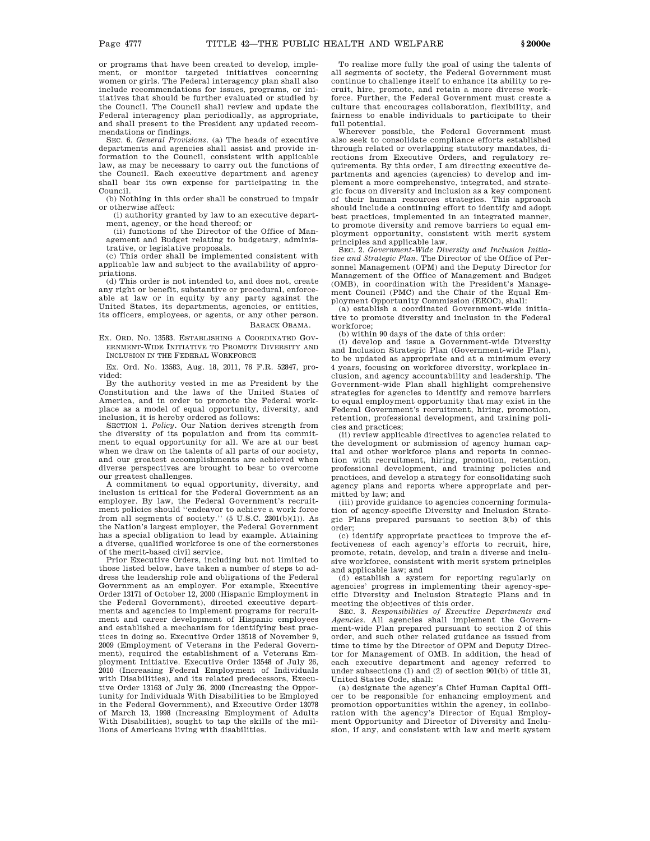or programs that have been created to develop, implement, or monitor targeted initiatives concerning women or girls. The Federal interagency plan shall also include recommendations for issues, programs, or initiatives that should be further evaluated or studied by the Council. The Council shall review and update the Federal interagency plan periodically, as appropriate, and shall present to the President any updated recommendations or findings.

SEC. 6. *General Provisions*. (a) The heads of executive departments and agencies shall assist and provide information to the Council, consistent with applicable law, as may be necessary to carry out the functions of the Council. Each executive department and agency shall bear its own expense for participating in the Council.

(b) Nothing in this order shall be construed to impair or otherwise affect:

(i) authority granted by law to an executive department, agency, or the head thereof; or

(ii) functions of the Director of the Office of Management and Budget relating to budgetary, administrative, or legislative proposals.

(c) This order shall be implemented consistent with applicable law and subject to the availability of appropriations.

(d) This order is not intended to, and does not, create any right or benefit, substantive or procedural, enforceable at law or in equity by any party against the United States, its departments, agencies, or entities, its officers, employees, or agents, or any other person. BARACK OBAMA

EX. ORD. NO. 13583. ESTABLISHING A COORDINATED GOV-ERNMENT-WIDE INITIATIVE TO PROMOTE DIVERSITY AND INCLUSION IN THE FEDERAL WORKFORCE

Ex. Ord. No. 13583, Aug. 18, 2011, 76 F.R. 52847, provided:

By the authority vested in me as President by the Constitution and the laws of the United States of America, and in order to promote the Federal workplace as a model of equal opportunity, diversity, and inclusion, it is hereby ordered as follows:

SECTION 1. *Policy*. Our Nation derives strength from the diversity of its population and from its commitment to equal opportunity for all. We are at our best when we draw on the talents of all parts of our society, and our greatest accomplishments are achieved when diverse perspectives are brought to bear to overcome our greatest challenges.

A commitment to equal opportunity, diversity, and inclusion is critical for the Federal Government as an employer. By law, the Federal Government's recruitment policies should ''endeavor to achieve a work force from all segments of society.'' (5 U.S.C. 2301(b)(1)). As the Nation's largest employer, the Federal Government has a special obligation to lead by example. Attaining a diverse, qualified workforce is one of the cornerstones of the merit-based civil service.

Prior Executive Orders, including but not limited to those listed below, have taken a number of steps to address the leadership role and obligations of the Federal Government as an employer. For example, Executive Order 13171 of October 12, 2000 (Hispanic Employment in the Federal Government), directed executive departments and agencies to implement programs for recruitment and career development of Hispanic employees and established a mechanism for identifying best practices in doing so. Executive Order 13518 of November 9, 2009 (Employment of Veterans in the Federal Government), required the establishment of a Veterans Employment Initiative. Executive Order 13548 of July 26, 2010 (Increasing Federal Employment of Individuals with Disabilities), and its related predecessors, Executive Order 13163 of July 26, 2000 (Increasing the Opportunity for Individuals With Disabilities to be Employed in the Federal Government), and Executive Order 13078 of March 13, 1998 (Increasing Employment of Adults With Disabilities), sought to tap the skills of the millions of Americans living with disabilities.

To realize more fully the goal of using the talents of all segments of society, the Federal Government must continue to challenge itself to enhance its ability to recruit, hire, promote, and retain a more diverse workforce. Further, the Federal Government must create a culture that encourages collaboration, flexibility, and fairness to enable individuals to participate to their full potential.

Wherever possible, the Federal Government must also seek to consolidate compliance efforts established through related or overlapping statutory mandates, directions from Executive Orders, and regulatory requirements. By this order, I am directing executive departments and agencies (agencies) to develop and implement a more comprehensive, integrated, and strategic focus on diversity and inclusion as a key component of their human resources strategies. This approach should include a continuing effort to identify and adopt best practices, implemented in an integrated manner, to promote diversity and remove barriers to equal employment opportunity, consistent with merit system principles and applicable law.

SEC. 2. *Government-Wide Diversity and Inclusion Initiative and Strategic Plan*. The Director of the Office of Personnel Management (OPM) and the Deputy Director for Management of the Office of Management and Budget (OMB), in coordination with the President's Management Council (PMC) and the Chair of the Equal Employment Opportunity Commission (EEOC), shall:

(a) establish a coordinated Government-wide initiative to promote diversity and inclusion in the Federal workforce;

(b) within 90 days of the date of this order:

(i) develop and issue a Government-wide Diversity and Inclusion Strategic Plan (Government-wide Plan), to be updated as appropriate and at a minimum every 4 years, focusing on workforce diversity, workplace inclusion, and agency accountability and leadership. The Government-wide Plan shall highlight comprehensive strategies for agencies to identify and remove barriers to equal employment opportunity that may exist in the Federal Government's recruitment, hiring, promotion, retention, professional development, and training policies and practices;

(ii) review applicable directives to agencies related to the development or submission of agency human capital and other workforce plans and reports in connection with recruitment, hiring, promotion, retention, professional development, and training policies and practices, and develop a strategy for consolidating such agency plans and reports where appropriate and permitted by law; and

(iii) provide guidance to agencies concerning formulation of agency-specific Diversity and Inclusion Strategic Plans prepared pursuant to section 3(b) of this order;

(c) identify appropriate practices to improve the effectiveness of each agency's efforts to recruit, hire, promote, retain, develop, and train a diverse and inclusive workforce, consistent with merit system principles and applicable law; and

(d) establish a system for reporting regularly on agencies' progress in implementing their agency-specific Diversity and Inclusion Strategic Plans and in meeting the objectives of this order.

SEC. 3. *Responsibilities of Executive Departments and Agencies*. All agencies shall implement the Government-wide Plan prepared pursuant to section 2 of this order, and such other related guidance as issued from time to time by the Director of OPM and Deputy Director for Management of OMB. In addition, the head of each executive department and agency referred to under subsections (1) and (2) of section 901(b) of title 31, United States Code, shall:

(a) designate the agency's Chief Human Capital Officer to be responsible for enhancing employment and promotion opportunities within the agency, in collaboration with the agency's Director of Equal Employment Opportunity and Director of Diversity and Inclusion, if any, and consistent with law and merit system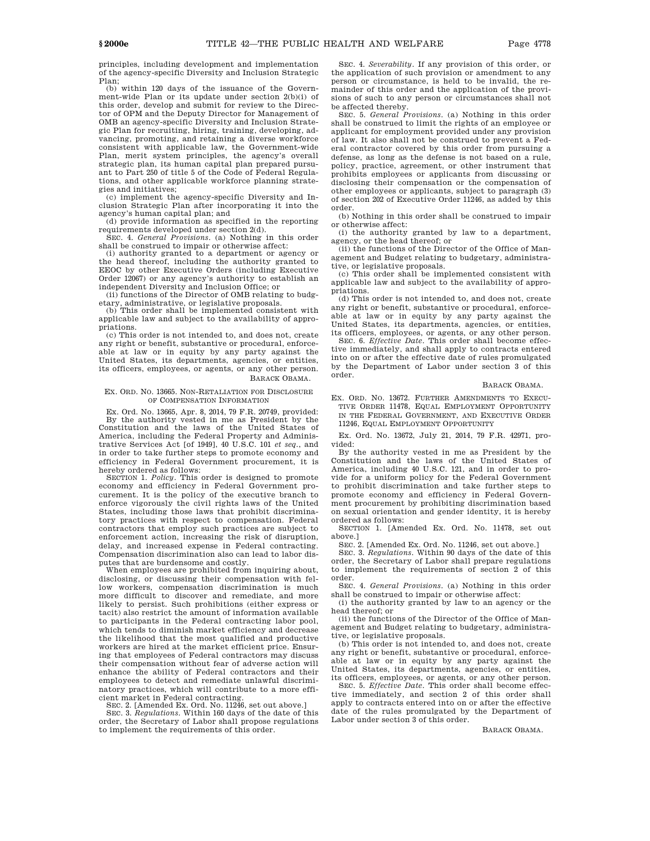principles, including development and implementation of the agency-specific Diversity and Inclusion Strategic Plan;

(b) within 120 days of the issuance of the Government-wide Plan or its update under section 2(b)(i) of this order, develop and submit for review to the Director of OPM and the Deputy Director for Management of OMB an agency-specific Diversity and Inclusion Strategic Plan for recruiting, hiring, training, developing, advancing, promoting, and retaining a diverse workforce consistent with applicable law, the Government-wide Plan, merit system principles, the agency's overall strategic plan, its human capital plan prepared pursuant to Part 250 of title 5 of the Code of Federal Regulations, and other applicable workforce planning strategies and initiatives;

(c) implement the agency-specific Diversity and Inclusion Strategic Plan after incorporating it into the agency's human capital plan; and

(d) provide information as specified in the reporting requirements developed under section 2(d).

SEC. 4. *General Provisions*. (a) Nothing in this order shall be construed to impair or otherwise affect:

(i) authority granted to a department or agency or the head thereof, including the authority granted to EEOC by other Executive Orders (including Executive Order 12067) or any agency's authority to establish an independent Diversity and Inclusion Office; or (ii) functions of the Director of OMB relating to budg-

etary, administrative, or legislative proposals. (b) This order shall be implemented consistent with applicable law and subject to the availability of appropriations.

(c) This order is not intended to, and does not, create any right or benefit, substantive or procedural, enforceable at law or in equity by any party against the United States, its departments, agencies, or entities, its officers, employees, or agents, or any other person.

### BARACK OBAMA.

#### EX. ORD. NO. 13665. NON-RETALIATION FOR DISCLOSURE OF COMPENSATION INFORMATION

Ex. Ord. No. 13665, Apr. 8, 2014, 79 F.R. 20749, provided: By the authority vested in me as President by the Constitution and the laws of the United States of America, including the Federal Property and Administrative Services Act [of 1949], 40 U.S.C. 101 *et seq*., and in order to take further steps to promote economy and efficiency in Federal Government procurement, it is hereby ordered as follows:

SECTION 1. *Policy*. This order is designed to promote economy and efficiency in Federal Government procurement. It is the policy of the executive branch to enforce vigorously the civil rights laws of the United States, including those laws that prohibit discriminatory practices with respect to compensation. Federal contractors that employ such practices are subject to enforcement action, increasing the risk of disruption, delay, and increased expense in Federal contracting. Compensation discrimination also can lead to labor disputes that are burdensome and costly.

When employees are prohibited from inquiring about, disclosing, or discussing their compensation with fellow workers, compensation discrimination is much more difficult to discover and remediate, and more likely to persist. Such prohibitions (either express or tacit) also restrict the amount of information available to participants in the Federal contracting labor pool, which tends to diminish market efficiency and decrease the likelihood that the most qualified and productive workers are hired at the market efficient price. Ensuring that employees of Federal contractors may discuss their compensation without fear of adverse action will enhance the ability of Federal contractors and their employees to detect and remediate unlawful discriminatory practices, which will contribute to a more efficient market in Federal contracting.

SEC. 2. [Amended Ex. Ord. No. 11246, set out above.]

SEC. 3. *Regulations*. Within 160 days of the date of this order, the Secretary of Labor shall propose regulations to implement the requirements of this order.

SEC. 4. *Severability*. If any provision of this order, or the application of such provision or amendment to any person or circumstance, is held to be invalid, the remainder of this order and the application of the provisions of such to any person or circumstances shall not be affected thereby.

SEC. 5. *General Provisions*. (a) Nothing in this order shall be construed to limit the rights of an employee or applicant for employment provided under any provision of law. It also shall not be construed to prevent a Federal contractor covered by this order from pursuing a defense, as long as the defense is not based on a rule, policy, practice, agreement, or other instrument that prohibits employees or applicants from discussing or disclosing their compensation or the compensation of other employees or applicants, subject to paragraph (3) of section 202 of Executive Order 11246, as added by this order.

(b) Nothing in this order shall be construed to impair or otherwise affect:

(i) the authority granted by law to a department, agency, or the head thereof; or

(ii) the functions of the Director of the Office of Management and Budget relating to budgetary, administrative, or legislative proposals.

(c) This order shall be implemented consistent with applicable law and subject to the availability of appropriations.

(d) This order is not intended to, and does not, create any right or benefit, substantive or procedural, enforceable at law or in equity by any party against the United States, its departments, agencies, or entities, its officers, employees, or agents, or any other person.

SEC. 6. *Effective Date*. This order shall become effective immediately, and shall apply to contracts entered into on or after the effective date of rules promulgated by the Department of Labor under section 3 of this order.

#### BARACK OBAMA.

EX. ORD. NO. 13672. FURTHER AMENDMENTS TO EXECU-TIVE ORDER 11478, EQUAL EMPLOYMENT OPPORTUNITY IN THE FEDERAL GOVERNMENT, AND EXECUTIVE ORDER 11246, EQUAL EMPLOYMENT OPPORTUNITY

Ex. Ord. No. 13672, July 21, 2014, 79 F.R. 42971, provided:

By the authority vested in me as President by the Constitution and the laws of the United States of America, including 40 U.S.C. 121, and in order to provide for a uniform policy for the Federal Government to prohibit discrimination and take further steps to promote economy and efficiency in Federal Government procurement by prohibiting discrimination based on sexual orientation and gender identity, it is hereby ordered as follows:

SECTION 1. [Amended Ex. Ord. No. 11478, set out above.]

SEC. 2. [Amended Ex. Ord. No. 11246, set out above.]

SEC. 3. *Regulations*. Within 90 days of the date of this order, the Secretary of Labor shall prepare regulations to implement the requirements of section 2 of this order.

SEC. 4. *General Provisions*. (a) Nothing in this order shall be construed to impair or otherwise affect:

(i) the authority granted by law to an agency or the head thereof; or

(ii) the functions of the Director of the Office of Management and Budget relating to budgetary, administrative, or legislative proposals.

(b) This order is not intended to, and does not, create any right or benefit, substantive or procedural, enforceable at law or in equity by any party against the United States, its departments, agencies, or entities, its officers, employees, or agents, or any other person.

SEC. 5. *Effective Date*. This order shall become effective immediately, and section 2 of this order shall apply to contracts entered into on or after the effective date of the rules promulgated by the Department of Labor under section 3 of this order.

BARACK OBAMA.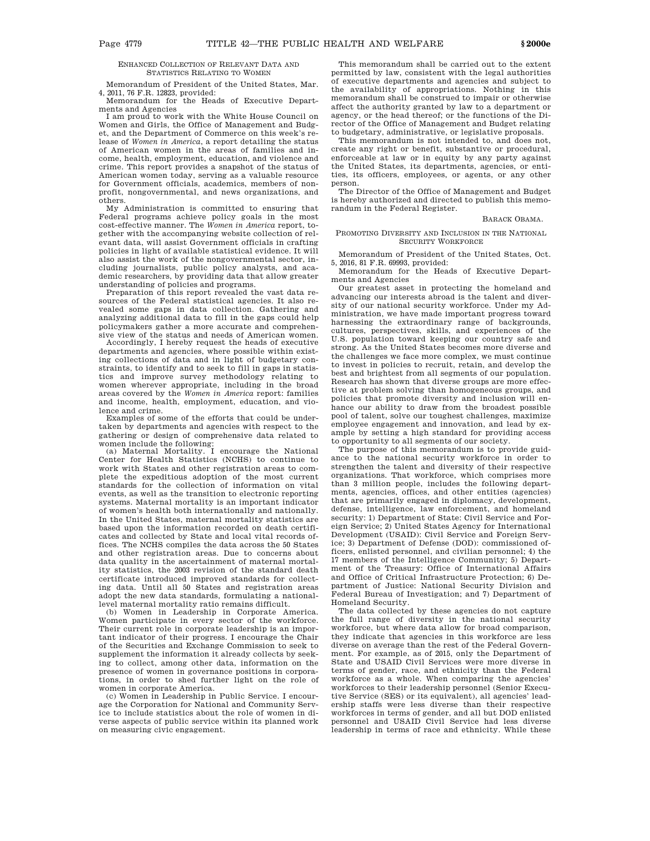#### ENHANCED COLLECTION OF RELEVANT DATA AND STATISTICS RELATING TO WOMEN

Memorandum of President of the United States, Mar. 4, 2011, 76 F.R. 12823, provided:

Memorandum for the Heads of Executive Departments and Agencies

I am proud to work with the White House Council on Women and Girls, the Office of Management and Budget, and the Department of Commerce on this week's release of *Women in America*, a report detailing the status of American women in the areas of families and income, health, employment, education, and violence and crime. This report provides a snapshot of the status of American women today, serving as a valuable resource for Government officials, academics, members of nonprofit, nongovernmental, and news organizations, and others.

My Administration is committed to ensuring that Federal programs achieve policy goals in the most cost-effective manner. The *Women in America* report, together with the accompanying website collection of relevant data, will assist Government officials in crafting policies in light of available statistical evidence. It will also assist the work of the nongovernmental sector, including journalists, public policy analysts, and academic researchers, by providing data that allow greater understanding of policies and programs.

Preparation of this report revealed the vast data resources of the Federal statistical agencies. It also revealed some gaps in data collection. Gathering and analyzing additional data to fill in the gaps could help policymakers gather a more accurate and comprehensive view of the status and needs of American women.

Accordingly, I hereby request the heads of executive departments and agencies, where possible within existing collections of data and in light of budgetary constraints, to identify and to seek to fill in gaps in statistics and improve survey methodology relating to women wherever appropriate, including in the broad areas covered by the *Women in America* report: families and income, health, employment, education, and violence and crime.

Examples of some of the efforts that could be undertaken by departments and agencies with respect to the gathering or design of comprehensive data related to

women include the following: (a) Maternal Mortality. I encourage the National Center for Health Statistics (NCHS) to continue to work with States and other registration areas to complete the expeditious adoption of the most current standards for the collection of information on vital events, as well as the transition to electronic reporting systems. Maternal mortality is an important indicator of women's health both internationally and nationally. In the United States, maternal mortality statistics are based upon the information recorded on death certificates and collected by State and local vital records offices. The NCHS compiles the data across the 50 States and other registration areas. Due to concerns about data quality in the ascertainment of maternal mortality statistics, the 2003 revision of the standard death certificate introduced improved standards for collecting data. Until all 50 States and registration areas adopt the new data standards, formulating a nationallevel maternal mortality ratio remains difficult.

(b) Women in Leadership in Corporate America. Women participate in every sector of the workforce. Their current role in corporate leadership is an important indicator of their progress. I encourage the Chair of the Securities and Exchange Commission to seek to supplement the information it already collects by seeking to collect, among other data, information on the presence of women in governance positions in corporations, in order to shed further light on the role of

women in corporate America. (c) Women in Leadership in Public Service. I encourage the Corporation for National and Community Service to include statistics about the role of women in diverse aspects of public service within its planned work on measuring civic engagement.

This memorandum shall be carried out to the extent permitted by law, consistent with the legal authorities of executive departments and agencies and subject to the availability of appropriations. Nothing in this memorandum shall be construed to impair or otherwise affect the authority granted by law to a department or agency, or the head thereof; or the functions of the Director of the Office of Management and Budget relating to budgetary, administrative, or legislative proposals.

This memorandum is not intended to, and does not, create any right or benefit, substantive or procedural, enforceable at law or in equity by any party against the United States, its departments, agencies, or entities, its officers, employees, or agents, or any other person.

The Director of the Office of Management and Budget is hereby authorized and directed to publish this memorandum in the Federal Register.

### BARACK OBAMA.

#### PROMOTING DIVERSITY AND INCLUSION IN THE NATIONAL SECURITY WORKFORCE

Memorandum of President of the United States, Oct. 5, 2016, 81 F.R. 69993, provided:

Memorandum for the Heads of Executive Departments and Agencies

Our greatest asset in protecting the homeland and advancing our interests abroad is the talent and diversity of our national security workforce. Under my Administration, we have made important progress toward harnessing the extraordinary range of backgrounds, cultures, perspectives, skills, and experiences of the U.S. population toward keeping our country safe and strong. As the United States becomes more diverse and the challenges we face more complex, we must continue to invest in policies to recruit, retain, and develop the best and brightest from all segments of our population. Research has shown that diverse groups are more effective at problem solving than homogeneous groups, and policies that promote diversity and inclusion will enhance our ability to draw from the broadest possible pool of talent, solve our toughest challenges, maximize employee engagement and innovation, and lead by example by setting a high standard for providing access to opportunity to all segments of our society.

The purpose of this memorandum is to provide guidance to the national security workforce in order to strengthen the talent and diversity of their respective organizations. That workforce, which comprises more than 3 million people, includes the following departments, agencies, offices, and other entities (agencies) that are primarily engaged in diplomacy, development, defense, intelligence, law enforcement, and homeland security: 1) Department of State: Civil Service and Foreign Service; 2) United States Agency for International Development (USAID): Civil Service and Foreign Service; 3) Department of Defense (DOD): commissioned officers, enlisted personnel, and civilian personnel; 4) the 17 members of the Intelligence Community; 5) Department of the Treasury: Office of International Affairs and Office of Critical Infrastructure Protection; 6) Department of Justice: National Security Division and Federal Bureau of Investigation; and 7) Department of Homeland Security.

The data collected by these agencies do not capture the full range of diversity in the national security workforce, but where data allow for broad comparison, they indicate that agencies in this workforce are less diverse on average than the rest of the Federal Government. For example, as of 2015, only the Department of State and USAID Civil Services were more diverse in terms of gender, race, and ethnicity than the Federal workforce as a whole. When comparing the agencies' workforces to their leadership personnel (Senior Executive Service (SES) or its equivalent), all agencies' leadership staffs were less diverse than their respective workforces in terms of gender, and all but DOD enlisted personnel and USAID Civil Service had less diverse leadership in terms of race and ethnicity. While these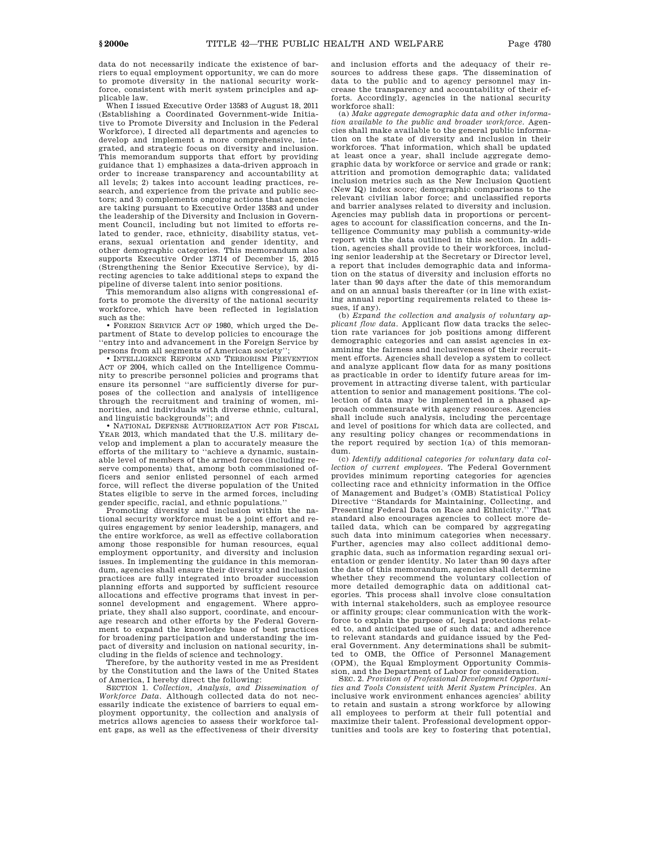data do not necessarily indicate the existence of barriers to equal employment opportunity, we can do more to promote diversity in the national security workforce, consistent with merit system principles and applicable law.

When I issued Executive Order 13583 of August 18, 2011 (Establishing a Coordinated Government-wide Initiative to Promote Diversity and Inclusion in the Federal Workforce), I directed all departments and agencies to develop and implement a more comprehensive, integrated, and strategic focus on diversity and inclusion. This memorandum supports that effort by providing guidance that 1) emphasizes a data-driven approach in order to increase transparency and accountability at all levels; 2) takes into account leading practices, research, and experience from the private and public sectors; and 3) complements ongoing actions that agencies are taking pursuant to Executive Order 13583 and under the leadership of the Diversity and Inclusion in Government Council, including but not limited to efforts related to gender, race, ethnicity, disability status, veterans, sexual orientation and gender identity, and other demographic categories. This memorandum also supports Executive Order 13714 of December 15, 2015 (Strengthening the Senior Executive Service), by directing agencies to take additional steps to expand the pipeline of diverse talent into senior positions.

This memorandum also aligns with congressional efforts to promote the diversity of the national security workforce, which have been reflected in legislation such as the:

• FOREIGN SERVICE ACT OF 1980, which urged the Department of State to develop policies to encourage the ''entry into and advancement in the Foreign Service by persons from all segments of American society'';

• INTELLIGENCE REFORM AND TERRORISM PREVENTION ACT OF 2004, which called on the Intelligence Community to prescribe personnel policies and programs that ensure its personnel ''are sufficiently diverse for purposes of the collection and analysis of intelligence through the recruitment and training of women, minorities, and individuals with diverse ethnic, cultural, and linguistic backgrounds''; and

• NATIONAL DEFENSE AUTHORIZATION ACT FOR FISCAL YEAR 2013, which mandated that the U.S. military develop and implement a plan to accurately measure the efforts of the military to ''achieve a dynamic, sustainable level of members of the armed forces (including reserve components) that, among both commissioned officers and senior enlisted personnel of each armed force, will reflect the diverse population of the United States eligible to serve in the armed forces, including gender specific, racial, and ethnic populations.''

Promoting diversity and inclusion within the national security workforce must be a joint effort and requires engagement by senior leadership, managers, and the entire workforce, as well as effective collaboration among those responsible for human resources, equal employment opportunity, and diversity and inclusion issues. In implementing the guidance in this memorandum, agencies shall ensure their diversity and inclusion practices are fully integrated into broader succession planning efforts and supported by sufficient resource allocations and effective programs that invest in personnel development and engagement. Where appropriate, they shall also support, coordinate, and encourage research and other efforts by the Federal Government to expand the knowledge base of best practices for broadening participation and understanding the impact of diversity and inclusion on national security, in-

cluding in the fields of science and technology. Therefore, by the authority vested in me as President by the Constitution and the laws of the United States of America, I hereby direct the following:

SECTION 1. *Collection, Analysis, and Dissemination of Workforce Data*. Although collected data do not necessarily indicate the existence of barriers to equal employment opportunity, the collection and analysis of metrics allows agencies to assess their workforce talent gaps, as well as the effectiveness of their diversity

and inclusion efforts and the adequacy of their resources to address these gaps. The dissemination of data to the public and to agency personnel may increase the transparency and accountability of their efforts. Accordingly, agencies in the national security workforce shall:

(a) *Make aggregate demographic data and other information available to the public and broader workforce*. Agencies shall make available to the general public information on the state of diversity and inclusion in their workforces. That information, which shall be updated at least once a year, shall include aggregate demographic data by workforce or service and grade or rank; attrition and promotion demographic data; validated inclusion metrics such as the New Inclusion Quotient (New IQ) index score; demographic comparisons to the relevant civilian labor force; and unclassified reports and barrier analyses related to diversity and inclusion. Agencies may publish data in proportions or percentages to account for classification concerns, and the Intelligence Community may publish a community-wide report with the data outlined in this section. In addition, agencies shall provide to their workforces, including senior leadership at the Secretary or Director level, a report that includes demographic data and information on the status of diversity and inclusion efforts no later than 90 days after the date of this memorandum and on an annual basis thereafter (or in line with existing annual reporting requirements related to these issues, if any).

(b) *Expand the collection and analysis of voluntary applicant flow data*. Applicant flow data tracks the selection rate variances for job positions among different demographic categories and can assist agencies in examining the fairness and inclusiveness of their recruitment efforts. Agencies shall develop a system to collect and analyze applicant flow data for as many positions as practicable in order to identify future areas for improvement in attracting diverse talent, with particular attention to senior and management positions. The collection of data may be implemented in a phased approach commensurate with agency resources. Agencies shall include such analysis, including the percentage and level of positions for which data are collected, and any resulting policy changes or recommendations in the report required by section 1(a) of this memorandum.

(c) *Identify additional categories for voluntary data collection of current employees*. The Federal Government provides minimum reporting categories for agencies collecting race and ethnicity information in the Office of Management and Budget's (OMB) Statistical Policy Directive ''Standards for Maintaining, Collecting, and Presenting Federal Data on Race and Ethnicity.'' That standard also encourages agencies to collect more detailed data, which can be compared by aggregating such data into minimum categories when necessary. Further, agencies may also collect additional demographic data, such as information regarding sexual orientation or gender identity. No later than 90 days after the date of this memorandum, agencies shall determine whether they recommend the voluntary collection of more detailed demographic data on additional categories. This process shall involve close consultation with internal stakeholders, such as employee resource or affinity groups; clear communication with the workforce to explain the purpose of, legal protections related to, and anticipated use of such data; and adherence to relevant standards and guidance issued by the Federal Government. Any determinations shall be submitted to OMB, the Office of Personnel Management (OPM), the Equal Employment Opportunity Commission, and the Department of Labor for consideration.

SEC. 2. *Provision of Professional Development Opportunities and Tools Consistent with Merit System Principles*. An inclusive work environment enhances agencies' ability to retain and sustain a strong workforce by allowing all employees to perform at their full potential and maximize their talent. Professional development opportunities and tools are key to fostering that potential,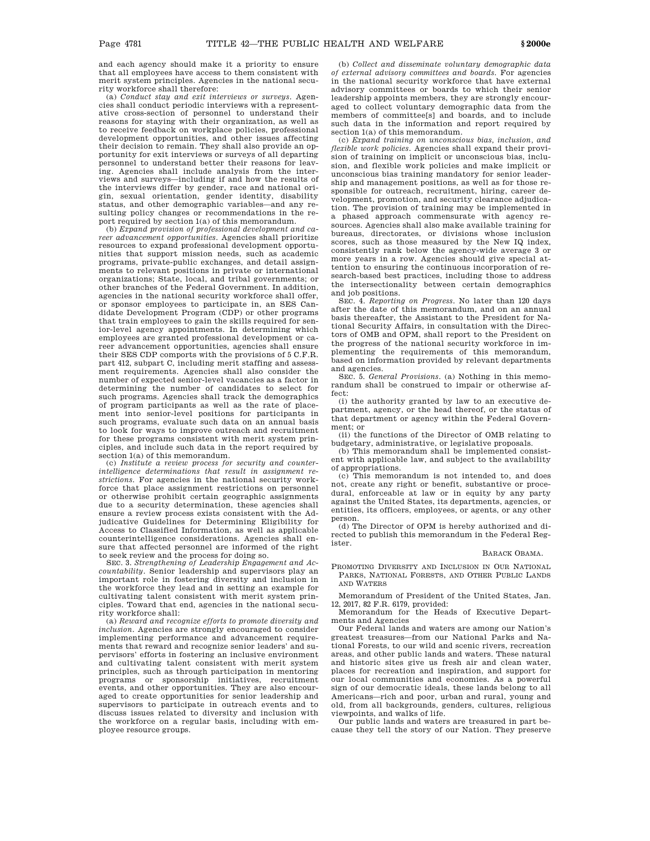and each agency should make it a priority to ensure that all employees have access to them consistent with merit system principles. Agencies in the national security workforce shall therefore:

(a) *Conduct stay and exit interviews or surveys*. Agencies shall conduct periodic interviews with a representative cross-section of personnel to understand their reasons for staying with their organization, as well as to receive feedback on workplace policies, professional development opportunities, and other issues affecting their decision to remain. They shall also provide an opportunity for exit interviews or surveys of all departing personnel to understand better their reasons for leaving. Agencies shall include analysis from the interviews and surveys—including if and how the results of the interviews differ by gender, race and national origin, sexual orientation, gender identity, disability status, and other demographic variables—and any resulting policy changes or recommendations in the report required by section 1(a) of this memorandum.

(b) *Expand provision of professional development and career advancement opportunities*. Agencies shall prioritize resources to expand professional development opportunities that support mission needs, such as academic programs, private-public exchanges, and detail assignments to relevant positions in private or international organizations; State, local, and tribal governments; or other branches of the Federal Government. In addition, agencies in the national security workforce shall offer, or sponsor employees to participate in, an SES Candidate Development Program (CDP) or other programs that train employees to gain the skills required for senior-level agency appointments. In determining which employees are granted professional development or career advancement opportunities, agencies shall ensure their SES CDP comports with the provisions of 5 C.F.R. part 412, subpart C, including merit staffing and assessment requirements. Agencies shall also consider the number of expected senior-level vacancies as a factor in determining the number of candidates to select for such programs. Agencies shall track the demographics of program participants as well as the rate of placement into senior-level positions for participants in such programs, evaluate such data on an annual basis to look for ways to improve outreach and recruitment for these programs consistent with merit system principles, and include such data in the report required by section 1(a) of this memorandum.

(c) *Institute a review process for security and counterintelligence determinations that result in assignment restrictions*. For agencies in the national security workforce that place assignment restrictions on personnel or otherwise prohibit certain geographic assignments due to a security determination, these agencies shall ensure a review process exists consistent with the Adjudicative Guidelines for Determining Eligibility for Access to Classified Information, as well as applicable counterintelligence considerations. Agencies shall ensure that affected personnel are informed of the right to seek review and the process for doing so.

SEC. 3. *Strengthening of Leadership Engagement and Accountability*. Senior leadership and supervisors play an important role in fostering diversity and inclusion in the workforce they lead and in setting an example for cultivating talent consistent with merit system principles. Toward that end, agencies in the national security workforce shall:

(a) *Reward and recognize efforts to promote diversity and inclusion*. Agencies are strongly encouraged to consider implementing performance and advancement requirements that reward and recognize senior leaders' and supervisors' efforts in fostering an inclusive environment and cultivating talent consistent with merit system principles, such as through participation in mentoring programs or sponsorship initiatives, recruitment events, and other opportunities. They are also encouraged to create opportunities for senior leadership and supervisors to participate in outreach events and to discuss issues related to diversity and inclusion with the workforce on a regular basis, including with employee resource groups.

(b) *Collect and disseminate voluntary demographic data of external advisory committees and boards*. For agencies in the national security workforce that have external advisory committees or boards to which their senior leadership appoints members, they are strongly encouraged to collect voluntary demographic data from the members of committee[s] and boards, and to include such data in the information and report required by section 1(a) of this memorandum.

(c) *Expand training on unconscious bias, inclusion, and flexible work policies*. Agencies shall expand their provision of training on implicit or unconscious bias, inclusion, and flexible work policies and make implicit or unconscious bias training mandatory for senior leadership and management positions, as well as for those responsible for outreach, recruitment, hiring, career development, promotion, and security clearance adjudication. The provision of training may be implemented in a phased approach commensurate with agency resources. Agencies shall also make available training for bureaus, directorates, or divisions whose inclusion scores, such as those measured by the New IQ index, consistently rank below the agency-wide average 3 or more years in a row. Agencies should give special attention to ensuring the continuous incorporation of research-based best practices, including those to address the intersectionality between certain demographics and job positions.

SEC. 4. *Reporting on Progress*. No later than 120 days after the date of this memorandum, and on an annual basis thereafter, the Assistant to the President for National Security Affairs, in consultation with the Directors of OMB and OPM, shall report to the President on the progress of the national security workforce in implementing the requirements of this memorandum, based on information provided by relevant departments and agencies.

SEC. 5. *General Provisions*. (a) Nothing in this memorandum shall be construed to impair or otherwise affect:

(i) the authority granted by law to an executive department, agency, or the head thereof, or the status of that department or agency within the Federal Government; or

(ii) the functions of the Director of OMB relating to budgetary, administrative, or legislative proposals.

(b) This memorandum shall be implemented consistent with applicable law, and subject to the availability of appropriations.

(c) This memorandum is not intended to, and does not, create any right or benefit, substantive or procedural, enforceable at law or in equity by any party against the United States, its departments, agencies, or entities, its officers, employees, or agents, or any other person.

(d) The Director of OPM is hereby authorized and directed to publish this memorandum in the Federal Register.

#### BARACK OBAMA.

PROMOTING DIVERSITY AND INCLUSION IN OUR NATIONAL PARKS, NATIONAL FORESTS, AND OTHER PUBLIC LANDS AND WATERS

Memorandum of President of the United States, Jan. 12, 2017, 82 F.R. 6179, provided:

Memorandum for the Heads of Executive Departments and Agencies

Our Federal lands and waters are among our Nation's greatest treasures—from our National Parks and National Forests, to our wild and scenic rivers, recreation areas, and other public lands and waters. These natural and historic sites give us fresh air and clean water, places for recreation and inspiration, and support for our local communities and economies. As a powerful sign of our democratic ideals, these lands belong to all Americans—rich and poor, urban and rural, young and old, from all backgrounds, genders, cultures, religious viewpoints, and walks of life.

Our public lands and waters are treasured in part because they tell the story of our Nation. They preserve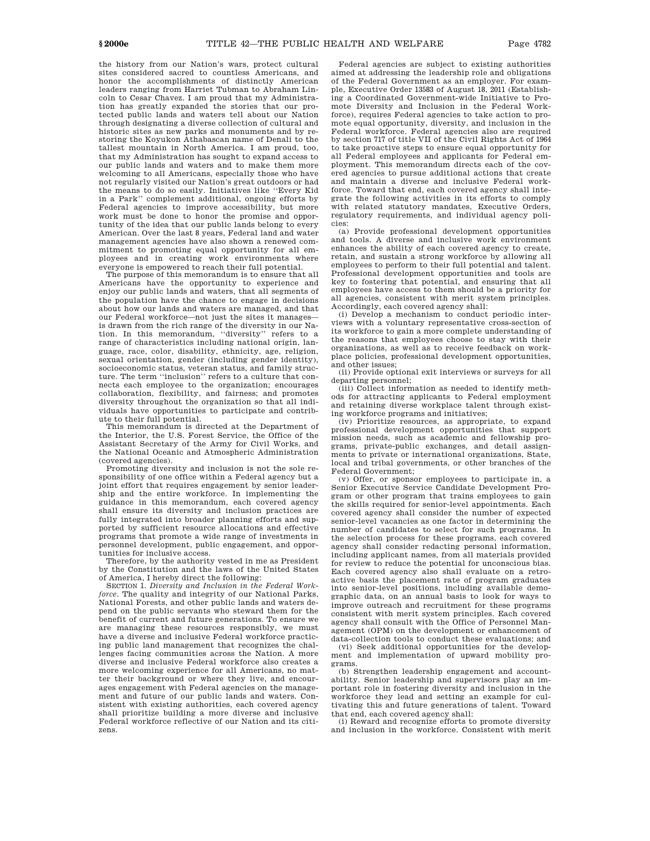the history from our Nation's wars, protect cultural sites considered sacred to countless Americans, and honor the accomplishments of distinctly American leaders ranging from Harriet Tubman to Abraham Lincoln to Cesar Chavez. I am proud that my Administration has greatly expanded the stories that our protected public lands and waters tell about our Nation through designating a diverse collection of cultural and historic sites as new parks and monuments and by restoring the Koyukon Athabascan name of Denali to the tallest mountain in North America. I am proud, too, that my Administration has sought to expand access to our public lands and waters and to make them more welcoming to all Americans, especially those who have not regularly visited our Nation's great outdoors or had the means to do so easily. Initiatives like ''Every Kid in a Park'' complement additional, ongoing efforts by Federal agencies to improve accessibility, but more work must be done to honor the promise and opportunity of the idea that our public lands belong to every American. Over the last 8 years, Federal land and water management agencies have also shown a renewed commitment to promoting equal opportunity for all employees and in creating work environments where everyone is empowered to reach their full potential.

The purpose of this memorandum is to ensure that all Americans have the opportunity to experience and enjoy our public lands and waters, that all segments of the population have the chance to engage in decisions about how our lands and waters are managed, and that our Federal workforce—not just the sites it manages is drawn from the rich range of the diversity in our Nation. In this memorandum, ''diversity'' refers to a range of characteristics including national origin, language, race, color, disability, ethnicity, age, religion, sexual orientation, gender (including gender identity), socioeconomic status, veteran status, and family structure. The term ''inclusion'' refers to a culture that connects each employee to the organization; encourages collaboration, flexibility, and fairness; and promotes diversity throughout the organization so that all individuals have opportunities to participate and contrib-

ute to their full potential. This memorandum is directed at the Department of the Interior, the U.S. Forest Service, the Office of the Assistant Secretary of the Army for Civil Works, and the National Oceanic and Atmospheric Administration (covered agencies).

Promoting diversity and inclusion is not the sole responsibility of one office within a Federal agency but a joint effort that requires engagement by senior leadership and the entire workforce. In implementing the guidance in this memorandum, each covered agency shall ensure its diversity and inclusion practices are fully integrated into broader planning efforts and supported by sufficient resource allocations and effective programs that promote a wide range of investments in personnel development, public engagement, and opportunities for inclusive access.

Therefore, by the authority vested in me as President by the Constitution and the laws of the United States of America, I hereby direct the following:

SECTION 1. *Diversity and Inclusion in the Federal Workforce*. The quality and integrity of our National Parks, National Forests, and other public lands and waters depend on the public servants who steward them for the benefit of current and future generations. To ensure we are managing these resources responsibly, we must have a diverse and inclusive Federal workforce practicing public land management that recognizes the challenges facing communities across the Nation. A more diverse and inclusive Federal workforce also creates a more welcoming experience for all Americans, no matter their background or where they live, and encourages engagement with Federal agencies on the management and future of our public lands and waters. Consistent with existing authorities, each covered agency shall prioritize building a more diverse and inclusive Federal workforce reflective of our Nation and its citizens.

Federal agencies are subject to existing authorities aimed at addressing the leadership role and obligations of the Federal Government as an employer. For example, Executive Order 13583 of August 18, 2011 (Establishing a Coordinated Government-wide Initiative to Promote Diversity and Inclusion in the Federal Workforce), requires Federal agencies to take action to promote equal opportunity, diversity, and inclusion in the Federal workforce. Federal agencies also are required by section 717 of title VII of the Civil Rights Act of 1964 to take proactive steps to ensure equal opportunity for all Federal employees and applicants for Federal employment. This memorandum directs each of the covered agencies to pursue additional actions that create and maintain a diverse and inclusive Federal workforce. Toward that end, each covered agency shall integrate the following activities in its efforts to comply with related statutory mandates, Executive Orders, regulatory requirements, and individual agency policies:

(a) Provide professional development opportunities and tools. A diverse and inclusive work environment enhances the ability of each covered agency to create, retain, and sustain a strong workforce by allowing all employees to perform to their full potential and talent. Professional development opportunities and tools are key to fostering that potential, and ensuring that all employees have access to them should be a priority for all agencies, consistent with merit system principles. Accordingly, each covered agency shall:

(i) Develop a mechanism to conduct periodic interviews with a voluntary representative cross-section of its workforce to gain a more complete understanding of the reasons that employees choose to stay with their organizations, as well as to receive feedback on workplace policies, professional development opportunities, and other issues;

(ii) Provide optional exit interviews or surveys for all departing personnel;

(iii) Collect information as needed to identify methods for attracting applicants to Federal employment and retaining diverse workplace talent through existing workforce programs and initiatives;

(iv) Prioritize resources, as appropriate, to expand professional development opportunities that support mission needs, such as academic and fellowship programs, private-public exchanges, and detail assignments to private or international organizations, State, local and tribal governments, or other branches of the Federal Government;

(v) Offer, or sponsor employees to participate in, a Senior Executive Service Candidate Development Program or other program that trains employees to gain the skills required for senior-level appointments. Each covered agency shall consider the number of expected senior-level vacancies as one factor in determining the number of candidates to select for such programs. In the selection process for these programs, each covered agency shall consider redacting personal information, including applicant names, from all materials provided for review to reduce the potential for unconscious bias. Each covered agency also shall evaluate on a retroactive basis the placement rate of program graduates into senior-level positions, including available demographic data, on an annual basis to look for ways to improve outreach and recruitment for these programs consistent with merit system principles. Each covered agency shall consult with the Office of Personnel Management (OPM) on the development or enhancement of data-collection tools to conduct these evaluations; and

(vi) Seek additional opportunities for the development and implementation of upward mobility programs.

(b) Strengthen leadership engagement and accountability. Senior leadership and supervisors play an important role in fostering diversity and inclusion in the workforce they lead and setting an example for cultivating this and future generations of talent. Toward that end, each covered agency shall:

(i) Reward and recognize efforts to promote diversity and inclusion in the workforce. Consistent with merit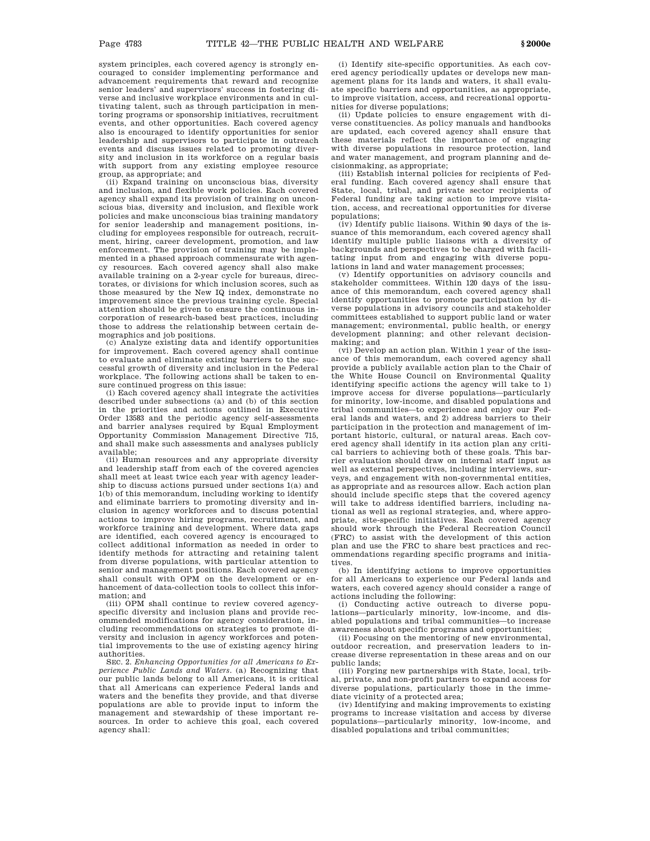system principles, each covered agency is strongly encouraged to consider implementing performance and advancement requirements that reward and recognize senior leaders' and supervisors' success in fostering diverse and inclusive workplace environments and in cultivating talent, such as through participation in mentoring programs or sponsorship initiatives, recruitment events, and other opportunities. Each covered agency also is encouraged to identify opportunities for senior leadership and supervisors to participate in outreach events and discuss issues related to promoting diversity and inclusion in its workforce on a regular basis with support from any existing employee resource group, as appropriate; and

(ii) Expand training on unconscious bias, diversity and inclusion, and flexible work policies. Each covered agency shall expand its provision of training on unconscious bias, diversity and inclusion, and flexible work policies and make unconscious bias training mandatory for senior leadership and management positions, including for employees responsible for outreach, recruitment, hiring, career development, promotion, and law enforcement. The provision of training may be implemented in a phased approach commensurate with agency resources. Each covered agency shall also make available training on a 2-year cycle for bureaus, directorates, or divisions for which inclusion scores, such as those measured by the New IQ index, demonstrate no improvement since the previous training cycle. Special attention should be given to ensure the continuous incorporation of research-based best practices, including those to address the relationship between certain demographics and job positions.

(c) Analyze existing data and identify opportunities for improvement. Each covered agency shall continue to evaluate and eliminate existing barriers to the successful growth of diversity and inclusion in the Federal workplace. The following actions shall be taken to ensure continued progress on this issue:

(i) Each covered agency shall integrate the activities described under subsections (a) and (b) of this section in the priorities and actions outlined in Executive Order 13583 and the periodic agency self-assessments and barrier analyses required by Equal Employment Opportunity Commission Management Directive 715, and shall make such assessments and analyses publicly available;

(ii) Human resources and any appropriate diversity and leadership staff from each of the covered agencies shall meet at least twice each year with agency leadership to discuss actions pursued under sections 1(a) and 1(b) of this memorandum, including working to identify and eliminate barriers to promoting diversity and inclusion in agency workforces and to discuss potential actions to improve hiring programs, recruitment, and workforce training and development. Where data gaps are identified, each covered agency is encouraged to collect additional information as needed in order to identify methods for attracting and retaining talent from diverse populations, with particular attention to senior and management positions. Each covered agency shall consult with OPM on the development or enhancement of data-collection tools to collect this information; and

(iii) OPM shall continue to review covered agencyspecific diversity and inclusion plans and provide recommended modifications for agency consideration, including recommendations on strategies to promote diversity and inclusion in agency workforces and potential improvements to the use of existing agency hiring authorities.

SEC. 2. *Enhancing Opportunities for all Americans to Experience Public Lands and Waters*. (a) Recognizing that our public lands belong to all Americans, it is critical that all Americans can experience Federal lands and waters and the benefits they provide, and that diverse populations are able to provide input to inform the management and stewardship of these important re-sources. In order to achieve this goal, each covered agency shall:

(i) Identify site-specific opportunities. As each covered agency periodically updates or develops new management plans for its lands and waters, it shall evaluate specific barriers and opportunities, as appropriate, to improve visitation, access, and recreational opportunities for diverse populations;

(ii) Update policies to ensure engagement with diverse constituencies. As policy manuals and handbooks are updated, each covered agency shall ensure that these materials reflect the importance of engaging with diverse populations in resource protection, land and water management, and program planning and decisionmaking, as appropriate;

(iii) Establish internal policies for recipients of Federal funding. Each covered agency shall ensure that State, local, tribal, and private sector recipients of Federal funding are taking action to improve visitation, access, and recreational opportunities for diverse populations;

(iv) Identify public liaisons. Within 90 days of the issuance of this memorandum, each covered agency shall identify multiple public liaisons with a diversity of backgrounds and perspectives to be charged with facilitating input from and engaging with diverse populations in land and water management processes;

(v) Identify opportunities on advisory councils and stakeholder committees. Within 120 days of the issuance of this memorandum, each covered agency shall identify opportunities to promote participation by diverse populations in advisory councils and stakeholder committees established to support public land or water management; environmental, public health, or energy development planning; and other relevant decisionmaking; and

(vi) Develop an action plan. Within 1 year of the issuance of this memorandum, each covered agency shall provide a publicly available action plan to the Chair of the White House Council on Environmental Quality identifying specific actions the agency will take to 1) improve access for diverse populations—particularly for minority, low-income, and disabled populations and tribal communities—to experience and enjoy our Federal lands and waters, and 2) address barriers to their participation in the protection and management of important historic, cultural, or natural areas. Each covered agency shall identify in its action plan any critical barriers to achieving both of these goals. This barrier evaluation should draw on internal staff input as well as external perspectives, including interviews, surveys, and engagement with non-governmental entities, as appropriate and as resources allow. Each action plan should include specific steps that the covered agency will take to address identified barriers, including national as well as regional strategies, and, where appropriate, site-specific initiatives. Each covered agency should work through the Federal Recreation Council (FRC) to assist with the development of this action plan and use the FRC to share best practices and recommendations regarding specific programs and initiatives.

(b) In identifying actions to improve opportunities for all Americans to experience our Federal lands and waters, each covered agency should consider a range of actions including the following:

(i) Conducting active outreach to diverse populations—particularly minority, low-income, and disabled populations and tribal communities—to increase awareness about specific programs and opportunities;

(ii) Focusing on the mentoring of new environmental, outdoor recreation, and preservation leaders to increase diverse representation in these areas and on our public lands;

(iii) Forging new partnerships with State, local, tribal, private, and non-profit partners to expand access for diverse populations, particularly those in the immediate vicinity of a protected area;

(iv) Identifying and making improvements to existing programs to increase visitation and access by diverse populations—particularly minority, low-income, and disabled populations and tribal communities;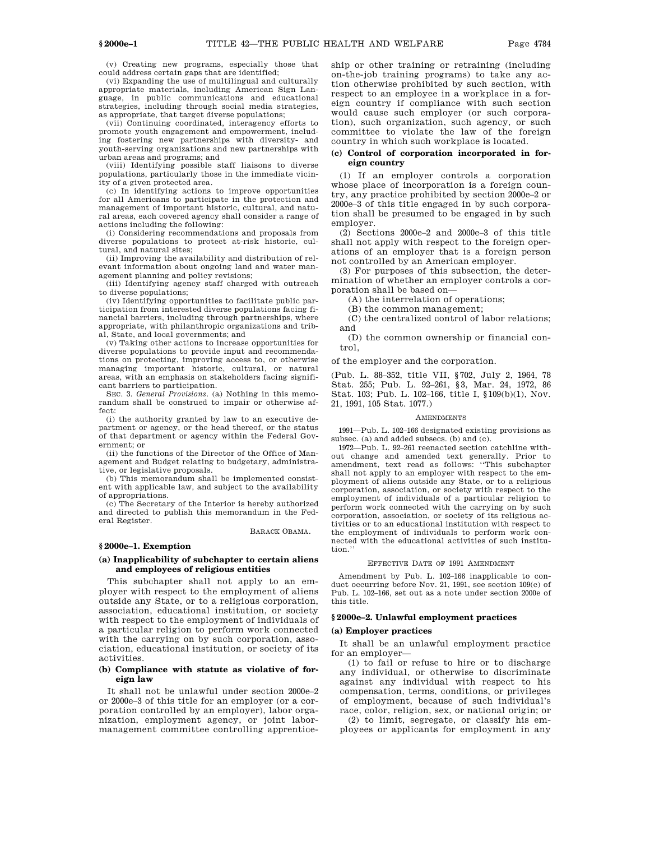(v) Creating new programs, especially those that could address certain gaps that are identified;

(vi) Expanding the use of multilingual and culturally appropriate materials, including American Sign Language, in public communications and educational strategies, including through social media strategies, as appropriate, that target diverse populations;

(vii) Continuing coordinated, interagency efforts to promote youth engagement and empowerment, including fostering new partnerships with diversity- and youth-serving organizations and new partnerships with urban areas and programs; and

(viii) Identifying possible staff liaisons to diverse populations, particularly those in the immediate vicinity of a given protected area.

(c) In identifying actions to improve opportunities for all Americans to participate in the protection and management of important historic, cultural, and natural areas, each covered agency shall consider a range of actions including the following:

(i) Considering recommendations and proposals from diverse populations to protect at-risk historic, cultural, and natural sites;

(ii) Improving the availability and distribution of relevant information about ongoing land and water management planning and policy revisions;

(iii) Identifying agency staff charged with outreach to diverse populations;

(iv) Identifying opportunities to facilitate public participation from interested diverse populations facing financial barriers, including through partnerships, where appropriate, with philanthropic organizations and tribal, State, and local governments; and

(v) Taking other actions to increase opportunities for diverse populations to provide input and recommendations on protecting, improving access to, or otherwise managing important historic, cultural, or natural areas, with an emphasis on stakeholders facing significant barriers to participation.

SEC. 3. *General Provisions*. (a) Nothing in this memorandum shall be construed to impair or otherwise affect:

(i) the authority granted by law to an executive department or agency, or the head thereof, or the status of that department or agency within the Federal Government; or

(ii) the functions of the Director of the Office of Management and Budget relating to budgetary, administrative, or legislative proposals.

(b) This memorandum shall be implemented consistent with applicable law, and subject to the availability of appropriations.

(c) The Secretary of the Interior is hereby authorized and directed to publish this memorandum in the Federal Register.

### BARACK OBAMA.

#### **§ 2000e–1. Exemption**

### **(a) Inapplicability of subchapter to certain aliens and employees of religious entities**

This subchapter shall not apply to an employer with respect to the employment of aliens outside any State, or to a religious corporation, association, educational institution, or society with respect to the employment of individuals of a particular religion to perform work connected with the carrying on by such corporation, association, educational institution, or society of its activities.

### **(b) Compliance with statute as violative of foreign law**

It shall not be unlawful under section 2000e–2 or 2000e–3 of this title for an employer (or a corporation controlled by an employer), labor organization, employment agency, or joint labormanagement committee controlling apprenticeship or other training or retraining (including on-the-job training programs) to take any action otherwise prohibited by such section, with respect to an employee in a workplace in a foreign country if compliance with such section would cause such employer (or such corporation), such organization, such agency, or such committee to violate the law of the foreign country in which such workplace is located.

### **(c) Control of corporation incorporated in foreign country**

(1) If an employer controls a corporation whose place of incorporation is a foreign country, any practice prohibited by section 2000e–2 or 2000e–3 of this title engaged in by such corporation shall be presumed to be engaged in by such employer.

 $(2)$  Sections 2000e–2 and 2000e–3 of this title shall not apply with respect to the foreign operations of an employer that is a foreign person not controlled by an American employer.

(3) For purposes of this subsection, the determination of whether an employer controls a corporation shall be based on—

(A) the interrelation of operations;

(B) the common management;

(C) the centralized control of labor relations; and

(D) the common ownership or financial control,

of the employer and the corporation.

(Pub. L. 88–352, title VII, §702, July 2, 1964, 78 Stat. 255; Pub. L. 92–261, §3, Mar. 24, 1972, 86 Stat. 103; Pub. L. 102–166, title I, §109(b)(1), Nov. 21, 1991, 105 Stat. 1077.)

#### AMENDMENTS

1991—Pub. L. 102–166 designated existing provisions as subsec. (a) and added subsecs. (b) and (c).

1972—Pub. L. 92–261 reenacted section catchline without change and amended text generally. Prior to amendment, text read as follows: ''This subchapter shall not apply to an employer with respect to the employment of aliens outside any State, or to a religious corporation, association, or society with respect to the employment of individuals of a particular religion to perform work connected with the carrying on by such corporation, association, or society of its religious activities or to an educational institution with respect to the employment of individuals to perform work connected with the educational activities of such institution.

#### EFFECTIVE DATE OF 1991 AMENDMENT

Amendment by Pub. L. 102–166 inapplicable to conduct occurring before Nov. 21, 1991, see section 109(c) of Pub. L. 102–166, set out as a note under section 2000e of this title.

### **§ 2000e–2. Unlawful employment practices**

#### **(a) Employer practices**

It shall be an unlawful employment practice for an employer—

(1) to fail or refuse to hire or to discharge any individual, or otherwise to discriminate against any individual with respect to his compensation, terms, conditions, or privileges of employment, because of such individual's race, color, religion, sex, or national origin; or

(2) to limit, segregate, or classify his employees or applicants for employment in any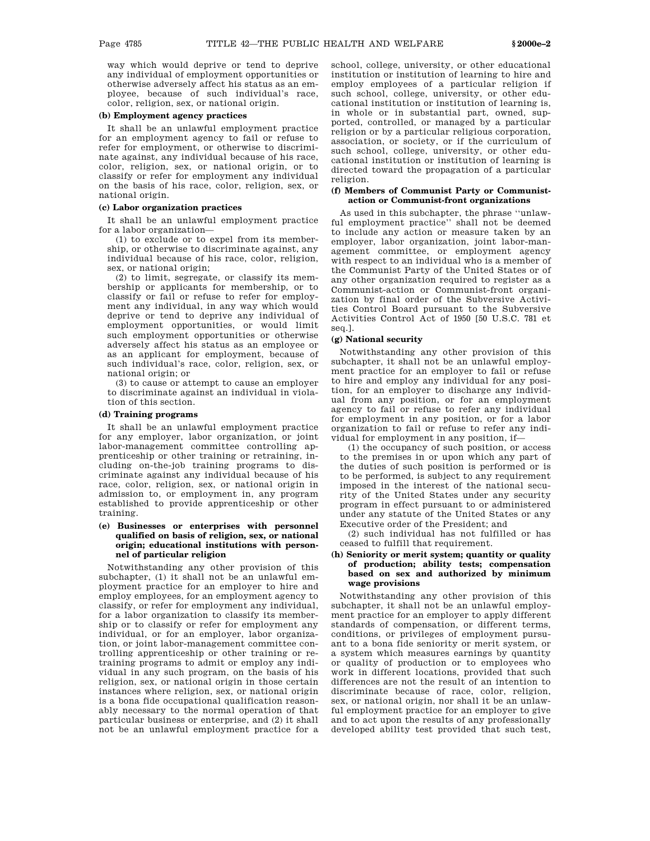way which would deprive or tend to deprive any individual of employment opportunities or otherwise adversely affect his status as an employee, because of such individual's race, color, religion, sex, or national origin.

### **(b) Employment agency practices**

It shall be an unlawful employment practice for an employment agency to fail or refuse to refer for employment, or otherwise to discriminate against, any individual because of his race, color, religion, sex, or national origin, or to classify or refer for employment any individual on the basis of his race, color, religion, sex, or national origin.

### **(c) Labor organization practices**

It shall be an unlawful employment practice for a labor organization—

(1) to exclude or to expel from its membership, or otherwise to discriminate against, any individual because of his race, color, religion, sex, or national origin;

(2) to limit, segregate, or classify its membership or applicants for membership, or to classify or fail or refuse to refer for employment any individual, in any way which would deprive or tend to deprive any individual of employment opportunities, or would limit such employment opportunities or otherwise adversely affect his status as an employee or as an applicant for employment, because of such individual's race, color, religion, sex, or national origin; or

(3) to cause or attempt to cause an employer to discriminate against an individual in violation of this section.

### **(d) Training programs**

It shall be an unlawful employment practice for any employer, labor organization, or joint labor-management committee controlling apprenticeship or other training or retraining, including on-the-job training programs to discriminate against any individual because of his race, color, religion, sex, or national origin in admission to, or employment in, any program established to provide apprenticeship or other training.

### **(e) Businesses or enterprises with personnel qualified on basis of religion, sex, or national origin; educational institutions with personnel of particular religion**

Notwithstanding any other provision of this subchapter, (1) it shall not be an unlawful employment practice for an employer to hire and employ employees, for an employment agency to classify, or refer for employment any individual, for a labor organization to classify its membership or to classify or refer for employment any individual, or for an employer, labor organization, or joint labor-management committee controlling apprenticeship or other training or retraining programs to admit or employ any individual in any such program, on the basis of his religion, sex, or national origin in those certain instances where religion, sex, or national origin is a bona fide occupational qualification reasonably necessary to the normal operation of that particular business or enterprise, and (2) it shall not be an unlawful employment practice for a school, college, university, or other educational institution or institution of learning to hire and employ employees of a particular religion if such school, college, university, or other educational institution or institution of learning is, in whole or in substantial part, owned, supported, controlled, or managed by a particular religion or by a particular religious corporation, association, or society, or if the curriculum of such school, college, university, or other educational institution or institution of learning is directed toward the propagation of a particular religion.

### **(f) Members of Communist Party or Communistaction or Communist-front organizations**

As used in this subchapter, the phrase ''unlawful employment practice'' shall not be deemed to include any action or measure taken by an employer, labor organization, joint labor-management committee, or employment agency with respect to an individual who is a member of the Communist Party of the United States or of any other organization required to register as a Communist-action or Communist-front organization by final order of the Subversive Activities Control Board pursuant to the Subversive Activities Control Act of 1950 [50 U.S.C. 781 et seq.].

### **(g) National security**

Notwithstanding any other provision of this subchapter, it shall not be an unlawful employment practice for an employer to fail or refuse to hire and employ any individual for any position, for an employer to discharge any individual from any position, or for an employment agency to fail or refuse to refer any individual for employment in any position, or for a labor organization to fail or refuse to refer any individual for employment in any position, if—

(1) the occupancy of such position, or access to the premises in or upon which any part of the duties of such position is performed or is to be performed, is subject to any requirement imposed in the interest of the national security of the United States under any security program in effect pursuant to or administered under any statute of the United States or any Executive order of the President; and

(2) such individual has not fulfilled or has ceased to fulfill that requirement.

### **(h) Seniority or merit system; quantity or quality of production; ability tests; compensation based on sex and authorized by minimum wage provisions**

Notwithstanding any other provision of this subchapter, it shall not be an unlawful employment practice for an employer to apply different standards of compensation, or different terms, conditions, or privileges of employment pursuant to a bona fide seniority or merit system, or a system which measures earnings by quantity or quality of production or to employees who work in different locations, provided that such differences are not the result of an intention to discriminate because of race, color, religion, sex, or national origin, nor shall it be an unlawful employment practice for an employer to give and to act upon the results of any professionally developed ability test provided that such test,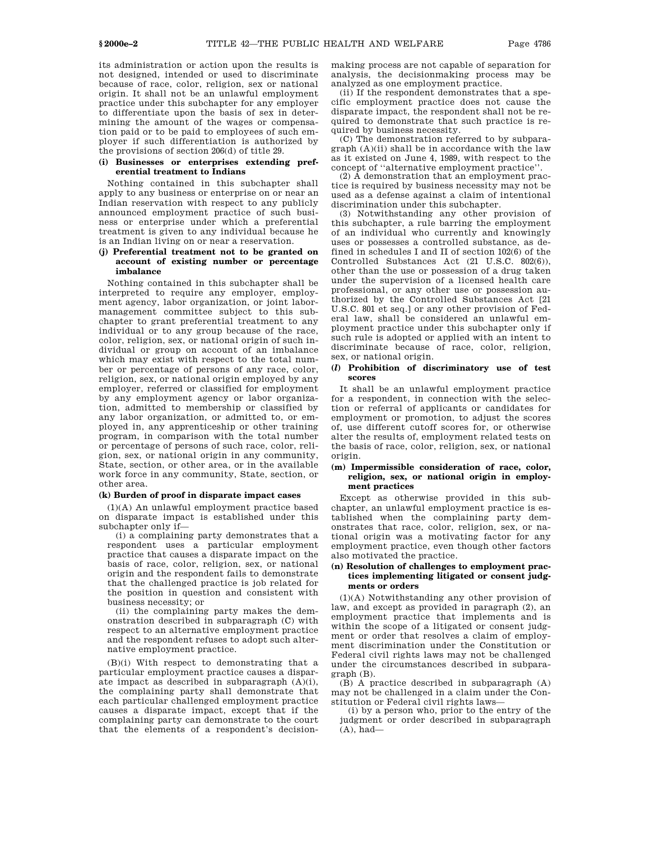its administration or action upon the results is not designed, intended or used to discriminate because of race, color, religion, sex or national origin. It shall not be an unlawful employment practice under this subchapter for any employer to differentiate upon the basis of sex in determining the amount of the wages or compensation paid or to be paid to employees of such employer if such differentiation is authorized by the provisions of section 206(d) of title 29.

### **(i) Businesses or enterprises extending preferential treatment to Indians**

Nothing contained in this subchapter shall apply to any business or enterprise on or near an Indian reservation with respect to any publicly announced employment practice of such business or enterprise under which a preferential treatment is given to any individual because he is an Indian living on or near a reservation.

### **(j) Preferential treatment not to be granted on account of existing number or percentage imbalance**

Nothing contained in this subchapter shall be interpreted to require any employer, employment agency, labor organization, or joint labormanagement committee subject to this subchapter to grant preferential treatment to any individual or to any group because of the race, color, religion, sex, or national origin of such individual or group on account of an imbalance which may exist with respect to the total number or percentage of persons of any race, color, religion, sex, or national origin employed by any employer, referred or classified for employment by any employment agency or labor organization, admitted to membership or classified by any labor organization, or admitted to, or employed in, any apprenticeship or other training program, in comparison with the total number or percentage of persons of such race, color, religion, sex, or national origin in any community, State, section, or other area, or in the available work force in any community, State, section, or other area.

### **(k) Burden of proof in disparate impact cases**

(1)(A) An unlawful employment practice based on disparate impact is established under this subchapter only if—

(i) a complaining party demonstrates that a respondent uses a particular employment practice that causes a disparate impact on the basis of race, color, religion, sex, or national origin and the respondent fails to demonstrate that the challenged practice is job related for the position in question and consistent with business necessity; or

(ii) the complaining party makes the demonstration described in subparagraph (C) with respect to an alternative employment practice and the respondent refuses to adopt such alternative employment practice.

(B)(i) With respect to demonstrating that a particular employment practice causes a disparate impact as described in subparagraph (A)(i), the complaining party shall demonstrate that each particular challenged employment practice causes a disparate impact, except that if the complaining party can demonstrate to the court that the elements of a respondent's decisionmaking process are not capable of separation for analysis, the decisionmaking process may be analyzed as one employment practice.

(ii) If the respondent demonstrates that a specific employment practice does not cause the disparate impact, the respondent shall not be required to demonstrate that such practice is required by business necessity.

(C) The demonstration referred to by subpara $graph (A)(ii) shall be in accordance with the law$ as it existed on June 4, 1989, with respect to the concept of ''alternative employment practice''.

(2) A demonstration that an employment practice is required by business necessity may not be used as a defense against a claim of intentional discrimination under this subchapter.

(3) Notwithstanding any other provision of this subchapter, a rule barring the employment of an individual who currently and knowingly uses or possesses a controlled substance, as defined in schedules I and II of section 102(6) of the Controlled Substances Act (21 U.S.C. 802(6)), other than the use or possession of a drug taken under the supervision of a licensed health care professional, or any other use or possession authorized by the Controlled Substances Act [21 U.S.C. 801 et seq.] or any other provision of Federal law, shall be considered an unlawful employment practice under this subchapter only if such rule is adopted or applied with an intent to discriminate because of race, color, religion, sex, or national origin.

### **(***l***) Prohibition of discriminatory use of test scores**

It shall be an unlawful employment practice for a respondent, in connection with the selection or referral of applicants or candidates for employment or promotion, to adjust the scores of, use different cutoff scores for, or otherwise alter the results of, employment related tests on the basis of race, color, religion, sex, or national origin.

### **(m) Impermissible consideration of race, color, religion, sex, or national origin in employment practices**

Except as otherwise provided in this subchapter, an unlawful employment practice is established when the complaining party demonstrates that race, color, religion, sex, or national origin was a motivating factor for any employment practice, even though other factors also motivated the practice.

### **(n) Resolution of challenges to employment practices implementing litigated or consent judgments or orders**

(1)(A) Notwithstanding any other provision of law, and except as provided in paragraph (2), an employment practice that implements and is within the scope of a litigated or consent judgment or order that resolves a claim of employment discrimination under the Constitution or Federal civil rights laws may not be challenged under the circumstances described in subparagraph (B).

 $(\bar{B})$  A practice described in subparagraph  $(A)$ may not be challenged in a claim under the Constitution or Federal civil rights laws—

(i) by a person who, prior to the entry of the judgment or order described in subparagraph  $(A)$ , had—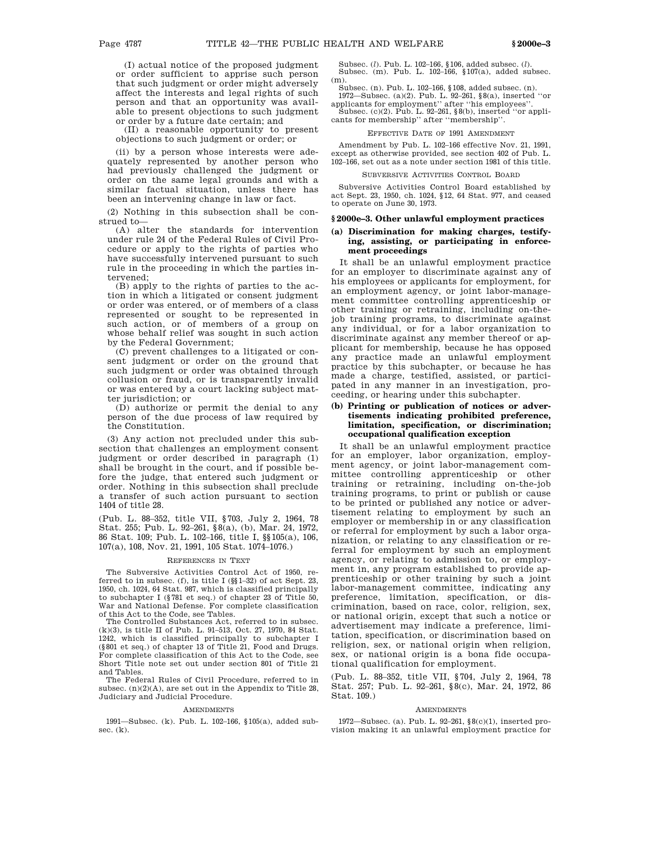(I) actual notice of the proposed judgment or order sufficient to apprise such person that such judgment or order might adversely affect the interests and legal rights of such person and that an opportunity was available to present objections to such judgment or order by a future date certain; and

(II) a reasonable opportunity to present objections to such judgment or order; or

(ii) by a person whose interests were adequately represented by another person who had previously challenged the judgment or order on the same legal grounds and with a similar factual situation, unless there has been an intervening change in law or fact.

(2) Nothing in this subsection shall be construed to—

(A) alter the standards for intervention under rule 24 of the Federal Rules of Civil Procedure or apply to the rights of parties who have successfully intervened pursuant to such rule in the proceeding in which the parties intervened;

(B) apply to the rights of parties to the action in which a litigated or consent judgment or order was entered, or of members of a class represented or sought to be represented in such action, or of members of a group on whose behalf relief was sought in such action by the Federal Government;

(C) prevent challenges to a litigated or consent judgment or order on the ground that such judgment or order was obtained through collusion or fraud, or is transparently invalid or was entered by a court lacking subject matter jurisdiction; or

(D) authorize or permit the denial to any person of the due process of law required by the Constitution.

(3) Any action not precluded under this subsection that challenges an employment consent judgment or order described in paragraph (1) shall be brought in the court, and if possible before the judge, that entered such judgment or order. Nothing in this subsection shall preclude a transfer of such action pursuant to section 1404 of title 28.

(Pub. L. 88–352, title VII, §703, July 2, 1964, 78 Stat. 255; Pub. L. 92–261, §8(a), (b), Mar. 24, 1972, 86 Stat. 109; Pub. L. 102–166, title I, §§105(a), 106, 107(a), 108, Nov. 21, 1991, 105 Stat. 1074–1076.)

#### REFERENCES IN TEXT

The Subversive Activities Control Act of 1950, referred to in subsec. (f), is title I (§§1–32) of act Sept. 23, 1950, ch. 1024, 64 Stat. 987, which is classified principally to subchapter I (§781 et seq.) of chapter 23 of Title 50, War and National Defense. For complete classification of this Act to the Code, see Tables.

The Controlled Substances Act, referred to in subsec. (k)(3), is title II of Pub. L. 91–513, Oct. 27, 1970, 84 Stat. 1242, which is classified principally to subchapter I (§801 et seq.) of chapter 13 of Title 21, Food and Drugs. For complete classification of this Act to the Code, see Short Title note set out under section 801 of Title 21 and Tables.

The Federal Rules of Civil Procedure, referred to in subsec.  $(n)(2)(A)$ , are set out in the Appendix to Title 28, Judiciary and Judicial Procedure.

#### AMENDMENTS

1991—Subsec. (k). Pub. L. 102–166, §105(a), added subsec.  $(k)$ .

Subsec. (*l*). Pub. L. 102–166, §106, added subsec. (*l*). Subsec. (m). Pub. L. 102–166, §107(a), added subsec. (m).

Subsec. (n). Pub. L. 102–166, §108, added subsec. (n). 1972—Subsec. (a)(2). Pub. L. 92–261, §8(a), inserted ''or

applicants for employment'' after "his employees".<br>Subsec.  $(c)(2)$ . Pub. L.  $92-261$ ,  $88(b)$ , inserted "or appli- $\overline{S}$ ubsec. (c)(2). Pub. L. 92–261, §8(b), inserted

cants for membership'' after ''membership''.

### EFFECTIVE DATE OF 1991 AMENDMENT

Amendment by Pub. L. 102–166 effective Nov. 21, 1991, except as otherwise provided, see section 402 of Pub. L. 102–166, set out as a note under section 1981 of this title.

#### SUBVERSIVE ACTIVITIES CONTROL BOARD

Subversive Activities Control Board established by act Sept. 23, 1950, ch. 1024, §12, 64 Stat. 977, and ceased to operate on June 30, 1973.

#### **§ 2000e–3. Other unlawful employment practices**

### **(a) Discrimination for making charges, testifying, assisting, or participating in enforcement proceedings**

It shall be an unlawful employment practice for an employer to discriminate against any of his employees or applicants for employment, for an employment agency, or joint labor-management committee controlling apprenticeship or other training or retraining, including on-thejob training programs, to discriminate against any individual, or for a labor organization to discriminate against any member thereof or applicant for membership, because he has opposed any practice made an unlawful employment practice by this subchapter, or because he has made a charge, testified, assisted, or participated in any manner in an investigation, proceeding, or hearing under this subchapter.

### **(b) Printing or publication of notices or advertisements indicating prohibited preference, limitation, specification, or discrimination; occupational qualification exception**

It shall be an unlawful employment practice for an employer, labor organization, employment agency, or joint labor-management committee controlling apprenticeship or other training or retraining, including on-the-job training programs, to print or publish or cause to be printed or published any notice or advertisement relating to employment by such an employer or membership in or any classification or referral for employment by such a labor organization, or relating to any classification or referral for employment by such an employment agency, or relating to admission to, or employment in, any program established to provide apprenticeship or other training by such a joint labor-management committee, indicating any preference, limitation, specification, or discrimination, based on race, color, religion, sex, or national origin, except that such a notice or advertisement may indicate a preference, limitation, specification, or discrimination based on religion, sex, or national origin when religion, sex, or national origin is a bona fide occupational qualification for employment.

(Pub. L. 88–352, title VII, §704, July 2, 1964, 78 Stat. 257; Pub. L. 92–261, §8(c), Mar. 24, 1972, 86 Stat. 109.)

#### **AMENDMENTS**

1972—Subsec. (a). Pub. L. 92–261, §8(c)(1), inserted provision making it an unlawful employment practice for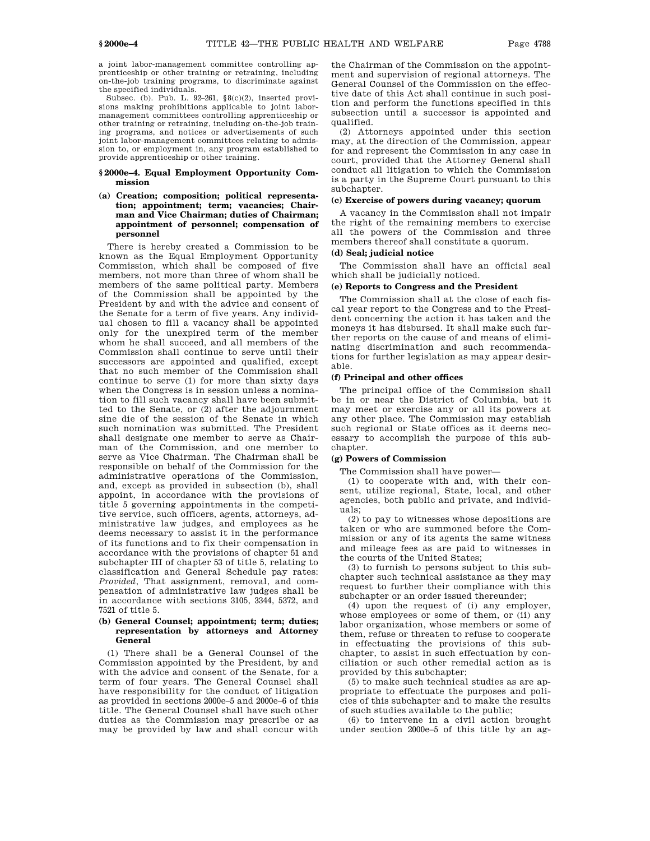a joint labor-management committee controlling apprenticeship or other training or retraining, including on-the-job training programs, to discriminate against the specified individuals.

Subsec. (b). Pub. L. 92–261, §8(c)(2), inserted provisions making prohibitions applicable to joint labormanagement committees controlling apprenticeship or other training or retraining, including on-the-job training programs, and notices or advertisements of such joint labor-management committees relating to admission to, or employment in, any program established to provide apprenticeship or other training.

### **§ 2000e–4. Equal Employment Opportunity Commission**

### **(a) Creation; composition; political representation; appointment; term; vacancies; Chairman and Vice Chairman; duties of Chairman; appointment of personnel; compensation of personnel**

There is hereby created a Commission to be known as the Equal Employment Opportunity Commission, which shall be composed of five members, not more than three of whom shall be members of the same political party. Members of the Commission shall be appointed by the President by and with the advice and consent of the Senate for a term of five years. Any individual chosen to fill a vacancy shall be appointed only for the unexpired term of the member whom he shall succeed, and all members of the Commission shall continue to serve until their successors are appointed and qualified, except that no such member of the Commission shall continue to serve (1) for more than sixty days when the Congress is in session unless a nomination to fill such vacancy shall have been submitted to the Senate, or (2) after the adjournment sine die of the session of the Senate in which such nomination was submitted. The President shall designate one member to serve as Chairman of the Commission, and one member to serve as Vice Chairman. The Chairman shall be responsible on behalf of the Commission for the administrative operations of the Commission, and, except as provided in subsection (b), shall appoint, in accordance with the provisions of title 5 governing appointments in the competitive service, such officers, agents, attorneys, administrative law judges, and employees as he deems necessary to assist it in the performance of its functions and to fix their compensation in accordance with the provisions of chapter 51 and subchapter III of chapter 53 of title 5, relating to classification and General Schedule pay rates: *Provided*, That assignment, removal, and compensation of administrative law judges shall be in accordance with sections 3105, 3344, 5372, and 7521 of title 5.

### **(b) General Counsel; appointment; term; duties; representation by attorneys and Attorney General**

(1) There shall be a General Counsel of the Commission appointed by the President, by and with the advice and consent of the Senate, for a term of four years. The General Counsel shall have responsibility for the conduct of litigation as provided in sections 2000e–5 and 2000e–6 of this title. The General Counsel shall have such other duties as the Commission may prescribe or as may be provided by law and shall concur with

the Chairman of the Commission on the appointment and supervision of regional attorneys. The General Counsel of the Commission on the effective date of this Act shall continue in such position and perform the functions specified in this subsection until a successor is appointed and qualified.

(2) Attorneys appointed under this section may, at the direction of the Commission, appear for and represent the Commission in any case in court, provided that the Attorney General shall conduct all litigation to which the Commission is a party in the Supreme Court pursuant to this subchapter.

### **(c) Exercise of powers during vacancy; quorum**

A vacancy in the Commission shall not impair the right of the remaining members to exercise all the powers of the Commission and three members thereof shall constitute a quorum.

### **(d) Seal; judicial notice**

The Commission shall have an official seal which shall be judicially noticed.

### **(e) Reports to Congress and the President**

The Commission shall at the close of each fiscal year report to the Congress and to the President concerning the action it has taken and the moneys it has disbursed. It shall make such further reports on the cause of and means of eliminating discrimination and such recommendations for further legislation as may appear desirable.

### **(f) Principal and other offices**

The principal office of the Commission shall be in or near the District of Columbia, but it may meet or exercise any or all its powers at any other place. The Commission may establish such regional or State offices as it deems necessary to accomplish the purpose of this subchapter.

### **(g) Powers of Commission**

The Commission shall have power—

(1) to cooperate with and, with their consent, utilize regional, State, local, and other agencies, both public and private, and individuals;

(2) to pay to witnesses whose depositions are taken or who are summoned before the Commission or any of its agents the same witness and mileage fees as are paid to witnesses in the courts of the United States;

(3) to furnish to persons subject to this subchapter such technical assistance as they may request to further their compliance with this subchapter or an order issued thereunder;

(4) upon the request of (i) any employer, whose employees or some of them, or (ii) any labor organization, whose members or some of them, refuse or threaten to refuse to cooperate in effectuating the provisions of this subchapter, to assist in such effectuation by conciliation or such other remedial action as is provided by this subchapter;

(5) to make such technical studies as are appropriate to effectuate the purposes and policies of this subchapter and to make the results of such studies available to the public;

(6) to intervene in a civil action brought under section 2000e–5 of this title by an ag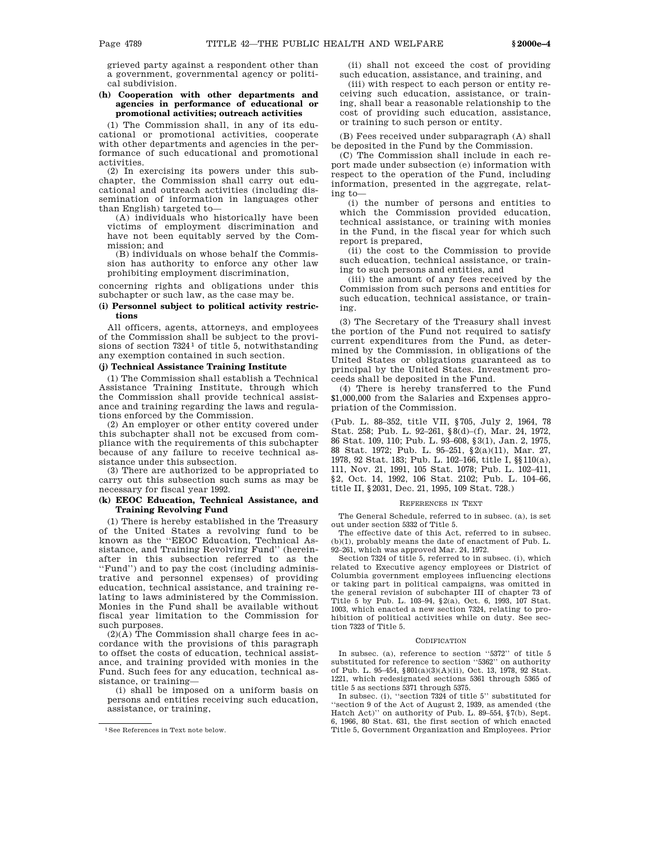grieved party against a respondent other than a government, governmental agency or political subdivision.

### **(h) Cooperation with other departments and agencies in performance of educational or promotional activities; outreach activities**

(1) The Commission shall, in any of its educational or promotional activities, cooperate with other departments and agencies in the performance of such educational and promotional activities.

(2) In exercising its powers under this subchapter, the Commission shall carry out educational and outreach activities (including dissemination of information in languages other than English) targeted to—

(A) individuals who historically have been victims of employment discrimination and have not been equitably served by the Commission; and

(B) individuals on whose behalf the Commission has authority to enforce any other law prohibiting employment discrimination,

concerning rights and obligations under this subchapter or such law, as the case may be.

### **(i) Personnel subject to political activity restrictions**

All officers, agents, attorneys, and employees of the Commission shall be subject to the provisions of section  $7324<sup>1</sup>$  of title 5, notwithstanding any exemption contained in such section.

### **(j) Technical Assistance Training Institute**

(1) The Commission shall establish a Technical Assistance Training Institute, through which the Commission shall provide technical assistance and training regarding the laws and regulations enforced by the Commission.

(2) An employer or other entity covered under this subchapter shall not be excused from compliance with the requirements of this subchapter because of any failure to receive technical assistance under this subsection.

(3) There are authorized to be appropriated to carry out this subsection such sums as may be necessary for fiscal year 1992.

### **(k) EEOC Education, Technical Assistance, and Training Revolving Fund**

(1) There is hereby established in the Treasury of the United States a revolving fund to be known as the ''EEOC Education, Technical Assistance, and Training Revolving Fund'' (hereinafter in this subsection referred to as the ''Fund'') and to pay the cost (including administrative and personnel expenses) of providing education, technical assistance, and training relating to laws administered by the Commission. Monies in the Fund shall be available without fiscal year limitation to the Commission for such purposes.

 $(2)(\overline{A})$  The Commission shall charge fees in accordance with the provisions of this paragraph to offset the costs of education, technical assistance, and training provided with monies in the Fund. Such fees for any education, technical assistance, or training—

(i) shall be imposed on a uniform basis on persons and entities receiving such education, assistance, or training,

(ii) shall not exceed the cost of providing such education, assistance, and training, and

(iii) with respect to each person or entity receiving such education, assistance, or training, shall bear a reasonable relationship to the cost of providing such education, assistance, or training to such person or entity.

(B) Fees received under subparagraph (A) shall be deposited in the Fund by the Commission.

(C) The Commission shall include in each report made under subsection (e) information with respect to the operation of the Fund, including information, presented in the aggregate, relating to—

(i) the number of persons and entities to which the Commission provided education, technical assistance, or training with monies in the Fund, in the fiscal year for which such report is prepared,

(ii) the cost to the Commission to provide such education, technical assistance, or training to such persons and entities, and

(iii) the amount of any fees received by the Commission from such persons and entities for such education, technical assistance, or training.

(3) The Secretary of the Treasury shall invest the portion of the Fund not required to satisfy current expenditures from the Fund, as determined by the Commission, in obligations of the United States or obligations guaranteed as to principal by the United States. Investment proceeds shall be deposited in the Fund.

(4) There is hereby transferred to the Fund \$1,000,000 from the Salaries and Expenses appropriation of the Commission.

(Pub. L. 88–352, title VII, §705, July 2, 1964, 78 Stat. 258; Pub. L. 92–261, §8(d)–(f), Mar. 24, 1972, 86 Stat. 109, 110; Pub. L. 93–608, §3(1), Jan. 2, 1975, 88 Stat. 1972; Pub. L. 95–251, §2(a)(11), Mar. 27, 1978, 92 Stat. 183; Pub. L. 102–166, title I, §§110(a), 111, Nov. 21, 1991, 105 Stat. 1078; Pub. L. 102–411, §2, Oct. 14, 1992, 106 Stat. 2102; Pub. L. 104-66, title II, §2031, Dec. 21, 1995, 109 Stat. 728.)

#### REFERENCES IN TEXT

The General Schedule, referred to in subsec. (a), is set out under section 5332 of Title 5.

The effective date of this Act, referred to in subsec. (b)(1), probably means the date of enactment of Pub. L. 92–261, which was approved Mar. 24, 1972.

Section 7324 of title 5, referred to in subsec. (i), which related to Executive agency employees or District of Columbia government employees influencing elections or taking part in political campaigns, was omitted in the general revision of subchapter III of chapter 73 of Title 5 by Pub. L. 103–94, §2(a), Oct. 6, 1993, 107 Stat. 1003, which enacted a new section 7324, relating to prohibition of political activities while on duty. See section 7323 of Title 5.

#### CODIFICATION

In subsec. (a), reference to section ''5372'' of title 5 substituted for reference to section ''5362'' on authority of Pub. L. 95–454, §801(a)(3)(A)(ii), Oct. 13, 1978, 92 Stat. 1221, which redesignated sections 5361 through 5365 of title 5 as sections 5371 through 5375.

In subsec. (i), ''section 7324 of title 5'' substituted for 'section 9 of the Act of August 2, 1939, as amended (the Hatch Act)'' on authority of Pub. L. 89–554, §7(b), Sept. 6, 1966, 80 Stat. 631, the first section of which enacted Title 5, Government Organization and Employees. Prior

<sup>1</sup>See References in Text note below.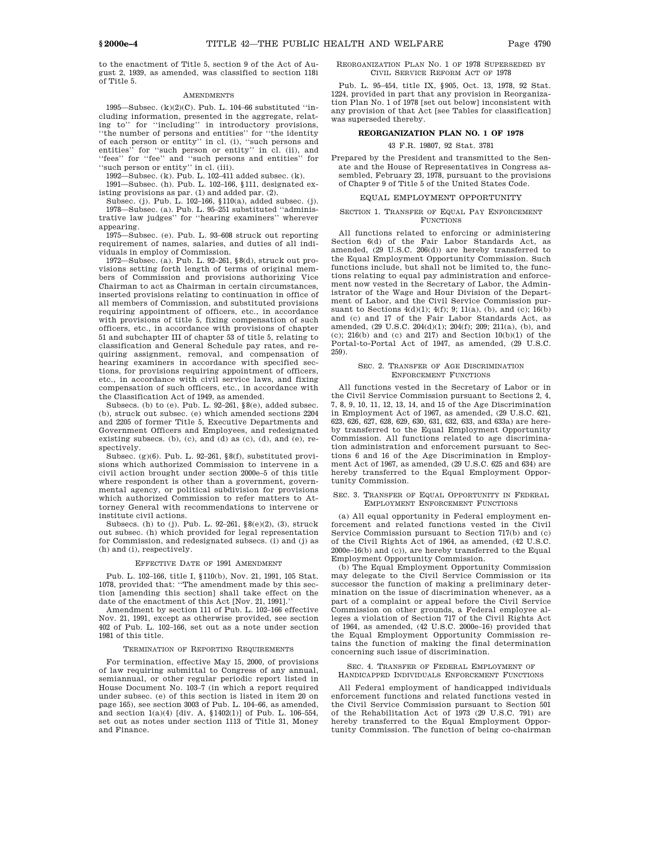to the enactment of Title 5, section 9 of the Act of August 2, 1939, as amended, was classified to section 118i of Title 5.

### **AMENDMENTS**

1995—Subsec. (k)(2)(C). Pub. L. 104–66 substituted ''including information, presented in the aggregate, relating to'' for ''including'' in introductory provisions, ''the number of persons and entities'' for ''the identity of each person or entity'' in cl. (i), ''such persons and entities'' for ''such person or entity'' in cl. (ii), and ''fees'' for ''fee'' and ''such persons and entities'' for ''such person or entity'' in cl. (iii).

1992—Subsec. (k). Pub. L. 102–411 added subsec. (k).

1991—Subsec. (h). Pub. L. 102–166, §111, designated existing provisions as par. (1) and added par. (2).

Subsec. (j). Pub. L. 102–166, §110(a), added subsec. (j). 1978—Subsec. (a). Pub. L. 95–251 substituted ''administrative law judges'' for ''hearing examiners'' wherever appearing.

1975—Subsec. (e). Pub. L. 93–608 struck out reporting requirement of names, salaries, and duties of all individuals in employ of Commission.

1972—Subsec. (a). Pub. L. 92–261, §8(d), struck out provisions setting forth length of terms of original members of Commission and provisions authorizing Vice Chairman to act as Chairman in certain circumstances, inserted provisions relating to continuation in office of all members of Commission, and substituted provisions requiring appointment of officers, etc., in accordance with provisions of title 5, fixing compensation of such officers, etc., in accordance with provisions of chapter 51 and subchapter III of chapter 53 of title 5, relating to classification and General Schedule pay rates, and requiring assignment, removal, and compensation of hearing examiners in accordance with specified sections, for provisions requiring appointment of officers, etc., in accordance with civil service laws, and fixing compensation of such officers, etc., in accordance with the Classification Act of 1949, as amended.

Subsecs. (b) to (e). Pub. L. 92–261, §8(e), added subsec. (b), struck out subsec. (e) which amended sections 2204 and 2205 of former Title 5, Executive Departments and Government Officers and Employees, and redesignated existing subsecs. (b), (c), and (d) as (c), (d), and (e), respectively.

Subsec. (g)(6). Pub. L. 92–261, §8(f), substituted provisions which authorized Commission to intervene in a civil action brought under section 2000e–5 of this title where respondent is other than a government, governmental agency, or political subdivision for provisions which authorized Commission to refer matters to Attorney General with recommendations to intervene or institute civil actions.

Subsecs. (h) to (j). Pub. L. 92–261, §8(e)(2), (3), struck out subsec. (h) which provided for legal representation for Commission, and redesignated subsecs. (i) and (j) as (h) and (i), respectively.

#### EFFECTIVE DATE OF 1991 AMENDMENT

Pub. L. 102–166, title I, §110(b), Nov. 21, 1991, 105 Stat. 1078, provided that: ''The amendment made by this section [amending this section] shall take effect on the date of the enactment of this Act [Nov. 21, 1991].

Amendment by section 111 of Pub. L. 102–166 effective Nov. 21, 1991, except as otherwise provided, see section 402 of Pub. L. 102–166, set out as a note under section 1981 of this title.

### TERMINATION OF REPORTING REQUIREMENTS

For termination, effective May 15, 2000, of provisions of law requiring submittal to Congress of any annual, semiannual, or other regular periodic report listed in House Document No. 103–7 (in which a report required under subsec. (e) of this section is listed in item 20 on page 165), see section 3003 of Pub. L. 104–66, as amended, and section 1(a)(4) [div. A, §1402(1)] of Pub. L. 106–554, set out as notes under section 1113 of Title 31, Money and Finance.

REORGANIZATION PLAN NO. 1 OF 1978 SUPERSEDED BY CIVIL SERVICE REFORM ACT OF 1978

Pub. L. 95–454, title IX, §905, Oct. 13, 1978, 92 Stat. 1224, provided in part that any provision in Reorganization Plan No. 1 of 1978 [set out below] inconsistent with any provision of that Act [see Tables for classification] was superseded thereby.

### **REORGANIZATION PLAN NO. 1 OF 1978**

### 43 F.R. 19807, 92 Stat. 3781

Prepared by the President and transmitted to the Senate and the House of Representatives in Congress assembled, February 23, 1978, pursuant to the provisions of Chapter 9 of Title 5 of the United States Code.

### EQUAL EMPLOYMENT OPPORTUNITY

#### SECTION 1. TRANSFER OF EQUAL PAY ENFORCEMENT **FUNCTIONS**

All functions related to enforcing or administering Section 6(d) of the Fair Labor Standards Act, as amended, (29 U.S.C. 206(d)) are hereby transferred to the Equal Employment Opportunity Commission. Such functions include, but shall not be limited to, the functions relating to equal pay administration and enforcement now vested in the Secretary of Labor, the Administrator of the Wage and Hour Division of the Department of Labor, and the Civil Service Commission pursuant to Sections  $4(d)(1)$ ;  $4(f)$ ; 9;  $11(a)$ , (b), and (c);  $16(b)$ and (c) and 17 of the Fair Labor Standards Act, as amended,  $(29 \text{ U.S.C. } 204(d)(1); 204(f); 209; 211(a), (b), and$ (c);  $216(b)$  and (c) and  $217$ ) and Section  $10(b)(1)$  of the Portal-to-Portal Act of 1947, as amended, (29 U.S.C. 259).

### SEC. 2. TRANSFER OF AGE DISCRIMINATION ENFORCEMENT FUNCTIONS

All functions vested in the Secretary of Labor or in the Civil Service Commission pursuant to Sections 2, 4, 7, 8, 9, 10, 11, 12, 13, 14, and 15 of the Age Discrimination in Employment Act of 1967, as amended, (29 U.S.C. 621, 623, 626, 627, 628, 629, 630, 631, 632, 633, and 633a) are hereby transferred to the Equal Employment Opportunity Commission. All functions related to age discrimination administration and enforcement pursuant to Sections 6 and 16 of the Age Discrimination in Employment Act of 1967, as amended, (29 U.S.C. 625 and 634) are hereby transferred to the Equal Employment Opportunity Commission.

#### SEC. 3. TRANSFER OF EQUAL OPPORTUNITY IN FEDERAL EMPLOYMENT ENFORCEMENT FUNCTIONS

(a) All equal opportunity in Federal employment enforcement and related functions vested in the Civil Service Commission pursuant to Section 717(b) and (c) of the Civil Rights Act of 1964, as amended, (42 U.S.C. 2000e–16(b) and (c)), are hereby transferred to the Equal Employment Opportunity Commission.

(b) The Equal Employment Opportunity Commission may delegate to the Civil Service Commission or its successor the function of making a preliminary determination on the issue of discrimination whenever, as a part of a complaint or appeal before the Civil Service Commission on other grounds, a Federal employee alleges a violation of Section 717 of the Civil Rights Act of 1964, as amended, (42 U.S.C. 2000e–16) provided that the Equal Employment Opportunity Commission retains the function of making the final determination concerning such issue of discrimination.

#### SEC. 4. TRANSFER OF FEDERAL EMPLOYMENT OF HANDICAPPED INDIVIDUALS ENFORCEMENT FUNCTIONS

All Federal employment of handicapped individuals enforcement functions and related functions vested in the Civil Service Commission pursuant to Section 501 of the Rehabilitation Act of 1973 (29 U.S.C. 791) are hereby transferred to the Equal Employment Opportunity Commission. The function of being co-chairman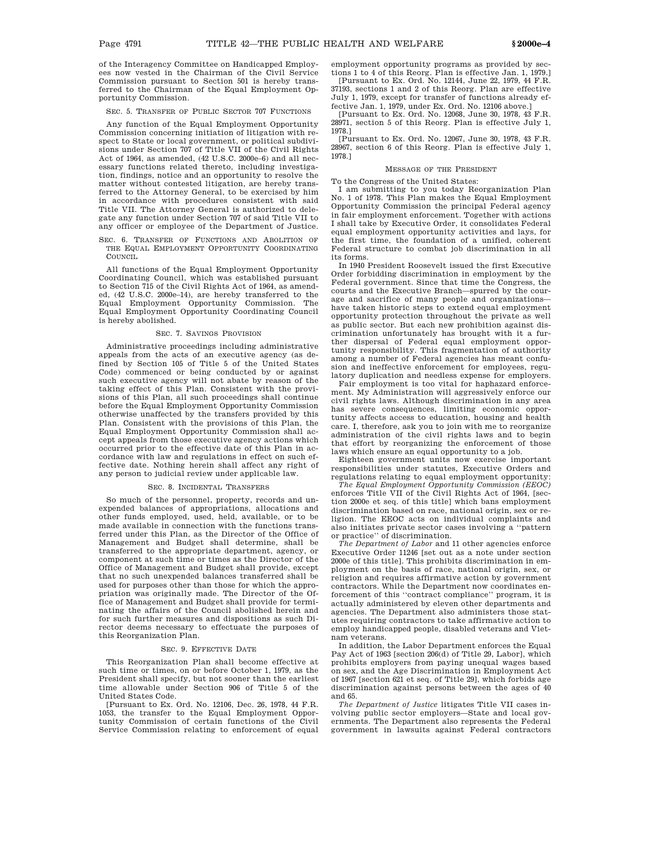of the Interagency Committee on Handicapped Employees now vested in the Chairman of the Civil Service Commission pursuant to Section 501 is hereby transferred to the Chairman of the Equal Employment Opportunity Commission.

### SEC. 5. TRANSFER OF PUBLIC SECTOR 707 FUNCTIONS

Any function of the Equal Employment Opportunity Commission concerning initiation of litigation with respect to State or local government, or political subdivisions under Section 707 of Title VII of the Civil Rights Act of 1964, as amended, (42 U.S.C. 2000e–6) and all necessary functions related thereto, including investigation, findings, notice and an opportunity to resolve the matter without contested litigation, are hereby transferred to the Attorney General, to be exercised by him in accordance with procedures consistent with said Title VII. The Attorney General is authorized to delegate any function under Section 707 of said Title VII to any officer or employee of the Department of Justice.

SEC. 6. TRANSFER OF FUNCTIONS AND ABOLITION OF THE EQUAL EMPLOYMENT OPPORTUNITY COORDINATING **COUNCIL** 

All functions of the Equal Employment Opportunity Coordinating Council, which was established pursuant to Section 715 of the Civil Rights Act of 1964, as amended, (42 U.S.C. 2000e–14), are hereby transferred to the Equal Employment Opportunity Commission. The Equal Employment Opportunity Coordinating Council is hereby abolished.

### SEC. 7. SAVINGS PROVISION

Administrative proceedings including administrative appeals from the acts of an executive agency (as defined by Section 105 of Title 5 of the United States Code) commenced or being conducted by or against such executive agency will not abate by reason of the taking effect of this Plan. Consistent with the provisions of this Plan, all such proceedings shall continue before the Equal Employment Opportunity Commission otherwise unaffected by the transfers provided by this Plan. Consistent with the provisions of this Plan, the Equal Employment Opportunity Commission shall accept appeals from those executive agency actions which occurred prior to the effective date of this Plan in accordance with law and regulations in effect on such effective date. Nothing herein shall affect any right of any person to judicial review under applicable law.

### SEC. 8. INCIDENTAL TRANSFERS

So much of the personnel, property, records and unexpended balances of appropriations, allocations and other funds employed, used, held, available, or to be made available in connection with the functions transferred under this Plan, as the Director of the Office of Management and Budget shall determine, shall be transferred to the appropriate department, agency, or component at such time or times as the Director of the Office of Management and Budget shall provide, except that no such unexpended balances transferred shall be used for purposes other than those for which the appropriation was originally made. The Director of the Office of Management and Budget shall provide for terminating the affairs of the Council abolished herein and for such further measures and dispositions as such Director deems necessary to effectuate the purposes of this Reorganization Plan.

### SEC. 9. EFFECTIVE DATE

This Reorganization Plan shall become effective at such time or times, on or before October 1, 1979, as the President shall specify, but not sooner than the earliest time allowable under Section 906 of Title 5 of the United States Code.

[Pursuant to Ex. Ord. No. 12106, Dec. 26, 1978, 44 F.R. 1053, the transfer to the Equal Employment Opportunity Commission of certain functions of the Civil Service Commission relating to enforcement of equal employment opportunity programs as provided by sections 1 to 4 of this Reorg. Plan is effective Jan. 1, 1979.]

[Pursuant to Ex. Ord. No. 12144, June 22, 1979, 44 F.R. 37193, sections 1 and 2 of this Reorg. Plan are effective July 1, 1979, except for transfer of functions already effective Jan. 1, 1979, under Ex. Ord. No. 12106 above.]

[Pursuant to Ex. Ord. No. 12068, June 30, 1978, 43 F.R. 28971, section 5 of this Reorg. Plan is effective July 1, 1978.]

[Pursuant to Ex. Ord. No. 12067, June 30, 1978, 43 F.R. 28967, section 6 of this Reorg. Plan is effective July 1, 1978.]

#### MESSAGE OF THE PRESIDENT

To the Congress of the United States:

I am submitting to you today Reorganization Plan No. 1 of 1978. This Plan makes the Equal Employment Opportunity Commission the principal Federal agency in fair employment enforcement. Together with actions I shall take by Executive Order, it consolidates Federal equal employment opportunity activities and lays, for the first time, the foundation of a unified, coherent Federal structure to combat job discrimination in all its forms.

In 1940 President Roosevelt issued the first Executive Order forbidding discrimination in employment by the Federal government. Since that time the Congress, the courts and the Executive Branch—spurred by the courage and sacrifice of many people and organizations have taken historic steps to extend equal employment opportunity protection throughout the private as well as public sector. But each new prohibition against discrimination unfortunately has brought with it a further dispersal of Federal equal employment opportunity responsibility. This fragmentation of authority among a number of Federal agencies has meant confusion and ineffective enforcement for employees, regulatory duplication and needless expense for employers.

Fair employment is too vital for haphazard enforcement. My Administration will aggressively enforce our civil rights laws. Although discrimination in any area has severe consequences, limiting economic opportunity affects access to education, housing and health care. I, therefore, ask you to join with me to reorganize administration of the civil rights laws and to begin that effort by reorganizing the enforcement of those laws which ensure an equal opportunity to a job.

Eighteen government units now exercise important responsibilities under statutes, Executive Orders and regulations relating to equal employment opportunity:

*The Equal Employment Opportunity Commission (EEOC)* enforces Title VII of the Civil Rights Act of 1964, [section 2000e et seq. of this title] which bans employment discrimination based on race, national origin, sex or religion. The EEOC acts on individual complaints and also initiates private sector cases involving a ''pattern or practice'' of discrimination.

*The Department of Labor* and 11 other agencies enforce Executive Order 11246 [set out as a note under section 2000e of this title]. This prohibits discrimination in employment on the basis of race, national origin, sex, or religion and requires affirmative action by government contractors. While the Department now coordinates enforcement of this ''contract compliance'' program, it is actually administered by eleven other departments and agencies. The Department also administers those statutes requiring contractors to take affirmative action to employ handicapped people, disabled veterans and Vietnam veterans.

In addition, the Labor Department enforces the Equal Pay Act of 1963 [section 206(d) of Title 29, Labor], which prohibits employers from paying unequal wages based on sex, and the Age Discrimination in Employment Act of 1967 [section 621 et seq. of Title 29], which forbids age discrimination against persons between the ages of 40 and 65.

*The Department of Justice* litigates Title VII cases involving public sector employers—State and local governments. The Department also represents the Federal government in lawsuits against Federal contractors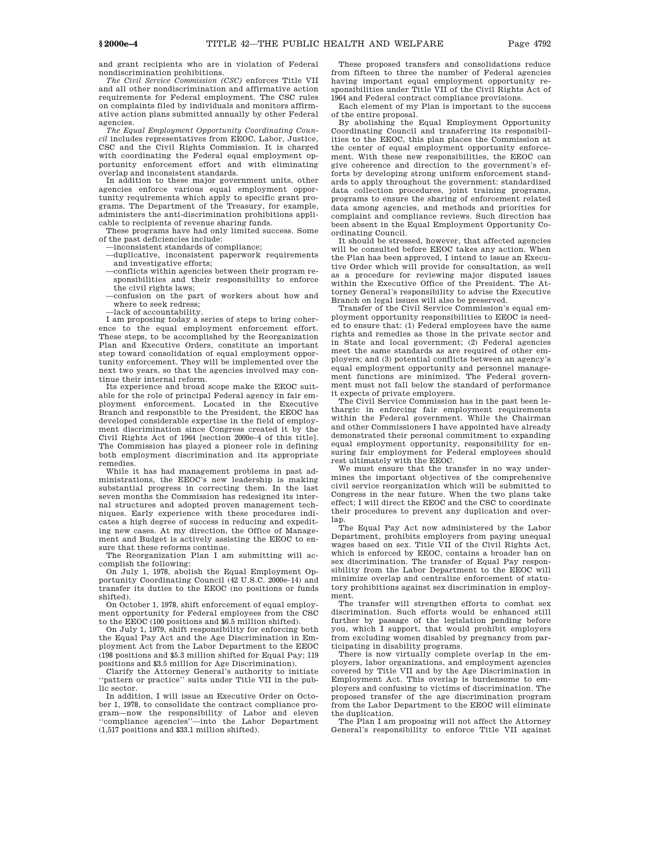and grant recipients who are in violation of Federal nondiscrimination prohibitions.

*The Civil Service Commission (CSC)* enforces Title VII and all other nondiscrimination and affirmative action requirements for Federal employment. The CSC rules on complaints filed by individuals and monitors affirmative action plans submitted annually by other Federal agencies.

*The Equal Employment Opportunity Coordinating Council* includes representatives from EEOC, Labor, Justice, CSC and the Civil Rights Commission. It is charged with coordinating the Federal equal employment opportunity enforcement effort and with eliminating overlap and inconsistent standards.

In addition to these major government units, other agencies enforce various equal employment opportunity requirements which apply to specific grant programs. The Department of the Treasury, for example, administers the anti-discrimination prohibitions applicable to recipients of revenue sharing funds.

These programs have had only limited success. Some of the past deficiencies include:

—inconsistent standards of compliance;

—duplicative, inconsistent paperwork requirements and investigative efforts;

—conflicts within agencies between their program responsibilities and their responsibility to enforce the civil rights laws;

—confusion on the part of workers about how and where to seek redress;

—lack of accountability.

I am proposing today a series of steps to bring coherence to the equal employment enforcement effort. These steps, to be accomplished by the Reorganization Plan and Executive Orders, constitute an important step toward consolidation of equal employment opportunity enforcement. They will be implemented over the next two years, so that the agencies involved may continue their internal reform.

Its experience and broad scope make the EEOC suitable for the role of principal Federal agency in fair employment enforcement. Located in the Executive Branch and responsible to the President, the EEOC has developed considerable expertise in the field of employment discrimination since Congress created it by the Civil Rights Act of 1964 [section 2000e–4 of this title]. The Commission has played a pioneer role in defining both employment discrimination and its appropriate remedies.

While it has had management problems in past administrations, the EEOC's new leadership is making substantial progress in correcting them. In the last seven months the Commission has redesigned its internal structures and adopted proven management techniques. Early experience with these procedures indicates a high degree of success in reducing and expediting new cases. At my direction, the Office of Management and Budget is actively assisting the EEOC to ensure that these reforms continue.

The Reorganization Plan I am submitting will accomplish the following:

On July 1, 1978, abolish the Equal Employment Opportunity Coordinating Council (42 U.S.C. 2000e–14) and transfer its duties to the EEOC (no positions or funds shifted).

On October 1, 1978, shift enforcement of equal employment opportunity for Federal employees from the CSC to the EEOC (100 positions and \$6.5 million shifted).

On July 1, 1979, shift responsibility for enforcing both the Equal Pay Act and the Age Discrimination in Employment Act from the Labor Department to the EEOC (198 positions and \$5.3 million shifted for Equal Pay; 119 positions and \$3.5 million for Age Discrimination).

Clarify the Attorney General's authority to initiate ''pattern or practice'' suits under Title VII in the public sector.

In addition, I will issue an Executive Order on October 1, 1978, to consolidate the contract compliance program—now the responsibility of Labor and eleven ''compliance agencies''—into the Labor Department (1,517 positions and \$33.1 million shifted).

These proposed transfers and consolidations reduce from fifteen to three the number of Federal agencies having important equal employment opportunity responsibilities under Title VII of the Civil Rights Act of 1964 and Federal contract compliance provisions.

Each element of my Plan is important to the success of the entire proposal.

By abolishing the Equal Employment Opportunity Coordinating Council and transferring its responsibilities to the EEOC, this plan places the Commission at the center of equal employment opportunity enforcement. With these new responsibilities, the EEOC can give coherence and direction to the government's efforts by developing strong uniform enforcement standards to apply throughout the government: standardized data collection procedures, joint training programs, programs to ensure the sharing of enforcement related data among agencies, and methods and priorities for complaint and compliance reviews. Such direction has been absent in the Equal Employment Opportunity Coordinating Council.

It should be stressed, however, that affected agencies will be consulted before EEOC takes any action. When the Plan has been approved, I intend to issue an Executive Order which will provide for consultation, as well as a procedure for reviewing major disputed issues within the Executive Office of the President. The Attorney General's responsibility to advise the Executive Branch on legal issues will also be preserved.

Transfer of the Civil Service Commission's equal employment opportunity responsibilities to EEOC is needed to ensure that: (1) Federal employees have the same rights and remedies as those in the private sector and in State and local government; (2) Federal agencies meet the same standards as are required of other employers; and (3) potential conflicts between an agency's equal employment opportunity and personnel management functions are minimized. The Federal government must not fall below the standard of performance it expects of private employers.

The Civil Service Commission has in the past been lethargic in enforcing fair employment requirements within the Federal government. While the Chairman and other Commissioners I have appointed have already demonstrated their personal commitment to expanding equal employment opportunity, responsibility for ensuring fair employment for Federal employees should rest ultimately with the EEOC.

We must ensure that the transfer in no way undermines the important objectives of the comprehensive civil service reorganization which will be submitted to Congress in the near future. When the two plans take effect; I will direct the EEOC and the CSC to coordinate their procedures to prevent any duplication and overlap.

The Equal Pay Act now administered by the Labor Department, prohibits employers from paying unequal wages based on sex. Title VII of the Civil Rights Act, which is enforced by EEOC, contains a broader ban on sex discrimination. The transfer of Equal Pay responsibility from the Labor Department to the EEOC will minimize overlap and centralize enforcement of statutory prohibitions against sex discrimination in employment.

The transfer will strengthen efforts to combat sex discrimination. Such efforts would be enhanced still further by passage of the legislation pending before you, which I support, that would prohibit employers from excluding women disabled by pregnancy from participating in disability programs.

There is now virtually complete overlap in the employers, labor organizations, and employment agencies covered by Title VII and by the Age Discrimination in Employment Act. This overlap is burdensome to employers and confusing to victims of discrimination. The proposed transfer of the age discrimination program from the Labor Department to the EEOC will eliminate the duplication.

The Plan I am proposing will not affect the Attorney General's responsibility to enforce Title VII against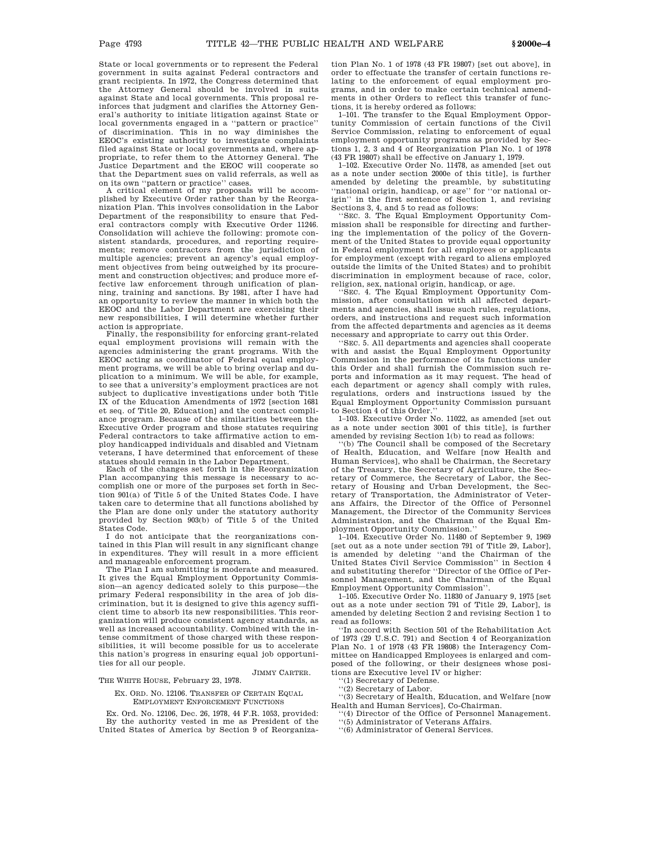State or local governments or to represent the Federal government in suits against Federal contractors and grant recipients. In 1972, the Congress determined that the Attorney General should be involved in suits against State and local governments. This proposal reinforces that judgment and clarifies the Attorney General's authority to initiate litigation against State or local governments engaged in a ''pattern or practice'' of discrimination. This in no way diminishes the EEOC's existing authority to investigate complaints filed against State or local governments and, where appropriate, to refer them to the Attorney General. The Justice Department and the EEOC will cooperate so that the Department sues on valid referrals, as well as on its own ''pattern or practice'' cases.

A critical element of my proposals will be accomplished by Executive Order rather than by the Reorganization Plan. This involves consolidation in the Labor Department of the responsibility to ensure that Federal contractors comply with Executive Order 11246. Consolidation will achieve the following: promote consistent standards, procedures, and reporting requirements; remove contractors from the jurisdiction of multiple agencies; prevent an agency's equal employment objectives from being outweighed by its procurement and construction objectives; and produce more effective law enforcement through unification of planning, training and sanctions. By 1981, after I have had an opportunity to review the manner in which both the EEOC and the Labor Department are exercising their new responsibilities, I will determine whether further action is appropriate.

Finally, the responsibility for enforcing grant-related equal employment provisions will remain with the agencies administering the grant programs. With the EEOC acting as coordinator of Federal equal employment programs, we will be able to bring overlap and duplication to a minimum. We will be able, for example, to see that a university's employment practices are not subject to duplicative investigations under both Title IX of the Education Amendments of 1972 [section 1681 et seq. of Title 20, Education] and the contract compliance program. Because of the similarities between the Executive Order program and those statutes requiring Federal contractors to take affirmative action to employ handicapped individuals and disabled and Vietnam veterans, I have determined that enforcement of these statues should remain in the Labor Department.

Each of the changes set forth in the Reorganization Plan accompanying this message is necessary to accomplish one or more of the purposes set forth in Section 901(a) of Title 5 of the United States Code. I have taken care to determine that all functions abolished by the Plan are done only under the statutory authority provided by Section 903(b) of Title 5 of the United States Code.

I do not anticipate that the reorganizations contained in this Plan will result in any significant change in expenditures. They will result in a more efficient and manageable enforcement program. The Plan I am submitting is moderate and measured.

It gives the Equal Employment Opportunity Commission—an agency dedicated solely to this purpose—the primary Federal responsibility in the area of job discrimination, but it is designed to give this agency sufficient time to absorb its new responsibilities. This reorganization will produce consistent agency standards, as well as increased accountability. Combined with the intense commitment of those charged with these responsibilities, it will become possible for us to accelerate this nation's progress in ensuring equal job opportunities for all our people.

#### JIMMY CARTER. THE WHITE HOUSE, February 23, 1978.

### EX. ORD. NO. 12106. TRANSFER OF CERTAIN EQUAL EMPLOYMENT ENFORCEMENT FUNCTIONS

Ex. Ord. No. 12106, Dec. 26, 1978, 44 F.R. 1053, provided: By the authority vested in me as President of the United States of America by Section 9 of Reorganization Plan No. 1 of 1978 (43 FR 19807) [set out above], in order to effectuate the transfer of certain functions relating to the enforcement of equal employment programs, and in order to make certain technical amendments in other Orders to reflect this transfer of functions, it is hereby ordered as follows:

1–101. The transfer to the Equal Employment Opportunity Commission of certain functions of the Civil Service Commission, relating to enforcement of equal employment opportunity programs as provided by Sections 1, 2, 3 and 4 of Reorganization Plan No. 1 of 1978 (43 FR 19807) shall be effective on January 1, 1979.

1–102. Executive Order No. 11478, as amended [set out as a note under section 2000e of this title], is further amended by deleting the preamble, by substituting "national origin, handicap, or age" for "or national origin'' in the first sentence of Section 1, and revising Sections 3, 4, and 5 to read as follows:

''SEC. 3. The Equal Employment Opportunity Commission shall be responsible for directing and furthering the implementation of the policy of the Government of the United States to provide equal opportunity in Federal employment for all employees or applicants for employment (except with regard to aliens employed outside the limits of the United States) and to prohibit discrimination in employment because of race, color, religion, sex, national origin, handicap, or age.

'SEC. 4. The Equal Employment Opportunity Commission, after consultation with all affected departments and agencies, shall issue such rules, regulations, orders, and instructions and request such information from the affected departments and agencies as it deems necessary and appropriate to carry out this Order.

''SEC. 5. All departments and agencies shall cooperate with and assist the Equal Employment Opportunity Commission in the performance of its functions under this Order and shall furnish the Commission such reports and information as it may request. The head of each department or agency shall comply with rules, regulations, orders and instructions issued by the Equal Employment Opportunity Commission pursuant to Section 4 of this Order.''

1–103. Executive Order No. 11022, as amended [set out as a note under section 3001 of this title], is further amended by revising Section 1(b) to read as follows:

'(b) The Council shall be composed of the Secretary of Health, Education, and Welfare [now Health and Human Services], who shall be Chairman, the Secretary of the Treasury, the Secretary of Agriculture, the Secretary of Commerce, the Secretary of Labor, the Secretary of Housing and Urban Development, the Secretary of Transportation, the Administrator of Veterans Affairs, the Director of the Office of Personnel Management, the Director of the Community Services Administration, and the Chairman of the Equal Employment Opportunity Commission.''

1–104. Executive Order No. 11480 of September 9, 1969 [set out as a note under section 791 of Title 29, Labor], is amended by deleting ''and the Chairman of the United States Civil Service Commission'' in Section 4 and substituting therefor ''Director of the Office of Personnel Management, and the Chairman of the Equal Employment Opportunity Commission''.

1–105. Executive Order No. 11830 of January 9, 1975 [set out as a note under section 791 of Title 29, Labor], is amended by deleting Section 2 and revising Section 1 to read as follows:

''In accord with Section 501 of the Rehabilitation Act of 1973 (29 U.S.C. 791) and Section 4 of Reorganization Plan No. 1 of 1978 (43 FR 19808) the Interagency Committee on Handicapped Employees is enlarged and composed of the following, or their designees whose positions are Executive level IV or higher:

''(1) Secretary of Defense.

''(2) Secretary of Labor.

''(3) Secretary of Health, Education, and Welfare [now Health and Human Services], Co-Chairman.

''(4) Director of the Office of Personnel Management. ''(5) Administrator of Veterans Affairs.

''(6) Administrator of General Services.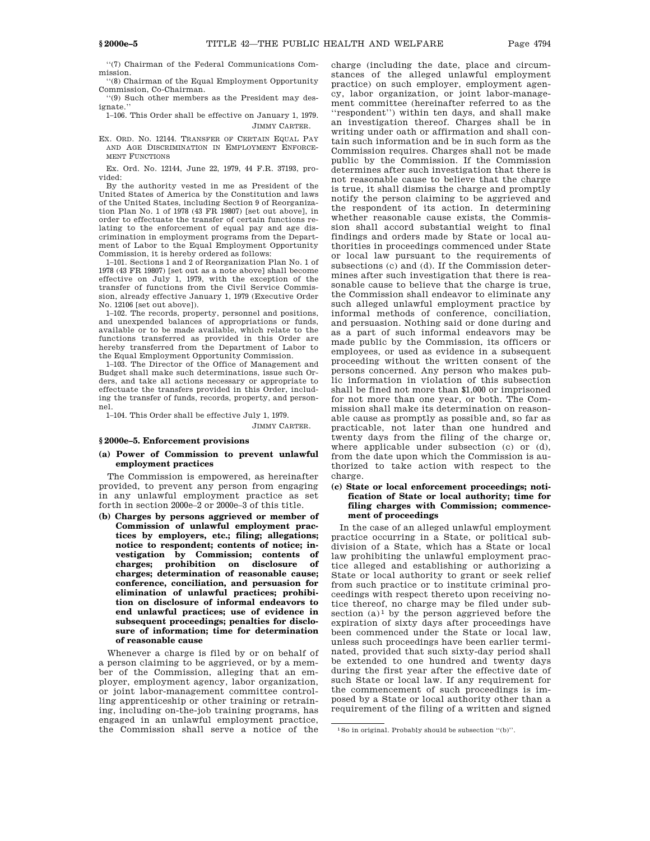''(7) Chairman of the Federal Communications Commission.

''(8) Chairman of the Equal Employment Opportunity Commission, Co-Chairman.

''(9) Such other members as the President may designate.

1–106. This Order shall be effective on January 1, 1979. JIMMY CARTER.

EX. ORD. NO. 12144. TRANSFER OF CERTAIN EQUAL PAY AND AGE DISCRIMINATION IN EMPLOYMENT ENFORCE-MENT FUNCTIONS

Ex. Ord. No. 12144, June 22, 1979, 44 F.R. 37193, provided:

By the authority vested in me as President of the United States of America by the Constitution and laws of the United States, including Section 9 of Reorganization Plan No. 1 of 1978 (43 FR 19807) [set out above], in order to effectuate the transfer of certain functions relating to the enforcement of equal pay and age discrimination in employment programs from the Department of Labor to the Equal Employment Opportunity Commission, it is hereby ordered as follows:

1–101. Sections 1 and 2 of Reorganization Plan No. 1 of 1978 (43 FR 19807) [set out as a note above] shall become effective on July 1, 1979, with the exception of the transfer of functions from the Civil Service Commission, already effective January 1, 1979 (Executive Order No. 12106 [set out above]).

1–102. The records, property, personnel and positions, and unexpended balances of appropriations or funds, available or to be made available, which relate to the functions transferred as provided in this Order are hereby transferred from the Department of Labor to the Equal Employment Opportunity Commission.

1–103. The Director of the Office of Management and Budget shall make such determinations, issue such Orders, and take all actions necessary or appropriate to effectuate the transfers provided in this Order, including the transfer of funds, records, property, and personnel.

1–104. This Order shall be effective July 1, 1979.

JIMMY CARTER.

#### **§ 2000e–5. Enforcement provisions**

### **(a) Power of Commission to prevent unlawful employment practices**

The Commission is empowered, as hereinafter provided, to prevent any person from engaging in any unlawful employment practice as set forth in section 2000e–2 or 2000e–3 of this title.

**(b) Charges by persons aggrieved or member of Commission of unlawful employment practices by employers, etc.; filing; allegations; notice to respondent; contents of notice; investigation by Commission; contents of charges; prohibition on disclosure of charges; determination of reasonable cause; conference, conciliation, and persuasion for elimination of unlawful practices; prohibition on disclosure of informal endeavors to end unlawful practices; use of evidence in subsequent proceedings; penalties for disclosure of information; time for determination of reasonable cause**

Whenever a charge is filed by or on behalf of a person claiming to be aggrieved, or by a member of the Commission, alleging that an employer, employment agency, labor organization, or joint labor-management committee controlling apprenticeship or other training or retraining, including on-the-job training programs, has engaged in an unlawful employment practice, the Commission shall serve a notice of the

charge (including the date, place and circumstances of the alleged unlawful employment practice) on such employer, employment agency, labor organization, or joint labor-management committee (hereinafter referred to as the ''respondent'') within ten days, and shall make an investigation thereof. Charges shall be in writing under oath or affirmation and shall contain such information and be in such form as the Commission requires. Charges shall not be made public by the Commission. If the Commission determines after such investigation that there is not reasonable cause to believe that the charge is true, it shall dismiss the charge and promptly notify the person claiming to be aggrieved and the respondent of its action. In determining whether reasonable cause exists, the Commission shall accord substantial weight to final findings and orders made by State or local authorities in proceedings commenced under State or local law pursuant to the requirements of subsections (c) and (d). If the Commission determines after such investigation that there is reasonable cause to believe that the charge is true, the Commission shall endeavor to eliminate any such alleged unlawful employment practice by informal methods of conference, conciliation, and persuasion. Nothing said or done during and as a part of such informal endeavors may be made public by the Commission, its officers or employees, or used as evidence in a subsequent proceeding without the written consent of the persons concerned. Any person who makes public information in violation of this subsection shall be fined not more than \$1,000 or imprisoned for not more than one year, or both. The Commission shall make its determination on reasonable cause as promptly as possible and, so far as practicable, not later than one hundred and twenty days from the filing of the charge or, where applicable under subsection (c) or (d), from the date upon which the Commission is authorized to take action with respect to the charge.

### **(c) State or local enforcement proceedings; notification of State or local authority; time for filing charges with Commission; commencement of proceedings**

In the case of an alleged unlawful employment practice occurring in a State, or political subdivision of a State, which has a State or local law prohibiting the unlawful employment practice alleged and establishing or authorizing a State or local authority to grant or seek relief from such practice or to institute criminal proceedings with respect thereto upon receiving notice thereof, no charge may be filed under subsection  $(a)^1$  by the person aggrieved before the expiration of sixty days after proceedings have been commenced under the State or local law, unless such proceedings have been earlier terminated, provided that such sixty-day period shall be extended to one hundred and twenty days during the first year after the effective date of such State or local law. If any requirement for the commencement of such proceedings is imposed by a State or local authority other than a requirement of the filing of a written and signed

<sup>1</sup>So in original. Probably should be subsection ''(b)''.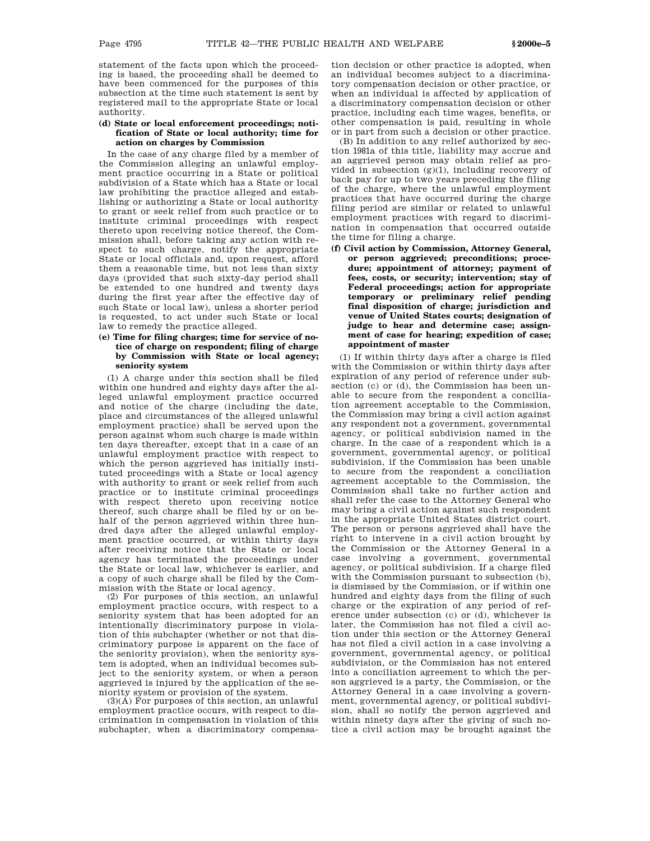statement of the facts upon which the proceeding is based, the proceeding shall be deemed to have been commenced for the purposes of this subsection at the time such statement is sent by registered mail to the appropriate State or local authority.

### **(d) State or local enforcement proceedings; notification of State or local authority; time for action on charges by Commission**

In the case of any charge filed by a member of the Commission alleging an unlawful employment practice occurring in a State or political subdivision of a State which has a State or local law prohibiting the practice alleged and establishing or authorizing a State or local authority to grant or seek relief from such practice or to institute criminal proceedings with respect thereto upon receiving notice thereof, the Commission shall, before taking any action with respect to such charge, notify the appropriate State or local officials and, upon request, afford them a reasonable time, but not less than sixty days (provided that such sixty-day period shall be extended to one hundred and twenty days during the first year after the effective day of such State or local law), unless a shorter period is requested, to act under such State or local law to remedy the practice alleged.

### **(e) Time for filing charges; time for service of notice of charge on respondent; filing of charge by Commission with State or local agency; seniority system**

(1) A charge under this section shall be filed within one hundred and eighty days after the alleged unlawful employment practice occurred and notice of the charge (including the date, place and circumstances of the alleged unlawful employment practice) shall be served upon the person against whom such charge is made within ten days thereafter, except that in a case of an unlawful employment practice with respect to which the person aggrieved has initially instituted proceedings with a State or local agency with authority to grant or seek relief from such practice or to institute criminal proceedings with respect thereto upon receiving notice thereof, such charge shall be filed by or on behalf of the person aggrieved within three hundred days after the alleged unlawful employment practice occurred, or within thirty days after receiving notice that the State or local agency has terminated the proceedings under the State or local law, whichever is earlier, and a copy of such charge shall be filed by the Commission with the State or local agency.

(2) For purposes of this section, an unlawful employment practice occurs, with respect to a seniority system that has been adopted for an intentionally discriminatory purpose in violation of this subchapter (whether or not that discriminatory purpose is apparent on the face of the seniority provision), when the seniority system is adopted, when an individual becomes subject to the seniority system, or when a person aggrieved is injured by the application of the seniority system or provision of the system.

(3)(A) For purposes of this section, an unlawful employment practice occurs, with respect to discrimination in compensation in violation of this subchapter, when a discriminatory compensation decision or other practice is adopted, when an individual becomes subject to a discriminatory compensation decision or other practice, or when an individual is affected by application of a discriminatory compensation decision or other practice, including each time wages, benefits, or other compensation is paid, resulting in whole or in part from such a decision or other practice.

(B) In addition to any relief authorized by section 1981a of this title, liability may accrue and an aggrieved person may obtain relief as provided in subsection  $(g)(1)$ , including recovery of back pay for up to two years preceding the filing of the charge, where the unlawful employment practices that have occurred during the charge filing period are similar or related to unlawful employment practices with regard to discrimination in compensation that occurred outside the time for filing a charge.

**(f) Civil action by Commission, Attorney General, or person aggrieved; preconditions; procedure; appointment of attorney; payment of fees, costs, or security; intervention; stay of Federal proceedings; action for appropriate temporary or preliminary relief pending final disposition of charge; jurisdiction and venue of United States courts; designation of judge to hear and determine case; assignment of case for hearing; expedition of case; appointment of master**

(1) If within thirty days after a charge is filed with the Commission or within thirty days after expiration of any period of reference under subsection (c) or (d), the Commission has been unable to secure from the respondent a conciliation agreement acceptable to the Commission, the Commission may bring a civil action against any respondent not a government, governmental agency, or political subdivision named in the charge. In the case of a respondent which is a government, governmental agency, or political subdivision, if the Commission has been unable to secure from the respondent a conciliation agreement acceptable to the Commission, the Commission shall take no further action and shall refer the case to the Attorney General who may bring a civil action against such respondent in the appropriate United States district court. The person or persons aggrieved shall have the right to intervene in a civil action brought by the Commission or the Attorney General in a case involving a government, governmental agency, or political subdivision. If a charge filed with the Commission pursuant to subsection (b), is dismissed by the Commission, or if within one hundred and eighty days from the filing of such charge or the expiration of any period of reference under subsection (c) or (d), whichever is later, the Commission has not filed a civil action under this section or the Attorney General has not filed a civil action in a case involving a government, governmental agency, or political subdivision, or the Commission has not entered into a conciliation agreement to which the person aggrieved is a party, the Commission, or the Attorney General in a case involving a government, governmental agency, or political subdivision, shall so notify the person aggrieved and within ninety days after the giving of such notice a civil action may be brought against the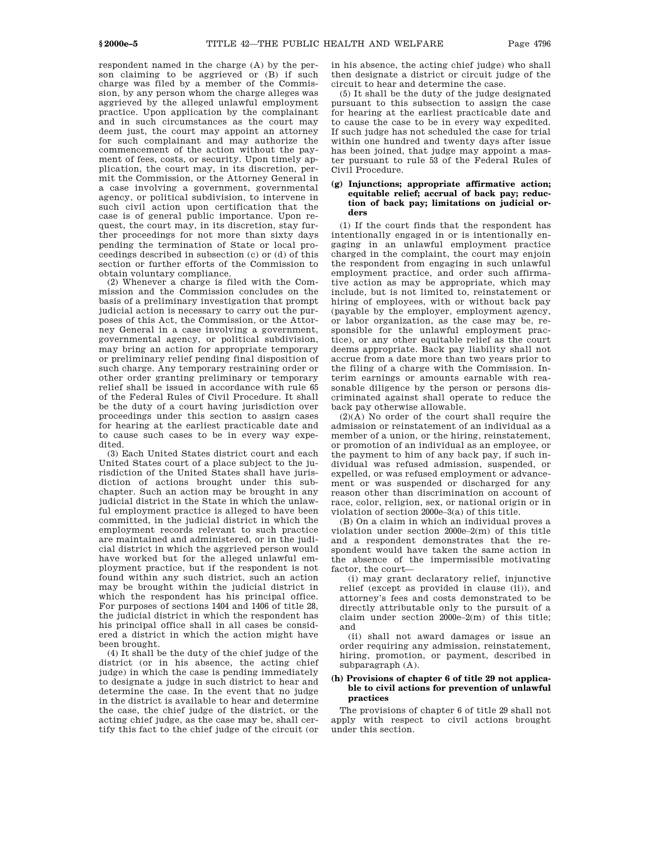respondent named in the charge (A) by the person claiming to be aggrieved or (B) if such charge was filed by a member of the Commission, by any person whom the charge alleges was aggrieved by the alleged unlawful employment practice. Upon application by the complainant and in such circumstances as the court may deem just, the court may appoint an attorney for such complainant and may authorize the commencement of the action without the payment of fees, costs, or security. Upon timely application, the court may, in its discretion, permit the Commission, or the Attorney General in a case involving a government, governmental agency, or political subdivision, to intervene in such civil action upon certification that the case is of general public importance. Upon request, the court may, in its discretion, stay further proceedings for not more than sixty days pending the termination of State or local proceedings described in subsection (c) or (d) of this section or further efforts of the Commission to obtain voluntary compliance.

(2) Whenever a charge is filed with the Commission and the Commission concludes on the basis of a preliminary investigation that prompt judicial action is necessary to carry out the purposes of this Act, the Commission, or the Attorney General in a case involving a government, governmental agency, or political subdivision, may bring an action for appropriate temporary or preliminary relief pending final disposition of such charge. Any temporary restraining order or other order granting preliminary or temporary relief shall be issued in accordance with rule 65 of the Federal Rules of Civil Procedure. It shall be the duty of a court having jurisdiction over proceedings under this section to assign cases for hearing at the earliest practicable date and to cause such cases to be in every way expedited.

(3) Each United States district court and each United States court of a place subject to the jurisdiction of the United States shall have jurisdiction of actions brought under this subchapter. Such an action may be brought in any judicial district in the State in which the unlawful employment practice is alleged to have been committed, in the judicial district in which the employment records relevant to such practice are maintained and administered, or in the judicial district in which the aggrieved person would have worked but for the alleged unlawful employment practice, but if the respondent is not found within any such district, such an action may be brought within the judicial district in which the respondent has his principal office. For purposes of sections 1404 and 1406 of title 28, the judicial district in which the respondent has his principal office shall in all cases be considered a district in which the action might have been brought.

(4) It shall be the duty of the chief judge of the district (or in his absence, the acting chief judge) in which the case is pending immediately to designate a judge in such district to hear and determine the case. In the event that no judge in the district is available to hear and determine the case, the chief judge of the district, or the acting chief judge, as the case may be, shall certify this fact to the chief judge of the circuit (or in his absence, the acting chief judge) who shall then designate a district or circuit judge of the circuit to hear and determine the case.

(5) It shall be the duty of the judge designated pursuant to this subsection to assign the case for hearing at the earliest practicable date and to cause the case to be in every way expedited. If such judge has not scheduled the case for trial within one hundred and twenty days after issue has been joined, that judge may appoint a master pursuant to rule 53 of the Federal Rules of Civil Procedure.

### **(g) Injunctions; appropriate affirmative action; equitable relief; accrual of back pay; reduction of back pay; limitations on judicial orders**

(1) If the court finds that the respondent has intentionally engaged in or is intentionally engaging in an unlawful employment practice charged in the complaint, the court may enjoin the respondent from engaging in such unlawful employment practice, and order such affirmative action as may be appropriate, which may include, but is not limited to, reinstatement or hiring of employees, with or without back pay (payable by the employer, employment agency, or labor organization, as the case may be, responsible for the unlawful employment practice), or any other equitable relief as the court deems appropriate. Back pay liability shall not accrue from a date more than two years prior to the filing of a charge with the Commission. Interim earnings or amounts earnable with reasonable diligence by the person or persons discriminated against shall operate to reduce the back pay otherwise allowable.

(2)(A) No order of the court shall require the admission or reinstatement of an individual as a member of a union, or the hiring, reinstatement, or promotion of an individual as an employee, or the payment to him of any back pay, if such individual was refused admission, suspended, or expelled, or was refused employment or advancement or was suspended or discharged for any reason other than discrimination on account of race, color, religion, sex, or national origin or in violation of section 2000e–3(a) of this title.

(B) On a claim in which an individual proves a violation under section 2000e–2(m) of this title and a respondent demonstrates that the respondent would have taken the same action in the absence of the impermissible motivating factor, the court—

(i) may grant declaratory relief, injunctive relief (except as provided in clause (ii)), and attorney's fees and costs demonstrated to be directly attributable only to the pursuit of a claim under section 2000e–2(m) of this title; and

(ii) shall not award damages or issue an order requiring any admission, reinstatement, hiring, promotion, or payment, described in subparagraph (A).

### **(h) Provisions of chapter 6 of title 29 not applicable to civil actions for prevention of unlawful practices**

The provisions of chapter 6 of title 29 shall not apply with respect to civil actions brought under this section.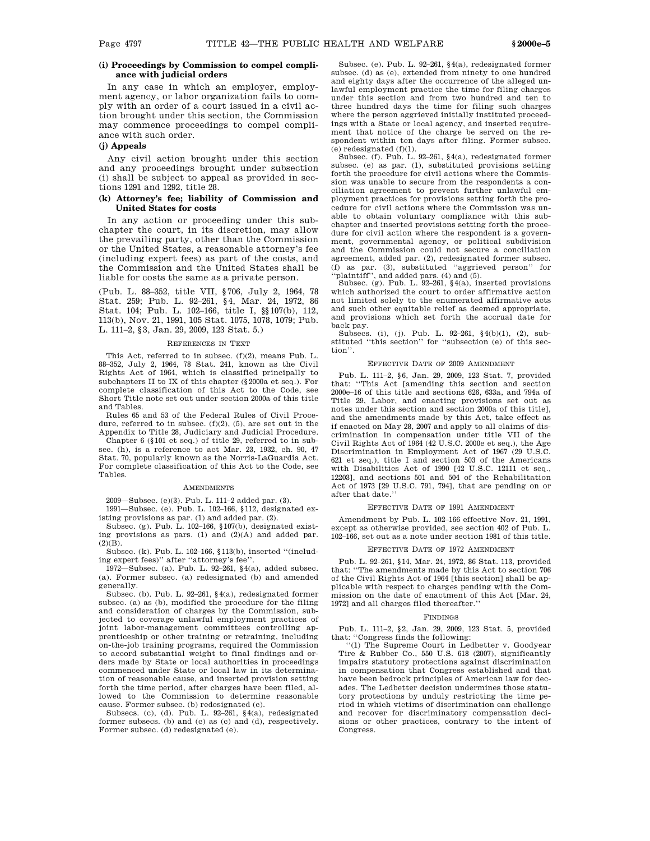### **(i) Proceedings by Commission to compel compliance with judicial orders**

In any case in which an employer, employment agency, or labor organization fails to comply with an order of a court issued in a civil action brought under this section, the Commission may commence proceedings to compel compliance with such order.

### **(j) Appeals**

Any civil action brought under this section and any proceedings brought under subsection (i) shall be subject to appeal as provided in sections 1291 and 1292, title 28.

### **(k) Attorney's fee; liability of Commission and United States for costs**

In any action or proceeding under this subchapter the court, in its discretion, may allow the prevailing party, other than the Commission or the United States, a reasonable attorney's fee (including expert fees) as part of the costs, and the Commission and the United States shall be liable for costs the same as a private person.

(Pub. L. 88–352, title VII, §706, July 2, 1964, 78 Stat. 259; Pub. L. 92–261, §4, Mar. 24, 1972, 86 Stat. 104; Pub. L. 102–166, title I, §§107(b), 112, 113(b), Nov. 21, 1991, 105 Stat. 1075, 1078, 1079; Pub. L. 111–2, §3, Jan. 29, 2009, 123 Stat. 5.)

### REFERENCES IN TEXT

This Act, referred to in subsec. (f)(2), means Pub. L. 88–352, July 2, 1964, 78 Stat. 241, known as the Civil Rights Act of 1964, which is classified principally to subchapters II to IX of this chapter (§2000a et seq.). For complete classification of this Act to the Code, see Short Title note set out under section 2000a of this title and Tables.

Rules 65 and 53 of the Federal Rules of Civil Procedure, referred to in subsec.  $(f)(2)$ ,  $(5)$ , are set out in the Appendix to Title 28, Judiciary and Judicial Procedure.

Chapter 6 (§101 et seq.) of title 29, referred to in subsec. (h), is a reference to act Mar. 23, 1932, ch. 90, 47 Stat. 70, popularly known as the Norris-LaGuardia Act. For complete classification of this Act to the Code, see Tables.

### AMENDMENTS

2009—Subsec. (e)(3). Pub. L. 111–2 added par. (3).

1991—Subsec. (e). Pub. L. 102–166, §112, designated existing provisions as par. (1) and added par. (2).

Subsec. (g). Pub. L. 102–166, §107(b), designated existing provisions as pars. (1) and (2)(A) and added par.  $(2)(B).$ 

Subsec. (k). Pub. L. 102–166, §113(b), inserted ''(including expert fees)'' after ''attorney's fee''.

1972—Subsec. (a). Pub. L. 92–261, §4(a), added subsec. (a). Former subsec. (a) redesignated (b) and amended generally.

Subsec. (b). Pub. L. 92–261, §4(a), redesignated former subsec. (a) as (b), modified the procedure for the filing and consideration of charges by the Commission, subjected to coverage unlawful employment practices of joint labor-management committees controlling apprenticeship or other training or retraining, including on-the-job training programs, required the Commission to accord substantial weight to final findings and orders made by State or local authorities in proceedings commenced under State or local law in its determination of reasonable cause, and inserted provision setting forth the time period, after charges have been filed, allowed to the Commission to determine reasonable cause. Former subsec. (b) redesignated (c).

Subsecs. (c), (d). Pub. L. 92–261, §4(a), redesignated former subsecs. (b) and (c) as (c) and (d), respectively. Former subsec. (d) redesignated (e).

Subsec. (e). Pub. L. 92–261, §4(a), redesignated former subsec. (d) as (e), extended from ninety to one hundred and eighty days after the occurrence of the alleged unlawful employment practice the time for filing charges under this section and from two hundred and ten to three hundred days the time for filing such charges where the person aggrieved initially instituted proceedings with a State or local agency, and inserted requirement that notice of the charge be served on the respondent within ten days after filing. Former subsec.  $(e)$  redesignated  $(f)(1)$ .

Subsec. (f). Pub. L. 92–261, §4(a), redesignated former subsec. (e) as par. (1), substituted provisions setting forth the procedure for civil actions where the Commission was unable to secure from the respondents a conciliation agreement to prevent further unlawful employment practices for provisions setting forth the procedure for civil actions where the Commission was unable to obtain voluntary compliance with this subchapter and inserted provisions setting forth the procedure for civil action where the respondent is a government, governmental agency, or political subdivision and the Commission could not secure a conciliation agreement, added par. (2), redesignated former subsec. (f) as par. (3), substituted ''aggrieved person'' for ''plaintiff'', and added pars. (4) and (5).

Subsec. (g). Pub. L. 92–261,  $\S$ 4(a), inserted provisions which authorized the court to order affirmative action not limited solely to the enumerated affirmative acts and such other equitable relief as deemed appropriate, and provisions which set forth the accrual date for back pay.

Subsecs. (i), (j). Pub. L. 92–261, §4(b)(1), (2), substituted ''this section'' for ''subsection (e) of this section''.

#### EFFECTIVE DATE OF 2009 AMENDMENT

Pub. L. 111–2, §6, Jan. 29, 2009, 123 Stat. 7, provided that: ''This Act [amending this section and section 2000e–16 of this title and sections 626, 633a, and 794a of Title 29, Labor, and enacting provisions set out as notes under this section and section 2000a of this title], and the amendments made by this Act, take effect as if enacted on May 28, 2007 and apply to all claims of discrimination in compensation under title VII of the Civil Rights Act of 1964 (42 U.S.C. 2000e et seq.), the Age Discrimination in Employment Act of 1967 (29 U.S.C. 621 et seq.), title I and section 503 of the Americans with Disabilities Act of 1990 [42 U.S.C. 12111 et seq., 12203], and sections 501 and 504 of the Rehabilitation Act of 1973 [29 U.S.C. 791, 794], that are pending on or after that date.''

#### EFFECTIVE DATE OF 1991 AMENDMENT

Amendment by Pub. L. 102–166 effective Nov. 21, 1991, except as otherwise provided, see section 402 of Pub. L. 102–166, set out as a note under section 1981 of this title.

### EFFECTIVE DATE OF 1972 AMENDMENT

Pub. L. 92–261, §14, Mar. 24, 1972, 86 Stat. 113, provided that: ''The amendments made by this Act to section 706 of the Civil Rights Act of 1964 [this section] shall be applicable with respect to charges pending with the Commission on the date of enactment of this Act [Mar. 24, 1972] and all charges filed thereafter.''

#### FINDINGS

Pub. L. 111–2, §2, Jan. 29, 2009, 123 Stat. 5, provided

that: ''Congress finds the following: ''(1) The Supreme Court in Ledbetter v. Goodyear Tire & Rubber Co., 550 U.S. 618 (2007), significantly impairs statutory protections against discrimination in compensation that Congress established and that have been bedrock principles of American law for decades. The Ledbetter decision undermines those statutory protections by unduly restricting the time period in which victims of discrimination can challenge and recover for discriminatory compensation decisions or other practices, contrary to the intent of Congress.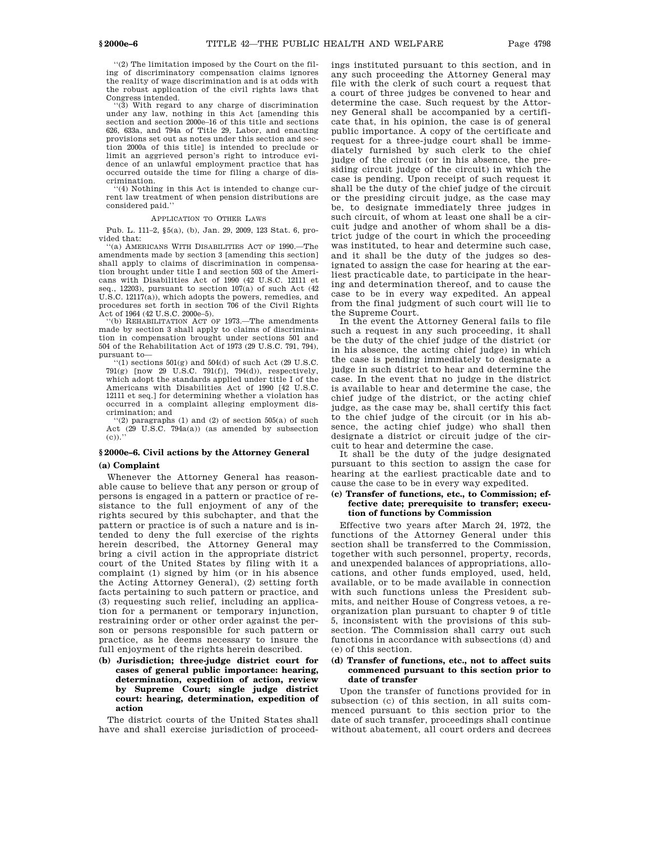''(2) The limitation imposed by the Court on the filing of discriminatory compensation claims ignores the reality of wage discrimination and is at odds with the robust application of the civil rights laws that Congress intended.

''(3) With regard to any charge of discrimination under any law, nothing in this Act [amending this section and section 2000e–16 of this title and sections 626, 633a, and 794a of Title 29, Labor, and enacting provisions set out as notes under this section and section 2000a of this title] is intended to preclude or limit an aggrieved person's right to introduce evidence of an unlawful employment practice that has occurred outside the time for filing a charge of discrimination.

''(4) Nothing in this Act is intended to change current law treatment of when pension distributions are considered paid.''

#### APPLICATION TO OTHER LAWS

Pub. L. 111–2, §5(a), (b), Jan. 29, 2009, 123 Stat. 6, provided that:

'(a) AMERICANS WITH DISABILITIES ACT OF 1990.-The amendments made by section 3 [amending this section] shall apply to claims of discrimination in compensation brought under title I and section 503 of the Americans with Disabilities Act of 1990 (42 U.S.C. 12111 et seq., 12203), pursuant to section 107(a) of such Act (42 U.S.C. 12117(a)), which adopts the powers, remedies, and procedures set forth in section 706 of the Civil Rights Act of 1964 (42 U.S.C. 2000e–5).

''(b) REHABILITATION ACT OF 1973.—The amendments made by section 3 shall apply to claims of discrimination in compensation brought under sections 501 and 504 of the Rehabilitation Act of 1973 (29 U.S.C. 791, 794), pursuant to—

 $(1)$  sections 501(g) and 504(d) of such Act (29 U.S.C. 791(g) [now 29 U.S.C. 791(f)], 794(d)), respectively, which adopt the standards applied under title I of the Americans with Disabilities Act of 1990 [42 U.S.C. 12111 et seq.] for determining whether a violation has occurred in a complaint alleging employment discrimination; and

 $(2)$  paragraphs (1) and (2) of section 505(a) of such Act (29 U.S.C. 794a(a)) (as amended by subsection  $(c)$ ).'

# **§ 2000e–6. Civil actions by the Attorney General**

### **(a) Complaint**

Whenever the Attorney General has reasonable cause to believe that any person or group of persons is engaged in a pattern or practice of resistance to the full enjoyment of any of the rights secured by this subchapter, and that the pattern or practice is of such a nature and is intended to deny the full exercise of the rights herein described, the Attorney General may bring a civil action in the appropriate district court of the United States by filing with it a complaint (1) signed by him (or in his absence the Acting Attorney General), (2) setting forth facts pertaining to such pattern or practice, and (3) requesting such relief, including an application for a permanent or temporary injunction, restraining order or other order against the person or persons responsible for such pattern or practice, as he deems necessary to insure the full enjoyment of the rights herein described.

### **(b) Jurisdiction; three-judge district court for cases of general public importance: hearing, determination, expedition of action, review by Supreme Court; single judge district court: hearing, determination, expedition of action**

The district courts of the United States shall have and shall exercise jurisdiction of proceedings instituted pursuant to this section, and in any such proceeding the Attorney General may file with the clerk of such court a request that a court of three judges be convened to hear and determine the case. Such request by the Attorney General shall be accompanied by a certificate that, in his opinion, the case is of general public importance. A copy of the certificate and request for a three-judge court shall be immediately furnished by such clerk to the chief judge of the circuit (or in his absence, the presiding circuit judge of the circuit) in which the case is pending. Upon receipt of such request it shall be the duty of the chief judge of the circuit or the presiding circuit judge, as the case may be, to designate immediately three judges in such circuit, of whom at least one shall be a circuit judge and another of whom shall be a district judge of the court in which the proceeding was instituted, to hear and determine such case, and it shall be the duty of the judges so designated to assign the case for hearing at the earliest practicable date, to participate in the hearing and determination thereof, and to cause the case to be in every way expedited. An appeal from the final judgment of such court will lie to the Supreme Court.

In the event the Attorney General fails to file such a request in any such proceeding, it shall be the duty of the chief judge of the district (or in his absence, the acting chief judge) in which the case is pending immediately to designate a judge in such district to hear and determine the case. In the event that no judge in the district is available to hear and determine the case, the chief judge of the district, or the acting chief judge, as the case may be, shall certify this fact to the chief judge of the circuit (or in his absence, the acting chief judge) who shall then designate a district or circuit judge of the circuit to hear and determine the case.

It shall be the duty of the judge designated pursuant to this section to assign the case for hearing at the earliest practicable date and to cause the case to be in every way expedited.

### **(c) Transfer of functions, etc., to Commission; effective date; prerequisite to transfer; execution of functions by Commission**

Effective two years after March 24, 1972, the functions of the Attorney General under this section shall be transferred to the Commission, together with such personnel, property, records, and unexpended balances of appropriations, allocations, and other funds employed, used, held, available, or to be made available in connection with such functions unless the President submits, and neither House of Congress vetoes, a reorganization plan pursuant to chapter 9 of title 5, inconsistent with the provisions of this subsection. The Commission shall carry out such functions in accordance with subsections (d) and (e) of this section.

### **(d) Transfer of functions, etc., not to affect suits commenced pursuant to this section prior to date of transfer**

Upon the transfer of functions provided for in subsection (c) of this section, in all suits commenced pursuant to this section prior to the date of such transfer, proceedings shall continue without abatement, all court orders and decrees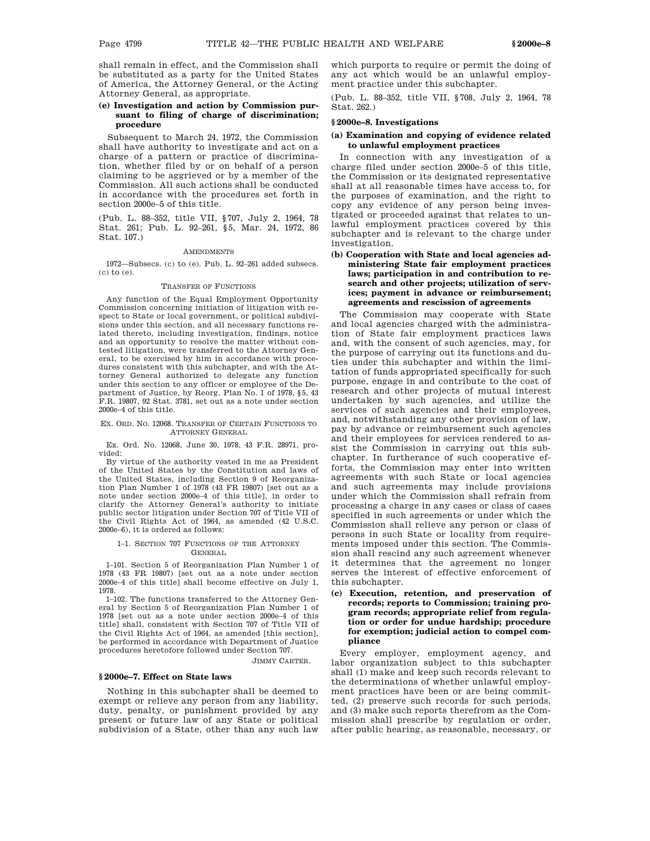shall remain in effect, and the Commission shall be substituted as a party for the United States of America, the Attorney General, or the Acting Attorney General, as appropriate.

### **(e) Investigation and action by Commission pursuant to filing of charge of discrimination; procedure**

Subsequent to March 24, 1972, the Commission shall have authority to investigate and act on a charge of a pattern or practice of discrimination, whether filed by or on behalf of a person claiming to be aggrieved or by a member of the Commission. All such actions shall be conducted in accordance with the procedures set forth in section 2000e–5 of this title.

(Pub. L. 88–352, title VII, §707, July 2, 1964, 78 Stat. 261; Pub. L. 92–261, §5, Mar. 24, 1972, 86 Stat. 107.)

#### **AMENDMENTS**

1972—Subsecs. (c) to (e). Pub. L. 92–261 added subsecs. (c) to (e).

#### TRANSFER OF FUNCTIONS

Any function of the Equal Employment Opportunity Commission concerning initiation of litigation with respect to State or local government, or political subdivisions under this section, and all necessary functions related thereto, including investigation, findings, notice and an opportunity to resolve the matter without contested litigation, were transferred to the Attorney General, to be exercised by him in accordance with procedures consistent with this subchapter, and with the Attorney General authorized to delegate any function under this section to any officer or employee of the Department of Justice, by Reorg. Plan No. 1 of 1978, §5, 43 F.R. 19807, 92 Stat. 3781, set out as a note under section 2000e–4 of this title.

#### EX. ORD. NO. 12068. TRANSFER OF CERTAIN FUNCTIONS TO ATTORNEY GENERAL

Ex. Ord. No. 12068, June 30, 1978, 43 F.R. 28971, provided:

By virtue of the authority vested in me as President of the United States by the Constitution and laws of the United States, including Section 9 of Reorganization Plan Number 1 of 1978 (43 FR 19807) [set out as a note under section 2000e–4 of this title], in order to clarify the Attorney General's authority to initiate public sector litigation under Section 707 of Title VII of the Civil Rights Act of 1964, as amended (42 U.S.C. 2000e–6), it is ordered as follows:

### 1–1. SECTION 707 FUNCTIONS OF THE ATTORNEY GENERAL

1–101. Section 5 of Reorganization Plan Number 1 of 1978 (43 FR 19807) [set out as a note under section 2000e–4 of this title] shall become effective on July 1, 1978.

1–102. The functions transferred to the Attorney General by Section 5 of Reorganization Plan Number 1 of 1978 [set out as a note under section 2000e–4 of this title] shall, consistent with Section 707 of Title VII of the Civil Rights Act of 1964, as amended [this section], be performed in accordance with Department of Justice procedures heretofore followed under Section 707.

JIMMY CARTER.

### **§ 2000e–7. Effect on State laws**

Nothing in this subchapter shall be deemed to exempt or relieve any person from any liability, duty, penalty, or punishment provided by any present or future law of any State or political subdivision of a State, other than any such law which purports to require or permit the doing of any act which would be an unlawful employment practice under this subchapter.

(Pub. L. 88–352, title VII, §708, July 2, 1964, 78 Stat. 262.)

### **§ 2000e–8. Investigations**

### **(a) Examination and copying of evidence related to unlawful employment practices**

In connection with any investigation of a charge filed under section 2000e–5 of this title, the Commission or its designated representative shall at all reasonable times have access to, for the purposes of examination, and the right to copy any evidence of any person being investigated or proceeded against that relates to unlawful employment practices covered by this subchapter and is relevant to the charge under investigation.

### **(b) Cooperation with State and local agencies administering State fair employment practices laws; participation in and contribution to research and other projects; utilization of services; payment in advance or reimbursement; agreements and rescission of agreements**

The Commission may cooperate with State and local agencies charged with the administration of State fair employment practices laws and, with the consent of such agencies, may, for the purpose of carrying out its functions and duties under this subchapter and within the limitation of funds appropriated specifically for such purpose, engage in and contribute to the cost of research and other projects of mutual interest undertaken by such agencies, and utilize the services of such agencies and their employees, and, notwithstanding any other provision of law, pay by advance or reimbursement such agencies and their employees for services rendered to assist the Commission in carrying out this subchapter. In furtherance of such cooperative efforts, the Commission may enter into written agreements with such State or local agencies and such agreements may include provisions under which the Commission shall refrain from processing a charge in any cases or class of cases specified in such agreements or under which the Commission shall relieve any person or class of persons in such State or locality from requirements imposed under this section. The Commission shall rescind any such agreement whenever it determines that the agreement no longer serves the interest of effective enforcement of this subchapter.

**(c) Execution, retention, and preservation of records; reports to Commission; training program records; appropriate relief from regulation or order for undue hardship; procedure for exemption; judicial action to compel compliance**

Every employer, employment agency, and labor organization subject to this subchapter shall (1) make and keep such records relevant to the determinations of whether unlawful employment practices have been or are being committed, (2) preserve such records for such periods, and (3) make such reports therefrom as the Commission shall prescribe by regulation or order, after public hearing, as reasonable, necessary, or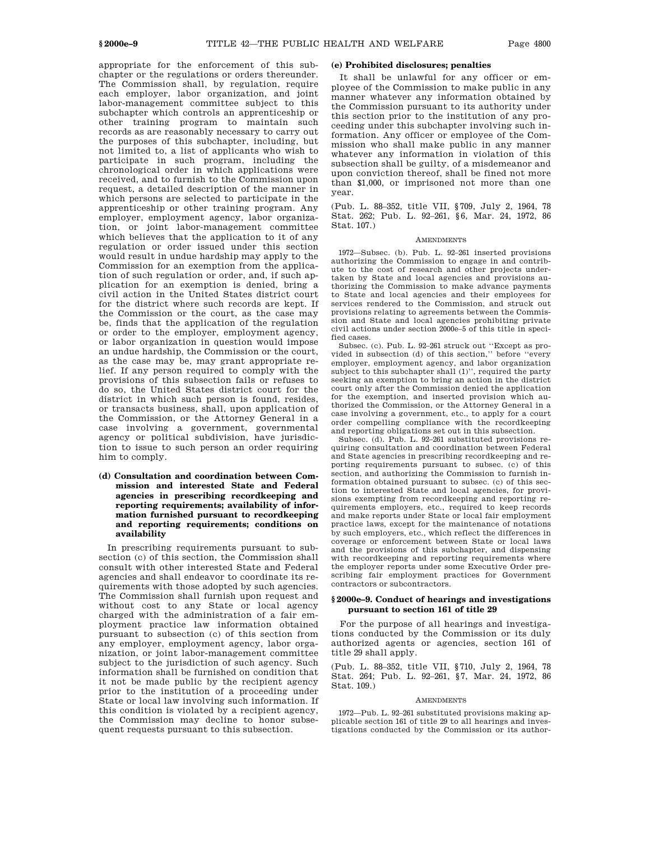appropriate for the enforcement of this subchapter or the regulations or orders thereunder. The Commission shall, by regulation, require each employer, labor organization, and joint labor-management committee subject to this subchapter which controls an apprenticeship or other training program to maintain such records as are reasonably necessary to carry out the purposes of this subchapter, including, but not limited to, a list of applicants who wish to participate in such program, including the chronological order in which applications were received, and to furnish to the Commission upon request, a detailed description of the manner in which persons are selected to participate in the apprenticeship or other training program. Any employer, employment agency, labor organization, or joint labor-management committee which believes that the application to it of any regulation or order issued under this section would result in undue hardship may apply to the Commission for an exemption from the application of such regulation or order, and, if such application for an exemption is denied, bring a civil action in the United States district court for the district where such records are kept. If the Commission or the court, as the case may be, finds that the application of the regulation or order to the employer, employment agency, or labor organization in question would impose an undue hardship, the Commission or the court, as the case may be, may grant appropriate relief. If any person required to comply with the provisions of this subsection fails or refuses to do so, the United States district court for the district in which such person is found, resides, or transacts business, shall, upon application of the Commission, or the Attorney General in a case involving a government, governmental agency or political subdivision, have jurisdiction to issue to such person an order requiring him to comply.

### **(d) Consultation and coordination between Commission and interested State and Federal agencies in prescribing recordkeeping and reporting requirements; availability of information furnished pursuant to recordkeeping and reporting requirements; conditions on availability**

In prescribing requirements pursuant to subsection (c) of this section, the Commission shall consult with other interested State and Federal agencies and shall endeavor to coordinate its requirements with those adopted by such agencies. The Commission shall furnish upon request and without cost to any State or local agency charged with the administration of a fair employment practice law information obtained pursuant to subsection (c) of this section from any employer, employment agency, labor organization, or joint labor-management committee subject to the jurisdiction of such agency. Such information shall be furnished on condition that it not be made public by the recipient agency prior to the institution of a proceeding under State or local law involving such information. If this condition is violated by a recipient agency, the Commission may decline to honor subsequent requests pursuant to this subsection.

### **(e) Prohibited disclosures; penalties**

It shall be unlawful for any officer or employee of the Commission to make public in any manner whatever any information obtained by the Commission pursuant to its authority under this section prior to the institution of any proceeding under this subchapter involving such information. Any officer or employee of the Commission who shall make public in any manner whatever any information in violation of this subsection shall be guilty, of a misdemeanor and upon conviction thereof, shall be fined not more than \$1,000, or imprisoned not more than one year.

(Pub. L. 88–352, title VII, §709, July 2, 1964, 78 Stat. 262; Pub. L. 92–261, §6, Mar. 24, 1972, 86 Stat. 107.)

#### **AMENDMENTS**

1972—Subsec. (b). Pub. L. 92–261 inserted provisions authorizing the Commission to engage in and contribute to the cost of research and other projects undertaken by State and local agencies and provisions authorizing the Commission to make advance payments to State and local agencies and their employees for services rendered to the Commission, and struck out provisions relating to agreements between the Commission and State and local agencies prohibiting private civil actions under section 2000e–5 of this title in specified cases.

Subsec. (c). Pub. L. 92–261 struck out ''Except as provided in subsection (d) of this section,'' before ''every employer, employment agency, and labor organization subject to this subchapter shall (1)'', required the party seeking an exemption to bring an action in the district court only after the Commission denied the application for the exemption, and inserted provision which authorized the Commission, or the Attorney General in a case involving a government, etc., to apply for a court order compelling compliance with the recordkeeping and reporting obligations set out in this subsection.

Subsec. (d). Pub. L. 92–261 substituted provisions requiring consultation and coordination between Federal and State agencies in prescribing recordkeeping and reporting requirements pursuant to subsec. (c) of this section, and authorizing the Commission to furnish information obtained pursuant to subsec. (c) of this section to interested State and local agencies, for provisions exempting from recordkeeping and reporting requirements employers, etc., required to keep records and make reports under State or local fair employment practice laws, except for the maintenance of notations by such employers, etc., which reflect the differences in coverage or enforcement between State or local laws and the provisions of this subchapter, and dispensing with recordkeeping and reporting requirements where the employer reports under some Executive Order prescribing fair employment practices for Government contractors or subcontractors.

### **§ 2000e–9. Conduct of hearings and investigations pursuant to section 161 of title 29**

For the purpose of all hearings and investigations conducted by the Commission or its duly authorized agents or agencies, section 161 of title 29 shall apply.

(Pub. L. 88–352, title VII, §710, July 2, 1964, 78 Stat. 264; Pub. L. 92–261, §7, Mar. 24, 1972, 86 Stat. 109.)

#### **AMENDMENTS**

1972—Pub. L. 92–261 substituted provisions making applicable section 161 of title 29 to all hearings and investigations conducted by the Commission or its author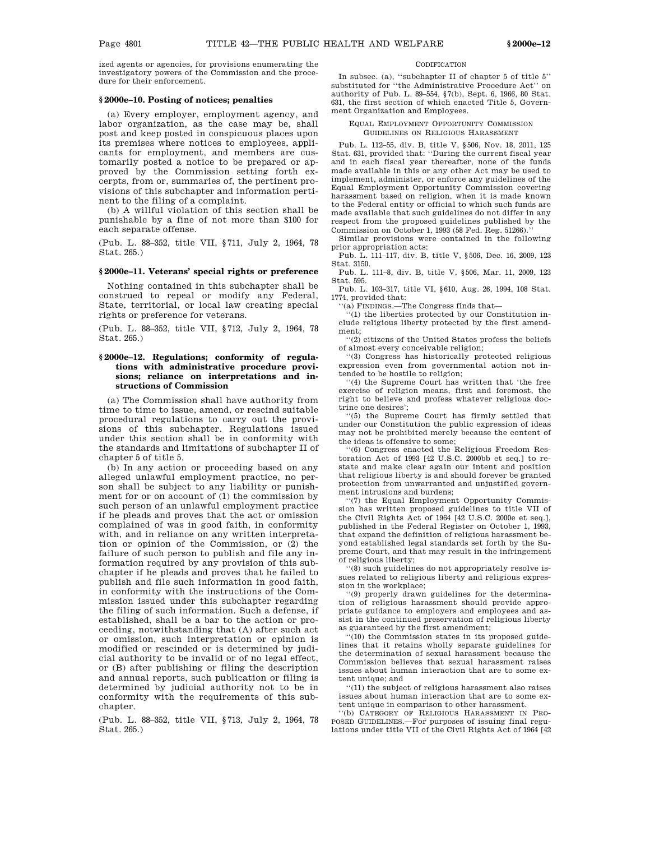ized agents or agencies, for provisions enumerating the investigatory powers of the Commission and the procedure for their enforcement.

### **§ 2000e–10. Posting of notices; penalties**

(a) Every employer, employment agency, and labor organization, as the case may be, shall post and keep posted in conspicuous places upon its premises where notices to employees, applicants for employment, and members are customarily posted a notice to be prepared or approved by the Commission setting forth excerpts, from or, summaries of, the pertinent provisions of this subchapter and information pertinent to the filing of a complaint.

(b) A willful violation of this section shall be punishable by a fine of not more than \$100 for each separate offense.

(Pub. L. 88–352, title VII, §711, July 2, 1964, 78 Stat. 265.)

### **§ 2000e–11. Veterans' special rights or preference**

Nothing contained in this subchapter shall be construed to repeal or modify any Federal, State, territorial, or local law creating special rights or preference for veterans.

(Pub. L. 88–352, title VII, §712, July 2, 1964, 78 Stat. 265.)

### **§ 2000e–12. Regulations; conformity of regulations with administrative procedure provisions; reliance on interpretations and instructions of Commission**

(a) The Commission shall have authority from time to time to issue, amend, or rescind suitable procedural regulations to carry out the provisions of this subchapter. Regulations issued under this section shall be in conformity with the standards and limitations of subchapter II of chapter 5 of title 5.

(b) In any action or proceeding based on any alleged unlawful employment practice, no person shall be subject to any liability or punishment for or on account of (1) the commission by such person of an unlawful employment practice if he pleads and proves that the act or omission complained of was in good faith, in conformity with, and in reliance on any written interpretation or opinion of the Commission, or (2) the failure of such person to publish and file any information required by any provision of this subchapter if he pleads and proves that he failed to publish and file such information in good faith, in conformity with the instructions of the Commission issued under this subchapter regarding the filing of such information. Such a defense, if established, shall be a bar to the action or proceeding, notwithstanding that (A) after such act or omission, such interpretation or opinion is modified or rescinded or is determined by judicial authority to be invalid or of no legal effect, or (B) after publishing or filing the description and annual reports, such publication or filing is determined by judicial authority not to be in conformity with the requirements of this subchapter.

(Pub. L. 88–352, title VII, §713, July 2, 1964, 78 Stat. 265.)

#### CODIFICATION

In subsec. (a), ''subchapter II of chapter 5 of title 5'' substituted for ''the Administrative Procedure Act'' on authority of Pub. L. 89–554, §7(b), Sept. 6, 1966, 80 Stat. 631, the first section of which enacted Title 5, Government Organization and Employees.

### EQUAL EMPLOYMENT OPPORTUNITY COMMISSION GUIDELINES ON RELIGIOUS HARASSMENT

Pub. L. 112–55, div. B, title V, §506, Nov. 18, 2011, 125 Stat. 631, provided that: ''During the current fiscal year and in each fiscal year thereafter, none of the funds made available in this or any other Act may be used to implement, administer, or enforce any guidelines of the Equal Employment Opportunity Commission covering harassment based on religion, when it is made known to the Federal entity or official to which such funds are made available that such guidelines do not differ in any respect from the proposed guidelines published by the Commission on October 1, 1993 (58 Fed. Reg. 51266).

Similar provisions were contained in the following prior appropriation acts:

Pub. L. 111–117, div. B, title V, §506, Dec. 16, 2009, 123 Stat. 3150.

Pub. L. 111–8, div. B, title V, §506, Mar. 11, 2009, 123 Stat. 595.

Pub. L. 103–317, title VI, §610, Aug. 26, 1994, 108 Stat. 1774, provided that:

''(a) FINDINGS.—The Congress finds that—

''(1) the liberties protected by our Constitution include religious liberty protected by the first amendment;

''(2) citizens of the United States profess the beliefs of almost every conceivable religion;

''(3) Congress has historically protected religious expression even from governmental action not intended to be hostile to religion;

''(4) the Supreme Court has written that 'the free exercise of religion means, first and foremost, the right to believe and profess whatever religious doctrine one desires';

''(5) the Supreme Court has firmly settled that under our Constitution the public expression of ideas may not be prohibited merely because the content of the ideas is offensive to some;

'(6) Congress enacted the Religious Freedom Restoration Act of 1993 [42 U.S.C. 2000bb et seq.] to restate and make clear again our intent and position that religious liberty is and should forever be granted protection from unwarranted and unjustified government intrusions and burdens;

''(7) the Equal Employment Opportunity Commission has written proposed guidelines to title VII of the Civil Rights Act of 1964 [42 U.S.C. 2000e et seq.], published in the Federal Register on October 1, 1993, that expand the definition of religious harassment beyond established legal standards set forth by the Supreme Court, and that may result in the infringement of religious liberty;

''(8) such guidelines do not appropriately resolve issues related to religious liberty and religious expression in the workplace;

''(9) properly drawn guidelines for the determination of religious harassment should provide appropriate guidance to employers and employees and assist in the continued preservation of religious liberty as guaranteed by the first amendment;

 $(10)$  the Commission states in its proposed guidelines that it retains wholly separate guidelines for the determination of sexual harassment because the Commission believes that sexual harassment raises issues about human interaction that are to some extent unique; and

''(11) the subject of religious harassment also raises issues about human interaction that are to some extent unique in comparison to other harassment.

''(b) CATEGORY OF RELIGIOUS HARASSMENT IN PRO-POSED GUIDELINES.—For purposes of issuing final regulations under title VII of the Civil Rights Act of 1964 [42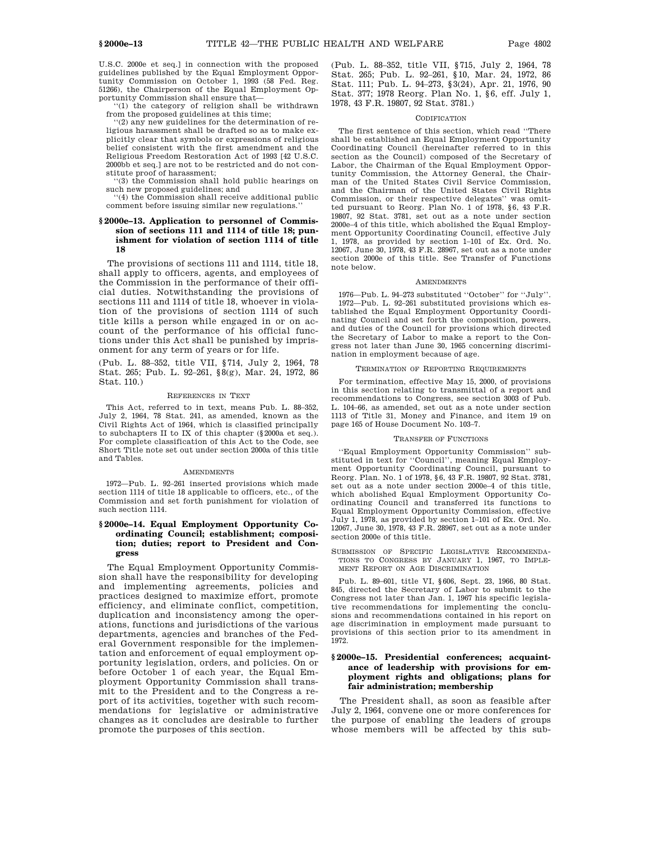U.S.C. 2000e et seq.] in connection with the proposed guidelines published by the Equal Employment Opportunity Commission on October 1, 1993 (58 Fed. Reg. 51266), the Chairperson of the Equal Employment Opportunity Commission shall ensure that—

''(1) the category of religion shall be withdrawn from the proposed guidelines at this time;

''(2) any new guidelines for the determination of religious harassment shall be drafted so as to make explicitly clear that symbols or expressions of religious belief consistent with the first amendment and the Religious Freedom Restoration Act of 1993 [42 U.S.C. 2000bb et seq.] are not to be restricted and do not constitute proof of harassment;

''(3) the Commission shall hold public hearings on such new proposed guidelines; and

''(4) the Commission shall receive additional public comment before issuing similar new regulations.''

### **§ 2000e–13. Application to personnel of Commission of sections 111 and 1114 of title 18; punishment for violation of section 1114 of title 18**

The provisions of sections 111 and 1114, title 18, shall apply to officers, agents, and employees of the Commission in the performance of their official duties. Notwithstanding the provisions of sections 111 and 1114 of title 18, whoever in violation of the provisions of section 1114 of such title kills a person while engaged in or on account of the performance of his official functions under this Act shall be punished by imprisonment for any term of years or for life.

(Pub. L. 88–352, title VII, §714, July 2, 1964, 78 Stat. 265; Pub. L. 92–261, §8(g), Mar. 24, 1972, 86 Stat. 110.)

### REFERENCES IN TEXT

This Act, referred to in text, means Pub. L. 88–352, July 2, 1964, 78 Stat. 241, as amended, known as the Civil Rights Act of 1964, which is classified principally to subchapters II to IX of this chapter (§2000a et seq.). For complete classification of this Act to the Code, see Short Title note set out under section 2000a of this title and Tables.

#### AMENDMENTS

1972—Pub. L. 92–261 inserted provisions which made section 1114 of title 18 applicable to officers, etc., of the Commission and set forth punishment for violation of such section 1114.

### **§ 2000e–14. Equal Employment Opportunity Coordinating Council; establishment; composition; duties; report to President and Congress**

The Equal Employment Opportunity Commission shall have the responsibility for developing and implementing agreements, policies and practices designed to maximize effort, promote efficiency, and eliminate conflict, competition, duplication and inconsistency among the operations, functions and jurisdictions of the various departments, agencies and branches of the Federal Government responsible for the implementation and enforcement of equal employment opportunity legislation, orders, and policies. On or before October 1 of each year, the Equal Employment Opportunity Commission shall transmit to the President and to the Congress a report of its activities, together with such recommendations for legislative or administrative changes as it concludes are desirable to further promote the purposes of this section.

(Pub. L. 88–352, title VII, §715, July 2, 1964, 78 Stat. 265; Pub. L. 92–261, §10, Mar. 24, 1972, 86 Stat. 111; Pub. L. 94–273, §3(24), Apr. 21, 1976, 90 Stat. 377; 1978 Reorg. Plan No. 1, §6, eff. July 1, 1978, 43 F.R. 19807, 92 Stat. 3781.)

#### CODIFICATION

The first sentence of this section, which read ''There shall be established an Equal Employment Opportunity Coordinating Council (hereinafter referred to in this section as the Council) composed of the Secretary of Labor, the Chairman of the Equal Employment Opportunity Commission, the Attorney General, the Chairman of the United States Civil Service Commission, and the Chairman of the United States Civil Rights Commission, or their respective delegates'' was omitted pursuant to Reorg. Plan No. 1 of 1978, §6, 43 F.R. 19807, 92 Stat. 3781, set out as a note under section 2000e–4 of this title, which abolished the Equal Employment Opportunity Coordinating Council, effective July 1, 1978, as provided by section 1–101 of Ex. Ord. No. 12067, June 30, 1978, 43 F.R. 28967, set out as a note under section 2000e of this title. See Transfer of Functions note below.

#### AMENDMENTS

1976—Pub. L. 94–273 substituted ''October'' for ''July''. 1972—Pub. L. 92–261 substituted provisions which established the Equal Employment Opportunity Coordinating Council and set forth the composition, powers, and duties of the Council for provisions which directed the Secretary of Labor to make a report to the Congress not later than June 30, 1965 concerning discrimination in employment because of age.

### TERMINATION OF REPORTING REQUIREMENTS

For termination, effective May 15, 2000, of provisions in this section relating to transmittal of a report and recommendations to Congress, see section 3003 of Pub. L. 104–66, as amended, set out as a note under section 1113 of Title 31, Money and Finance, and item 19 on page 165 of House Document No. 103–7.

### TRANSFER OF FUNCTIONS

''Equal Employment Opportunity Commission'' substituted in text for ''Council'', meaning Equal Employment Opportunity Coordinating Council, pursuant to Reorg. Plan. No. 1 of 1978, §6, 43 F.R. 19807, 92 Stat. 3781, set out as a note under section 2000e–4 of this title, which abolished Equal Employment Opportunity Coordinating Council and transferred its functions to Equal Employment Opportunity Commission, effective July 1, 1978, as provided by section 1–101 of Ex. Ord. No. 12067, June 30, 1978, 43 F.R. 28967, set out as a note under section 2000e of this title.

SUBMISSION OF SPECIFIC LEGISLATIVE RECOMMENDA-TIONS TO CONGRESS BY JANUARY 1, 1967, TO IMPLE-MENT REPORT ON AGE DISCRIMINATION

Pub. L. 89–601, title VI, §606, Sept. 23, 1966, 80 Stat. 845, directed the Secretary of Labor to submit to the Congress not later than Jan. 1, 1967 his specific legislative recommendations for implementing the conclusions and recommendations contained in his report on age discrimination in employment made pursuant to provisions of this section prior to its amendment in 1972.

### **§ 2000e–15. Presidential conferences; acquaintance of leadership with provisions for employment rights and obligations; plans for fair administration; membership**

The President shall, as soon as feasible after July 2, 1964, convene one or more conferences for the purpose of enabling the leaders of groups whose members will be affected by this sub-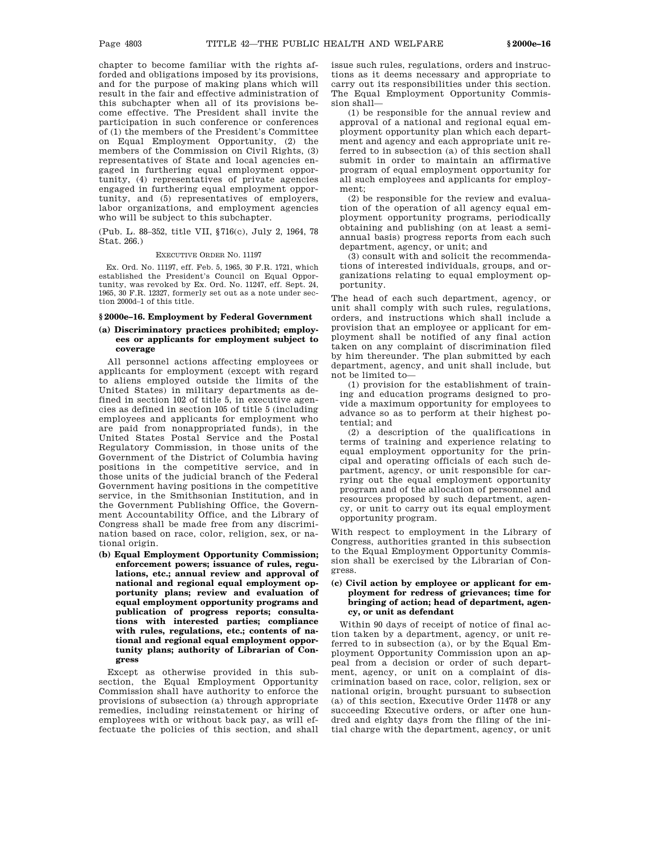chapter to become familiar with the rights afforded and obligations imposed by its provisions, and for the purpose of making plans which will result in the fair and effective administration of this subchapter when all of its provisions become effective. The President shall invite the participation in such conference or conferences of (1) the members of the President's Committee on Equal Employment Opportunity, (2) the members of the Commission on Civil Rights, (3) representatives of State and local agencies engaged in furthering equal employment opportunity, (4) representatives of private agencies engaged in furthering equal employment opportunity, and (5) representatives of employers, labor organizations, and employment agencies who will be subject to this subchapter.

(Pub. L. 88–352, title VII, §716(c), July 2, 1964, 78 Stat. 266.)

#### EXECUTIVE ORDER NO. 11197

Ex. Ord. No. 11197, eff. Feb. 5, 1965, 30 F.R. 1721, which established the President's Council on Equal Opportunity, was revoked by Ex. Ord. No. 11247, eff. Sept. 24, 1965, 30 F.R. 12327, formerly set out as a note under section 2000d–1 of this title.

### **§ 2000e–16. Employment by Federal Government**

### **(a) Discriminatory practices prohibited; employees or applicants for employment subject to coverage**

All personnel actions affecting employees or applicants for employment (except with regard to aliens employed outside the limits of the United States) in military departments as defined in section 102 of title 5, in executive agencies as defined in section 105 of title 5 (including employees and applicants for employment who are paid from nonappropriated funds), in the United States Postal Service and the Postal Regulatory Commission, in those units of the Government of the District of Columbia having positions in the competitive service, and in those units of the judicial branch of the Federal Government having positions in the competitive service, in the Smithsonian Institution, and in the Government Publishing Office, the Government Accountability Office, and the Library of Congress shall be made free from any discrimination based on race, color, religion, sex, or national origin.

**(b) Equal Employment Opportunity Commission; enforcement powers; issuance of rules, regulations, etc.; annual review and approval of national and regional equal employment opportunity plans; review and evaluation of equal employment opportunity programs and publication of progress reports; consultations with interested parties; compliance with rules, regulations, etc.; contents of national and regional equal employment opportunity plans; authority of Librarian of Congress**

Except as otherwise provided in this subsection, the Equal Employment Opportunity Commission shall have authority to enforce the provisions of subsection (a) through appropriate remedies, including reinstatement or hiring of employees with or without back pay, as will effectuate the policies of this section, and shall

issue such rules, regulations, orders and instructions as it deems necessary and appropriate to carry out its responsibilities under this section. The Equal Employment Opportunity Commission shall—

(1) be responsible for the annual review and approval of a national and regional equal employment opportunity plan which each department and agency and each appropriate unit referred to in subsection (a) of this section shall submit in order to maintain an affirmative program of equal employment opportunity for all such employees and applicants for employment;

(2) be responsible for the review and evaluation of the operation of all agency equal employment opportunity programs, periodically obtaining and publishing (on at least a semiannual basis) progress reports from each such department, agency, or unit; and

(3) consult with and solicit the recommendations of interested individuals, groups, and organizations relating to equal employment opportunity.

The head of each such department, agency, or unit shall comply with such rules, regulations, orders, and instructions which shall include a provision that an employee or applicant for employment shall be notified of any final action taken on any complaint of discrimination filed by him thereunder. The plan submitted by each department, agency, and unit shall include, but not be limited to—

(1) provision for the establishment of training and education programs designed to provide a maximum opportunity for employees to advance so as to perform at their highest potential; and

(2) a description of the qualifications in terms of training and experience relating to equal employment opportunity for the principal and operating officials of each such department, agency, or unit responsible for carrying out the equal employment opportunity program and of the allocation of personnel and resources proposed by such department, agency, or unit to carry out its equal employment opportunity program.

With respect to employment in the Library of Congress, authorities granted in this subsection to the Equal Employment Opportunity Commission shall be exercised by the Librarian of Congress.

### **(c) Civil action by employee or applicant for employment for redress of grievances; time for bringing of action; head of department, agency, or unit as defendant**

Within 90 days of receipt of notice of final action taken by a department, agency, or unit referred to in subsection (a), or by the Equal Employment Opportunity Commission upon an appeal from a decision or order of such department, agency, or unit on a complaint of discrimination based on race, color, religion, sex or national origin, brought pursuant to subsection (a) of this section, Executive Order 11478 or any succeeding Executive orders, or after one hundred and eighty days from the filing of the initial charge with the department, agency, or unit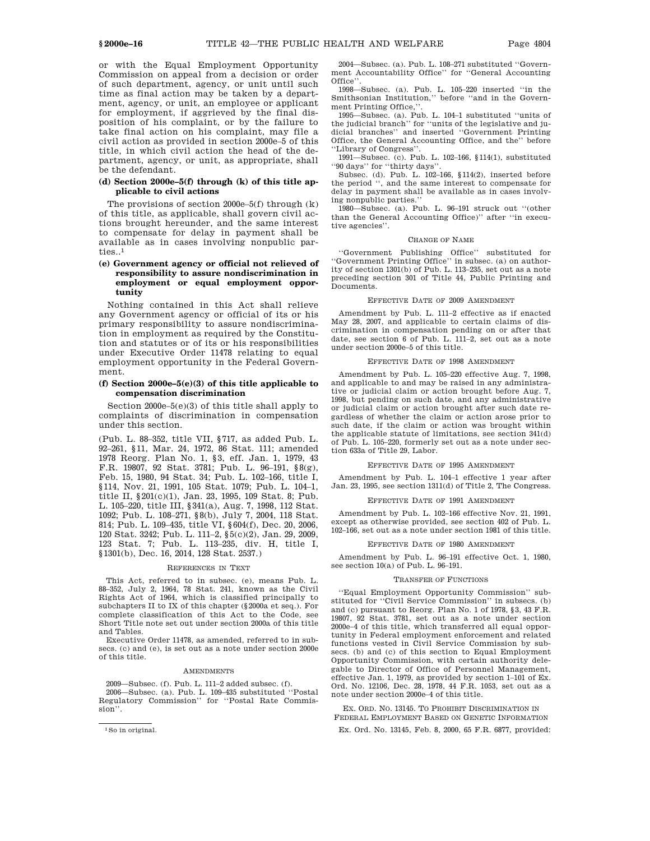or with the Equal Employment Opportunity Commission on appeal from a decision or order of such department, agency, or unit until such time as final action may be taken by a department, agency, or unit, an employee or applicant for employment, if aggrieved by the final disposition of his complaint, or by the failure to take final action on his complaint, may file a civil action as provided in section 2000e–5 of this title, in which civil action the head of the department, agency, or unit, as appropriate, shall be the defendant.

### **(d) Section 2000e–5(f) through (k) of this title applicable to civil actions**

The provisions of section 2000e–5(f) through (k) of this title, as applicable, shall govern civil actions brought hereunder, and the same interest to compensate for delay in payment shall be available as in cases involving nonpublic parties..<sup>1</sup>

### **(e) Government agency or official not relieved of responsibility to assure nondiscrimination in employment or equal employment opportunity**

Nothing contained in this Act shall relieve any Government agency or official of its or his primary responsibility to assure nondiscrimination in employment as required by the Constitution and statutes or of its or his responsibilities under Executive Order 11478 relating to equal employment opportunity in the Federal Government.

### **(f) Section 2000e–5(e)(3) of this title applicable to compensation discrimination**

Section 2000e–5(e)(3) of this title shall apply to complaints of discrimination in compensation under this section.

(Pub. L. 88–352, title VII, §717, as added Pub. L. 92–261, §11, Mar. 24, 1972, 86 Stat. 111; amended 1978 Reorg. Plan No. 1, §3, eff. Jan. 1, 1979, 43 F.R. 19807, 92 Stat. 3781; Pub. L. 96–191, §8(g), Feb. 15, 1980, 94 Stat. 34; Pub. L. 102–166, title I, §114, Nov. 21, 1991, 105 Stat. 1079; Pub. L. 104–1, title II, §201(c)(1), Jan. 23, 1995, 109 Stat. 8; Pub. L. 105–220, title III, §341(a), Aug. 7, 1998, 112 Stat. 1092; Pub. L. 108–271, §8(b), July 7, 2004, 118 Stat. 814; Pub. L. 109–435, title VI, §604(f), Dec. 20, 2006, 120 Stat. 3242; Pub. L. 111–2, §5(c)(2), Jan. 29, 2009, 123 Stat. 7; Pub. L. 113–235, div. H, title I, §1301(b), Dec. 16, 2014, 128 Stat. 2537.)

#### REFERENCES IN TEXT

This Act, referred to in subsec. (e), means Pub. L. 88–352, July 2, 1964, 78 Stat. 241, known as the Civil Rights Act of 1964, which is classified principally to subchapters II to IX of this chapter (§2000a et seq.). For complete classification of this Act to the Code, see Short Title note set out under section 2000a of this title and Tables.

Executive Order 11478, as amended, referred to in subsecs. (c) and (e), is set out as a note under section 2000e of this title.

#### AMENDMENTS

2009—Subsec. (f). Pub. L. 111–2 added subsec. (f).

2006—Subsec. (a). Pub. L. 109–435 substituted ''Postal Regulatory Commission'' for ''Postal Rate Commission''.

2004—Subsec. (a). Pub. L. 108–271 substituted ''Government Accountability Office'' for ''General Accounting Office''.

1998—Subsec. (a). Pub. L. 105–220 inserted ''in the Smithsonian Institution,'' before ''and in the Government Printing Office,

1995—Subsec. (a). Pub. L. 104–1 substituted ''units of the judicial branch'' for ''units of the legislative and judicial branches'' and inserted ''Government Printing Office, the General Accounting Office, and the'' before ''Library of Congress''.

1991—Subsec. (c). Pub. L. 102–166, §114(1), substituted ''90 days'' for ''thirty days''.

Subsec. (d). Pub. L. 102–166, §114(2), inserted before the period '', and the same interest to compensate for delay in payment shall be available as in cases involving nonpublic parties.''

1980—Subsec. (a). Pub. L. 96–191 struck out ''(other than the General Accounting Office)'' after ''in executive agencies''.

#### CHANGE OF NAME

''Government Publishing Office'' substituted for ''Government Printing Office'' in subsec. (a) on authority of section 1301(b) of Pub. L. 113–235, set out as a note preceding section 301 of Title 44, Public Printing and Documents.

#### EFFECTIVE DATE OF 2009 AMENDMENT

Amendment by Pub. L. 111–2 effective as if enacted May 28, 2007, and applicable to certain claims of discrimination in compensation pending on or after that date, see section 6 of Pub. L. 111–2, set out as a note under section 2000e–5 of this title.

#### EFFECTIVE DATE OF 1998 AMENDMENT

Amendment by Pub. L. 105–220 effective Aug. 7, 1998, and applicable to and may be raised in any administrative or judicial claim or action brought before Aug. 7, 1998, but pending on such date, and any administrative or judicial claim or action brought after such date regardless of whether the claim or action arose prior to such date, if the claim or action was brought within the applicable statute of limitations, see section 341(d) of Pub. L. 105–220, formerly set out as a note under section 633a of Title 29, Labor.

#### EFFECTIVE DATE OF 1995 AMENDMENT

Amendment by Pub. L. 104–1 effective 1 year after Jan. 23, 1995, see section 1311(d) of Title 2, The Congress.

#### EFFECTIVE DATE OF 1991 AMENDMENT

Amendment by Pub. L. 102–166 effective Nov. 21, 1991, except as otherwise provided, see section 402 of Pub. L. 102–166, set out as a note under section 1981 of this title.

#### EFFECTIVE DATE OF 1980 AMENDMENT

Amendment by Pub. L. 96–191 effective Oct. 1, 1980, see section 10(a) of Pub. L. 96–191.

### TRANSFER OF FUNCTIONS

''Equal Employment Opportunity Commission'' substituted for ''Civil Service Commission'' in subsecs. (b) and (c) pursuant to Reorg. Plan No. 1 of 1978, §3, 43 F.R. 19807, 92 Stat. 3781, set out as a note under section 2000e–4 of this title, which transferred all equal opportunity in Federal employment enforcement and related functions vested in Civil Service Commission by subsecs. (b) and (c) of this section to Equal Employment Opportunity Commission, with certain authority delegable to Director of Office of Personnel Management, effective Jan. 1, 1979, as provided by section 1–101 of Ex. Ord. No. 12106, Dec. 28, 1978, 44 F.R. 1053, set out as a note under section 2000e–4 of this title.

EX. ORD. NO. 13145. TO PROHIBIT DISCRIMINATION IN FEDERAL EMPLOYMENT BASED ON GENETIC INFORMATION

Ex. Ord. No. 13145, Feb. 8, 2000, 65 F.R. 6877, provided:

<sup>1</sup>So in original.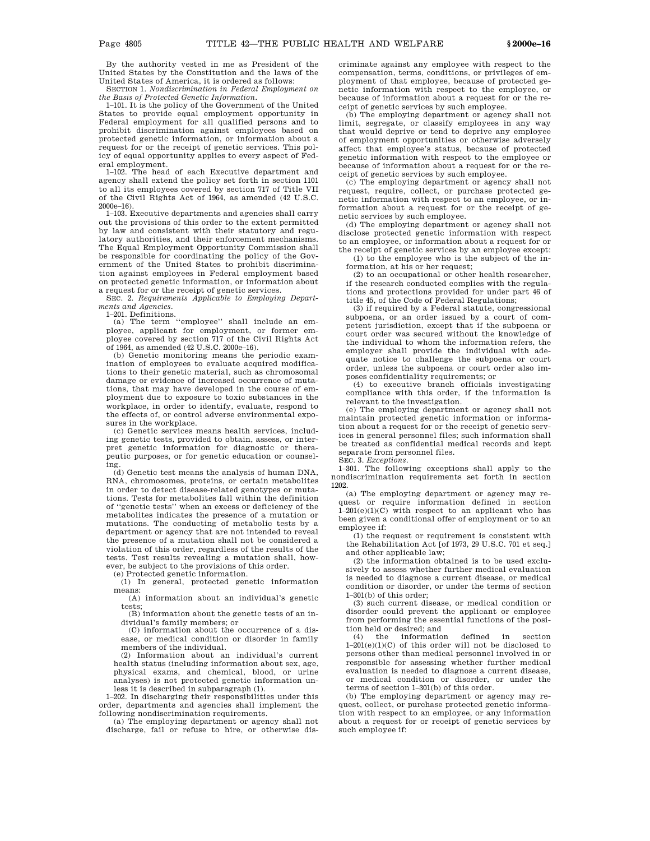By the authority vested in me as President of the United States by the Constitution and the laws of the United States of America, it is ordered as follows:

SECTION 1. *Nondiscrimination in Federal Employment on the Basis of Protected Genetic Information.*

1–101. It is the policy of the Government of the United States to provide equal employment opportunity in Federal employment for all qualified persons and to prohibit discrimination against employees based on protected genetic information, or information about a request for or the receipt of genetic services. This policy of equal opportunity applies to every aspect of Fed-

eral employment. 1–102. The head of each Executive department and agency shall extend the policy set forth in section 1101 to all its employees covered by section 717 of Title VII of the Civil Rights Act of 1964, as amended (42 U.S.C. 2000e–16).

1–103. Executive departments and agencies shall carry out the provisions of this order to the extent permitted by law and consistent with their statutory and regulatory authorities, and their enforcement mechanisms. The Equal Employment Opportunity Commission shall be responsible for coordinating the policy of the Government of the United States to prohibit discrimination against employees in Federal employment based on protected genetic information, or information about

a request for or the receipt of genetic services. SEC. 2. *Requirements Applicable to Employing Departments and Agencies.*

1–201. Definitions.

(a) The term ''employee'' shall include an employee, applicant for employment, or former employee covered by section 717 of the Civil Rights Act of 1964, as amended (42 U.S.C. 2000e–16).

(b) Genetic monitoring means the periodic examination of employees to evaluate acquired modifications to their genetic material, such as chromosomal damage or evidence of increased occurrence of mutations, that may have developed in the course of employment due to exposure to toxic substances in the workplace, in order to identify, evaluate, respond to the effects of, or control adverse environmental exposures in the workplace.

(c) Genetic services means health services, including genetic tests, provided to obtain, assess, or interpret genetic information for diagnostic or therapeutic purposes, or for genetic education or counseling.

(d) Genetic test means the analysis of human DNA, RNA, chromosomes, proteins, or certain metabolites in order to detect disease-related genotypes or mutations. Tests for metabolites fall within the definition of ''genetic tests'' when an excess or deficiency of the metabolites indicates the presence of a mutation or mutations. The conducting of metabolic tests by a department or agency that are not intended to reveal the presence of a mutation shall not be considered a violation of this order, regardless of the results of the tests. Test results revealing a mutation shall, however, be subject to the provisions of this order.

(e) Protected genetic information.

(1) In general, protected genetic information means:

(A) information about an individual's genetic tests;

(B) information about the genetic tests of an individual's family members; or

(C) information about the occurrence of a disease, or medical condition or disorder in family members of the individual.

(2) Information about an individual's current health status (including information about sex, age, physical exams, and chemical, blood, or urine analyses) is not protected genetic information unless it is described in subparagraph (1).

1–202. In discharging their responsibilities under this order, departments and agencies shall implement the following nondiscrimination requirements.

(a) The employing department or agency shall not discharge, fail or refuse to hire, or otherwise discriminate against any employee with respect to the compensation, terms, conditions, or privileges of employment of that employee, because of protected genetic information with respect to the employee, or because of information about a request for or the receipt of genetic services by such employee.

(b) The employing department or agency shall not limit, segregate, or classify employees in any way that would deprive or tend to deprive any employee of employment opportunities or otherwise adversely affect that employee's status, because of protected genetic information with respect to the employee or because of information about a request for or the receipt of genetic services by such employee.

(c) The employing department or agency shall not request, require, collect, or purchase protected genetic information with respect to an employee, or information about a request for or the receipt of genetic services by such employee.

(d) The employing department or agency shall not disclose protected genetic information with respect to an employee, or information about a request for or the receipt of genetic services by an employee except:

(1) to the employee who is the subject of the information, at his or her request;

(2) to an occupational or other health researcher, if the research conducted complies with the regulations and protections provided for under part 46 of title 45, of the Code of Federal Regulations;

(3) if required by a Federal statute, congressional subpoena, or an order issued by a court of competent jurisdiction, except that if the subpoena or court order was secured without the knowledge of the individual to whom the information refers, the employer shall provide the individual with adequate notice to challenge the subpoena or court order, unless the subpoena or court order also imposes confidentiality requirements; or

(4) to executive branch officials investigating compliance with this order, if the information is relevant to the investigation.

(e) The employing department or agency shall not maintain protected genetic information or information about a request for or the receipt of genetic services in general personnel files; such information shall be treated as confidential medical records and kept separate from personnel files.

SEC. 3. *Exceptions.*

1–301. The following exceptions shall apply to the nondiscrimination requirements set forth in section 1202.

(a) The employing department or agency may request or require information defined in section  $1-201(e)(1)(C)$  with respect to an applicant who has been given a conditional offer of employment or to an employee if:

(1) the request or requirement is consistent with the Rehabilitation Act [of 1973, 29 U.S.C. 701 et seq.] and other applicable law;

(2) the information obtained is to be used exclusively to assess whether further medical evaluation is needed to diagnose a current disease, or medical condition or disorder, or under the terms of section 1–301(b) of this order;

(3) such current disease, or medical condition or disorder could prevent the applicant or employee from performing the essential functions of the position held or desired; and

(4) the information defined in section  $1-201(e)(1)(C)$  of this order will not be disclosed to persons other than medical personnel involved in or responsible for assessing whether further medical evaluation is needed to diagnose a current disease, or medical condition or disorder, or under the terms of section 1–301(b) of this order.

(b) The employing department or agency may request, collect, or purchase protected genetic information with respect to an employee, or any information about a request for or receipt of genetic services by such employee if: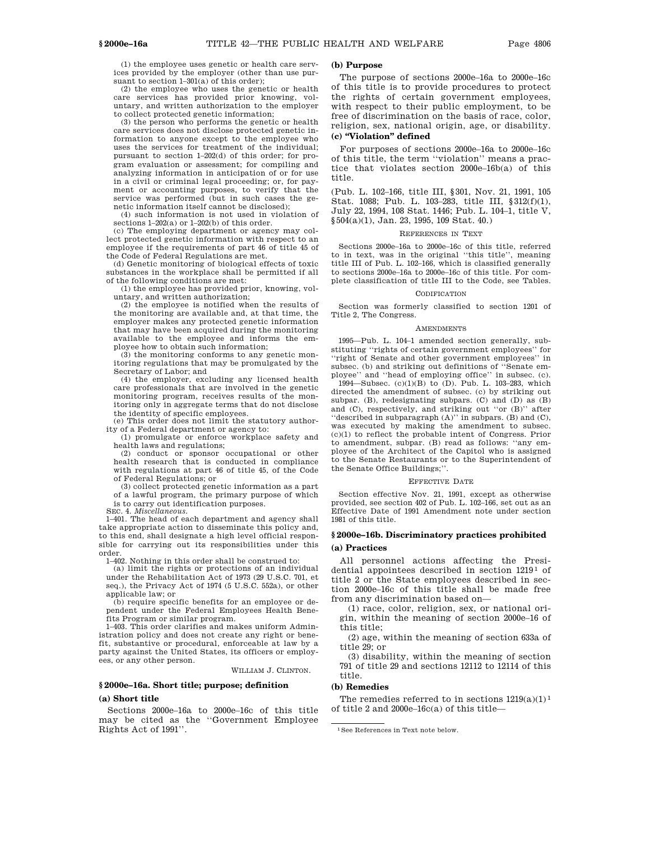(1) the employee uses genetic or health care services provided by the employer (other than use pursuant to section 1–301(a) of this order);

(2) the employee who uses the genetic or health care services has provided prior knowing, voluntary, and written authorization to the employer to collect protected genetic information;

(3) the person who performs the genetic or health care services does not disclose protected genetic information to anyone except to the employee who uses the services for treatment of the individual; pursuant to section 1–202(d) of this order; for program evaluation or assessment; for compiling and analyzing information in anticipation of or for use in a civil or criminal legal proceeding; or, for payment or accounting purposes, to verify that the service was performed (but in such cases the genetic information itself cannot be disclosed);

(4) such information is not used in violation of sections 1–202(a) or 1–202(b) of this order.

(c) The employing department or agency may collect protected genetic information with respect to an employee if the requirements of part 46 of title 45 of the Code of Federal Regulations are met.

(d) Genetic monitoring of biological effects of toxic substances in the workplace shall be permitted if all of the following conditions are met:

(1) the employee has provided prior, knowing, voluntary, and written authorization;

(2) the employee is notified when the results of the monitoring are available and, at that time, the employer makes any protected genetic information that may have been acquired during the monitoring available to the employee and informs the employee how to obtain such information;

(3) the monitoring conforms to any genetic monitoring regulations that may be promulgated by the Secretary of Labor; and

(4) the employer, excluding any licensed health care professionals that are involved in the genetic monitoring program, receives results of the monitoring only in aggregate terms that do not disclose the identity of specific employees.

(e) This order does not limit the statutory authority of a Federal department or agency to:

(1) promulgate or enforce workplace safety and health laws and regulations;

(2) conduct or sponsor occupational or other health research that is conducted in compliance with regulations at part 46 of title 45, of the Code of Federal Regulations; or

(3) collect protected genetic information as a part of a lawful program, the primary purpose of which

is to carry out identification purposes. SEC. 4. *Miscellaneous.*

1–401. The head of each department and agency shall take appropriate action to disseminate this policy and, to this end, shall designate a high level official responsible for carrying out its responsibilities under this order.

1–402. Nothing in this order shall be construed to:

(a) limit the rights or protections of an individual under the Rehabilitation Act of 1973 (29 U.S.C. 701, et seq.), the Privacy Act of 1974 (5 U.S.C. 552a), or other applicable law; or

(b) require specific benefits for an employee or dependent under the Federal Employees Health Benefits Program or similar program.

1–403. This order clarifies and makes uniform Administration policy and does not create any right or benefit, substantive or procedural, enforceable at law by a party against the United States, its officers or employees, or any other person.

WILLIAM J. CLINTON.

### **§ 2000e–16a. Short title; purpose; definition**

### **(a) Short title**

Sections 2000e–16a to 2000e–16c of this title may be cited as the ''Government Employee Rights Act of 1991''.

### **(b) Purpose**

The purpose of sections 2000e–16a to 2000e–16c of this title is to provide procedures to protect the rights of certain government employees, with respect to their public employment, to be free of discrimination on the basis of race, color, religion, sex, national origin, age, or disability. **(c) ''Violation'' defined**

For purposes of sections 2000e–16a to 2000e–16c of this title, the term ''violation'' means a practice that violates section 2000e–16b(a) of this title.

(Pub. L. 102–166, title III, §301, Nov. 21, 1991, 105 Stat. 1088; Pub. L. 103–283, title III, §312(f)(1), July 22, 1994, 108 Stat. 1446; Pub. L. 104–1, title V, §504(a)(1), Jan. 23, 1995, 109 Stat. 40.)

#### REFERENCES IN TEXT

Sections 2000e–16a to 2000e–16c of this title, referred to in text, was in the original ''this title'', meaning title III of Pub. L. 102–166, which is classified generally to sections 2000e–16a to 2000e–16c of this title. For complete classification of title III to the Code, see Tables.

#### **CODIFICATION**

Section was formerly classified to section 1201 of Title 2, The Congress.

#### **AMENDMENTS**

1995—Pub. L. 104–1 amended section generally, substituting ''rights of certain government employees'' for ''right of Senate and other government employees'' in subsec. (b) and striking out definitions of ''Senate employee'' and ''head of employing office'' in subsec. (c).

1994—Subsec. (c)(1)(B) to (D). Pub. L. 103–283, which directed the amendment of subsec. (c) by striking out subpar. (B), redesignating subpars. (C) and (D) as (B) and (C), respectively, and striking out ''or (B)'' after ''described in subparagraph (A)'' in subpars. (B) and (C), was executed by making the amendment to subsec. (c)(1) to reflect the probable intent of Congress. Prior to amendment, subpar. (B) read as follows: ''any employee of the Architect of the Capitol who is assigned to the Senate Restaurants or to the Superintendent of the Senate Office Buildings;''.

#### EFFECTIVE DATE

Section effective Nov. 21, 1991, except as otherwise provided, see section 402 of Pub. L. 102–166, set out as an Effective Date of 1991 Amendment note under section 1981 of this title.

### **§ 2000e–16b. Discriminatory practices prohibited**

#### **(a) Practices**

All personnel actions affecting the Presidential appointees described in section 1219<sup>1</sup> of title 2 or the State employees described in section 2000e–16c of this title shall be made free from any discrimination based on—

(1) race, color, religion, sex, or national origin, within the meaning of section 2000e–16 of this title;

(2) age, within the meaning of section 633a of title 29; or

(3) disability, within the meaning of section 791 of title 29 and sections 12112 to 12114 of this title.

### **(b) Remedies**

The remedies referred to in sections  $1219(a)(1)^1$ of title 2 and 2000e–16c(a) of this title—

<sup>1</sup>See References in Text note below.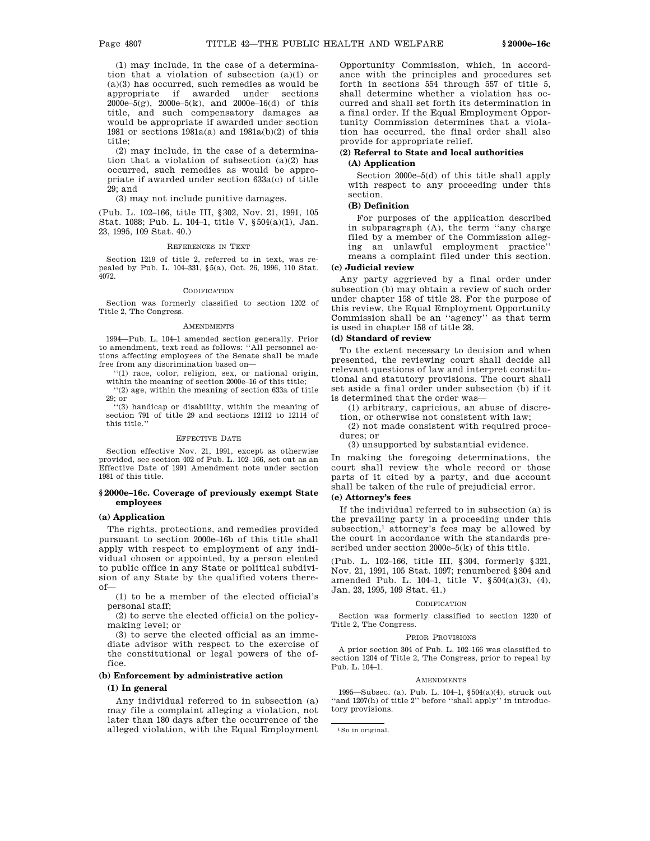(1) may include, in the case of a determination that a violation of subsection (a)(1) or (a)(3) has occurred, such remedies as would be appropriate if awarded under sections 2000e–5(g), 2000e–5(k), and 2000e–16(d) of this title, and such compensatory damages as would be appropriate if awarded under section 1981 or sections  $1981a(a)$  and  $1981a(b)(2)$  of this title;

(2) may include, in the case of a determination that a violation of subsection (a)(2) has occurred, such remedies as would be appropriate if awarded under section 633a(c) of title 29; and

(3) may not include punitive damages.

(Pub. L. 102–166, title III, §302, Nov. 21, 1991, 105 Stat. 1088; Pub. L. 104–1, title V, §504(a)(1), Jan. 23, 1995, 109 Stat. 40.)

#### REFERENCES IN TEXT

Section 1219 of title 2, referred to in text, was repealed by Pub. L. 104–331, §5(a), Oct. 26, 1996, 110 Stat. 4072.

#### **CODIFICATION**

Section was formerly classified to section 1202 of Title 2, The Congress.

#### AMENDMENTS

1994—Pub. L. 104–1 amended section generally. Prior to amendment, text read as follows: ''All personnel actions affecting employees of the Senate shall be made free from any discrimination based on—

''(1) race, color, religion, sex, or national origin, within the meaning of section 2000e–16 of this title;

''(2) age, within the meaning of section 633a of title 29; or

''(3) handicap or disability, within the meaning of section 791 of title 29 and sections 12112 to 12114 of this title.''

#### EFFECTIVE DATE

Section effective Nov. 21, 1991, except as otherwise provided, see section 402 of Pub. L. 102–166, set out as an Effective Date of 1991 Amendment note under section 1981 of this title.

### **§ 2000e–16c. Coverage of previously exempt State employees**

### **(a) Application**

The rights, protections, and remedies provided pursuant to section 2000e–16b of this title shall apply with respect to employment of any individual chosen or appointed, by a person elected to public office in any State or political subdivision of any State by the qualified voters there $of$ 

(1) to be a member of the elected official's personal staff;

(2) to serve the elected official on the policymaking level; or

(3) to serve the elected official as an immediate advisor with respect to the exercise of the constitutional or legal powers of the office.

### **(b) Enforcement by administrative action**

### **(1) In general**

Any individual referred to in subsection (a) may file a complaint alleging a violation, not later than 180 days after the occurrence of the alleged violation, with the Equal Employment Opportunity Commission, which, in accordance with the principles and procedures set forth in sections 554 through 557 of title 5, shall determine whether a violation has occurred and shall set forth its determination in a final order. If the Equal Employment Opportunity Commission determines that a violation has occurred, the final order shall also provide for appropriate relief.

# **(2) Referral to State and local authorities**

### **(A) Application**

Section 2000e–5(d) of this title shall apply with respect to any proceeding under this section.

#### **(B) Definition**

For purposes of the application described in subparagraph (A), the term ''any charge filed by a member of the Commission alleging an unlawful employment practice'' means a complaint filed under this section.

## **(c) Judicial review**

Any party aggrieved by a final order under subsection (b) may obtain a review of such order under chapter 158 of title 28. For the purpose of this review, the Equal Employment Opportunity Commission shall be an ''agency'' as that term is used in chapter 158 of title 28.

### **(d) Standard of review**

To the extent necessary to decision and when presented, the reviewing court shall decide all relevant questions of law and interpret constitutional and statutory provisions. The court shall set aside a final order under subsection (b) if it is determined that the order was—

(1) arbitrary, capricious, an abuse of discre-

tion, or otherwise not consistent with law; (2) not made consistent with required proce-

dures; or

(3) unsupported by substantial evidence.

In making the foregoing determinations, the court shall review the whole record or those parts of it cited by a party, and due account shall be taken of the rule of prejudicial error.

#### **(e) Attorney's fees**

If the individual referred to in subsection (a) is the prevailing party in a proceeding under this subsection,<sup>1</sup> attorney's fees may be allowed by the court in accordance with the standards prescribed under section 2000e–5(k) of this title.

(Pub. L. 102–166, title III, §304, formerly §321, Nov. 21, 1991, 105 Stat. 1097; renumbered §304 and amended Pub. L. 104–1, title V, §504(a)(3), (4), Jan. 23, 1995, 109 Stat. 41.)

#### CODIFICATION

Section was formerly classified to section 1220 of Title 2, The Congress.

#### PRIOR PROVISIONS

A prior section 304 of Pub. L. 102–166 was classified to section 1204 of Title 2, The Congress, prior to repeal by Pub. L. 104–1.

#### **AMENDMENTS**

1995—Subsec. (a). Pub. L. 104–1, §504(a)(4), struck out "and 1207(h) of title 2" before "shall apply" in introductory provisions.

<sup>1</sup>So in original.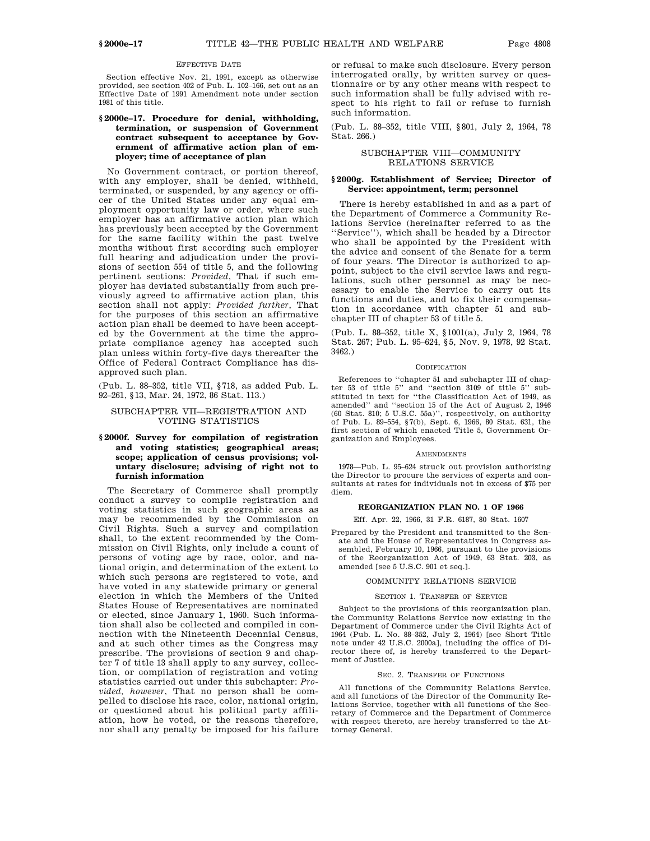### EFFECTIVE DATE

Section effective Nov. 21, 1991, except as otherwise provided, see section 402 of Pub. L. 102–166, set out as an Effective Date of 1991 Amendment note under section 1981 of this title.

## **§ 2000e–17. Procedure for denial, withholding, termination, or suspension of Government contract subsequent to acceptance by Government of affirmative action plan of employer; time of acceptance of plan**

No Government contract, or portion thereof, with any employer, shall be denied, withheld, terminated, or suspended, by any agency or officer of the United States under any equal employment opportunity law or order, where such employer has an affirmative action plan which has previously been accepted by the Government for the same facility within the past twelve months without first according such employer full hearing and adjudication under the provisions of section 554 of title 5, and the following pertinent sections: *Provided*, That if such employer has deviated substantially from such previously agreed to affirmative action plan, this section shall not apply: *Provided further*, That for the purposes of this section an affirmative action plan shall be deemed to have been accepted by the Government at the time the appropriate compliance agency has accepted such plan unless within forty-five days thereafter the Office of Federal Contract Compliance has disapproved such plan.

(Pub. L. 88–352, title VII, §718, as added Pub. L. 92–261, §13, Mar. 24, 1972, 86 Stat. 113.)

## SUBCHAPTER VII—REGISTRATION AND VOTING STATISTICS

# **§ 2000f. Survey for compilation of registration and voting statistics; geographical areas; scope; application of census provisions; voluntary disclosure; advising of right not to furnish information**

The Secretary of Commerce shall promptly conduct a survey to compile registration and voting statistics in such geographic areas as may be recommended by the Commission on Civil Rights. Such a survey and compilation shall, to the extent recommended by the Commission on Civil Rights, only include a count of persons of voting age by race, color, and national origin, and determination of the extent to which such persons are registered to vote, and have voted in any statewide primary or general election in which the Members of the United States House of Representatives are nominated or elected, since January 1, 1960. Such information shall also be collected and compiled in connection with the Nineteenth Decennial Census, and at such other times as the Congress may prescribe. The provisions of section 9 and chapter 7 of title 13 shall apply to any survey, collection, or compilation of registration and voting statistics carried out under this subchapter: *Provided, however*, That no person shall be compelled to disclose his race, color, national origin, or questioned about his political party affiliation, how he voted, or the reasons therefore, nor shall any penalty be imposed for his failure

or refusal to make such disclosure. Every person interrogated orally, by written survey or questionnaire or by any other means with respect to such information shall be fully advised with respect to his right to fail or refuse to furnish such information.

(Pub. L. 88–352, title VIII, §801, July 2, 1964, 78 Stat. 266.)

# SUBCHAPTER VIII—COMMUNITY RELATIONS SERVICE

## **§ 2000g. Establishment of Service; Director of Service: appointment, term; personnel**

There is hereby established in and as a part of the Department of Commerce a Community Relations Service (hereinafter referred to as the ''Service''), which shall be headed by a Director who shall be appointed by the President with the advice and consent of the Senate for a term of four years. The Director is authorized to appoint, subject to the civil service laws and regulations, such other personnel as may be necessary to enable the Service to carry out its functions and duties, and to fix their compensation in accordance with chapter 51 and subchapter III of chapter 53 of title 5.

(Pub. L. 88–352, title X, §1001(a), July 2, 1964, 78 Stat. 267; Pub. L. 95–624, §5, Nov. 9, 1978, 92 Stat. 3462.)

### **CODIFICATION**

References to ''chapter 51 and subchapter III of chapter 53 of title 5'' and ''section 3109 of title 5'' substituted in text for ''the Classification Act of 1949, as amended'' and ''section 15 of the Act of August 2, 1946 (60 Stat. 810; 5 U.S.C. 55a)'', respectively, on authority of Pub. L. 89–554, §7(b), Sept. 6, 1966, 80 Stat. 631, the first section of which enacted Title 5, Government Organization and Employees.

### **AMENDMENTS**

1978—Pub. L. 95–624 struck out provision authorizing the Director to procure the services of experts and consultants at rates for individuals not in excess of \$75 per diem.

## **REORGANIZATION PLAN NO. 1 OF 1966**

Eff. Apr. 22, 1966, 31 F.R. 6187, 80 Stat. 1607

Prepared by the President and transmitted to the Senate and the House of Representatives in Congress assembled, February 10, 1966, pursuant to the provisions of the Reorganization Act of 1949, 63 Stat. 203, as amended [see 5 U.S.C. 901 et seq.].

## COMMUNITY RELATIONS SERVICE

### SECTION 1. TRANSFER OF SERVICE

Subject to the provisions of this reorganization plan, the Community Relations Service now existing in the Department of Commerce under the Civil Rights Act of 1964 (Pub. L. No. 88–352, July 2, 1964) [see Short Title note under 42 U.S.C. 2000a], including the office of Director there of, is hereby transferred to the Department of Justice.

#### SEC. 2. TRANSFER OF FUNCTIONS

All functions of the Community Relations Service, and all functions of the Director of the Community Relations Service, together with all functions of the Secretary of Commerce and the Department of Commerce with respect thereto, are hereby transferred to the Attorney General.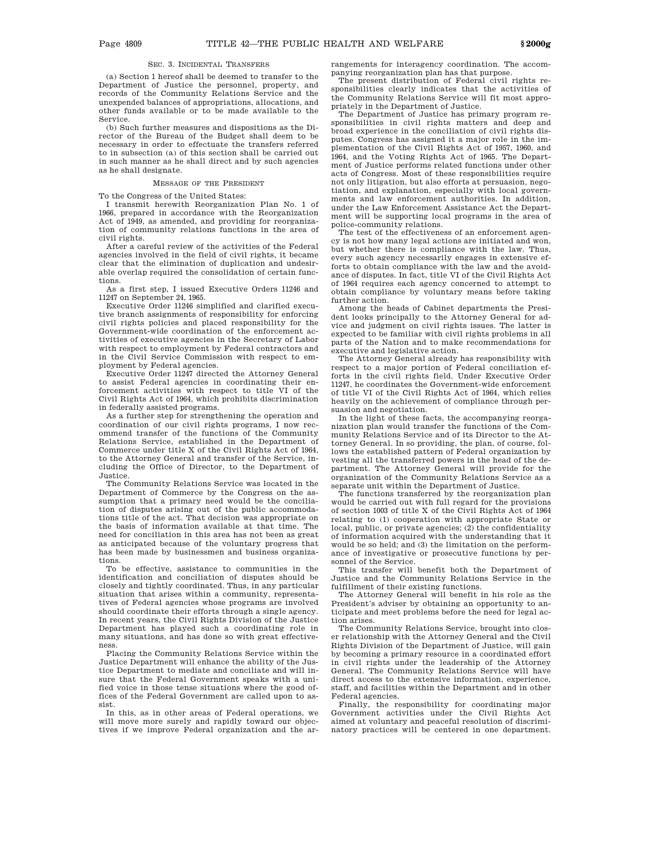## SEC. 3. INCIDENTAL TRANSFERS

(a) Section 1 hereof shall be deemed to transfer to the Department of Justice the personnel, property, and records of the Community Relations Service and the unexpended balances of appropriations, allocations, and other funds available or to be made available to the Service.

(b) Such further measures and dispositions as the Director of the Bureau of the Budget shall deem to be necessary in order to effectuate the transfers referred to in subsection (a) of this section shall be carried out in such manner as he shall direct and by such agencies as he shall designate.

### MESSAGE OF THE PRESIDENT

To the Congress of the United States:

I transmit herewith Reorganization Plan No. 1 of 1966, prepared in accordance with the Reorganization Act of 1949, as amended, and providing for reorganization of community relations functions in the area of civil rights.

After a careful review of the activities of the Federal agencies involved in the field of civil rights, it became clear that the elimination of duplication and undesirable overlap required the consolidation of certain functions.

As a first step, I issued Executive Orders 11246 and 11247 on September 24, 1965.

Executive Order 11246 simplified and clarified executive branch assignments of responsibility for enforcing civil rights policies and placed responsibility for the Government-wide coordination of the enforcement activities of executive agencies in the Secretary of Labor with respect to employment by Federal contractors and in the Civil Service Commission with respect to employment by Federal agencies.

Executive Order 11247 directed the Attorney General to assist Federal agencies in coordinating their enforcement activities with respect to title VI of the Civil Rights Act of 1964, which prohibits discrimination in federally assisted programs.

As a further step for strengthening the operation and coordination of our civil rights programs, I now recommend transfer of the functions of the Community Relations Service, established in the Department of Commerce under title X of the Civil Rights Act of 1964, to the Attorney General and transfer of the Service, including the Office of Director, to the Department of Justice.

The Community Relations Service was located in the Department of Commerce by the Congress on the assumption that a primary need would be the conciliation of disputes arising out of the public accommodations title of the act. That decision was appropriate on the basis of information available at that time. The need for conciliation in this area has not been as great as anticipated because of the voluntary progress that has been made by businessmen and business organizations.

To be effective, assistance to communities in the identification and conciliation of disputes should be closely and tightly coordinated. Thus, in any particular situation that arises within a community, representatives of Federal agencies whose programs are involved should coordinate their efforts through a single agency. In recent years, the Civil Rights Division of the Justice Department has played such a coordinating role in many situations, and has done so with great effectiveness.

Placing the Community Relations Service within the Justice Department will enhance the ability of the Justice Department to mediate and conciliate and will insure that the Federal Government speaks with a unified voice in those tense situations where the good offices of the Federal Government are called upon to assist.

In this, as in other areas of Federal operations, we will move more surely and rapidly toward our objectives if we improve Federal organization and the arrangements for interagency coordination. The accompanying reorganization plan has that purpose.

The present distribution of Federal civil rights responsibilities clearly indicates that the activities of the Community Relations Service will fit most appropriately in the Department of Justice.

The Department of Justice has primary program responsibilities in civil rights matters and deep and broad experience in the conciliation of civil rights disputes. Congress has assigned it a major role in the implementation of the Civil Rights Act of 1957, 1960, and 1964, and the Voting Rights Act of 1965. The Department of Justice performs related functions under other acts of Congress. Most of these responsibilities require not only litigation, but also efforts at persuasion, negotiation, and explanation, especially with local governments and law enforcement authorities. In addition, under the Law Enforcement Assistance Act the Department will be supporting local programs in the area of police-community relations.

The test of the effectiveness of an enforcement agency is not how many legal actions are initiated and won, but whether there is compliance with the law. Thus, every such agency necessarily engages in extensive efforts to obtain compliance with the law and the avoidance of disputes. In fact, title VI of the Civil Rights Act of 1964 requires each agency concerned to attempt to obtain compliance by voluntary means before taking further action.

Among the heads of Cabinet departments the President looks principally to the Attorney General for advice and judgment on civil rights issues. The latter is expected to be familiar with civil rights problems in all parts of the Nation and to make recommendations for executive and legislative action.

The Attorney General already has responsibility with respect to a major portion of Federal conciliation efforts in the civil rights field. Under Executive Order 11247, he coordinates the Government-wide enforcement of title VI of the Civil Rights Act of 1964, which relies heavily on the achievement of compliance through persuasion and negotiation.

In the light of these facts, the accompanying reorganization plan would transfer the functions of the Community Relations Service and of its Director to the Attorney General. In so providing, the plan, of course, follows the established pattern of Federal organization by vesting all the transferred powers in the head of the department. The Attorney General will provide for the organization of the Community Relations Service as a separate unit within the Department of Justice.

The functions transferred by the reorganization plan would be carried out with full regard for the provisions of section 1003 of title X of the Civil Rights Act of 1964 relating to (1) cooperation with appropriate State or local, public, or private agencies; (2) the confidentiality of information acquired with the understanding that it would be so held; and (3) the limitation on the performance of investigative or prosecutive functions by personnel of the Service.

This transfer will benefit both the Department of Justice and the Community Relations Service in the fulfillment of their existing functions.

The Attorney General will benefit in his role as the President's adviser by obtaining an opportunity to anticipate and meet problems before the need for legal action arises.

The Community Relations Service, brought into closer relationship with the Attorney General and the Civil Rights Division of the Department of Justice, will gain by becoming a primary resource in a coordinated effort in civil rights under the leadership of the Attorney General. The Community Relations Service will have direct access to the extensive information, experience, staff, and facilities within the Department and in other Federal agencies.

Finally, the responsibility for coordinating major Government activities under the Civil Rights Act aimed at voluntary and peaceful resolution of discriminatory practices will be centered in one department.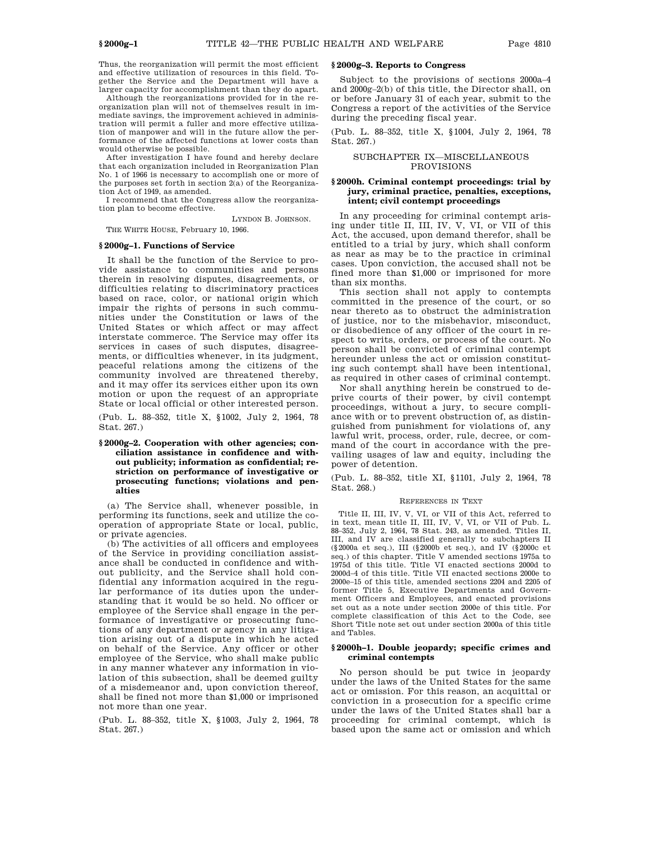Thus, the reorganization will permit the most efficient and effective utilization of resources in this field. Together the Service and the Department will have a larger capacity for accomplishment than they do apart.

Although the reorganizations provided for in the reorganization plan will not of themselves result in immediate savings, the improvement achieved in administration will permit a fuller and more effective utilization of manpower and will in the future allow the performance of the affected functions at lower costs than would otherwise be possible.

After investigation I have found and hereby declare that each organization included in Reorganization Plan No. 1 of 1966 is necessary to accomplish one or more of the purposes set forth in section 2(a) of the Reorganization Act of 1949, as amended.

I recommend that the Congress allow the reorganization plan to become effective.

LYNDON B. JOHNSON.

THE WHITE HOUSE, February 10, 1966.

### **§ 2000g–1. Functions of Service**

It shall be the function of the Service to provide assistance to communities and persons therein in resolving disputes, disagreements, or difficulties relating to discriminatory practices based on race, color, or national origin which impair the rights of persons in such communities under the Constitution or laws of the United States or which affect or may affect interstate commerce. The Service may offer its services in cases of such disputes, disagreements, or difficulties whenever, in its judgment, peaceful relations among the citizens of the community involved are threatened thereby, and it may offer its services either upon its own motion or upon the request of an appropriate State or local official or other interested person.

(Pub. L. 88–352, title X, §1002, July 2, 1964, 78 Stat. 267.)

# **§ 2000g–2. Cooperation with other agencies; conciliation assistance in confidence and without publicity; information as confidential; restriction on performance of investigative or prosecuting functions; violations and penalties**

(a) The Service shall, whenever possible, in performing its functions, seek and utilize the cooperation of appropriate State or local, public, or private agencies.

(b) The activities of all officers and employees of the Service in providing conciliation assistance shall be conducted in confidence and without publicity, and the Service shall hold confidential any information acquired in the regular performance of its duties upon the understanding that it would be so held. No officer or employee of the Service shall engage in the performance of investigative or prosecuting functions of any department or agency in any litigation arising out of a dispute in which he acted on behalf of the Service. Any officer or other employee of the Service, who shall make public in any manner whatever any information in violation of this subsection, shall be deemed guilty of a misdemeanor and, upon conviction thereof, shall be fined not more than \$1,000 or imprisoned not more than one year.

(Pub. L. 88–352, title X, §1003, July 2, 1964, 78 Stat. 267.)

# **§ 2000g–3. Reports to Congress**

Subject to the provisions of sections 2000a–4 and 2000g–2(b) of this title, the Director shall, on or before January 31 of each year, submit to the Congress a report of the activities of the Service during the preceding fiscal year.

(Pub. L. 88–352, title X, §1004, July 2, 1964, 78 Stat. 267.)

# SUBCHAPTER IX—MISCELLANEOUS PROVISIONS

# **§ 2000h. Criminal contempt proceedings: trial by jury, criminal practice, penalties, exceptions, intent; civil contempt proceedings**

In any proceeding for criminal contempt arising under title II, III, IV, V, VI, or VII of this Act, the accused, upon demand therefor, shall be entitled to a trial by jury, which shall conform as near as may be to the practice in criminal cases. Upon conviction, the accused shall not be fined more than \$1,000 or imprisoned for more than six months.

This section shall not apply to contempts committed in the presence of the court, or so near thereto as to obstruct the administration of justice, nor to the misbehavior, misconduct, or disobedience of any officer of the court in respect to writs, orders, or process of the court. No person shall be convicted of criminal contempt hereunder unless the act or omission constituting such contempt shall have been intentional, as required in other cases of criminal contempt.

Nor shall anything herein be construed to deprive courts of their power, by civil contempt proceedings, without a jury, to secure compliance with or to prevent obstruction of, as distinguished from punishment for violations of, any lawful writ, process, order, rule, decree, or command of the court in accordance with the prevailing usages of law and equity, including the power of detention.

(Pub. L. 88–352, title XI, §1101, July 2, 1964, 78 Stat. 268.)

#### REFERENCES IN TEXT

Title II, III, IV, V, VI, or VII of this Act, referred to in text, mean title II, III, IV, V, VI, or VII of Pub. L. 88–352, July 2, 1964, 78 Stat. 243, as amended. Titles II, III, and IV are classified generally to subchapters II (§2000a et seq.), III (§2000b et seq.), and IV (§2000c et seq.) of this chapter. Title V amended sections 1975a to 1975d of this title. Title VI enacted sections 2000d to 2000d–4 of this title. Title VII enacted sections 2000e to 2000e–15 of this title, amended sections 2204 and 2205 of former Title 5, Executive Departments and Government Officers and Employees, and enacted provisions set out as a note under section 2000e of this title. For complete classification of this Act to the Code, see Short Title note set out under section 2000a of this title and Tables.

# **§ 2000h–1. Double jeopardy; specific crimes and criminal contempts**

No person should be put twice in jeopardy under the laws of the United States for the same act or omission. For this reason, an acquittal or conviction in a prosecution for a specific crime under the laws of the United States shall bar a proceeding for criminal contempt, which is based upon the same act or omission and which